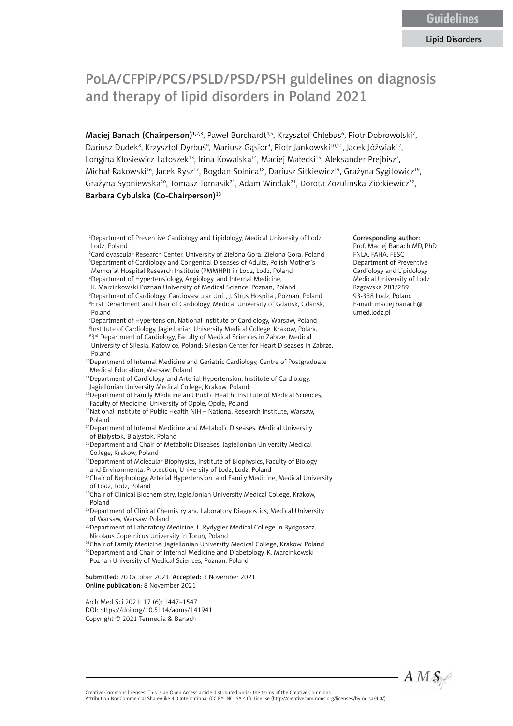# PoLA/CFPiP/PCS/PSLD/PSD/PSH guidelines on diagnosis and therapy of lipid disorders in Poland 2021

Maciej Banach (Chairperson)<sup>1,2,3</sup>, Paweł Burchardt<sup>4,5</sup>, Krzysztof Chlebus<sup>6</sup>, Piotr Dobrowolski<sup>7</sup>, Dariusz Dudek<sup>8</sup>, Krzysztof Dyrbuś<sup>9</sup>, Mariusz Gąsior<sup>9</sup>, Piotr Jankowski<sup>10,11</sup>, Jacek Jóźwiak<sup>12</sup>, Longina Kłosiewicz-Latoszek $^{13}$ , Irina Kowalska $^{14}$ , Maciej Małecki $^{15}$ , Aleksander Prejbisz $^7$ , Michał Rakowski<sup>16</sup>, Jacek Rysz<sup>17</sup>, Bogdan Solnica<sup>18</sup>, Dariusz Sitkiewicz<sup>19</sup>, Grażyna Sygitowicz<sup>19</sup>, Grażyna Sypniewska<sup>20</sup>, Tomasz Tomasik<sup>21</sup>, Adam Windak<sup>21</sup>, Dorota Zozulińska-Ziółkiewicz<sup>22</sup>, Barbara Cybulska (Co-Chairperson)<sup>13</sup>

- <sup>1</sup>Department of Preventive Cardiology and Lipidology, Medical University of Lodz, Lodz, Poland
- 2 Cardiovascular Research Center, University of Zielona Gora, Zielona Gora, Poland 3 Department of Cardiology and Congenital Diseases of Adults, Polish Mother's Memorial Hospital Research Institute (PMMHRI) in Lodz, Lodz, Poland
- 4 Department of Hypertensiology, Angiology, and Internal Medicine,
- K. Marcinkowski Poznan University of Medical Science, Poznan, Poland
- 5 Department of Cardiology, Cardiovascular Unit, J. Strus Hospital, Poznan, Poland 6 First Department and Chair of Cardiology, Medical University of Gdansk, Gdansk, Poland

7 Department of Hypertension, National Institute of Cardiology, Warsaw, Poland <sup>8</sup>Institute of Cardiology, Jagiellonian University Medical College, Krakow, Poland

- 93<sup>rd</sup> Department of Cardiology, Faculty of Medical Sciences in Zabrze, Medical University of Silesia, Katowice, Poland; Silesian Center for Heart Diseases in Zabrze, Poland
- <sup>10</sup>Department of Internal Medicine and Geriatric Cardiology, Centre of Postgraduate Medical Education, Warsaw, Poland
- <sup>11</sup>Department of Cardiology and Arterial Hypertension, Institute of Cardiology, Jagiellonian University Medical College, Krakow, Poland
- <sup>12</sup>Department of Family Medicine and Public Health, Institute of Medical Sciences, Faculty of Medicine, University of Opole, Opole, Poland
- 13National Institute of Public Health NIH National Research Institute, Warsaw, Poland
- <sup>14</sup>Department of Internal Medicine and Metabolic Diseases, Medical University of Bialystok, Bialystok, Poland
- <sup>15</sup>Department and Chair of Metabolic Diseases, Jagiellonian University Medical College, Krakow, Poland
- <sup>16</sup>Department of Molecular Biophysics, Institute of Biophysics, Faculty of Biology and Environmental Protection, University of Lodz, Lodz, Poland
- <sup>17</sup>Chair of Nephrology, Arterial Hypertension, and Family Medicine, Medical University of Lodz, Lodz, Poland

18Chair of Clinical Biochemistry, Jagiellonian University Medical College, Krakow, Poland

- <sup>19</sup>Department of Clinical Chemistry and Laboratory Diagnostics, Medical University of Warsaw, Warsaw, Poland
- <sup>20</sup>Department of Laboratory Medicine, L. Rydygier Medical College in Bydgoszcz, Nicolaus Copernicus University in Torun, Poland
- <sup>21</sup>Chair of Family Medicine, Jagiellonian University Medical College, Krakow, Poland
- <sup>22</sup>Department and Chair of Internal Medicine and Diabetology, K. Marcinkowski Poznan University of Medical Sciences, Poznan, Poland

Submitted: 20 October 2021, Accepted: 3 November 2021 Online publication: 8 November 2021

Arch Med Sci 2021; 17 (6): 1447–1547 DOI: https://doi.org/10.5114/aoms/141941 Copyright © 2021 Termedia & Banach

#### Corresponding author:

Prof. Maciej Banach MD, PhD, FNLA, FAHA, FESC Department of Preventive Cardiology and Lipidology Medical University of Lodz Rzgowska 281/289 93-338 Lodz, Poland E-mail: maciej.banach@ umed.lodz.pl



Creative Commons licenses: This is an Open Access article distributed under the terms of the Creative Commons Attribution-NonCommercial-ShareAlike 4.0 International (CC BY -NC -SA 4.0). License (http://creativecommons.org/licenses/by-nc-sa/4.0/).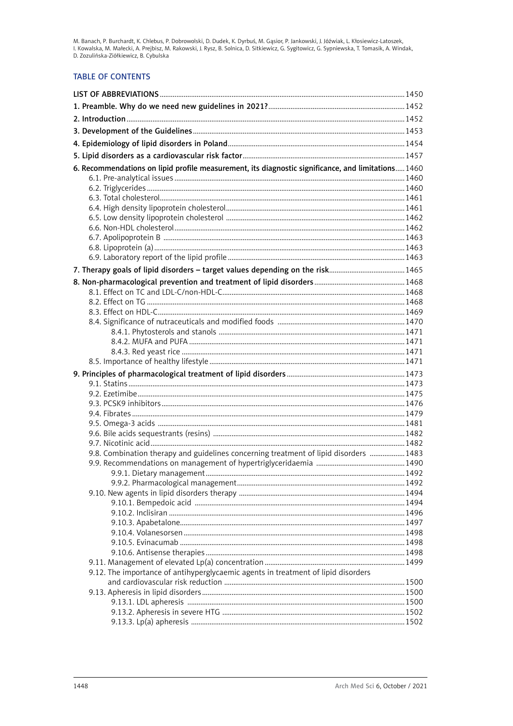M. Banach, P. Burchardt, K. Chlebus, P. Dobrowolski, D. Dudek, K. Dyrbuś, M. Gąsior, P. Jankowski, J. Jóźwiak, L. Kłosiewicz-Latoszek,<br>I. Kowalska, M. Małecki, A. Prejbisz, M. Rakowski, J. Rysz, B. Solnica, D. Sitkiewicz,

# **TABLE OF CONTENTS**

| 6. Recommendations on lipid profile measurement, its diagnostic significance, and limitations 1460 |  |
|----------------------------------------------------------------------------------------------------|--|
|                                                                                                    |  |
|                                                                                                    |  |
|                                                                                                    |  |
|                                                                                                    |  |
|                                                                                                    |  |
|                                                                                                    |  |
|                                                                                                    |  |
|                                                                                                    |  |
|                                                                                                    |  |
|                                                                                                    |  |
|                                                                                                    |  |
|                                                                                                    |  |
|                                                                                                    |  |
|                                                                                                    |  |
|                                                                                                    |  |
|                                                                                                    |  |
|                                                                                                    |  |
|                                                                                                    |  |
|                                                                                                    |  |
|                                                                                                    |  |
|                                                                                                    |  |
|                                                                                                    |  |
|                                                                                                    |  |
|                                                                                                    |  |
|                                                                                                    |  |
|                                                                                                    |  |
| 9.8. Combination therapy and guidelines concerning treatment of lipid disorders  1483              |  |
|                                                                                                    |  |
|                                                                                                    |  |
|                                                                                                    |  |
|                                                                                                    |  |
|                                                                                                    |  |
|                                                                                                    |  |
|                                                                                                    |  |
|                                                                                                    |  |
|                                                                                                    |  |
|                                                                                                    |  |
| 9.12. The importance of antihyperglycaemic agents in treatment of lipid disorders                  |  |
|                                                                                                    |  |
|                                                                                                    |  |
|                                                                                                    |  |
|                                                                                                    |  |
|                                                                                                    |  |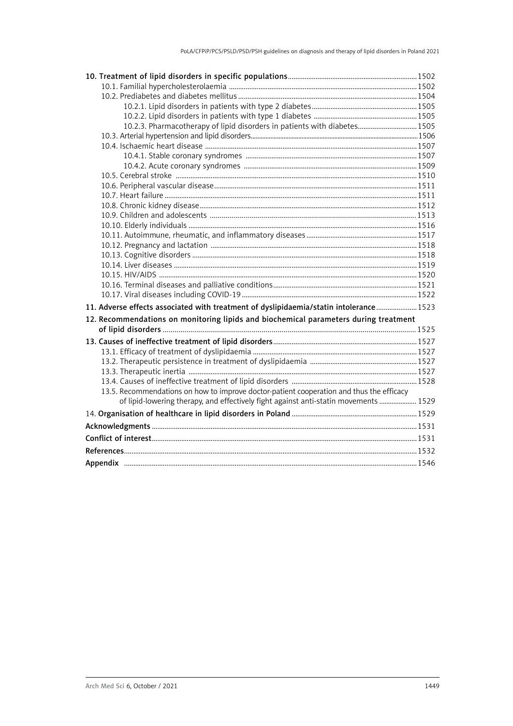| 10.2.3. Pharmacotherapy of lipid disorders in patients with diabetes 1505                |  |
|------------------------------------------------------------------------------------------|--|
|                                                                                          |  |
|                                                                                          |  |
|                                                                                          |  |
|                                                                                          |  |
|                                                                                          |  |
|                                                                                          |  |
|                                                                                          |  |
|                                                                                          |  |
|                                                                                          |  |
|                                                                                          |  |
|                                                                                          |  |
|                                                                                          |  |
|                                                                                          |  |
|                                                                                          |  |
|                                                                                          |  |
|                                                                                          |  |
|                                                                                          |  |
| 11. Adverse effects associated with treatment of dyslipidaemia/statin intolerance 1523   |  |
| 12. Recommendations on monitoring lipids and biochemical parameters during treatment     |  |
|                                                                                          |  |
|                                                                                          |  |
|                                                                                          |  |
|                                                                                          |  |
|                                                                                          |  |
|                                                                                          |  |
| 13.5. Recommendations on how to improve doctor-patient cooperation and thus the efficacy |  |
| of lipid-lowering therapy, and effectively fight against anti-statin movements  1529     |  |
|                                                                                          |  |
|                                                                                          |  |
|                                                                                          |  |
|                                                                                          |  |
|                                                                                          |  |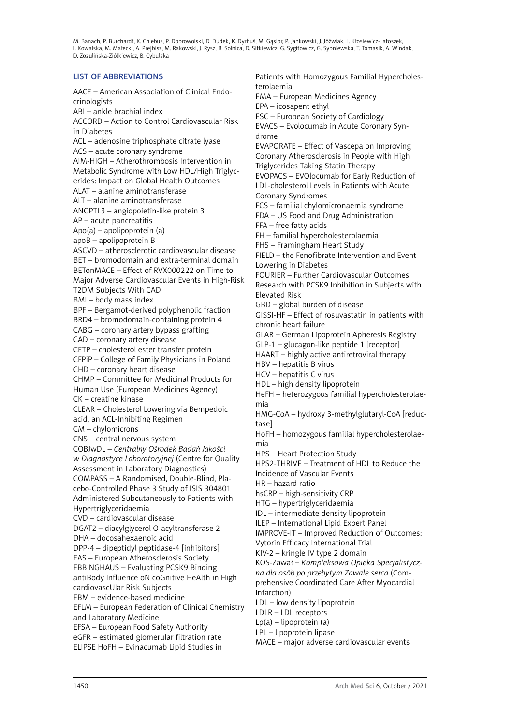# <span id="page-3-0"></span>LIST OF ABBREVIATIONS

AACE – American Association of Clinical Endocrinologists ABI – ankle brachial index ACCORD – Action to Control Cardiovascular Risk in Diabetes ACL – adenosine triphosphate citrate lyase ACS – acute coronary syndrome AIM-HIGH – Atherothrombosis Intervention in Metabolic Syndrome with Low HDL/High Triglycerides: Impact on Global Health Outcomes ALAT – alanine aminotransferase ALT – alanine aminotransferase ANGPTL3 – angiopoietin-like protein 3 AP – acute pancreatitis Apo(a) – apolipoprotein (a) apoB – apolipoprotein B ASCVD – atherosclerotic cardiovascular disease BET – bromodomain and extra-terminal domain BETonMACE – Effect of RVX000222 on Time to Major Adverse Cardiovascular Events in High-Risk T2DM Subjects With CAD BMI – body mass index BPF – Bergamot-derived polyphenolic fraction BRD4 – bromodomain-containing protein 4 CABG – coronary artery bypass grafting CAD – coronary artery disease CETP – cholesterol ester transfer protein CFPiP – College of Family Physicians in Poland CHD – coronary heart disease CHMP – Committee for Medicinal Products for Human Use (European Medicines Agency) CK – creatine kinase CLEAR – Cholesterol Lowering via Bempedoic acid, an ACL-Inhibiting Regimen CM – chylomicrons CNS – central nervous system COBJwDL – *Centralny Ośrodek Badań Jakości w Diagnostyce Laboratoryjnej* (Centre for Quality Assessment in Laboratory Diagnostics) COMPASS – A Randomised, Double-Blind, Placebo-Controlled Phase 3 Study of ISIS 304801 Administered Subcutaneously to Patients with Hypertriglyceridaemia CVD – cardiovascular disease DGAT2 – diacylglycerol O-acyltransferase 2 DHA – docosahexaenoic acid DPP-4 – dipeptidyl peptidase-4 [inhibitors] EAS – European Atherosclerosis Society EBBINGHAUS – Evaluating PCSK9 Binding antiBody Influence oN coGnitive HeAlth in High cardiovascUlar Risk Subjects EBM – evidence-based medicine EFLM – European Federation of Clinical Chemistry and Laboratory Medicine EFSA – European Food Safety Authority eGFR – estimated glomerular filtration rate ELIPSE HoFH – Evinacumab Lipid Studies in

Patients with Homozygous Familial Hypercholesterolaemia EMA – European Medicines Agency EPA – icosapent ethyl ESC – European Society of Cardiology EVACS – Evolocumab in Acute Coronary Syndrome EVAPORATE – Effect of Vascepa on Improving Coronary Atherosclerosis in People with High Triglycerides Taking Statin Therapy EVOPACS – EVOlocumab for Early Reduction of LDL-cholesterol Levels in Patients with Acute Coronary Syndromes FCS – familial chylomicronaemia syndrome FDA – US Food and Drug Administration FFA – free fatty acids FH – familial hypercholesterolaemia FHS – Framingham Heart Study FIELD – the Fenofibrate Intervention and Event Lowering in Diabetes FOURIER – Further Cardiovascular Outcomes Research with PCSK9 Inhibition in Subjects with Elevated Risk GBD – global burden of disease GISSI-HF – Effect of rosuvastatin in patients with chronic heart failure GLAR – German Lipoprotein Apheresis Registry GLP-1 – glucagon-like peptide 1 [receptor] HAART – highly active antiretroviral therapy HBV – hepatitis B virus HCV – hepatitis C virus HDL – high density lipoprotein HeFH – heterozygous familial hypercholesterolaemia HMG-CoA – hydroxy 3-methylglutaryl-CoA [reductase] HoFH – homozygous familial hypercholesterolaemia HPS – Heart Protection Study HPS2-THRIVE – Treatment of HDL to Reduce the Incidence of Vascular Events HR – hazard ratio hsCRP – high-sensitivity CRP HTG – hypertriglyceridaemia IDL – intermediate density lipoprotein ILEP – International Lipid Expert Panel IMPROVE-IT – Improved Reduction of Outcomes: Vytorin Efficacy International Trial KIV-2 – kringle IV type 2 domain KOS-Zawał – *Kompleksowa Opieka Specjalistyczna dla osób po przebytym Zawale serca* (Comprehensive Coordinated Care After Myocardial Infarction) LDL – low density lipoprotein LDLR – LDL receptors  $Lp(a) - lipoprotein (a)$ LPL – lipoprotein lipase MACE – major adverse cardiovascular events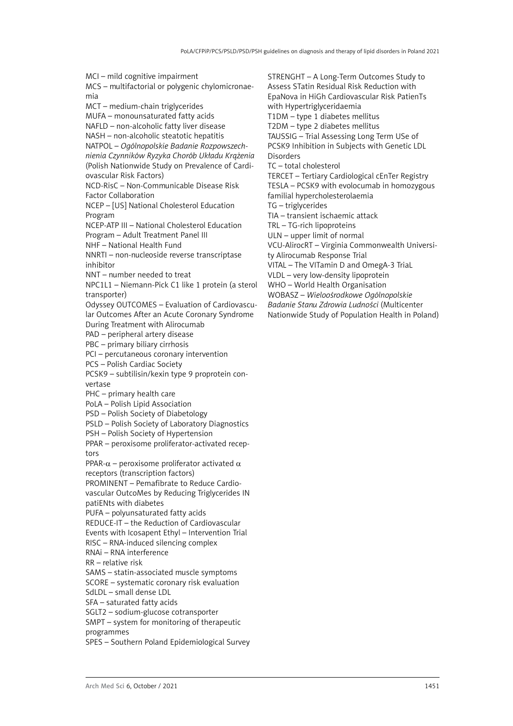MCI – mild cognitive impairment MCS – multifactorial or polygenic chylomicronaemia MCT – medium-chain triglycerides MUFA – monounsaturated fatty acids NAFLD – non-alcoholic fatty liver disease NASH – non-alcoholic steatotic hepatitis NATPOL – *Ogólnopolskie Badanie Rozpowszechnienia Czynników Ryzyka Chorób Układu Krążenia* (Polish Nationwide Study on Prevalence of Cardiovascular Risk Factors) NCD-RisC – Non-Communicable Disease Risk Factor Collaboration NCEP – [US] National Cholesterol Education Program NCEP-ATP III – National Cholesterol Education Program – Adult Treatment Panel III NHF – National Health Fund NNRTI – non-nucleoside reverse transcriptase inhibitor NNT – number needed to treat NPC1L1 – Niemann-Pick C1 like 1 protein (a sterol transporter) Odyssey OUTCOMES – Evaluation of Cardiovascular Outcomes After an Acute Coronary Syndrome During Treatment with Alirocumab PAD – peripheral artery disease PBC – primary biliary cirrhosis PCI – percutaneous coronary intervention PCS – Polish Cardiac Society PCSK9 – subtilisin/kexin type 9 proprotein convertase PHC – primary health care PoLA – Polish Lipid Association PSD – Polish Society of Diabetology PSLD – Polish Society of Laboratory Diagnostics PSH – Polish Society of Hypertension PPAR – peroxisome proliferator-activated receptors PPAR- $α$  – peroxisome proliferator activated  $α$ receptors (transcription factors) PROMINENT – Pemafibrate to Reduce Cardiovascular OutcoMes by Reducing Triglycerides IN patiENts with diabetes PUFA – polyunsaturated fatty acids REDUCE-IT – the Reduction of Cardiovascular Events with Icosapent Ethyl – Intervention Trial RISC – RNA-induced silencing complex RNAi – RNA interference RR – relative risk SAMS – statin-associated muscle symptoms SCORE – systematic coronary risk evaluation SdLDL – small dense LDL SFA – saturated fatty acids SGLT2 – sodium-glucose cotransporter SMPT – system for monitoring of therapeutic programmes SPES – Southern Poland Epidemiological Survey

STRENGHT – A Long-Term Outcomes Study to Assess STatin Residual Risk Reduction with EpaNova in HiGh Cardiovascular Risk PatienTs with Hypertriglyceridaemia T1DM – type 1 diabetes mellitus T2DM – type 2 diabetes mellitus TAUSSIG – Trial Assessing Long Term USe of PCSK9 Inhibition in Subjects with Genetic LDL Disorders TC – total cholesterol TERCET – Tertiary Cardiological cEnTer Registry TESLA – PCSK9 with evolocumab in homozygous familial hypercholesterolaemia TG – triglycerides TIA – transient ischaemic attack TRL – TG-rich lipoproteins ULN – upper limit of normal VCU-AlirocRT – Virginia Commonwealth University Alirocumab Response Trial VITAL – The VITamin D and OmegA-3 TriaL VLDL – very low-density lipoprotein WHO – World Health Organisation WOBASZ – *Wieloośrodkowe Ogólnopolskie* 

*Badanie Stanu Zdrowia Ludności* (Multicenter

Nationwide Study of Population Health in Poland)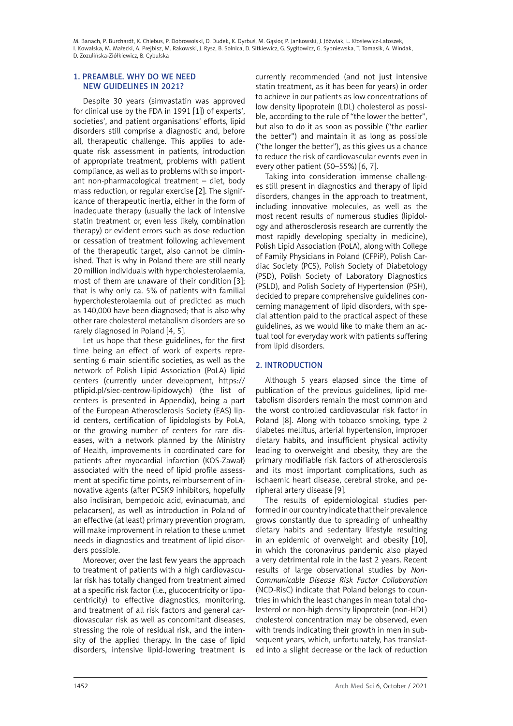# <span id="page-5-0"></span>1. Preamble. Why do we need new guidelines in 2021?

Despite 30 years (simvastatin was approved for clinical use by the FDA in 1991 [1]) of experts', societies', and patient organisations' efforts, lipid disorders still comprise a diagnostic and, before all, therapeutic challenge. This applies to adequate risk assessment in patients, introduction of appropriate treatment, problems with patient compliance, as well as to problems with so important non-pharmacological treatment – diet, body mass reduction, or regular exercise [2]. The significance of therapeutic inertia, either in the form of inadequate therapy (usually the lack of intensive statin treatment or, even less likely, combination therapy) or evident errors such as dose reduction or cessation of treatment following achievement of the therapeutic target, also cannot be diminished. That is why in Poland there are still nearly 20 million individuals with hypercholesterolaemia, most of them are unaware of their condition [3]; that is why only ca. 5% of patients with familial hypercholesterolaemia out of predicted as much as 140,000 have been diagnosed; that is also why other rare cholesterol metabolism disorders are so rarely diagnosed in Poland [4, 5].

Let us hope that these guidelines, for the first time being an effect of work of experts representing 6 main scientific societies, as well as the network of Polish Lipid Association (PoLA) lipid centers (currently under development, [https://](https://ptlipid.pl/siec-centrow-lipidowych) [ptlipid.pl/siec-centrow-lipidowych\)](https://ptlipid.pl/siec-centrow-lipidowych) (the list of centers is presented in Appendix), being a part of the European Atherosclerosis Society (EAS) lipid centers, certification of lipidologists by PoLA, or the growing number of centers for rare diseases, with a network planned by the Ministry of Health, improvements in coordinated care for patients after myocardial infarction (KOS-Zawał) associated with the need of lipid profile assessment at specific time points, reimbursement of innovative agents (after PCSK9 inhibitors, hopefully also inclisiran, bempedoic acid, evinacumab, and pelacarsen), as well as introduction in Poland of an effective (at least) primary prevention program, will make improvement in relation to these unmet needs in diagnostics and treatment of lipid disorders possible.

Moreover, over the last few years the approach to treatment of patients with a high cardiovascular risk has totally changed from treatment aimed at a specific risk factor (i.e., glucocentricity or lipocentricity) to effective diagnostics, monitoring, and treatment of all risk factors and general cardiovascular risk as well as concomitant diseases, stressing the role of residual risk, and the intensity of the applied therapy. In the case of lipid disorders, intensive lipid-lowering treatment is

currently recommended (and not just intensive statin treatment, as it has been for years) in order to achieve in our patients as low concentrations of low density lipoprotein (LDL) cholesterol as possible, according to the rule of "the lower the better", but also to do it as soon as possible ("the earlier the better") and maintain it as long as possible ("the longer the better"), as this gives us a chance to reduce the risk of cardiovascular events even in every other patient (50–55%) [6, 7].

Taking into consideration immense challenges still present in diagnostics and therapy of lipid disorders, changes in the approach to treatment, including innovative molecules, as well as the most recent results of numerous studies (lipidology and atherosclerosis research are currently the most rapidly developing specialty in medicine), Polish Lipid Association (PoLA), along with College of Family Physicians in Poland (CFPiP), Polish Cardiac Society (PCS), Polish Society of Diabetology (PSD), Polish Society of Laboratory Diagnostics (PSLD), and Polish Society of Hypertension (PSH), decided to prepare comprehensive guidelines concerning management of lipid disorders, with special attention paid to the practical aspect of these guidelines, as we would like to make them an actual tool for everyday work with patients suffering from lipid disorders.

# 2. Introduction

Although 5 years elapsed since the time of publication of the previous guidelines, lipid metabolism disorders remain the most common and the worst controlled cardiovascular risk factor in Poland [8]. Along with tobacco smoking, type 2 diabetes mellitus, arterial hypertension, improper dietary habits, and insufficient physical activity leading to overweight and obesity, they are the primary modifiable risk factors of atherosclerosis and its most important complications, such as ischaemic heart disease, cerebral stroke, and peripheral artery disease [9].

The results of epidemiological studies performed in our country indicate that their prevalence grows constantly due to spreading of unhealthy dietary habits and sedentary lifestyle resulting in an epidemic of overweight and obesity [10], in which the coronavirus pandemic also played a very detrimental role in the last 2 years. Recent results of large observational studies by *Non-Communicable Disease Risk Factor Collaboration* (NCD-RisC) indicate that Poland belongs to countries in which the least changes in mean total cholesterol or non-high density lipoprotein (non-HDL) cholesterol concentration may be observed, even with trends indicating their growth in men in subsequent years, which, unfortunately, has translated into a slight decrease or the lack of reduction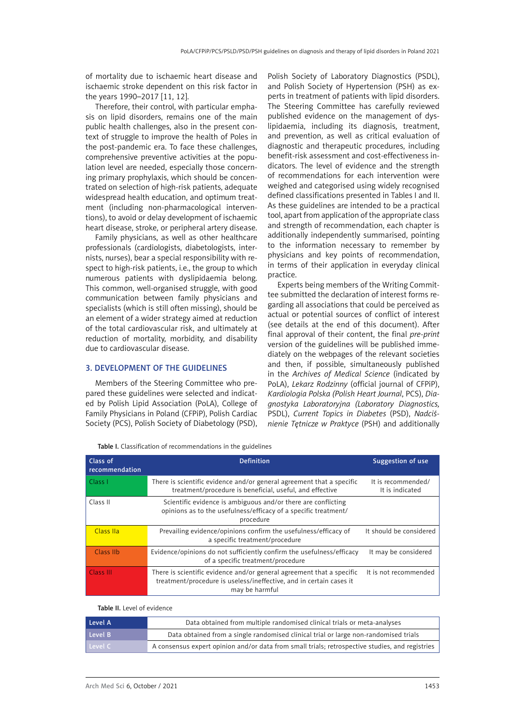<span id="page-6-0"></span>of mortality due to ischaemic heart disease and ischaemic stroke dependent on this risk factor in the years 1990–2017 [11, 12].

Therefore, their control, with particular emphasis on lipid disorders, remains one of the main public health challenges, also in the present context of struggle to improve the health of Poles in the post-pandemic era. To face these challenges, comprehensive preventive activities at the population level are needed, especially those concerning primary prophylaxis, which should be concentrated on selection of high-risk patients, adequate widespread health education, and optimum treatment (including non-pharmacological interventions), to avoid or delay development of ischaemic heart disease, stroke, or peripheral artery disease.

Family physicians, as well as other healthcare professionals (cardiologists, diabetologists, internists, nurses), bear a special responsibility with respect to high-risk patients, i.e., the group to which numerous patients with dyslipidaemia belong. This common, well-organised struggle, with good communication between family physicians and specialists (which is still often missing), should be an element of a wider strategy aimed at reduction of the total cardiovascular risk, and ultimately at reduction of mortality, morbidity, and disability due to cardiovascular disease.

### 3. Development of the Guidelines

Members of the Steering Committee who prepared these guidelines were selected and indicated by Polish Lipid Association (PoLA), College of Family Physicians in Poland (CFPiP), Polish Cardiac Society (PCS), Polish Society of Diabetology (PSD),

Polish Society of Laboratory Diagnostics (PSDL), and Polish Society of Hypertension (PSH) as experts in treatment of patients with lipid disorders. The Steering Committee has carefully reviewed published evidence on the management of dyslipidaemia, including its diagnosis, treatment, and prevention, as well as critical evaluation of diagnostic and therapeutic procedures, including benefit-risk assessment and cost-effectiveness indicators. The level of evidence and the strength of recommendations for each intervention were weighed and categorised using widely recognised defined classifications presented in Tables I and II. As these guidelines are intended to be a practical tool, apart from application of the appropriate class and strength of recommendation, each chapter is additionally independently summarised, pointing to the information necessary to remember by physicians and key points of recommendation, in terms of their application in everyday clinical practice.

Experts being members of the Writing Committee submitted the declaration of interest forms regarding all associations that could be perceived as actual or potential sources of conflict of interest (see details at the end of this document). After final approval of their content, the final *pre-print* version of the guidelines will be published immediately on the webpages of the relevant societies and then, if possible, simultaneously published in the *Archives of Medical Science* (indicated by PoLA), *Lekarz Rodzinny* (official journal of CFPiP), *Kardiologia Polska (Polish Heart Journal*, PCS), *Diagnostyka Laboratoryjna (Laboratory Diagnostics,*  PSDL), *Current Topics in Diabetes* (PSD), *Nadciśnienie Tętnicze w Praktyce* (PSH) and additionally

| Class of<br>recommendation | <b>Definition</b>                                                                                                                                              | Suggestion of use                     |
|----------------------------|----------------------------------------------------------------------------------------------------------------------------------------------------------------|---------------------------------------|
| Class I                    | There is scientific evidence and/or general agreement that a specific<br>treatment/procedure is beneficial, useful, and effective                              | It is recommended/<br>It is indicated |
| Class II                   | Scientific evidence is ambiguous and/or there are conflicting<br>opinions as to the usefulness/efficacy of a specific treatment/<br>procedure                  |                                       |
| Class IIa                  | Prevailing evidence/opinions confirm the usefulness/efficacy of<br>a specific treatment/procedure                                                              | It should be considered               |
| Class IIb                  | Evidence/opinions do not sufficiently confirm the usefulness/efficacy<br>of a specific treatment/procedure                                                     | It may be considered                  |
| Class III                  | There is scientific evidence and/or general agreement that a specific<br>treatment/procedure is useless/ineffective, and in certain cases it<br>may be harmful | It is not recommended                 |

Table I. Classification of recommendations in the guidelines

#### Table II. Level of evidence

| Level A | Data obtained from multiple randomised clinical trials or meta-analyses                         |
|---------|-------------------------------------------------------------------------------------------------|
| Level B | Data obtained from a single randomised clinical trial or large non-randomised trials            |
| Level C | A consensus expert opinion and/or data from small trials; retrospective studies, and registries |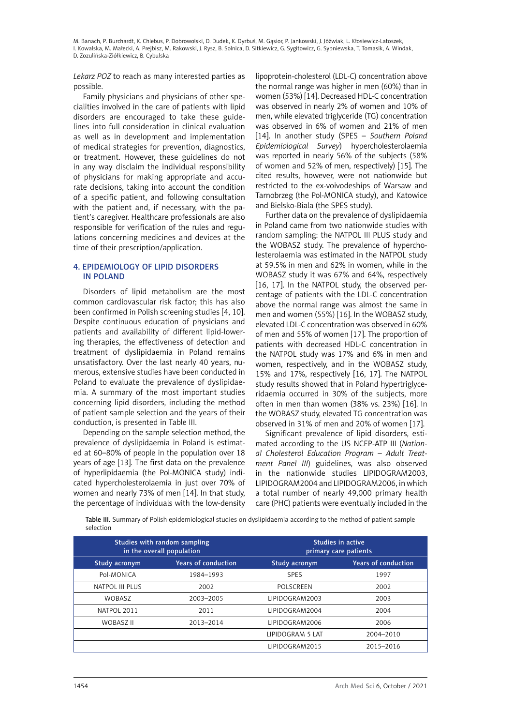<span id="page-7-0"></span>*Lekarz POZ* to reach as many interested parties as possible.

Family physicians and physicians of other specialities involved in the care of patients with lipid disorders are encouraged to take these guidelines into full consideration in clinical evaluation as well as in development and implementation of medical strategies for prevention, diagnostics, or treatment. However, these guidelines do not in any way disclaim the individual responsibility of physicians for making appropriate and accurate decisions, taking into account the condition of a specific patient, and following consultation with the patient and, if necessary, with the patient's caregiver. Healthcare professionals are also responsible for verification of the rules and regulations concerning medicines and devices at the time of their prescription/application.

# 4. Epidemiology of lipid disorders in Poland

Disorders of lipid metabolism are the most common cardiovascular risk factor; this has also been confirmed in Polish screening studies [4, 10]. Despite continuous education of physicians and patients and availability of different lipid-lowering therapies, the effectiveness of detection and treatment of dyslipidaemia in Poland remains unsatisfactory. Over the last nearly 40 years, numerous, extensive studies have been conducted in Poland to evaluate the prevalence of dyslipidaemia. A summary of the most important studies concerning lipid disorders, including the method of patient sample selection and the years of their conduction, is presented in Table III.

Depending on the sample selection method, the prevalence of dyslipidaemia in Poland is estimated at 60–80% of people in the population over 18 years of age [13]. The first data on the prevalence of hyperlipidaemia (the Pol-MONICA study) indicated hypercholesterolaemia in just over 70% of women and nearly 73% of men [14]. In that study, the percentage of individuals with the low-density lipoprotein-cholesterol (LDL-C) concentration above the normal range was higher in men (60%) than in women (53%) [14]. Decreased HDL-C concentration was observed in nearly 2% of women and 10% of men, while elevated triglyceride (TG) concentration was observed in 6% of women and 21% of men [14]. In another study (SPES – *Southern Poland Epidemiological Survey*) hypercholesterolaemia was reported in nearly 56% of the subjects (58% of women and 52% of men, respectively) [15]. The cited results, however, were not nationwide but restricted to the ex-voivodeships of Warsaw and Tarnobrzeg (the Pol-MONICA study), and Katowice and Bielsko-Biala (the SPES study).

Further data on the prevalence of dyslipidaemia in Poland came from two nationwide studies with random sampling: the NATPOL III PLUS study and the WOBASZ study. The prevalence of hypercholesterolaemia was estimated in the NATPOL study at 59.5% in men and 62% in women, while in the WOBASZ study it was 67% and 64%, respectively [16, 17]. In the NATPOL study, the observed percentage of patients with the LDL-C concentration above the normal range was almost the same in men and women (55%) [16]. In the WOBASZ study, elevated LDL-C concentration was observed in 60% of men and 55% of women [17]. The proportion of patients with decreased HDL-C concentration in the NATPOL study was 17% and 6% in men and women, respectively, and in the WOBASZ study, 15% and 17%, respectively [16, 17]. The NATPOL study results showed that in Poland hypertriglyceridaemia occurred in 30% of the subjects, more often in men than women (38% vs. 23%) [16]. In the WOBASZ study, elevated TG concentration was observed in 31% of men and 20% of women [17].

Significant prevalence of lipid disorders, estimated according to the US NCEP-ATP III (*National Cholesterol Education Program* – *Adult Treatment Panel III*) guidelines, was also observed in the nationwide studies LIPIDOGRAM2003, LIPIDOGRAM2004 and LIPIDOGRAM2006, in which a total number of nearly 49,000 primary health care (PHC) patients were eventually included in the

Table III. Summary of Polish epidemiological studies on dyslipidaemia according to the method of patient sample selection

| Studies with random sampling<br>in the overall population |           |                  | Studies in active<br>primary care patients |
|-----------------------------------------------------------|-----------|------------------|--------------------------------------------|
| <b>Years of conduction</b><br>Study acronym               |           | Study acronym    | <b>Years of conduction</b>                 |
| Pol-MONICA                                                | 1984-1993 | <b>SPES</b>      | 1997                                       |
| NATPOL III PLUS                                           | 2002      | POLSCREEN        | 2002                                       |
| <b>WOBASZ</b>                                             | 2003-2005 | LIPIDOGRAM2003   | 2003                                       |
| NATPOL 2011                                               | 2011      | LIPIDOGRAM2004   | 2004                                       |
| <b>WOBASZ II</b>                                          | 2013-2014 | LIPIDOGRAM2006   | 2006                                       |
|                                                           |           | LIPIDOGRAM 5 LAT | 2004-2010                                  |
|                                                           |           | LIPIDOGRAM2015   | 2015-2016                                  |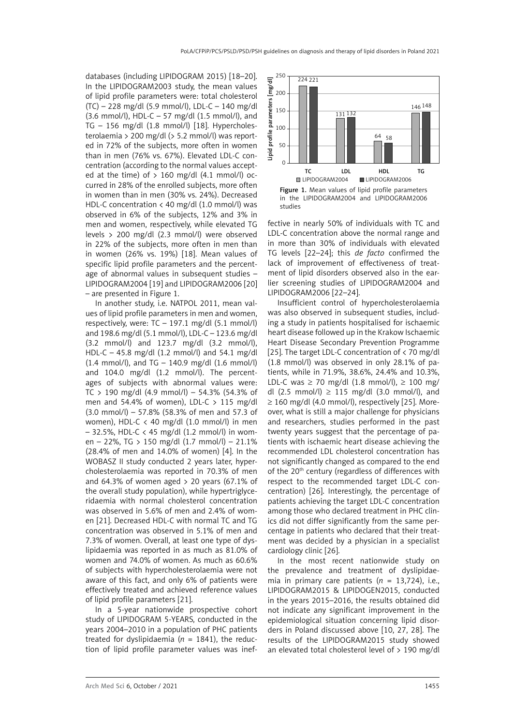databases (including LIPIDOGRAM 2015) [18–20]. In the LIPIDOGRAM2003 study, the mean values of lipid profile parameters were: total cholesterol (TC) – 228 mg/dl (5.9 mmol/l), LDL-C – 140 mg/dl (3.6 mmol/l), HDL-C – 57 mg/dl (1.5 mmol/l), and TG – 156 mg/dl (1.8 mmol/l) [18]. Hypercholesterolaemia > 200 mg/dl (> 5.2 mmol/l) was reported in 72% of the subjects, more often in women than in men (76% vs. 67%). Elevated LDL-C concentration (according to the normal values accepted at the time) of  $> 160$  mg/dl (4.1 mmol/l) occurred in 28% of the enrolled subjects, more often in women than in men (30% vs. 24%). Decreased HDL-C concentration < 40 mg/dl (1.0 mmol/l) was observed in 6% of the subjects, 12% and 3% in men and women, respectively, while elevated TG levels > 200 mg/dl (2.3 mmol/l) were observed in 22% of the subjects, more often in men than in women (26% vs. 19%) [18]. Mean values of specific lipid profile parameters and the percentage of abnormal values in subsequent studies – LIPIDOGRAM2004 [19] and LIPIDOGRAM2006 [20] – are presented in Figure 1.

In another study, i.e. NATPOL 2011, mean values of lipid profile parameters in men and women, respectively, were:  $TC - 197.1$  mg/dl  $(5.1$  mmol/l) and 198.6 mg/dl (5.1 mmol/l), LDL-C – 123.6 mg/dl (3.2 mmol/l) and 123.7 mg/dl (3.2 mmol/l), HDL-C – 45.8 mg/dl (1.2 mmol/l) and 54.1 mg/dl (1.4 mmol/l), and TG – 140.9 mg/dl (1.6 mmol/l) and 104.0 mg/dl (1.2 mmol/l). The percentages of subjects with abnormal values were:  $TC > 190$  mg/dl  $(4.9$  mmol/l) – 54.3%  $(54.3\%$  of men and 54.4% of women), LDL-C  $> 115$  mg/dl (3.0 mmol/l) – 57.8% (58.3% of men and 57.3 of women), HDL-C < 40 mg/dl (1.0 mmol/l) in men – 32.5%, HDL-C < 45 mg/dl (1.2 mmol/l) in women – 22%, TG > 150 mg/dl (1.7 mmol/l) – 21.1% (28.4% of men and 14.0% of women) [4]. In the WOBASZ II study conducted 2 years later, hypercholesterolaemia was reported in 70.3% of men and 64.3% of women aged  $> 20$  years (67.1% of the overall study population), while hypertriglyceridaemia with normal cholesterol concentration was observed in 5.6% of men and 2.4% of women [21]. Decreased HDL-C with normal TC and TG concentration was observed in 5.1% of men and 7.3% of women. Overall, at least one type of dyslipidaemia was reported in as much as 81.0% of women and 74.0% of women. As much as 60.6% of subjects with hypercholesterolaemia were not aware of this fact, and only 6% of patients were effectively treated and achieved reference values of lipid profile parameters [21].

In a 5-year nationwide prospective cohort study of LIPIDOGRAM 5-YEARS, conducted in the years 2004–2010 in a population of PHC patients treated for dyslipidaemia ( $n = 1841$ ), the reduction of lipid profile parameter values was inef-





fective in nearly 50% of individuals with TC and LDL-C concentration above the normal range and in more than 30% of individuals with elevated TG levels [22–24]; this *de facto* confirmed the lack of improvement of effectiveness of treatment of lipid disorders observed also in the earlier screening studies of LIPIDOGRAM2004 and LIPIDOGRAM2006 [22–24].

Insufficient control of hypercholesterolaemia was also observed in subsequent studies, including a study in patients hospitalised for ischaemic heart disease followed up in the Krakow Ischaemic Heart Disease Secondary Prevention Programme [25]. The target LDL-C concentration of < 70 mg/dl (1.8 mmol/l) was observed in only 28.1% of patients, while in 71.9%, 38.6%, 24.4% and 10.3%, LDL-C was  $\geq$  70 mg/dl (1.8 mmol/l),  $\geq$  100 mg/ dl (2.5 mmol/l) ≥ 115 mg/dl (3.0 mmol/l), and  $\geq$  160 mg/dl (4.0 mmol/l), respectively [25]. Moreover, what is still a major challenge for physicians and researchers, studies performed in the past twenty years suggest that the percentage of patients with ischaemic heart disease achieving the recommended LDL cholesterol concentration has not significantly changed as compared to the end of the 20<sup>th</sup> century (regardless of differences with respect to the recommended target LDL-C concentration) [26]. Interestingly, the percentage of patients achieving the target LDL-C concentration among those who declared treatment in PHC clinics did not differ significantly from the same percentage in patients who declared that their treatment was decided by a physician in a specialist cardiology clinic [26].

In the most recent nationwide study on the prevalence and treatment of dyslipidaemia in primary care patients  $(n = 13,724)$ , i.e., LIPIDOGRAM2015 & LIPIDOGEN2015, conducted in the years 2015–2016, the results obtained did not indicate any significant improvement in the epidemiological situation concerning lipid disorders in Poland discussed above [10, 27, 28]. The results of the LIPIDOGRAM2015 study showed an elevated total cholesterol level of  $>$  190 mg/dl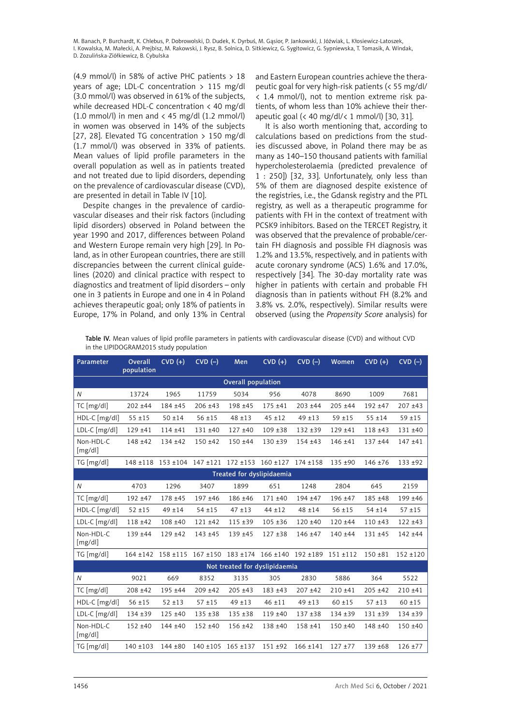(4.9 mmol/l) in 58% of active PHC patients > 18 years of age; LDL-C concentration  $> 115$  mg/dl (3.0 mmol/l) was observed in 61% of the subjects, while decreased HDL-C concentration < 40 mg/dl  $(1.0 \text{ mmol/l})$  in men and  $\langle 45 \text{ mg/dl} (1.2 \text{ mmol/l})$ in women was observed in 14% of the subjects [27, 28]. Elevated TG concentration > 150 mg/dl (1.7 mmol/l) was observed in 33% of patients. Mean values of lipid profile parameters in the overall population as well as in patients treated and not treated due to lipid disorders, depending on the prevalence of cardiovascular disease (CVD), are presented in detail in Table IV [10].

Despite changes in the prevalence of cardiovascular diseases and their risk factors (including lipid disorders) observed in Poland between the year 1990 and 2017, differences between Poland and Western Europe remain very high [29]. In Poland, as in other European countries, there are still discrepancies between the current clinical guidelines (2020) and clinical practice with respect to diagnostics and treatment of lipid disorders – only one in 3 patients in Europe and one in 4 in Poland achieves therapeutic goal; only 18% of patients in Europe, 17% in Poland, and only 13% in Central

and Eastern European countries achieve the therapeutic goal for very high-risk patients (< 55 mg/dl/ < 1.4 mmol/l), not to mention extreme risk patients, of whom less than 10% achieve their therapeutic goal (< 40 mg/dl/< 1 mmol/l) [30, 31].

It is also worth mentioning that, according to calculations based on predictions from the studies discussed above, in Poland there may be as many as 140–150 thousand patients with familial hypercholesterolaemia (predicted prevalence of 1 : 250]) [32, 33]. Unfortunately, only less than 5% of them are diagnosed despite existence of the registries, i.e., the Gdansk registry and the PTL registry, as well as a therapeutic programme for patients with FH in the context of treatment with PCSK9 inhibitors. Based on the TERCET Registry, it was observed that the prevalence of probable/certain FH diagnosis and possible FH diagnosis was 1.2% and 13.5%, respectively, and in patients with acute coronary syndrome (ACS) 1.6% and 17.0%, respectively [34]. The 30-day mortality rate was higher in patients with certain and probable FH diagnosis than in patients without FH (8.2% and 3.8% vs. 2.0%, respectively). Similar results were observed (using the *Propensity Score* analysis) for

Table IV. Mean values of lipid profile parameters in patients with cardiovascular disease (CVD) and without CVD in the LIPIDOGRAM2015 study population

| Parameter                 | Overall<br>population | $CVD (+)$                   | $CVD$ $(-)$                               | Men                           | $CVD(+)$          | $CVD$ $(-)$                | Women      | $CVD (+)$  | $CVD$ $(-)$ |
|---------------------------|-----------------------|-----------------------------|-------------------------------------------|-------------------------------|-------------------|----------------------------|------------|------------|-------------|
| <b>Overall population</b> |                       |                             |                                           |                               |                   |                            |            |            |             |
| N                         | 13724                 | 1965                        | 11759                                     | 5034                          | 956               | 4078                       | 8690       | 1009       | 7681        |
| $TC$ [mg/dl]              | $202 + 44$            | $184 + 45$                  | $206 + 43$                                | 198 ±45                       | $175 + 41$        | $203 + 44$                 | $205 + 44$ | $192 + 47$ | $207 + 43$  |
| HDL-C [mg/dl]             | $55 + 15$             | $50 + 14$                   | $56 + 15$                                 | $48 + 13$                     | $45 + 12$         | $49 + 13$                  | $59 + 15$  | $55 + 14$  | $59 + 15$   |
| LDL-C [mg/dl]             | $129 + 41$            | $114 + 41$                  | $131 + 40$                                | $127 + 40$                    | $109 + 38$        | $132 + 39$                 | $129 + 41$ | $118 + 43$ | 131 ±40     |
| Non-HDL-C<br>[mg/dl]      | $148 + 42$            | 134 ±42                     | $150 + 42$                                | $150 + 44$                    | $130 + 39$        | $154 + 43$                 | 146 ±41    | $137 + 44$ | $147 + 41$  |
| $TG$ [mg/dl]              |                       |                             | $148 \pm 118$ 153 $\pm 104$ 147 $\pm 121$ |                               | 172 ±153 160 ±127 | $174 + 158$                | 135 ±90    | 146 ±76    | 133 ±92     |
|                           |                       |                             |                                           | Treated for dyslipidaemia     |                   |                            |            |            |             |
| N                         | 4703                  | 1296                        | 3407                                      | 1899                          | 651               | 1248                       | 2804       | 645        | 2159        |
| TC [mg/dl]                | 192 ±47               | 178 ±45                     | 197 ±46                                   | 186 ±46                       | $171 + 40$        | 194 ±47                    | 196 ±47    | 185 ±48    | 199 ±46     |
| HDL-C [mg/dl]             | $52 + 15$             | $49 + 14$                   | $54 + 15$                                 | $47 + 13$                     | $44 + 12$         | $48 + 14$                  | $56 + 15$  | $54 + 14$  | $57 + 15$   |
| LDL-C [mg/dl]             | $118 + 42$            | 108 ±40                     | $121 + 42$                                | $115 + 39$                    | $105 + 36$        | $120 + 40$                 | $120 + 44$ | $110 + 43$ | $122 + 43$  |
| Non-HDL-C<br>[mg/dl]      | 139 ±44               | $129 + 42$                  | 143 ±45                                   | 139 ±45                       | $127 + 38$        | 146 ±47                    | 140 ±44    | $131 + 45$ | $142 + 44$  |
| TG [mg/dl]                |                       | $164 \pm 142$ 158 $\pm 115$ | $167 + 150$                               |                               |                   | 183 ±174 166 ±140 192 ±189 | 151 ±112   | $150 + 81$ | $152 + 120$ |
|                           |                       |                             |                                           | Not treated for dyslipidaemia |                   |                            |            |            |             |
| $\overline{N}$            | 9021                  | 669                         | 8352                                      | 3135                          | 305               | 2830                       | 5886       | 364        | 5522        |
| TC [mg/dl]                | $208 + 42$            | $195 + 44$                  | $209 + 42$                                | $205 + 43$                    | 183 ±43           | $207 + 42$                 | 210 ±41    | $205 + 42$ | $210 + 41$  |
| HDL-C [mg/dl]             | $56 + 15$             | $52 + 13$                   | $57 + 15$                                 | $49 + 13$                     | $46 + 11$         | $49 + 13$                  | $60 + 15$  | $57 + 13$  | $60 + 15$   |
| LDL-C [mg/dl]             | $134 + 39$            | $125 + 40$                  | $135 + 38$                                | $135 + 38$                    | 119 ±40           | $137 + 38$                 | 134 ±39    | $131 + 39$ | 134 ±39     |
| Non-HDL-C<br>[mg/dl]      | $152 + 40$            | $144 + 40$                  | $152 + 40$                                | 156 ±42                       | $138 + 40$        | $158 + 41$                 | $150 + 40$ | $148 + 40$ | $150 + 40$  |
| TG [mg/dl]                | $140 + 103$           | $144 + 80$                  |                                           | 140 ±105 165 ±137             | $151 + 92$        | $166 + 141$                | $127 + 77$ | $139 + 68$ | $126 + 77$  |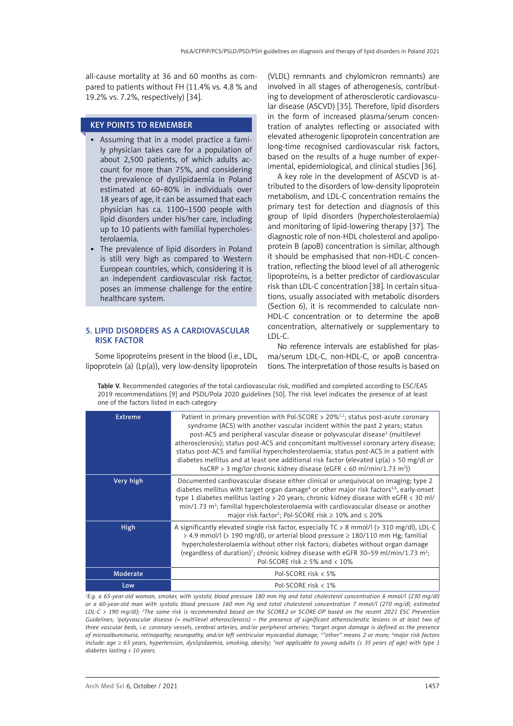<span id="page-10-0"></span>all-cause mortality at 36 and 60 months as compared to patients without FH (11.4% vs. 4.8 % and 19.2% vs. 7.2%, respectively) [34].

# KEY POINTS TO REMEMBER

- • Assuming that in a model practice a family physician takes care for a population of about 2,500 patients, of which adults account for more than 75%, and considering the prevalence of dyslipidaemia in Poland estimated at 60–80% in individuals over 18 years of age, it can be assumed that each physician has ca. 1100–1500 people with lipid disorders under his/her care, including up to 10 patients with familial hypercholesterolaemia.
- The prevalence of lipid disorders in Poland is still very high as compared to Western European countries, which, considering it is an independent cardiovascular risk factor, poses an immense challenge for the entire healthcare system.

### 5. Lipid disorders as a cardiovascular risk factor

Some lipoproteins present in the blood (i.e., LDL, lipoprotein (a) (Lp(a)), very low-density lipoprotein

(VLDL) remnants and chylomicron remnants) are involved in all stages of atherogenesis, contributing to development of atherosclerotic cardiovascular disease (ASCVD) [35]. Therefore, lipid disorders in the form of increased plasma/serum concentration of analytes reflecting or associated with elevated atherogenic lipoprotein concentration are long-time recognised cardiovascular risk factors, based on the results of a huge number of experimental, epidemiological, and clinical studies [36].

A key role in the development of ASCVD is attributed to the disorders of low-density lipoprotein metabolism, and LDL-C concentration remains the primary test for detection and diagnosis of this group of lipid disorders (hypercholesterolaemia) and monitoring of lipid-lowering therapy [37]. The diagnostic role of non-HDL cholesterol and apolipoprotein B (apoB) concentration is similar, although it should be emphasised that non-HDL-C concentration, reflecting the blood level of all atherogenic lipoproteins, is a better predictor of cardiovascular risk than LDL-C concentration [38]. In certain situations, usually associated with metabolic disorders (Section 6), it is recommended to calculate non-HDL-C concentration or to determine the apoB concentration, alternatively or supplementary to LDL-C.

No reference intervals are established for plasma/serum LDL-C, non-HDL-C, or apoB concentrations. The interpretation of those results is based on

Table V. Recommended categories of the total cardiovascular risk, modified and completed according to ESC/EAS 2019 recommendations [9] and PSDL/Pola 2020 guidelines [50]. The risk level indicates the presence of at least one of the factors listed in each category

| <b>Extreme</b> | Patient in primary prevention with Pol-SCORE $>$ 20% <sup>1,2</sup> ; status post-acute coronary<br>syndrome (ACS) with another vascular incident within the past 2 years; status<br>post-ACS and peripheral vascular disease or polyvascular disease <sup>3</sup> (multilevel<br>atherosclerosis); status post-ACS and concomitant multivessel coronary artery disease;<br>status post-ACS and familial hypercholesterolaemia; status post-ACS in a patient with<br>diabetes mellitus and at least one additional risk factor (elevated Lp(a) > 50 mg/dl or<br>hsCRP > 3 mg/lor chronic kidney disease (eGFR < 60 ml/min/1.73 m <sup>2</sup> )) |  |  |  |  |
|----------------|--------------------------------------------------------------------------------------------------------------------------------------------------------------------------------------------------------------------------------------------------------------------------------------------------------------------------------------------------------------------------------------------------------------------------------------------------------------------------------------------------------------------------------------------------------------------------------------------------------------------------------------------------|--|--|--|--|
| Very high      | Documented cardiovascular disease either clinical or unequivocal on imaging; type 2<br>diabetes mellitus with target organ damage <sup>4</sup> or other major risk factors <sup>5,6</sup> , early-onset<br>type 1 diabetes mellitus lasting $>$ 20 years; chronic kidney disease with eGFR $<$ 30 ml/<br>min/1.73 m <sup>2</sup> ; familial hypercholesterolaemia with cardiovascular disease or another<br>major risk factor <sup>5</sup> ; Pol-SCORE risk $\geq 10\%$ and $\leq 20\%$                                                                                                                                                          |  |  |  |  |
| <b>High</b>    | A significantly elevated single risk factor, especially $TC > 8$ mmol/l ( $> 310$ mg/dl), LDL-C<br>> 4.9 mmol/l (> 190 mg/dl), or arterial blood pressure $\geq$ 180/110 mm Hg; familial<br>hypercholesterolaemia without other risk factors; diabetes without organ damage<br>(regardless of duration) <sup>7</sup> ; chronic kidney disease with eGFR 30–59 ml/min/1.73 m <sup>2</sup> ;<br>Pol-SCORE risk $\geq$ 5% and < 10%                                                                                                                                                                                                                 |  |  |  |  |
| Moderate       | Pol-SCORE risk < 5%                                                                                                                                                                                                                                                                                                                                                                                                                                                                                                                                                                                                                              |  |  |  |  |
| Low            | Pol-SCORE risk < 1%                                                                                                                                                                                                                                                                                                                                                                                                                                                                                                                                                                                                                              |  |  |  |  |

*1 E.g. a 65-year-old woman, smoker, with systolic blood pressure 180 mm Hg and total cholesterol concentration 6 mmol/l (230 mg/dl) or a 60-year-old man with systolic blood pressure 160 mm Hg and total cholesterol concentration 7 mmol/l (270 mg/dl; estimated LDL-C > 190 mg/dl); 2 The same risk is recommended based on the SCORE2 or SCORE-OP based on the recent 2021 ESC Prevention Guidelines; 3 polyvascular disease (= multilevel atherosclerosis) – the presence of significant atherosclerotic lesions in at least two of three vascular beds, i.e. coronary vessels, cerebral arteries, and/or peripheral arteries; 4 target organ damage is defined as the presence of microalbuminuria, retinopathy, neuropathy, and/or left ventricular myocardial damage; 5 "other" means 2 or more; 6 major risk factors include: age* ≥ *65 years, hypertension, dyslipidaemia, smoking, obesity; 7 not applicable to young adults (< 35 years of age) with type 1 diabetes lasting < 10 years.*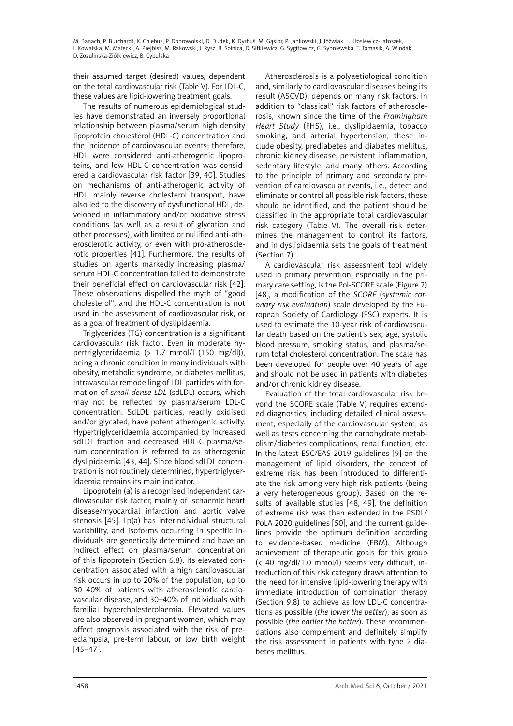their assumed target (desired) values, dependent on the total cardiovascular risk (Table V). For LDL-C, these values are lipid-lowering treatment goals.

The results of numerous epidemiological studies have demonstrated an inversely proportional relationship between plasma/serum high density lipoprotein cholesterol (HDL-C) concentration and the incidence of cardiovascular events; therefore, HDL were considered anti-atherogenic lipoproteins, and low HDL-C concentration was considered a cardiovascular risk factor [39, 40]. Studies on mechanisms of anti-atherogenic activity of HDL, mainly reverse cholesterol transport, have also led to the discovery of dysfunctional HDL, developed in inflammatory and/or oxidative stress conditions (as well as a result of glycation and other processes), with limited or nullified anti-atherosclerotic activity, or even with pro-atherosclerotic properties [41]. Furthermore, the results of studies on agents markedly increasing plasma/ serum HDL-C concentration failed to demonstrate their beneficial effect on cardiovascular risk [42]. These observations dispelled the myth of "good cholesterol", and the HDL-C concentration is not used in the assessment of cardiovascular risk, or as a goal of treatment of dyslipidaemia.

Triglycerides (TG) concentration is a significant cardiovascular risk factor. Even in moderate hypertriglyceridaemia (> 1.7 mmol/l (150 mg/dl)), being a chronic condition in many individuals with obesity, metabolic syndrome, or diabetes mellitus, intravascular remodelling of LDL particles with formation of *small dense LDL* (sdLDL) occurs, which may not be reflected by plasma/serum LDL-C concentration. SdLDL particles, readily oxidised and/or glycated, have potent atherogenic activity. Hypertriglyceridaemia accompanied by increased sdLDL fraction and decreased HDL-C plasma/serum concentration is referred to as atherogenic dyslipidaemia [43, 44]. Since blood sdLDL concentration is not routinely determined, hypertriglyceridaemia remains its main indicator.

Lipoprotein (a) is a recognised independent cardiovascular risk factor, mainly of ischaemic heart disease/myocardial infarction and aortic valve stenosis [45]. Lp(a) has interindividual structural variability, and isoforms occurring in specific individuals are genetically determined and have an indirect effect on plasma/serum concentration of this lipoprotein (Section 6.8). Its elevated concentration associated with a high cardiovascular risk occurs in up to 20% of the population, up to 30–40% of patients with atherosclerotic cardiovascular disease, and 30–40% of individuals with familial hypercholesterolaemia. Elevated values are also observed in pregnant women, which may affect prognosis associated with the risk of preeclampsia, pre-term labour, or low birth weight [45–47].

Atherosclerosis is a polyaetiological condition and, similarly to cardiovascular diseases being its result (ASCVD), depends on many risk factors. In addition to "classical" risk factors of atherosclerosis, known since the time of the *Framingham Heart Study* (FHS), i.e., dyslipidaemia, tobacco smoking, and arterial hypertension, these include obesity, prediabetes and diabetes mellitus, chronic kidney disease, persistent inflammation, sedentary lifestyle, and many others. According to the principle of primary and secondary prevention of cardiovascular events, i.e., detect and eliminate or control all possible risk factors, these should be identified, and the patient should be classified in the appropriate total cardiovascular risk category (Table V). The overall risk determines the management to control its factors, and in dyslipidaemia sets the goals of treatment (Section 7).

A cardiovascular risk assessment tool widely used in primary prevention, especially in the primary care setting, is the Pol-SCORE scale (Figure 2) [48], a modification of the *SCORE* (*systemic coronary risk evaluation*) scale developed by the European Society of Cardiology (ESC) experts. It is used to estimate the 10-year risk of cardiovascular death based on the patient's sex, age, systolic blood pressure, smoking status, and plasma/serum total cholesterol concentration. The scale has been developed for people over 40 years of age and should not be used in patients with diabetes and/or chronic kidney disease.

Evaluation of the total cardiovascular risk beyond the SCORE scale (Table V) requires extended diagnostics, including detailed clinical assessment, especially of the cardiovascular system, as well as tests concerning the carbohydrate metabolism/diabetes complications, renal function, etc. In the latest ESC/EAS 2019 guidelines [9] on the management of lipid disorders, the concept of extreme risk has been introduced to differentiate the risk among very high-risk patients (being a very heterogeneous group). Based on the results of available studies [48, 49], the definition of extreme risk was then extended in the PSDL/ PoLA 2020 guidelines [50], and the current guidelines provide the optimum definition according to evidence-based medicine (EBM). Although achievement of therapeutic goals for this group (< 40 mg/dl/1.0 mmol/l) seems very difficult, introduction of this risk category draws attention to the need for intensive lipid-lowering therapy with immediate introduction of combination therapy (Section 9.8) to achieve as low LDL-C concentrations as possible (*the lower the better*), as soon as possible (*the earlier the better*). These recommendations also complement and definitely simplify the risk assessment in patients with type 2 diabetes mellitus.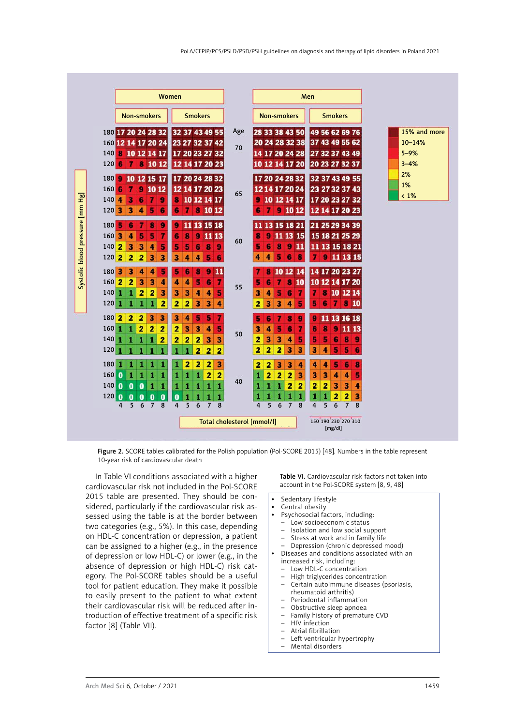|                                 |                                                                                                                                                                                                                 | Women                                                                                                                                                           |     |                                                                                                                     | Men                                                                                                        |                            |
|---------------------------------|-----------------------------------------------------------------------------------------------------------------------------------------------------------------------------------------------------------------|-----------------------------------------------------------------------------------------------------------------------------------------------------------------|-----|---------------------------------------------------------------------------------------------------------------------|------------------------------------------------------------------------------------------------------------|----------------------------|
|                                 | <b>Non-smokers</b>                                                                                                                                                                                              | <b>Smokers</b>                                                                                                                                                  |     | <b>Non-smokers</b>                                                                                                  | <b>Smokers</b>                                                                                             |                            |
|                                 | 180 17 20 24 28 32<br>160 12 14 17 20 24                                                                                                                                                                        | 32 37 43 49 55<br>23 27 32 37 42                                                                                                                                | Age | 28 33 38 43 50<br>20 24 28 32 38                                                                                    | 49 56 62 69 76<br>37 43 49 55 62                                                                           | 15% and more<br>$10 - 14%$ |
|                                 | 10 12 14 17<br>140<br>в<br>8<br>6<br>10 12<br>120                                                                                                                                                               | 17 20 23 27 32<br>12 14 17 20 23                                                                                                                                | 70  | 14 17 20 24 28<br>10 12 14 17 20                                                                                    | 27 32 37 43 49<br>20 23 27 32 37                                                                           | $5 - 9%$<br>$3 - 4%$       |
|                                 | 180<br>9<br>10<br>12 15 17<br>160<br>6<br>9<br>10 12<br>7                                                                                                                                                       | 17 20 24 28 32<br>12 14 17 20 23                                                                                                                                |     | 17 20 24 28 32<br>1214172024                                                                                        | 32 37 43 49 55<br>23 27 32 37 43                                                                           | 2%<br>1%                   |
|                                 | 140<br>3<br>7<br>9<br>4<br>6<br>5<br>$120$ 3<br>3<br>4<br>6                                                                                                                                                     | 10 12 14 17<br>8<br>8 10 12<br>7<br>6                                                                                                                           | 65  | 10 12 14 17<br>9<br>91012<br>6<br>7                                                                                 | 17 20 23 27 32<br>12 14 17 20 23                                                                           | $< 1\%$                    |
| Systolic blood pressure [mm Hg] | 9<br>8<br>180<br>ъ<br>6<br>$\overline{\mathbf{3}}$<br>5<br>5<br>7<br>4<br>160<br>$\overline{2}$<br>3<br>3<br>140<br>4<br>5                                                                                      | 11 13 15 18<br>9<br>9<br>11 13<br>8<br>6<br>5<br>6<br>8<br>9<br>5                                                                                               | 60  | 11 13 15 18 21<br>11 13 15<br>9<br>8<br>6<br>8<br>9<br>11<br>5                                                      | 21 25 29 34 39<br>15 18 21 25 29<br>11 13 15 18 21                                                         |                            |
|                                 | $\overline{\mathbf{2}}$<br>2<br>3<br>3<br>120<br>2<br>180 3<br>3<br>5<br>4<br>4<br>$160$ <sup>2</sup><br>$\overline{\mathbf{2}}$<br>3<br>3<br>4<br>1<br>2<br>2<br>٠<br>3<br>140                                 | 5<br>3<br>4<br>4<br>6<br>5<br>6<br>8<br>9<br>11<br>5<br>7<br>4<br>6<br>4<br>5<br>3<br>4<br>3<br>4                                                               | 55  | 5<br>6<br>4<br>4<br>8<br>10 12 14<br>я<br>8<br>5<br>7<br>10<br>6<br>4<br>5<br>7<br>3<br>6                           | 9 11 13 15<br>7<br>14 17 20 23 27<br>10 12 14 17 20<br>8<br>10 12 14                                       |                            |
|                                 | 2<br>1<br>1<br>1<br>1<br>120<br>$\overline{2}$<br>$\overline{\mathbf{2}}$<br>$\overline{2}$<br>3<br>3<br>180<br>$\overline{2}$<br>$\overline{\mathbf{2}}$<br>2<br>160<br>1<br>1<br>2<br>140<br>1<br>1<br>1<br>1 | $\overline{\mathbf{2}}$<br>3<br>2<br>3<br>4<br>3<br>4<br>5<br>5<br>7<br>2<br>3<br>3<br>5<br>$\ddot{\phantom{a}}$<br>2<br>$\overline{\mathbf{z}}$<br>3<br>3<br>2 | 50  | 3<br>3<br>2<br>5<br>4<br>5<br>6<br>7<br>8<br>9<br>4<br>3<br>5<br>6<br>7<br>3<br>3<br>5<br>2<br>4                    | 7810<br>5<br>6<br>11 13 16 18<br>9<br>9<br>11 13<br>8<br>6<br>5<br>5<br>6<br>8<br>9                        |                            |
|                                 | 120<br>1<br>1<br>180<br>1<br>1<br>1<br>ı<br>1<br>160<br>$\bf{0}$<br>1<br>1<br>1                                                                                                                                 | 2<br>2<br>2<br>2<br>2<br>2<br>3<br>1<br>$\overline{2}$<br>2<br>1<br>1<br>1                                                                                      |     | 2<br>3<br>2<br>2<br>3<br>3<br>2<br>2<br>3<br>4<br>$\overline{\mathbf{z}}$<br>$\overline{\mathbf{2}}$<br>2<br>3<br>1 | 5<br>5<br>3<br>4<br>6<br>4<br>5<br>4<br>6<br>8<br>3<br>3<br>5<br>4<br>4                                    |                            |
|                                 | 140<br>$\bf{0}$<br>$\bf{0}$<br>$\bf{0}$<br>1<br>1<br>120<br>$\bf{0}$<br>$\bf{0}$<br>0<br>$\bf{0}$<br>$\bf{0}$<br>5<br>6<br>$\overline{7}$<br>8<br>4                                                             | 1<br>1<br>1<br>1<br>1<br>$\bf{0}$<br>1<br>1<br>1<br>1<br>8<br>4<br>5<br>6<br>$\overline{7}$                                                                     | 40  | 2<br>1<br>2<br>1<br>1<br>1<br>1<br>1<br>1<br>1<br>5<br>6<br>$\overline{7}$<br>8<br>4                                | $\overline{\mathbf{z}}$<br>2<br>3<br>3<br>4<br>2<br>2<br>1<br>1<br>3<br>5<br>$\overline{7}$<br>8<br>4<br>6 |                            |
|                                 |                                                                                                                                                                                                                 | Total cholesterol [mmol/l]                                                                                                                                      |     |                                                                                                                     | 150 190 230 270 310<br>[mg/dl]                                                                             |                            |

Figure 2. SCORE tables calibrated for the Polish population (Pol-SCORE 2015) [48]. Numbers in the table represent 10-year risk of cardiovascular death

In Table VI conditions associated with a higher cardiovascular risk not included in the Pol-SCORE 2015 table are presented. They should be considered, particularly if the cardiovascular risk assessed using the table is at the border between two categories (e.g., 5%). In this case, depending on HDL-C concentration or depression, a patient can be assigned to a higher (e.g., in the presence of depression or low HDL-C) or lower (e.g., in the absence of depression or high HDL-C) risk category. The Pol-SCORE tables should be a useful tool for patient education. They make it possible to easily present to the patient to what extent their cardiovascular risk will be reduced after introduction of effective treatment of a specific risk factor [8] (Table VII).

Table VI. Cardiovascular risk factors not taken into account in the Pol-SCORE system [8, 9, 48]

- • Sedentary lifestyle
- Central obesity<br>• Psychosocial fa
- Psychosocial factors, including:
- Low socioeconomic status
- Isolation and low social support
- Stress at work and in family life
- Depression (chronic depressed mood) • Diseases and conditions associated with an
	- increased risk, including:
	- Low HDL-C concentration
	- High triglycerides concentration
	- Certain autoimmune diseases (psoriasis, rheumatoid arthritis)
	- Periodontal inflammation
	- Obstructive sleep apnoea
	- Family history of premature CVD
	- HIV infection
	- Atrial fibrillation
	- Left ventricular hypertrophy
	- Mental disorders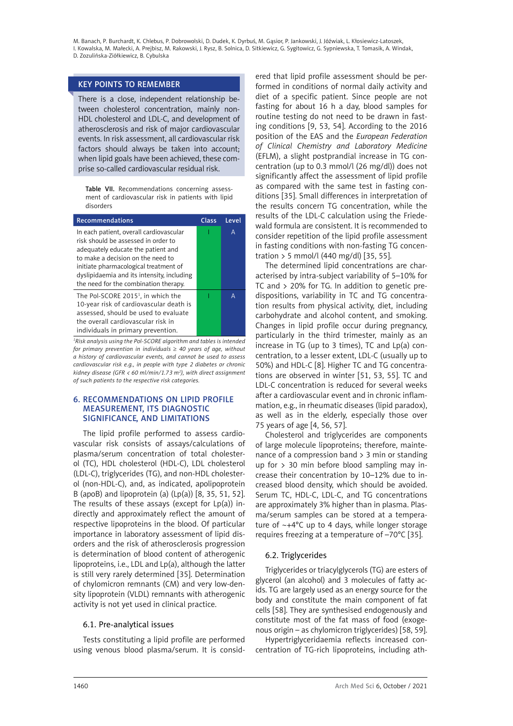# <span id="page-13-0"></span>KEY POINTS TO REMEMBER

There is a close, independent relationship between cholesterol concentration, mainly non-HDL cholesterol and LDL-C, and development of atherosclerosis and risk of major cardiovascular events. In risk assessment, all cardiovascular risk factors should always be taken into account; when lipid goals have been achieved, these comprise so-called cardiovascular residual risk.

Table VII. Recommendations concerning assessment of cardiovascular risk in patients with lipid disorders

| <b>Recommendations</b>                                                                                                                                                                                                                                                                    | Class | Level |
|-------------------------------------------------------------------------------------------------------------------------------------------------------------------------------------------------------------------------------------------------------------------------------------------|-------|-------|
| In each patient, overall cardiovascular<br>risk should be assessed in order to<br>adequately educate the patient and<br>to make a decision on the need to<br>initiate pharmacological treatment of<br>dyslipidaemia and its intensity, including<br>the need for the combination therapy. |       | A     |
| The Pol-SCORE 2015 <sup>1</sup> , in which the<br>10-year risk of cardiovascular death is<br>assessed, should be used to evaluate<br>the overall cardiovascular risk in<br>individuals in primary prevention.                                                                             |       | А     |

*1 Risk analysis using the Pol-SCORE algorithm and tables is intended for primary prevention in individuals* ≥ *40 years of age, without a history of cardiovascular events, and cannot be used to assess cardiovascular risk e.g., in people with type 2 diabetes or chronic kidney disease (GFR < 60 ml/min/1.73 m2 ), with direct assignment of such patients to the respective risk categories.*

# 6. Recommendations on lipid profile measurement, its diagnostic significance, and limitations

The lipid profile performed to assess cardiovascular risk consists of assays/calculations of plasma/serum concentration of total cholesterol (TC), HDL cholesterol (HDL-C), LDL cholesterol (LDL-C), triglycerides (TG), and non-HDL cholesterol (non-HDL-C), and, as indicated, apolipoprotein B (apoB) and lipoprotein (a)  $(Lp(a))$  [8, 35, 51, 52]. The results of these assays (except for  $Lp(a)$ ) indirectly and approximately reflect the amount of respective lipoproteins in the blood. Of particular importance in laboratory assessment of lipid disorders and the risk of atherosclerosis progression is determination of blood content of atherogenic lipoproteins, i.e., LDL and Lp(a), although the latter is still very rarely determined [35]. Determination of chylomicron remnants (CM) and very low-density lipoprotein (VLDL) remnants with atherogenic activity is not yet used in clinical practice.

# 6.1. Pre-analytical issues

Tests constituting a lipid profile are performed using venous blood plasma/serum. It is consid-

ered that lipid profile assessment should be performed in conditions of normal daily activity and diet of a specific patient. Since people are not fasting for about 16 h a day, blood samples for routine testing do not need to be drawn in fasting conditions [9, 53, 54]. According to the 2016 position of the EAS and the *European Federation of Clinical Chemistry and Laboratory Medicine* (EFLM), a slight postprandial increase in TG concentration (up to 0.3 mmol/l (26 mg/dl)) does not significantly affect the assessment of lipid profile as compared with the same test in fasting conditions [35]. Small differences in interpretation of the results concern TG concentration, while the results of the LDL-C calculation using the Friedewald formula are consistent. It is recommended to consider repetition of the lipid profile assessment in fasting conditions with non-fasting TG concentration > 5 mmol/l (440 mg/dl) [35, 55].

The determined lipid concentrations are characterised by intra-subject variability of 5–10% for TC and > 20% for TG. In addition to genetic predispositions, variability in TC and TG concentration results from physical activity, diet, including carbohydrate and alcohol content, and smoking. Changes in lipid profile occur during pregnancy, particularly in the third trimester, mainly as an increase in TG (up to 3 times), TC and Lp(a) concentration, to a lesser extent, LDL-C (usually up to 50%) and HDL-C [8]. Higher TC and TG concentrations are observed in winter [51, 53, 55]. TC and LDL-C concentration is reduced for several weeks after a cardiovascular event and in chronic inflammation, e.g., in rheumatic diseases (lipid paradox), as well as in the elderly, especially those over 75 years of age [4, 56, 57].

Cholesterol and triglycerides are components of large molecule lipoproteins; therefore, maintenance of a compression band  $>$  3 min or standing up for  $> 30$  min before blood sampling may increase their concentration by 10–12% due to increased blood density, which should be avoided. Serum TC, HDL-C, LDL-C, and TG concentrations are approximately 3% higher than in plasma. Plasma/serum samples can be stored at a temperature of  $-+4^{\circ}$ C up to 4 days, while longer storage requires freezing at a temperature of –70°C [35].

# 6.2. Triglycerides

Triglycerides or triacylglycerols (TG) are esters of glycerol (an alcohol) and 3 molecules of fatty acids. TG are largely used as an energy source for the body and constitute the main component of fat cells [58]. They are synthesised endogenously and constitute most of the fat mass of food (exogenous origin – as chylomicron triglycerides) [58, 59].

Hypertriglyceridaemia reflects increased concentration of TG-rich lipoproteins, including ath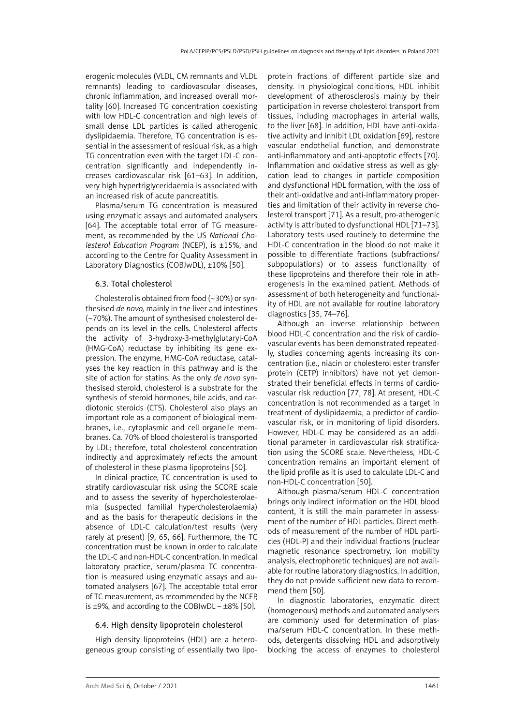<span id="page-14-0"></span>erogenic molecules (VLDL, CM remnants and VLDL remnants) leading to cardiovascular diseases, chronic inflammation, and increased overall mortality [60]. Increased TG concentration coexisting with low HDL-C concentration and high levels of small dense LDL particles is called atherogenic dyslipidaemia. Therefore, TG concentration is essential in the assessment of residual risk, as a high TG concentration even with the target LDL-C concentration significantly and independently increases cardiovascular risk [61–63]. In addition, very high hypertriglyceridaemia is associated with an increased risk of acute pancreatitis.

Plasma/serum TG concentration is measured using enzymatic assays and automated analysers [64]. The acceptable total error of TG measurement, as recommended by the US *National Cholesterol Education Program* (NCEP), is ±15%, and according to the Centre for Quality Assessment in Laboratory Diagnostics (COBJwDL), ±10% [50].

# 6.3. Total cholesterol

Cholesterol is obtained from food (~30%) or synthesised *de novo,* mainly in the liver and intestines (~70%). The amount of synthesised cholesterol depends on its level in the cells. Cholesterol affects the activity of 3-hydroxy-3-methylglutaryl-CoA (HMG-CoA) reductase by inhibiting its gene expression. The enzyme, HMG-CoA reductase, catalyses the key reaction in this pathway and is the site of action for statins. As the only *de novo* synthesised steroid, cholesterol is a substrate for the synthesis of steroid hormones, bile acids, and cardiotonic steroids (CTS). Cholesterol also plays an important role as a component of biological membranes, i.e., cytoplasmic and cell organelle membranes. Ca. 70% of blood cholesterol is transported by LDL; therefore, total cholesterol concentration indirectly and approximately reflects the amount of cholesterol in these plasma lipoproteins [50].

In clinical practice, TC concentration is used to stratify cardiovascular risk using the SCORE scale and to assess the severity of hypercholesterolaemia (suspected familial hypercholesterolaemia) and as the basis for therapeutic decisions in the absence of LDL-C calculation/test results (very rarely at present) [9, 65, 66]. Furthermore, the TC concentration must be known in order to calculate the LDL-C and non-HDL-C concentration. In medical laboratory practice, serum/plasma TC concentration is measured using enzymatic assays and automated analysers [67]. The acceptable total error of TC measurement, as recommended by the NCEP, is  $\pm$ 9%, and according to the COBJwDL –  $\pm$ 8% [50].

# 6.4. High density lipoprotein cholesterol

High density lipoproteins (HDL) are a heterogeneous group consisting of essentially two lipo-

protein fractions of different particle size and density. In physiological conditions, HDL inhibit development of atherosclerosis mainly by their participation in reverse cholesterol transport from tissues, including macrophages in arterial walls, to the liver [68]. In addition, HDL have anti-oxidative activity and inhibit LDL oxidation [69], restore vascular endothelial function, and demonstrate anti-inflammatory and anti-apoptotic effects [70]. Inflammation and oxidative stress as well as glycation lead to changes in particle composition and dysfunctional HDL formation, with the loss of their anti-oxidative and anti-inflammatory properties and limitation of their activity in reverse cholesterol transport [71]. As a result, pro-atherogenic activity is attributed to dysfunctional HDL [71–73]. Laboratory tests used routinely to determine the HDL-C concentration in the blood do not make it possible to differentiate fractions (subfractions/ subpopulations) or to assess functionality of these lipoproteins and therefore their role in atherogenesis in the examined patient. Methods of assessment of both heterogeneity and functionality of HDL are not available for routine laboratory diagnostics [35, 74–76].

Although an inverse relationship between blood HDL-C concentration and the risk of cardiovascular events has been demonstrated repeatedly, studies concerning agents increasing its concentration (i.e., niacin or cholesterol ester transfer protein (CETP) inhibitors) have not yet demonstrated their beneficial effects in terms of cardiovascular risk reduction [77, 78]. At present, HDL-C concentration is not recommended as a target in treatment of dyslipidaemia, a predictor of cardiovascular risk, or in monitoring of lipid disorders. However, HDL-C may be considered as an additional parameter in cardiovascular risk stratification using the SCORE scale. Nevertheless, HDL-C concentration remains an important element of the lipid profile as it is used to calculate LDL-C and non-HDL-C concentration [50].

Although plasma/serum HDL-C concentration brings only indirect information on the HDL blood content, it is still the main parameter in assessment of the number of HDL particles. Direct methods of measurement of the number of HDL particles (HDL-P) and their individual fractions (nuclear magnetic resonance spectrometry, ion mobility analysis, electrophoretic techniques) are not available for routine laboratory diagnostics. In addition, they do not provide sufficient new data to recommend them [50].

In diagnostic laboratories, enzymatic direct (homogenous) methods and automated analysers are commonly used for determination of plasma/serum HDL-C concentration. In these methods, detergents dissolving HDL and adsorptively blocking the access of enzymes to cholesterol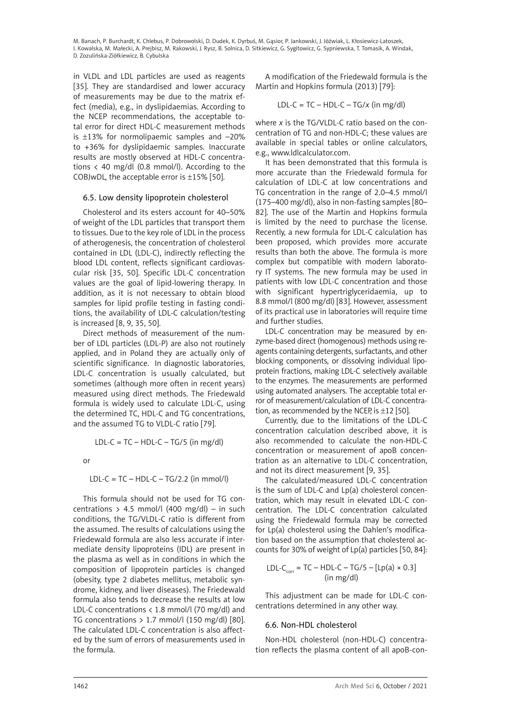<span id="page-15-0"></span>in VLDL and LDL particles are used as reagents [35]. They are standardised and lower accuracy of measurements may be due to the matrix effect (media), e.g., in dyslipidaemias. According to the NCEP recommendations, the acceptable total error for direct HDL-C measurement methods is ±13% for normolipaemic samples and –20% to +36% for dyslipidaemic samples. Inaccurate results are mostly observed at HDL-C concentrations < 40 mg/dl (0.8 mmol/l). According to the COBJwDL, the acceptable error is  $\pm 15\%$  [50].

### 6.5. Low density lipoprotein cholesterol

Cholesterol and its esters account for 40–50% of weight of the LDL particles that transport them to tissues. Due to the key role of LDL in the process of atherogenesis, the concentration of cholesterol contained in LDL (LDL-C), indirectly reflecting the blood LDL content, reflects significant cardiovascular risk [35, 50]. Specific LDL-C concentration values are the goal of lipid-lowering therapy. In addition, as it is not necessary to obtain blood samples for lipid profile testing in fasting conditions, the availability of LDL-C calculation/testing is increased [8, 9, 35, 50].

Direct methods of measurement of the number of LDL particles (LDL-P) are also not routinely applied, and in Poland they are actually only of scientific significance. In diagnostic laboratories, LDL-C concentration is usually calculated, but sometimes (although more often in recent years) measured using direct methods. The Friedewald formula is widely used to calculate LDL-C, using the determined TC, HDL-C and TG concentrations, and the assumed TG to VLDL-C ratio [79].

LDL-C =  $TC - HDL-C - TG/5$  (in mg/dl)

or

LDL-C =  $TC - HDL-C - TG/2.2$  (in mmol/l)

This formula should not be used for TG concentrations >  $4.5$  mmol/l (400 mg/dl) – in such conditions, the TG/VLDL-C ratio is different from the assumed. The results of calculations using the Friedewald formula are also less accurate if intermediate density lipoproteins (IDL) are present in the plasma as well as in conditions in which the composition of lipoprotein particles is changed (obesity, type 2 diabetes mellitus, metabolic syndrome, kidney, and liver diseases). The Friedewald formula also tends to decrease the results at low LDL-C concentrations < 1.8 mmol/l (70 mg/dl) and TG concentrations  $> 1.7$  mmol/l (150 mg/dl) [80]. The calculated LDL-C concentration is also affected by the sum of errors of measurements used in the formula.

A modification of the Friedewald formula is the Martin and Hopkins formula (2013) [79]:

$$
LDL-C = TC - HDL-C - TG/x (in mg/dl)
$$

where *x* is the TG/VLDL-C ratio based on the concentration of TG and non-HDL-C; these values are available in special tables or online calculators, e.g., [www.ldlcalculator.com.](http://www.ldlcalculator.com)

It has been demonstrated that this formula is more accurate than the Friedewald formula for calculation of LDL-C at low concentrations and TG concentration in the range of 2.0–4.5 mmol/l (175–400 mg/dl), also in non-fasting samples [80– 82]. The use of the Martin and Hopkins formula is limited by the need to purchase the license. Recently, a new formula for LDL-C calculation has been proposed, which provides more accurate results than both the above. The formula is more complex but compatible with modern laboratory IT systems. The new formula may be used in patients with low LDL-C concentration and those with significant hypertriglyceridaemia, up to 8.8 mmol/l (800 mg/dl) [83]. However, assessment of its practical use in laboratories will require time and further studies.

LDL-C concentration may be measured by enzyme-based direct (homogenous) methods using reagents containing detergents, surfactants, and other blocking components, or dissolving individual lipoprotein fractions, making LDL-C selectively available to the enzymes. The measurements are performed using automated analysers. The acceptable total error of measurement/calculation of LDL-C concentration, as recommended by the NCEP, is  $\pm$ 12 [50].

Currently, due to the limitations of the LDL-C concentration calculation described above, it is also recommended to calculate the non-HDL-C concentration or measurement of apoB concentration as an alternative to LDL-C concentration, and not its direct measurement [9, 35].

The calculated/measured LDL-C concentration is the sum of LDL-C and Lp(a) cholesterol concentration, which may result in elevated LDL-C concentration. The LDL-C concentration calculated using the Friedewald formula may be corrected for Lp(a) cholesterol using the Dahlen's modification based on the assumption that cholesterol accounts for 30% of weight of Lp(a) particles [50, 84]:

$$
LDL-C_{corr} = TC - HDL-C - TG/5 - [Lp(a) \times 0.3]
$$
  
(in mg/dl)

This adjustment can be made for LDL-C concentrations determined in any other way.

#### 6.6. Non-HDL cholesterol

Non-HDL cholesterol (non-HDL-C) concentration reflects the plasma content of all apoB-con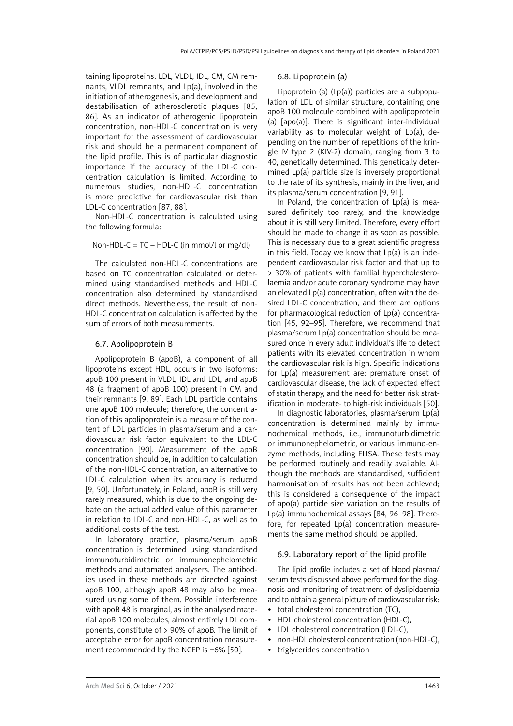<span id="page-16-0"></span>taining lipoproteins: LDL, VLDL, IDL, CM, CM remnants, VLDL remnants, and Lp(a), involved in the initiation of atherogenesis, and development and destabilisation of atherosclerotic plaques [85, 86]. As an indicator of atherogenic lipoprotein concentration, non-HDL-C concentration is very important for the assessment of cardiovascular risk and should be a permanent component of the lipid profile. This is of particular diagnostic importance if the accuracy of the LDL-C concentration calculation is limited. According to numerous studies, non-HDL-C concentration is more predictive for cardiovascular risk than LDL-C concentration [87, 88].

Non-HDL-C concentration is calculated using the following formula:

Non-HDL-C = TC – HDL-C (in mmol/l or mg/dl)

The calculated non-HDL-C concentrations are based on TC concentration calculated or determined using standardised methods and HDL-C concentration also determined by standardised direct methods. Nevertheless, the result of non-HDL-C concentration calculation is affected by the sum of errors of both measurements.

### 6.7. Apolipoprotein B

Apolipoprotein B (apoB), a component of all lipoproteins except HDL, occurs in two isoforms: apoB 100 present in VLDL, IDL and LDL, and apoB 48 (a fragment of apoB 100) present in CM and their remnants [9, 89]. Each LDL particle contains one apoB 100 molecule; therefore, the concentration of this apolipoprotein is a measure of the content of LDL particles in plasma/serum and a cardiovascular risk factor equivalent to the LDL-C concentration [90]. Measurement of the apoB concentration should be, in addition to calculation of the non-HDL-C concentration, an alternative to LDL-C calculation when its accuracy is reduced [9, 50]. Unfortunately, in Poland, apoB is still very rarely measured, which is due to the ongoing debate on the actual added value of this parameter in relation to LDL-C and non-HDL-C, as well as to additional costs of the test.

In laboratory practice, plasma/serum apoB concentration is determined using standardised immunoturbidimetric or immunonephelometric methods and automated analysers. The antibodies used in these methods are directed against apoB 100, although apoB 48 may also be measured using some of them. Possible interference with apoB 48 is marginal, as in the analysed material apoB 100 molecules, almost entirely LDL components, constitute of > 90% of apoB. The limit of acceptable error for apoB concentration measurement recommended by the NCEP is ±6% [50].

#### 6.8. Lipoprotein (a)

Lipoprotein (a) (Lp(a)) particles are a subpopulation of LDL of similar structure, containing one apoB 100 molecule combined with apolipoprotein (a) [apo(a)]. There is significant inter-individual variability as to molecular weight of Lp(a), depending on the number of repetitions of the kringle IV type 2 (KIV-2) domain, ranging from 3 to 40, genetically determined. This genetically determined Lp(a) particle size is inversely proportional to the rate of its synthesis, mainly in the liver, and its plasma/serum concentration [9, 91].

In Poland, the concentration of Lp(a) is measured definitely too rarely, and the knowledge about it is still very limited. Therefore, every effort should be made to change it as soon as possible. This is necessary due to a great scientific progress in this field. Today we know that Lp(a) is an independent cardiovascular risk factor and that up to > 30% of patients with familial hypercholesterolaemia and/or acute coronary syndrome may have an elevated Lp(a) concentration, often with the desired LDL-C concentration, and there are options for pharmacological reduction of Lp(a) concentration [45, 92–95]. Therefore, we recommend that plasma/serum Lp(a) concentration should be measured once in every adult individual's life to detect patients with its elevated concentration in whom the cardiovascular risk is high. Specific indications for Lp(a) measurement are: premature onset of cardiovascular disease, the lack of expected effect of statin therapy, and the need for better risk stratification in moderate- to high-risk individuals [50].

In diagnostic laboratories, plasma/serum Lp(a) concentration is determined mainly by immunochemical methods, i.e., immunoturbidimetric or immunonephelometric, or various immuno-enzyme methods, including ELISA. These tests may be performed routinely and readily available. Although the methods are standardised, sufficient harmonisation of results has not been achieved; this is considered a consequence of the impact of apo(a) particle size variation on the results of Lp(a) immunochemical assays [84, 96–98]. Therefore, for repeated Lp(a) concentration measurements the same method should be applied.

#### 6.9. Laboratory report of the lipid profile

The lipid profile includes a set of blood plasma/ serum tests discussed above performed for the diagnosis and monitoring of treatment of dyslipidaemia and to obtain a general picture of cardiovascular risk:

- total cholesterol concentration (TC).
- HDL cholesterol concentration (HDL-C).
- LDL cholesterol concentration (LDL-C),
- non-HDL cholesterol concentration (non-HDL-C),
- triglycerides concentration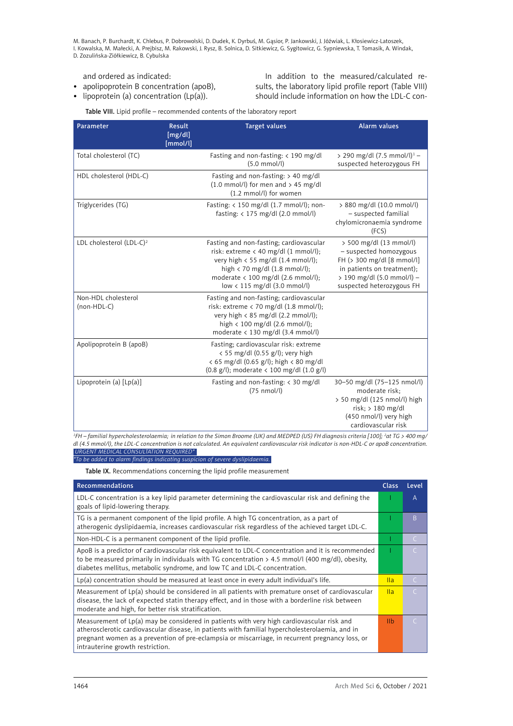and ordered as indicated:

- • apolipoprotein B concentration (apoB),
- $\bullet$  lipoprotein (a) concentration (Lp(a)).

In addition to the measured/calculated results, the laboratory lipid profile report (Table VIII) should include information on how the LDL-C con-

Table VIII. Lipid profile – recommended contents of the laboratory report

| Parameter                            | <b>Result</b><br>[mg/dl]<br>[mmol/l] | <b>Target values</b>                                                                                                                                                                                                                                                  | <b>Alarm values</b>                                                                                                                                                      |
|--------------------------------------|--------------------------------------|-----------------------------------------------------------------------------------------------------------------------------------------------------------------------------------------------------------------------------------------------------------------------|--------------------------------------------------------------------------------------------------------------------------------------------------------------------------|
| Total cholesterol (TC)               |                                      | Fasting and non-fasting: < 190 mg/dl<br>$(5.0$ mmol/l)                                                                                                                                                                                                                | > 290 mg/dl $(7.5 \text{ mmol/l})^1$ –<br>suspected heterozygous FH                                                                                                      |
| HDL cholesterol (HDL-C)              |                                      | Fasting and non-fasting: $> 40$ mg/dl<br>$(1.0 \text{ mmol/l})$ for men and > 45 mg/dl<br>(1.2 mmol/l) for women                                                                                                                                                      |                                                                                                                                                                          |
| Triglycerides (TG)                   |                                      | Fasting: $\langle 150 \text{ mg/dl} (1.7 \text{ mmol/l})$ ; non-<br>fasting: $<$ 175 mg/dl (2.0 mmol/l)                                                                                                                                                               | > 880 mg/dl (10.0 mmol/l)<br>- suspected familial<br>chylomicronaemia syndrome<br>(FCS)                                                                                  |
| LDL cholesterol (LDL-C) <sup>2</sup> |                                      | Fasting and non-fasting; cardiovascular<br>risk: extreme $\langle$ 40 mg/dl (1 mmol/l);<br>very high < 55 mg/dl (1.4 mmol/l);<br>high $\langle$ 70 mg/dl (1.8 mmol/l);<br>moderate $\langle 100 \text{ mg/dl} (2.6 \text{ mmol/l})$ ;<br>low < 115 mg/dl (3.0 mmol/l) | > 500 mg/dl (13 mmol/l)<br>- suspected homozygous<br>FH (> 300 mg/dl [8 mmol/l]<br>in patients on treatment);<br>> 190 mg/dl (5.0 mmol/l) -<br>suspected heterozygous FH |
| Non-HDL cholesterol<br>(non-HDL-C)   |                                      | Fasting and non-fasting; cardiovascular<br>risk: extreme $\langle 70 \text{ mg/dl} (1.8 \text{ mmol/l})$ ;<br>very high $\langle$ 85 mg/dl (2.2 mmol/l);<br>high < 100 mg/dl (2.6 mmol/l);<br>moderate $\langle$ 130 mg/dl (3.4 mmol/l)                               |                                                                                                                                                                          |
| Apolipoprotein B (apoB)              |                                      | Fasting; cardiovascular risk: extreme<br>< 55 mg/dl (0.55 g/l); very high<br>< 65 mg/dl (0.65 g/l); high < 80 mg/dl<br>(0.8 g/l); moderate < 100 mg/dl (1.0 g/l)                                                                                                      |                                                                                                                                                                          |
| Lipoprotein (a) $[Lp(a)]$            |                                      | Fasting and non-fasting: $\langle$ 30 mg/dl<br>$(75 \text{ nmol/l})$                                                                                                                                                                                                  | 30-50 mg/dl (75-125 nmol/l)<br>moderate risk:<br>> 50 mg/dl (125 nmol/l) high<br>$risk$ ; > 180 mg/dl<br>(450 nmol/l) very high<br>cardiovascular risk                   |

*1 FH – familial hypercholesterolaemia; in relation to the Simon Broome (UK) and MEDPED (US) FH diagnosis criteria [100]; 2 at TG > 400 mg/ dl (4.5 mmol/l), the LDL-C concentration is not calculated. An equivalent cardiovascular risk indicator is non-HDL-C or apoB concentration. URGENT MEDICAL CONSULTATION REQUIRED\**

*\*To be added to alarm findings indicating suspicion of severe dyslipidaemia.*

Table IX. Recommendations concerning the lipid profile measurement

| Recommendations                                                                                                                                                                                                                                                                                                                       | <b>Class</b>    | Level     |
|---------------------------------------------------------------------------------------------------------------------------------------------------------------------------------------------------------------------------------------------------------------------------------------------------------------------------------------|-----------------|-----------|
| LDL-C concentration is a key lipid parameter determining the cardiovascular risk and defining the<br>goals of lipid-lowering therapy.                                                                                                                                                                                                 |                 | A         |
| TG is a permanent component of the lipid profile. A high TG concentration, as a part of<br>atherogenic dyslipidaemia, increases cardiovascular risk regardless of the achieved target LDL-C.                                                                                                                                          |                 | B         |
| Non-HDL-C is a permanent component of the lipid profile.                                                                                                                                                                                                                                                                              |                 | C         |
| ApoB is a predictor of cardiovascular risk equivalent to LDL-C concentration and it is recommended<br>to be measured primarily in individuals with TG concentration $> 4.5$ mmol/l (400 mg/dl), obesity,<br>diabetes mellitus, metabolic syndrome, and low TC and LDL-C concentration.                                                |                 | $\subset$ |
| $Lp(a)$ concentration should be measured at least once in every adult individual's life.                                                                                                                                                                                                                                              | $\mathsf{II}$ a | C         |
| Measurement of $Lp(a)$ should be considered in all patients with premature onset of cardiovascular<br>disease, the lack of expected statin therapy effect, and in those with a borderline risk between<br>moderate and high, for better risk stratification.                                                                          | $\mathsf{II}$ a | C         |
| Measurement of $Lp(a)$ may be considered in patients with very high cardiovascular risk and<br>atherosclerotic cardiovascular disease, in patients with familial hypercholesterolaemia, and in<br>pregnant women as a prevention of pre-eclampsia or miscarriage, in recurrent pregnancy loss, or<br>intrauterine growth restriction. | I <sub>th</sub> | $\subset$ |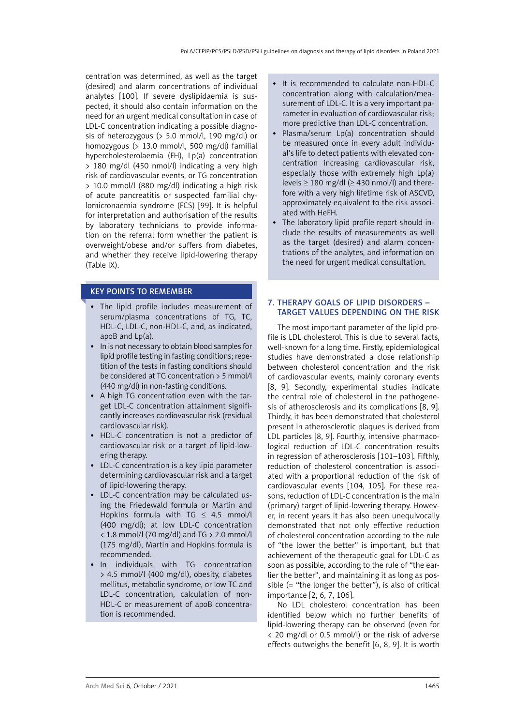<span id="page-18-0"></span>centration was determined, as well as the target (desired) and alarm concentrations of individual analytes [100]. If severe dyslipidaemia is suspected, it should also contain information on the need for an urgent medical consultation in case of LDL-C concentration indicating a possible diagnosis of heterozygous (> 5.0 mmol/l, 190 mg/dl) or homozygous (> 13.0 mmol/l, 500 mg/dl) familial hypercholesterolaemia (FH), Lp(a) concentration > 180 mg/dl (450 nmol/l) indicating a very high risk of cardiovascular events, or TG concentration > 10.0 mmol/l (880 mg/dl) indicating a high risk of acute pancreatitis or suspected familial chylomicronaemia syndrome (FCS) [99]. It is helpful for interpretation and authorisation of the results by laboratory technicians to provide information on the referral form whether the patient is overweight/obese and/or suffers from diabetes, and whether they receive lipid-lowering therapy (Table IX).

# KEY POINTS TO REMEMBER

- • The lipid profile includes measurement of serum/plasma concentrations of TG, TC, HDL-C, LDL-C, non-HDL-C, and, as indicated, apoB and Lp(a).
- In is not necessary to obtain blood samples for lipid profile testing in fasting conditions; repetition of the tests in fasting conditions should be considered at TG concentration > 5 mmol/l (440 mg/dl) in non-fasting conditions.
- • A high TG concentration even with the target LDL-C concentration attainment significantly increases cardiovascular risk (residual cardiovascular risk).
- HDL-C concentration is not a predictor of cardiovascular risk or a target of lipid-lowering therapy.
- LDL-C concentration is a key lipid parameter determining cardiovascular risk and a target of lipid-lowering therapy.
- LDL-C concentration may be calculated using the Friedewald formula or Martin and Hopkins formula with TG  $\leq$  4.5 mmol/l (400 mg/dl); at low LDL-C concentration < 1.8 mmol/l (70 mg/dl) and TG > 2.0 mmol/l (175 mg/dl), Martin and Hopkins formula is recommended.
- In individuals with TG concentration > 4.5 mmol/l (400 mg/dl), obesity, diabetes mellitus, metabolic syndrome, or low TC and LDL-C concentration, calculation of non-HDL-C or measurement of apoB concentration is recommended.
- It is recommended to calculate non-HDL-C concentration along with calculation/measurement of LDL-C. It is a very important parameter in evaluation of cardiovascular risk; more predictive than LDL-C concentration.
- Plasma/serum Lp(a) concentration should be measured once in every adult individual's life to detect patients with elevated concentration increasing cardiovascular risk, especially those with extremely high Lp(a) levels  $\geq$  180 mg/dl ( $\geq$  430 nmol/l) and therefore with a very high lifetime risk of ASCVD, approximately equivalent to the risk associated with HeFH.
- The laboratory lipid profile report should include the results of measurements as well as the target (desired) and alarm concentrations of the analytes, and information on the need for urgent medical consultation.

# 7. Therapy goals of lipid disorders – target values depending on the risk

The most important parameter of the lipid profile is LDL cholesterol. This is due to several facts, well-known for a long time. Firstly, epidemiological studies have demonstrated a close relationship between cholesterol concentration and the risk of cardiovascular events, mainly coronary events [8, 9]. Secondly, experimental studies indicate the central role of cholesterol in the pathogenesis of atherosclerosis and its complications [8, 9]. Thirdly, it has been demonstrated that cholesterol present in atherosclerotic plaques is derived from LDL particles [8, 9]. Fourthly, intensive pharmacological reduction of LDL-C concentration results in regression of atherosclerosis [101–103]. Fifthly, reduction of cholesterol concentration is associated with a proportional reduction of the risk of cardiovascular events [104, 105]. For these reasons, reduction of LDL-C concentration is the main (primary) target of lipid-lowering therapy. However, in recent years it has also been unequivocally demonstrated that not only effective reduction of cholesterol concentration according to the rule of "the lower the better" is important, but that achievement of the therapeutic goal for LDL-C as soon as possible, according to the rule of "the earlier the better", and maintaining it as long as possible (= "the longer the better"), is also of critical importance [2, 6, 7, 106].

No LDL cholesterol concentration has been identified below which no further benefits of lipid-lowering therapy can be observed (even for < 20 mg/dl or 0.5 mmol/l) or the risk of adverse effects outweighs the benefit [6, 8, 9]. It is worth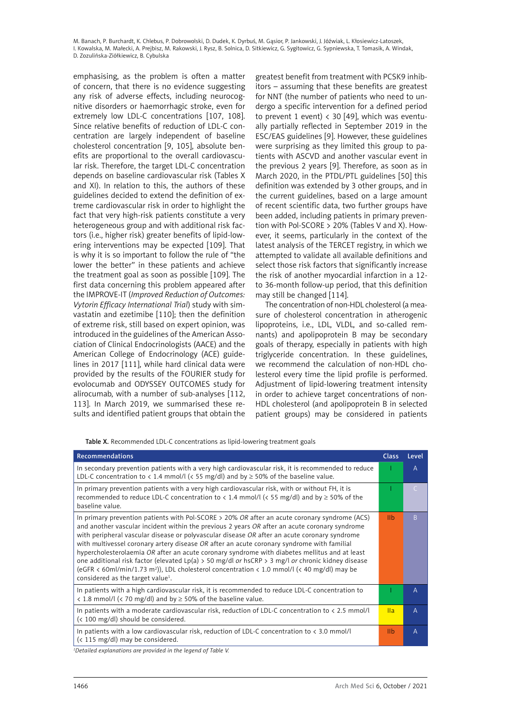emphasising, as the problem is often a matter of concern, that there is no evidence suggesting any risk of adverse effects, including neurocognitive disorders or haemorrhagic stroke, even for extremely low LDL-C concentrations [107, 108]. Since relative benefits of reduction of LDL-C concentration are largely independent of baseline cholesterol concentration [9, 105], absolute benefits are proportional to the overall cardiovascular risk. Therefore, the target LDL-C concentration depends on baseline cardiovascular risk (Tables X and XI). In relation to this, the authors of these guidelines decided to extend the definition of extreme cardiovascular risk in order to highlight the fact that very high-risk patients constitute a very heterogeneous group and with additional risk factors (i.e., higher risk) greater benefits of lipid-lowering interventions may be expected [109]. That is why it is so important to follow the rule of "the lower the better" in these patients and achieve the treatment goal as soon as possible [109]. The first data concerning this problem appeared after the IMPROVE-IT (*Improved Reduction of Outcomes: Vytorin Efficacy International Trial*) study with simvastatin and ezetimibe [110]; then the definition of extreme risk, still based on expert opinion, was introduced in the guidelines of the American Association of Clinical Endocrinologists (AACE) and the American College of Endocrinology (ACE) guidelines in 2017 [111], while hard clinical data were provided by the results of the FOURIER study for evolocumab and ODYSSEY OUTCOMES study for alirocumab, with a number of sub-analyses [112, 113]. In March 2019, we summarised these results and identified patient groups that obtain the

greatest benefit from treatment with PCSK9 inhibitors – assuming that these benefits are greatest for NNT (the number of patients who need to undergo a specific intervention for a defined period to prevent 1 event)  $\langle 30 \vert 49 \vert$ , which was eventually partially reflected in September 2019 in the ESC/EAS guidelines [9]. However, these guidelines were surprising as they limited this group to patients with ASCVD and another vascular event in the previous 2 years [9]. Therefore, as soon as in March 2020, in the PTDL/PTL guidelines [50] this definition was extended by 3 other groups, and in the current guidelines, based on a large amount of recent scientific data, two further groups have been added, including patients in primary prevention with Pol-SCORE > 20% (Tables V and X). However, it seems, particularly in the context of the latest analysis of the TERCET registry, in which we attempted to validate all available definitions and select those risk factors that significantly increase the risk of another myocardial infarction in a 12 to 36-month follow-up period, that this definition may still be changed [114].

The concentration of non-HDL cholesterol (a measure of cholesterol concentration in atherogenic lipoproteins, i.e., LDL, VLDL, and so-called remnants) and apolipoprotein B may be secondary goals of therapy, especially in patients with high triglyceride concentration. In these guidelines, we recommend the calculation of non-HDL cholesterol every time the lipid profile is performed. Adjustment of lipid-lowering treatment intensity in order to achieve target concentrations of non-HDL cholesterol (and apolipoprotein B in selected patient groups) may be considered in patients

Table X. Recommended LDL-C concentrations as lipid-lowering treatment goals

| <b>Recommendations</b>                                                                                                                                                                                                                                                                                                                                                                                                                                                                                                                                                                                                                                                                                                                                               | <b>Class</b> | Level        |
|----------------------------------------------------------------------------------------------------------------------------------------------------------------------------------------------------------------------------------------------------------------------------------------------------------------------------------------------------------------------------------------------------------------------------------------------------------------------------------------------------------------------------------------------------------------------------------------------------------------------------------------------------------------------------------------------------------------------------------------------------------------------|--------------|--------------|
| In secondary prevention patients with a very high cardiovascular risk, it is recommended to reduce<br>LDL-C concentration to < 1.4 mmol/l (< 55 mg/dl) and by $\geq$ 50% of the baseline value.                                                                                                                                                                                                                                                                                                                                                                                                                                                                                                                                                                      |              | A            |
| In primary prevention patients with a very high cardiovascular risk, with or without FH, it is<br>recommended to reduce LDL-C concentration to $\langle 1.4 \text{ mmol/} \vert \langle \langle 55 \text{ mg/} \vert 0 \rangle \rangle$ and by $\geq 50\%$ of the<br>baseline value.                                                                                                                                                                                                                                                                                                                                                                                                                                                                                 |              | C            |
| In primary prevention patients with Pol-SCORE $>$ 20% OR after an acute coronary syndrome (ACS)<br>and another vascular incident within the previous 2 years OR after an acute coronary syndrome<br>with peripheral vascular disease or polyvascular disease $OR$ after an acute coronary syndrome<br>with multivessel coronary artery disease $OR$ after an acute coronary syndrome with familial<br>hypercholesterolaemia OR after an acute coronary syndrome with diabetes mellitus and at least<br>one additional risk factor (elevated Lp(a) > 50 mg/dl or hsCRP > 3 mg/l or chronic kidney disease<br>(eGFR < 60ml/min/1.73 m <sup>2</sup> )), LDL cholesterol concentration < 1.0 mmol/l (< 40 mg/dl) may be<br>considered as the target value <sup>1</sup> . | <b>IIb</b>   | B            |
| In patients with a high cardiovascular risk, it is recommended to reduce LDL-C concentration to<br>< 1.8 mmol/l (< 70 mg/dl) and by $\geq$ 50% of the baseline value.                                                                                                                                                                                                                                                                                                                                                                                                                                                                                                                                                                                                |              | A            |
| In patients with a moderate cardiovascular risk, reduction of LDL-C concentration to $\langle 2.5 \text{ mmol/l} \rangle$<br>(< 100 mg/dl) should be considered.                                                                                                                                                                                                                                                                                                                                                                                                                                                                                                                                                                                                     | IIa          | $\mathsf{A}$ |
| In patients with a low cardiovascular risk, reduction of LDL-C concentration to $\langle 3.0 \text{ mmol/l} \rangle$<br>$\left($ < 115 mg/dl) may be considered.                                                                                                                                                                                                                                                                                                                                                                                                                                                                                                                                                                                                     | <b>IIb</b>   | Α            |

*1 Detailed explanations are provided in the legend of Table V.*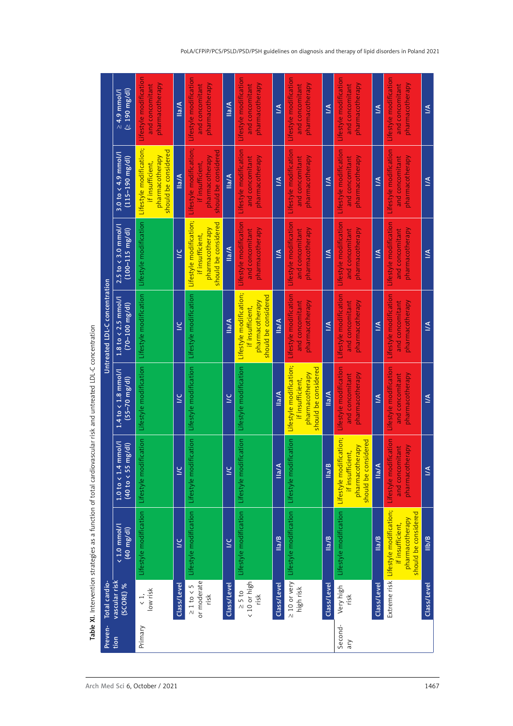| Preven-        | Total cardio-                              |                                                                                                     |                                                                                        |                                                                                        | Untreated LDL-C concentration                                                          |                                                                                        |                                                                                        |                                                              |
|----------------|--------------------------------------------|-----------------------------------------------------------------------------------------------------|----------------------------------------------------------------------------------------|----------------------------------------------------------------------------------------|----------------------------------------------------------------------------------------|----------------------------------------------------------------------------------------|----------------------------------------------------------------------------------------|--------------------------------------------------------------|
| tion           | vascular risk<br>(SCORE) %                 | $\sqrt{1.0 \text{ mmol/l}}$<br>$(40 \text{ mg/dl})$                                                 | $1.0$ to $< 1.4$ mmol/<br>(g/d)<br>(40 to < 55 m                                       | 1.4 to < 1.8 mmol/l<br>$(55 - 70 \text{ mg/dl})$                                       | $1.8$ to $\lt$ 2.5 mmol/l<br>$(70 - 100 \, \text{mg/dl})$                              | $2.5$ to $\lt$ 3.0 mmol/<br>$(100 - 115 \, \text{mg/dl})$                              | $3.0$ to < 4.9 mmol/l<br>$(115 - 190 \text{ mg/dl})$                                   | $(50 \, \text{mg/d})$<br>$\geq 4.9$ mmol/                    |
| Primary        | low risk<br>$\langle$ 1,                   | Lifestyle modification                                                                              | cation<br>Lifestyle modif                                                              | Lifestyle modification                                                                 | Lifestyle modification                                                                 | Lifestyle modification                                                                 | Lifestyle modification;<br>should be considered<br>pharmacotherapy<br>if insufficient, | Lifestyle modification<br>pharmacotherapy<br>and concomitant |
|                | Class/Level                                | $\geq$                                                                                              | $\leq$                                                                                 | $\geq$                                                                                 | $\geq$                                                                                 | $\leq$                                                                                 | Ila/A                                                                                  | Ila/A                                                        |
|                | or moderate<br>$\geq 1$ to $\lt$ 5<br>risk | Lifestyle modification                                                                              | cation<br>Lifestyle modif                                                              | Lifestyle modification                                                                 | Lifestyle modification                                                                 | Lifestyle modification;<br>should be considered<br>pharmacotherapy<br>if insufficient, | Lifestyle modification;<br>should be considered<br>pharmacotherapy<br>if insufficient, | Lifestyle modification<br>pharmacotherapy<br>and concomitant |
|                | Class/Level                                | $\leq$                                                                                              | $\leq$                                                                                 | Š                                                                                      | Ila/A                                                                                  | Ila/A                                                                                  | $M$ la                                                                                 | Ila/A                                                        |
|                | < 10 or high<br>$\geq$ 5 to<br>risk        | Lifestyle modification                                                                              | cation<br>Lifestyle modif                                                              | Lifestyle modification                                                                 | Lifestyle modification;<br>should be considered<br>pharmacotherapy<br>if insufficient, | Lifestyle modification<br>pharmacotherapy<br>and concomitant                           | Lifestyle modification<br>pharmacotherapy<br>and concomitant                           | Lifestyle modification<br>pharmacotherapy<br>and concomitant |
|                | Class/Level                                | $\frac{a}{B}$                                                                                       | lla/A                                                                                  | Ila/A                                                                                  | $\frac{a}{A}$                                                                          | N                                                                                      | N                                                                                      | $\leq$                                                       |
|                | $\geq 10$ or very<br>high risk             | Lifestyle modification                                                                              | ication<br>Lifestyle modif                                                             | Lifestyle modification;<br>should be considered<br>pharmacotherapy<br>if insufficient, | Lifestyle modification<br>pharmacotherapy<br>and concomitant                           | Lifestyle modification<br>pharmacotherapy<br>and concomitant                           | Lifestyle modification<br>pharmacotherapy<br>and concomitant                           | Lifestyle modification<br>pharmacotherapy<br>and concomitant |
|                | Class/Level                                | $\frac{a}{B}$                                                                                       | lla/B                                                                                  | lla/A                                                                                  | M                                                                                      | M                                                                                      | Š                                                                                      | Š                                                            |
| Second-<br>ary | Very high<br>risk                          | Lifestyle modification                                                                              | Lifestyle modification;<br>should be considered<br>pharmacotherapy<br>if insufficient, | Lifestyle modification<br>pharmacotherapy<br>and concomitant                           | Lifestyle modification<br>pharmacotherapy<br>and concomitant                           | Lifestyle modification<br>pharmacotherapy<br>and concomitant                           | Lifestyle modification<br>pharmacotherapy<br>and concomitant                           | Lifestyle modification<br>pharmacotherapy<br>and concomitant |
|                | Class/Level                                | llalB                                                                                               | Ila/A                                                                                  | <u>К</u>                                                                               | $\leq$                                                                                 | $\leq$                                                                                 | $\leq$                                                                                 | $\leq$                                                       |
|                |                                            | Extreme risk Lifestyle modification;<br>should be considered<br>pharmacotherapy<br>if insufficient, | Lifestyle modification<br>pharmacotherapy<br>and concomitant                           | Lifestyle modification<br>pharmacotherapy<br>and concomitant                           | Lifestyle modification<br>pharmacotherapy<br>and concomitant                           | Lifestyle modification<br>pharmacotherapy<br>and concomitant                           | Lifestyle modification<br>pharmacotherapy<br>and concomitant                           | Lifestyle modification<br>pharmacotherapy<br>and concomitant |
|                | Class/Level                                | l <sub>b/B</sub>                                                                                    | $\leq$                                                                                 | $\leq$                                                                                 | $\leq$                                                                                 | $\leq$                                                                                 | $\leq$                                                                                 | $\leq$                                                       |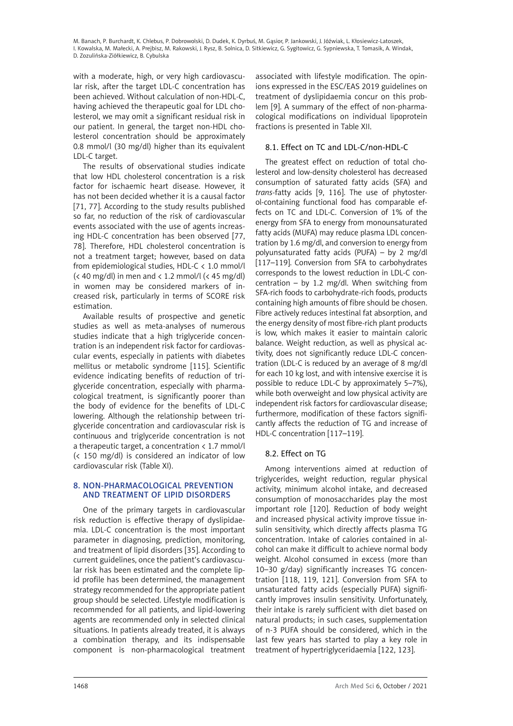<span id="page-21-0"></span>with a moderate, high, or very high cardiovascular risk, after the target LDL-C concentration has been achieved. Without calculation of non-HDL-C, having achieved the therapeutic goal for LDL cholesterol, we may omit a significant residual risk in our patient. In general, the target non-HDL cholesterol concentration should be approximately 0.8 mmol/l (30 mg/dl) higher than its equivalent LDL-C target.

The results of observational studies indicate that low HDL cholesterol concentration is a risk factor for ischaemic heart disease. However, it has not been decided whether it is a causal factor [71, 77]. According to the study results published so far, no reduction of the risk of cardiovascular events associated with the use of agents increasing HDL-C concentration has been observed [77, 78]. Therefore, HDL cholesterol concentration is not a treatment target; however, based on data from epidemiological studies, HDL-C < 1.0 mmol/l  $\left($  < 40 mg/dl) in men and < 1.2 mmol/l  $\left($  < 45 mg/dl) in women may be considered markers of increased risk, particularly in terms of SCORE risk estimation.

Available results of prospective and genetic studies as well as meta-analyses of numerous studies indicate that a high triglyceride concentration is an independent risk factor for cardiovascular events, especially in patients with diabetes mellitus or metabolic syndrome [115]. Scientific evidence indicating benefits of reduction of triglyceride concentration, especially with pharmacological treatment, is significantly poorer than the body of evidence for the benefits of LDL-C lowering. Although the relationship between triglyceride concentration and cardiovascular risk is continuous and triglyceride concentration is not a therapeutic target, a concentration < 1.7 mmol/l (< 150 mg/dl) is considered an indicator of low cardiovascular risk (Table XI).

# 8. NON-PHARMACOLOGICAL PREVENTION and treatment of lipid disorders

One of the primary targets in cardiovascular risk reduction is effective therapy of dyslipidaemia. LDL-C concentration is the most important parameter in diagnosing, prediction, monitoring, and treatment of lipid disorders [35]. According to current guidelines, once the patient's cardiovascular risk has been estimated and the complete lipid profile has been determined, the management strategy recommended for the appropriate patient group should be selected. Lifestyle modification is recommended for all patients, and lipid-lowering agents are recommended only in selected clinical situations. In patients already treated, it is always a combination therapy, and its indispensable component is non-pharmacological treatment

associated with lifestyle modification. The opinions expressed in the ESC/EAS 2019 guidelines on treatment of dyslipidaemia concur on this problem [9]. A summary of the effect of non-pharmacological modifications on individual lipoprotein fractions is presented in Table XII.

# 8.1. Effect on TC and LDL-C/non-HDL-C

The greatest effect on reduction of total cholesterol and low-density cholesterol has decreased consumption of saturated fatty acids (SFA) and *trans-*fatty acids [9, 116]. The use of phytosterol-containing functional food has comparable effects on TC and LDL-C. Conversion of 1% of the energy from SFA to energy from monounsaturated fatty acids (MUFA) may reduce plasma LDL concentration by 1.6 mg/dl, and conversion to energy from polyunsaturated fatty acids (PUFA) – by 2 mg/dl [117–119]. Conversion from SFA to carbohydrates corresponds to the lowest reduction in LDL-C concentration – by 1.2 mg/dl. When switching from SFA-rich foods to carbohydrate-rich foods, products containing high amounts of fibre should be chosen. Fibre actively reduces intestinal fat absorption, and the energy density of most fibre-rich plant products is low, which makes it easier to maintain caloric balance. Weight reduction, as well as physical activity, does not significantly reduce LDL-C concentration (LDL-C is reduced by an average of 8 mg/dl for each 10 kg lost, and with intensive exercise it is possible to reduce LDL-C by approximately 5–7%), while both overweight and low physical activity are independent risk factors for cardiovascular disease; furthermore, modification of these factors significantly affects the reduction of TG and increase of HDL-C concentration [117–119].

# 8.2. Effect on TG

Among interventions aimed at reduction of triglycerides, weight reduction, regular physical activity, minimum alcohol intake, and decreased consumption of monosaccharides play the most important role [120]. Reduction of body weight and increased physical activity improve tissue insulin sensitivity, which directly affects plasma TG concentration. Intake of calories contained in alcohol can make it difficult to achieve normal body weight. Alcohol consumed in excess (more than 10–30 g/day) significantly increases TG concentration [118, 119, 121]. Conversion from SFA to unsaturated fatty acids (especially PUFA) significantly improves insulin sensitivity. Unfortunately, their intake is rarely sufficient with diet based on natural products; in such cases, supplementation of n-3 PUFA should be considered, which in the last few years has started to play a key role in treatment of hypertriglyceridaemia [122, 123].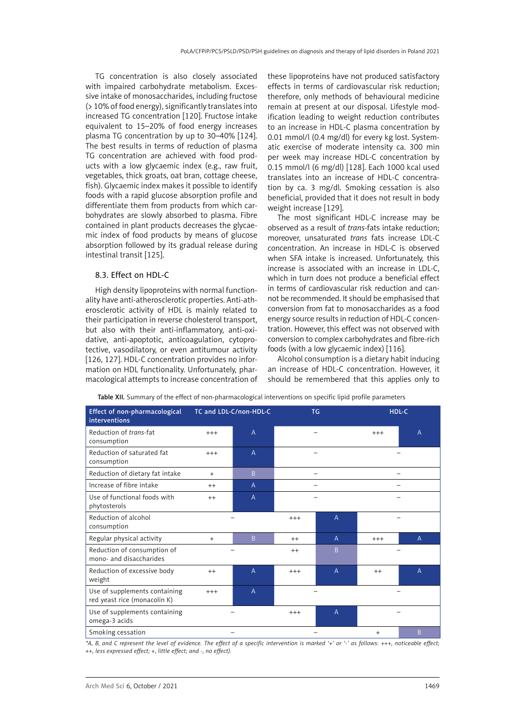<span id="page-22-0"></span>TG concentration is also closely associated with impaired carbohydrate metabolism. Excessive intake of monosaccharides, including fructose (> 10% of food energy), significantly translates into increased TG concentration [120]. Fructose intake equivalent to 15–20% of food energy increases plasma TG concentration by up to 30–40% [124]. The best results in terms of reduction of plasma TG concentration are achieved with food products with a low glycaemic index (e.g., raw fruit, vegetables, thick groats, oat bran, cottage cheese, fish). Glycaemic index makes it possible to identify foods with a rapid glucose absorption profile and differentiate them from products from which carbohydrates are slowly absorbed to plasma. Fibre contained in plant products decreases the glycaemic index of food products by means of glucose absorption followed by its gradual release during intestinal transit [125].

### 8.3. Effect on HDL-C

High density lipoproteins with normal functionality have anti-atherosclerotic properties. Anti-atherosclerotic activity of HDL is mainly related to their participation in reverse cholesterol transport, but also with their anti-inflammatory, anti-oxidative, anti-apoptotic, anticoagulation, cytoprotective, vasodilatory, or even antitumour activity [126, 127]. HDL-C concentration provides no information on HDL functionality. Unfortunately, pharmacological attempts to increase concentration of these lipoproteins have not produced satisfactory effects in terms of cardiovascular risk reduction; therefore, only methods of behavioural medicine remain at present at our disposal. Lifestyle modification leading to weight reduction contributes to an increase in HDL-C plasma concentration by 0.01 mmol/l (0.4 mg/dl) for every kg lost. Systematic exercise of moderate intensity ca. 300 min per week may increase HDL-C concentration by 0.15 mmol/l (6 mg/dl) [128]. Each 1000 kcal used translates into an increase of HDL-C concentration by ca. 3 mg/dl. Smoking cessation is also beneficial, provided that it does not result in body weight increase [129].

The most significant HDL-C increase may be observed as a result of *trans*-fats intake reduction; moreover, unsaturated *trans* fats increase LDL-C concentration. An increase in HDL-C is observed when SFA intake is increased. Unfortunately, this increase is associated with an increase in LDL-C, which in turn does not produce a beneficial effect in terms of cardiovascular risk reduction and cannot be recommended. It should be emphasised that conversion from fat to monosaccharides as a food energy source results in reduction of HDL-C concentration. However, this effect was not observed with conversion to complex carbohydrates and fibre-rich foods (with a low glycaemic index) [116].

Alcohol consumption is a dietary habit inducing an increase of HDL-C concentration. However, it should be remembered that this applies only to

| <b>Effect of non-pharmacological</b><br><b>interventions</b>  |                         | TC and LDL-C/non-HDL-C |         | <b>TG</b>      |           | HDL-C          |
|---------------------------------------------------------------|-------------------------|------------------------|---------|----------------|-----------|----------------|
| Reduction of trans-fat<br>consumption                         | $\overline{A}$<br>$+++$ |                        |         |                | $+++$     | $\overline{A}$ |
| Reduction of saturated fat<br>$+++$<br>consumption            |                         | $\overline{A}$         |         |                |           |                |
| Reduction of dietary fat intake<br>$\overline{B}$<br>$+$      |                         |                        |         |                |           |                |
| Increase of fibre intake<br>$++$                              |                         | $\overline{A}$         |         |                |           |                |
| Use of functional foods with<br>phytosterols                  | $++$                    | $\overline{A}$         |         |                |           |                |
| Reduction of alcohol<br>consumption                           |                         |                        | $+++$   | A              |           |                |
| Regular physical activity                                     | $+$                     | B                      | $++$    | $\mathsf{A}$   | $+++$     | $\mathsf{A}$   |
| Reduction of consumption of<br>mono- and disaccharides        |                         |                        | $^{++}$ | B.             |           |                |
| Reduction of excessive body<br>weight                         | $++$                    | $\overline{A}$         | $+++$   | $\overline{A}$ | $^{++}$   | A              |
| Use of supplements containing<br>red yeast rice (monacolin K) | $+++$                   | $\overline{A}$         |         |                |           |                |
| Use of supplements containing<br>omega-3 acids                |                         |                        | $+++$   | $\overline{A}$ |           |                |
| Smoking cessation                                             |                         |                        |         |                | $\ddot{}$ | B.             |

Table XII. Summary of the effect of non-pharmacological interventions on specific lipid profile parameters

*\*A, B, and C represent the level of evidence. The effect of a specific intervention is marked '+' or '-' as follows: +++, noticeable effect; ++, less expressed effect; +, little effect; and -, no effect).*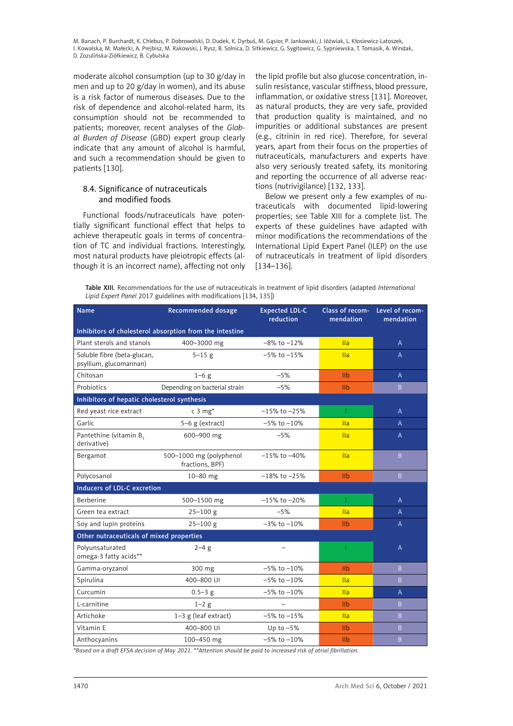<span id="page-23-0"></span>moderate alcohol consumption (up to 30 g/day in men and up to 20 g/day in women), and its abuse is a risk factor of numerous diseases. Due to the risk of dependence and alcohol-related harm, its consumption should not be recommended to patients; moreover, recent analyses of the *Global Burden of Disease* (GBD) expert group clearly indicate that any amount of alcohol is harmful, and such a recommendation should be given to patients [130].

# 8.4. Significance of nutraceuticals and modified foods

Functional foods/nutraceuticals have potentially significant functional effect that helps to achieve therapeutic goals in terms of concentration of TC and individual fractions. Interestingly, most natural products have pleiotropic effects (although it is an incorrect name), affecting not only the lipid profile but also glucose concentration, insulin resistance, vascular stiffness, blood pressure, inflammation, or oxidative stress [131]. Moreover, as natural products, they are very safe, provided that production quality is maintained, and no impurities or additional substances are present (e.g., citrinin in red rice). Therefore, for several years, apart from their focus on the properties of nutraceuticals, manufacturers and experts have also very seriously treated safety, its monitoring and reporting the occurrence of all adverse reactions (nutrivigilance) [132, 133].

Below we present only a few examples of nutraceuticals with documented lipid-lowering properties; see Table XIII for a complete list. The experts of these guidelines have adapted with minor modifications the recommendations of the International Lipid Expert Panel (ILEP) on the use of nutraceuticals in treatment of lipid disorders [134–136].

| Table XIII. Recommendations for the use of nutraceuticals in treatment of lipid disorders (adapted International |  |  |  |  |  |
|------------------------------------------------------------------------------------------------------------------|--|--|--|--|--|
| Lipid Expert Panel 2017 guidelines with modifications [134, 135])                                                |  |  |  |  |  |

| <b>Name</b>                                           | Recommended dosage                                      | <b>Expected LDL-C</b><br>reduction | mendation      | Class of recom- Level of recom-<br>mendation |
|-------------------------------------------------------|---------------------------------------------------------|------------------------------------|----------------|----------------------------------------------|
|                                                       | Inhibitors of cholesterol absorption from the intestine |                                    |                |                                              |
| Plant sterols and stanols                             | 400-3000 mg                                             | $-8\%$ to $-12\%$                  | $\mathsf{IIa}$ | $\overline{A}$                               |
| Soluble fibre (beta-glucan,<br>psyllium, glucomannan) | $5 - 15$ g                                              | $-5\%$ to $-15\%$                  | IIa            | A                                            |
| Chitosan                                              | $1-6$ g                                                 | $-5%$                              | I <sub>1</sub> | A                                            |
| Probiotics                                            | Depending on bacterial strain                           | $-5%$                              | I <sub>1</sub> | B.                                           |
| Inhibitors of hepatic cholesterol synthesis           |                                                         |                                    |                |                                              |
| Red yeast rice extract                                | $\langle 3 \text{ mg*}$                                 | $-15\%$ to $-25\%$                 | T              | A                                            |
| Garlic                                                | $5-6$ g (extract)                                       | $-5\%$ to $-10\%$                  | $\mathsf{II}a$ | A                                            |
| Pantethine (vitamin B.<br>derivative)                 | 600-900 mg                                              | $-5%$                              | IIa            | A                                            |
| Bergamot                                              | 500-1000 mg (polyphenol<br>fractions, BPF)              | $-15\%$ to $-40\%$                 | $\mathsf{II}a$ | $\overline{B}$                               |
| Polycosanol                                           | $10 - 80$ mg                                            | $-18\%$ to $-25\%$                 | I <sub>1</sub> | $\overline{B}$                               |
| Inducers of LDL-C excretion                           |                                                         |                                    |                |                                              |
| Berberine                                             | 500-1500 mg                                             | $-15\%$ to $-20\%$                 | Т              | A                                            |
| Green tea extract                                     | $25 - 100$ g                                            | $-5%$                              | IIa            | $\overline{A}$                               |
| Soy and lupin proteins                                | $25 - 100$ g                                            | $-3\%$ to $-10\%$                  | I <sub>1</sub> | $\overline{A}$                               |
| Other nutraceuticals of mixed properties              |                                                         |                                    |                |                                              |
| Polyunsaturated<br>omega-3 fatty acids**              | $2 - 4 g$                                               |                                    | ı              | A                                            |
| Gamma-oryzanol                                        | 300 mg                                                  | $-5\%$ to $-10\%$                  | I <sub>1</sub> | B.                                           |
| Spirulina                                             | 400-800 UI                                              | $-5\%$ to $-10\%$                  | $\mathsf{IIa}$ | $\overline{B}$                               |
| Curcumin                                              | $0.5 - 3$ g                                             | $-5\%$ to $-10\%$                  | IIa            | A                                            |
| L-carnitine                                           | $1-2$ g                                                 |                                    | I <sub>1</sub> | $\overline{B}$                               |
| Artichoke                                             | 1-3 g (leaf extract)                                    | $-5\%$ to $-15\%$                  | IIa            | $\overline{B}$                               |
| Vitamin E                                             | 400-800 UI                                              | Up to $-5%$                        | I <sub>1</sub> | $\overline{B}$                               |
| Anthocyanins                                          | 100-450 mg                                              | $-5\%$ to $-10\%$                  | IIb            | B                                            |

*\*Based on a draft EFSA decision of May 2021. \*\*Attention should be paid to increased risk of atrial fibrillation.*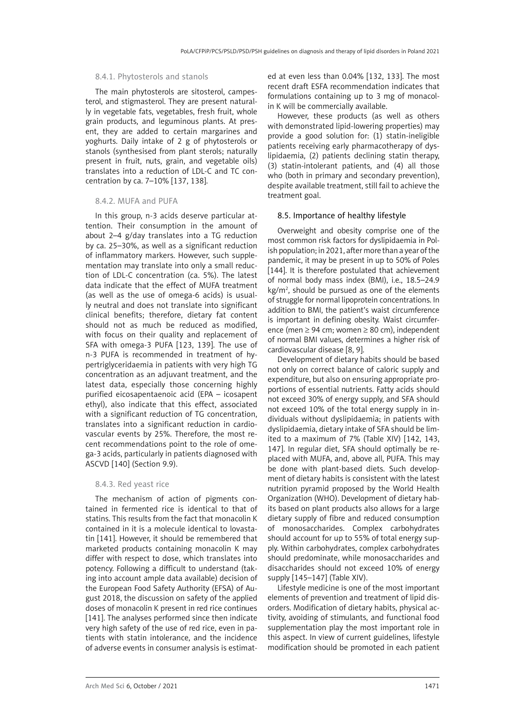#### <span id="page-24-0"></span>8.4.1. Phytosterols and stanols

The main phytosterols are sitosterol, campesterol, and stigmasterol. They are present naturally in vegetable fats, vegetables, fresh fruit, whole grain products, and leguminous plants. At present, they are added to certain margarines and yoghurts. Daily intake of 2 g of phytosterols or stanols (synthesised from plant sterols; naturally present in fruit, nuts, grain, and vegetable oils) translates into a reduction of LDL-C and TC concentration by ca. 7–10% [137, 138].

#### 8.4.2. MUFA and PUFA

In this group, n-3 acids deserve particular attention. Their consumption in the amount of about 2–4 g/day translates into a TG reduction by ca. 25–30%, as well as a significant reduction of inflammatory markers. However, such supplementation may translate into only a small reduction of LDL-C concentration (ca. 5%). The latest data indicate that the effect of MUFA treatment (as well as the use of omega-6 acids) is usually neutral and does not translate into significant clinical benefits; therefore, dietary fat content should not as much be reduced as modified, with focus on their quality and replacement of SFA with omega-3 PUFA [123, 139]. The use of n-3 PUFA is recommended in treatment of hypertriglyceridaemia in patients with very high TG concentration as an adjuvant treatment, and the latest data, especially those concerning highly purified eicosapentaenoic acid (EPA – icosapent ethyl), also indicate that this effect, associated with a significant reduction of TG concentration, translates into a significant reduction in cardiovascular events by 25%. Therefore, the most recent recommendations point to the role of omega-3 acids, particularly in patients diagnosed with ASCVD [140] (Section 9.9).

#### 8.4.3. Red yeast rice

The mechanism of action of pigments contained in fermented rice is identical to that of statins. This results from the fact that monacolin K contained in it is a molecule identical to lovastatin [141]. However, it should be remembered that marketed products containing monacolin K may differ with respect to dose, which translates into potency. Following a difficult to understand (taking into account ample data available) decision of the European Food Safety Authority (EFSA) of August 2018, the discussion on safety of the applied doses of monacolin K present in red rice continues [141]. The analyses performed since then indicate very high safety of the use of red rice, even in patients with statin intolerance, and the incidence of adverse events in consumer analysis is estimated at even less than 0.04% [132, 133]. The most recent draft ESFA recommendation indicates that formulations containing up to 3 mg of monacolin K will be commercially available.

However, these products (as well as others with demonstrated lipid-lowering properties) may provide a good solution for: (1) statin-ineligible patients receiving early pharmacotherapy of dyslipidaemia, (2) patients declining statin therapy, (3) statin-intolerant patients, and (4) all those who (both in primary and secondary prevention), despite available treatment, still fail to achieve the treatment goal.

#### 8.5. Importance of healthy lifestyle

Overweight and obesity comprise one of the most common risk factors for dyslipidaemia in Polish population; in 2021, after more than a year of the pandemic, it may be present in up to 50% of Poles [144]. It is therefore postulated that achievement of normal body mass index (BMI), i.e., 18.5–24.9 kg/m2 , should be pursued as one of the elements of struggle for normal lipoprotein concentrations. In addition to BMI, the patient's waist circumference is important in defining obesity. Waist circumference (men ≥ 94 cm; women ≥ 80 cm), independent of normal BMI values, determines a higher risk of cardiovascular disease [8, 9].

Development of dietary habits should be based not only on correct balance of caloric supply and expenditure, but also on ensuring appropriate proportions of essential nutrients. Fatty acids should not exceed 30% of energy supply, and SFA should not exceed 10% of the total energy supply in individuals without dyslipidaemia; in patients with dyslipidaemia, dietary intake of SFA should be limited to a maximum of 7% (Table XIV) [142, 143, 147]. In regular diet, SFA should optimally be replaced with MUFA, and, above all, PUFA. This may be done with plant-based diets. Such development of dietary habits is consistent with the latest nutrition pyramid proposed by the World Health Organization (WHO). Development of dietary habits based on plant products also allows for a large dietary supply of fibre and reduced consumption of monosaccharides. Complex carbohydrates should account for up to 55% of total energy supply. Within carbohydrates, complex carbohydrates should predominate, while monosaccharides and disaccharides should not exceed 10% of energy supply [145–147] (Table XIV).

Lifestyle medicine is one of the most important elements of prevention and treatment of lipid disorders. Modification of dietary habits, physical activity, avoiding of stimulants, and functional food supplementation play the most important role in this aspect. In view of current guidelines, lifestyle modification should be promoted in each patient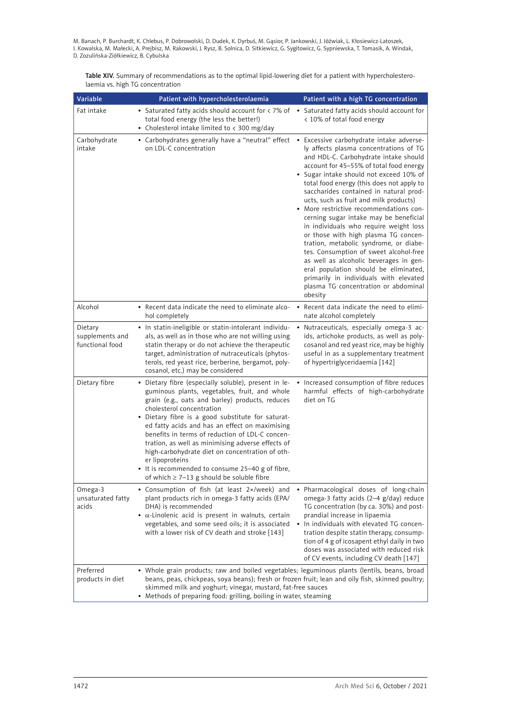Table XIV. Summary of recommendations as to the optimal lipid-lowering diet for a patient with hypercholesterolaemia vs. high TG concentration

| Variable                                      | Patient with hypercholesterolaemia                                                                                                                                                                                                                                                                                                                                                                                                                                                                                                                                               | Patient with a high TG concentration                                                                                                                                                                                                                                                                                                                                                                                                                                                                                                                                                                                                                                                                                                                                                          |
|-----------------------------------------------|----------------------------------------------------------------------------------------------------------------------------------------------------------------------------------------------------------------------------------------------------------------------------------------------------------------------------------------------------------------------------------------------------------------------------------------------------------------------------------------------------------------------------------------------------------------------------------|-----------------------------------------------------------------------------------------------------------------------------------------------------------------------------------------------------------------------------------------------------------------------------------------------------------------------------------------------------------------------------------------------------------------------------------------------------------------------------------------------------------------------------------------------------------------------------------------------------------------------------------------------------------------------------------------------------------------------------------------------------------------------------------------------|
| Fat intake                                    | • Saturated fatty acids should account for $\lt 7\%$ of • Saturated fatty acids should account for<br>total food energy (the less the better!)<br>• Cholesterol intake limited to < 300 mg/day                                                                                                                                                                                                                                                                                                                                                                                   | < 10% of total food energy                                                                                                                                                                                                                                                                                                                                                                                                                                                                                                                                                                                                                                                                                                                                                                    |
| Carbohydrate<br>intake                        | • Carbohydrates generally have a "neutral" effect<br>on LDL-C concentration                                                                                                                                                                                                                                                                                                                                                                                                                                                                                                      | • Excessive carbohydrate intake adverse-<br>ly affects plasma concentrations of TG<br>and HDL-C. Carbohydrate intake should<br>account for 45-55% of total food energy<br>• Sugar intake should not exceed 10% of<br>total food energy (this does not apply to<br>saccharides contained in natural prod-<br>ucts, such as fruit and milk products)<br>• More restrictive recommendations con-<br>cerning sugar intake may be beneficial<br>in individuals who require weight loss<br>or those with high plasma TG concen-<br>tration, metabolic syndrome, or diabe-<br>tes. Consumption of sweet alcohol-free<br>as well as alcoholic beverages in gen-<br>eral population should be eliminated,<br>primarily in individuals with elevated<br>plasma TG concentration or abdominal<br>obesity |
| Alcohol                                       | • Recent data indicate the need to eliminate alco-<br>hol completely                                                                                                                                                                                                                                                                                                                                                                                                                                                                                                             | Recent data indicate the need to elimi-<br>nate alcohol completely                                                                                                                                                                                                                                                                                                                                                                                                                                                                                                                                                                                                                                                                                                                            |
| Dietary<br>supplements and<br>functional food | • In statin-ineligible or statin-intolerant individu-<br>als, as well as in those who are not willing using<br>statin therapy or do not achieve the therapeutic<br>target, administration of nutraceuticals (phytos-<br>terols, red yeast rice, berberine, bergamot, poly-<br>cosanol, etc.) may be considered                                                                                                                                                                                                                                                                   | Nutraceuticals, especially omega-3 ac-<br>$\bullet$<br>ids, artichoke products, as well as poly-<br>cosanol and red yeast rice, may be highly<br>useful in as a supplementary treatment<br>of hypertriglyceridaemia [142]                                                                                                                                                                                                                                                                                                                                                                                                                                                                                                                                                                     |
| Dietary fibre                                 | • Dietary fibre (especially soluble), present in le-<br>guminous plants, vegetables, fruit, and whole<br>grain (e.g., oats and barley) products, reduces<br>cholesterol concentration<br>• Dietary fibre is a good substitute for saturat-<br>ed fatty acids and has an effect on maximising<br>benefits in terms of reduction of LDL-C concen-<br>tration, as well as minimising adverse effects of<br>high-carbohydrate diet on concentration of oth-<br>er lipoproteins<br>• It is recommended to consume 25-40 g of fibre,<br>of which $\geq$ 7-13 g should be soluble fibre | • Increased consumption of fibre reduces<br>harmful effects of high-carbohydrate<br>diet on TG                                                                                                                                                                                                                                                                                                                                                                                                                                                                                                                                                                                                                                                                                                |
| Omega-3<br>unsaturated fatty<br>acids         | • Consumption of fish (at least 2×/week) and<br>plant products rich in omega-3 fatty acids (EPA/<br>DHA) is recommended<br>$\bullet$ $\alpha$ -Linolenic acid is present in walnuts, certain<br>vegetables, and some seed oils; it is associated<br>with a lower risk of CV death and stroke [143]                                                                                                                                                                                                                                                                               | · Pharmacological doses of long-chain<br>omega-3 fatty acids (2-4 g/day) reduce<br>TG concentration (by ca. 30%) and post-<br>prandial increase in lipaemia<br>In individuals with elevated TG concen-<br>$\bullet$<br>tration despite statin therapy, consump-<br>tion of 4 g of icosapent ethyl daily in two<br>doses was associated with reduced risk<br>of CV events, including CV death [147]                                                                                                                                                                                                                                                                                                                                                                                            |
| Preferred<br>products in diet                 | • Whole grain products; raw and boiled vegetables; leguminous plants (lentils, beans, broad<br>beans, peas, chickpeas, soya beans); fresh or frozen fruit; lean and oily fish, skinned poultry;<br>skimmed milk and yoghurt; vinegar, mustard, fat-free sauces<br>• Methods of preparing food: grilling, boiling in water, steaming                                                                                                                                                                                                                                              |                                                                                                                                                                                                                                                                                                                                                                                                                                                                                                                                                                                                                                                                                                                                                                                               |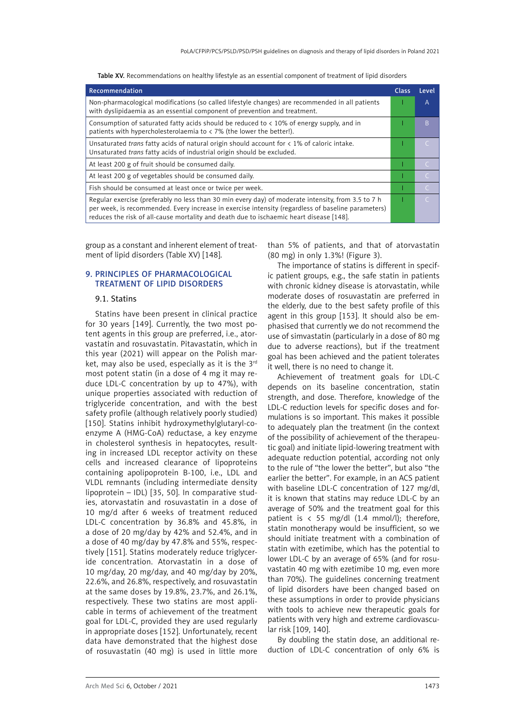| <b>Table XV.</b> Recommendations on healthy lifestyle as an essential component of treatment of lipid disorders |  |  |
|-----------------------------------------------------------------------------------------------------------------|--|--|
|-----------------------------------------------------------------------------------------------------------------|--|--|

<span id="page-26-0"></span>

| Recommendation                                                                                                                                                                                                                                                                                      | <b>Class</b> | Level     |
|-----------------------------------------------------------------------------------------------------------------------------------------------------------------------------------------------------------------------------------------------------------------------------------------------------|--------------|-----------|
| Non-pharmacological modifications (so called lifestyle changes) are recommended in all patients<br>with dyslipidaemia as an essential component of prevention and treatment.                                                                                                                        |              | A         |
| Consumption of saturated fatty acids should be reduced to $\langle$ 10% of energy supply, and in<br>patients with hypercholesterolaemia to $\langle$ 7% (the lower the better!).                                                                                                                    |              | B         |
| Unsaturated trans fatty acids of natural origin should account for $\lt$ 1% of caloric intake.<br>Unsaturated trans fatty acids of industrial origin should be excluded.                                                                                                                            |              |           |
| At least 200 g of fruit should be consumed daily.                                                                                                                                                                                                                                                   |              |           |
| At least 200 g of vegetables should be consumed daily.                                                                                                                                                                                                                                              |              | $\subset$ |
| Fish should be consumed at least once or twice per week.                                                                                                                                                                                                                                            |              | $\subset$ |
| Regular exercise (preferably no less than 30 min every day) of moderate intensity, from 3.5 to 7 h<br>per week, is recommended. Every increase in exercise intensity (regardless of baseline parameters)<br>reduces the risk of all-cause mortality and death due to ischaemic heart disease [148]. |              | $\subset$ |

group as a constant and inherent element of treatment of lipid disorders (Table XV) [148].

# 9. Principles of pharmacological treatment of lipid disorders

#### 9.1. Statins

Statins have been present in clinical practice for 30 years [149]. Currently, the two most potent agents in this group are preferred, i.e., atorvastatin and rosuvastatin. Pitavastatin, which in this year (2021) will appear on the Polish market, may also be used, especially as it is the  $3<sup>rd</sup>$ most potent statin (in a dose of 4 mg it may reduce LDL-C concentration by up to 47%), with unique properties associated with reduction of triglyceride concentration, and with the best safety profile (although relatively poorly studied) [150]. Statins inhibit hydroxymethylglutaryl-coenzyme A (HMG-CoA) reductase, a key enzyme in cholesterol synthesis in hepatocytes, resulting in increased LDL receptor activity on these cells and increased clearance of lipoproteins containing apolipoprotein B-100, i.e., LDL and VLDL remnants (including intermediate density lipoprotein – IDL) [35, 50]. In comparative studies, atorvastatin and rosuvastatin in a dose of 10 mg/d after 6 weeks of treatment reduced LDL-C concentration by 36.8% and 45.8%, in a dose of 20 mg/day by 42% and 52.4%, and in a dose of 40 mg/day by 47.8% and 55%, respectively [151]. Statins moderately reduce triglyceride concentration. Atorvastatin in a dose of 10 mg/day, 20 mg/day, and 40 mg/day by 20%, 22.6%, and 26.8%, respectively, and rosuvastatin at the same doses by 19.8%, 23.7%, and 26.1%, respectively. These two statins are most applicable in terms of achievement of the treatment goal for LDL-C, provided they are used regularly in appropriate doses [152]. Unfortunately, recent data have demonstrated that the highest dose of rosuvastatin (40 mg) is used in little more than 5% of patients, and that of atorvastatin (80 mg) in only 1.3%! (Figure 3).

The importance of statins is different in specific patient groups, e.g., the safe statin in patients with chronic kidney disease is atorvastatin, while moderate doses of rosuvastatin are preferred in the elderly, due to the best safety profile of this agent in this group [153]. It should also be emphasised that currently we do not recommend the use of simvastatin (particularly in a dose of 80 mg due to adverse reactions), but if the treatment goal has been achieved and the patient tolerates it well, there is no need to change it.

Achievement of treatment goals for LDL-C depends on its baseline concentration, statin strength, and dose. Therefore, knowledge of the LDL-C reduction levels for specific doses and formulations is so important. This makes it possible to adequately plan the treatment (in the context of the possibility of achievement of the therapeutic goal) and initiate lipid-lowering treatment with adequate reduction potential, according not only to the rule of "the lower the better", but also "the earlier the better". For example, in an ACS patient with baseline LDL-C concentration of 127 mg/dl, it is known that statins may reduce LDL-C by an average of 50% and the treatment goal for this patient is  $\langle$  55 mg/dl (1.4 mmol/l); therefore, statin monotherapy would be insufficient, so we should initiate treatment with a combination of statin with ezetimibe, which has the potential to lower LDL-C by an average of 65% (and for rosuvastatin 40 mg with ezetimibe 10 mg, even more than 70%). The guidelines concerning treatment of lipid disorders have been changed based on these assumptions in order to provide physicians with tools to achieve new therapeutic goals for patients with very high and extreme cardiovascular risk [109, 140].

By doubling the statin dose, an additional reduction of LDL-C concentration of only 6% is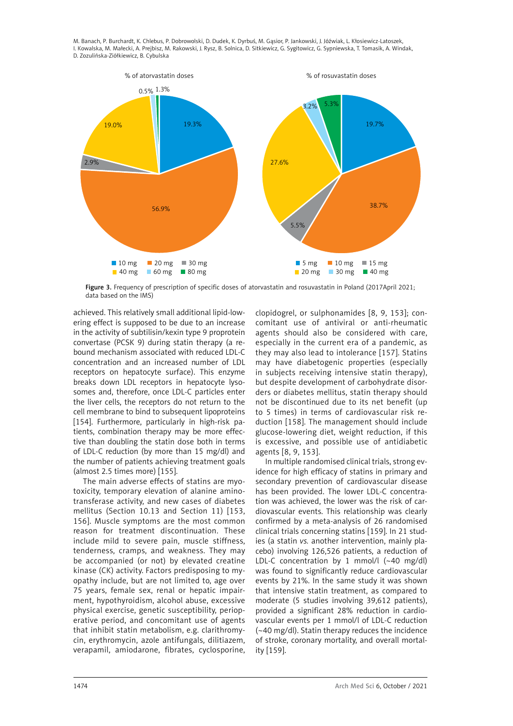

Figure 3. Frequency of prescription of specific doses of atorvastatin and rosuvastatin in Poland (2017April 2021; data based on the IMS)

achieved. This relatively small additional lipid-lowering effect is supposed to be due to an increase in the activity of subtilisin/kexin type 9 proprotein convertase (PCSK 9) during statin therapy (a rebound mechanism associated with reduced LDL-C concentration and an increased number of LDL receptors on hepatocyte surface). This enzyme breaks down LDL receptors in hepatocyte lysosomes and, therefore, once LDL-C particles enter the liver cells, the receptors do not return to the cell membrane to bind to subsequent lipoproteins [154]. Furthermore, particularly in high-risk patients, combination therapy may be more effective than doubling the statin dose both in terms of LDL-C reduction (by more than 15 mg/dl) and the number of patients achieving treatment goals (almost 2.5 times more) [155].

The main adverse effects of statins are myotoxicity, temporary elevation of alanine aminotransferase activity, and new cases of diabetes mellitus (Section 10.13 and Section 11) [153, 156]. Muscle symptoms are the most common reason for treatment discontinuation. These include mild to severe pain, muscle stiffness, tenderness, cramps, and weakness. They may be accompanied (or not) by elevated creatine kinase (CK) activity. Factors predisposing to myopathy include, but are not limited to, age over 75 years, female sex, renal or hepatic impairment, hypothyroidism, alcohol abuse, excessive physical exercise, genetic susceptibility, perioperative period, and concomitant use of agents that inhibit statin metabolism, e.g. clarithromycin, erythromycin, azole antifungals, dilitiazem, verapamil, amiodarone, fibrates, cyclosporine,

clopidogrel, or sulphonamides [8, 9, 153]; concomitant use of antiviral or anti-rheumatic agents should also be considered with care, especially in the current era of a pandemic, as they may also lead to intolerance [157]. Statins may have diabetogenic properties (especially in subjects receiving intensive statin therapy), but despite development of carbohydrate disorders or diabetes mellitus, statin therapy should not be discontinued due to its net benefit (up to 5 times) in terms of cardiovascular risk reduction [158]. The management should include glucose-lowering diet, weight reduction, if this is excessive, and possible use of antidiabetic agents [8, 9, 153].

In multiple randomised clinical trials, strong evidence for high efficacy of statins in primary and secondary prevention of cardiovascular disease has been provided. The lower LDL-C concentration was achieved, the lower was the risk of cardiovascular events. This relationship was clearly confirmed by a meta-analysis of 26 randomised clinical trials concerning statins [159]. In 21 studies (a statin *vs.* another intervention, mainly placebo) involving 126,526 patients, a reduction of LDL-C concentration by 1 mmol/l (~40 mg/dl) was found to significantly reduce cardiovascular events by 21%. In the same study it was shown that intensive statin treatment, as compared to moderate (5 studies involving 39,612 patients), provided a significant 28% reduction in cardiovascular events per 1 mmol/l of LDL-C reduction (~40 mg/dl). Statin therapy reduces the incidence of stroke, coronary mortality, and overall mortality [159].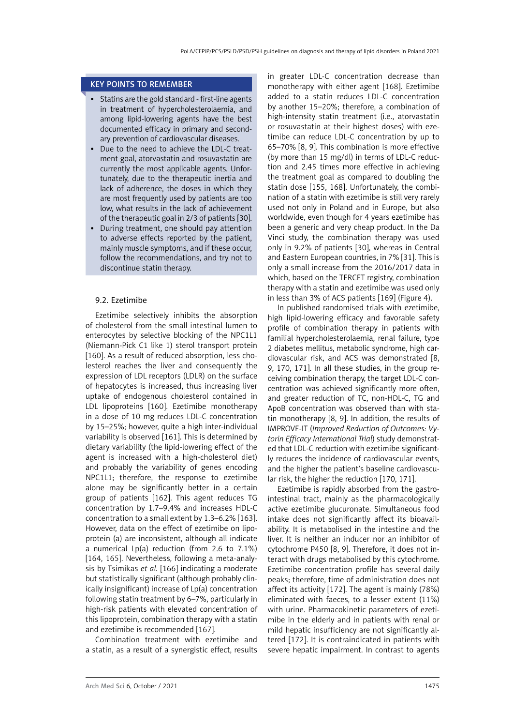# <span id="page-28-0"></span>KEY POINTS TO REMEMBER

- Statins are the gold standard first-line agents in treatment of hypercholesterolaemia, and among lipid-lowering agents have the best documented efficacy in primary and secondary prevention of cardiovascular diseases.
- • Due to the need to achieve the LDL-C treatment goal, atorvastatin and rosuvastatin are currently the most applicable agents. Unfortunately, due to the therapeutic inertia and lack of adherence, the doses in which they are most frequently used by patients are too low, what results in the lack of achievement of the therapeutic goal in 2/3 of patients [30].
- During treatment, one should pay attention to adverse effects reported by the patient, mainly muscle symptoms, and if these occur, follow the recommendations, and try not to discontinue statin therapy.

# 9.2. Ezetimibe

Ezetimibe selectively inhibits the absorption of cholesterol from the small intestinal lumen to enterocytes by selective blocking of the NPC1L1 (Niemann-Pick C1 like 1) sterol transport protein [160]. As a result of reduced absorption, less cholesterol reaches the liver and consequently the expression of LDL receptors (LDLR) on the surface of hepatocytes is increased, thus increasing liver uptake of endogenous cholesterol contained in LDL lipoproteins [160]. Ezetimibe monotherapy in a dose of 10 mg reduces LDL-C concentration by 15–25%; however, quite a high inter-individual variability is observed [161]. This is determined by dietary variability (the lipid-lowering effect of the agent is increased with a high-cholesterol diet) and probably the variability of genes encoding NPC1L1; therefore, the response to ezetimibe alone may be significantly better in a certain group of patients [162]. This agent reduces TG concentration by 1.7–9.4% and increases HDL-C concentration to a small extent by 1.3–6.2% [163]. However, data on the effect of ezetimibe on lipoprotein (a) are inconsistent, although all indicate a numerical Lp(a) reduction (from 2.6 to 7.1%) [164, 165]. Nevertheless, following a meta-analysis by Tsimikas *et al.* [166] indicating a moderate but statistically significant (although probably clinically insignificant) increase of Lp(a) concentration following statin treatment by 6–7%, particularly in high-risk patients with elevated concentration of this lipoprotein, combination therapy with a statin and ezetimibe is recommended [167].

Combination treatment with ezetimibe and a statin, as a result of a synergistic effect, results in greater LDL-C concentration decrease than monotherapy with either agent [168]. Ezetimibe added to a statin reduces LDL-C concentration by another 15–20%; therefore, a combination of high-intensity statin treatment (i.e., atorvastatin or rosuvastatin at their highest doses) with ezetimibe can reduce LDL-C concentration by up to 65–70% [8, 9]. This combination is more effective (by more than 15 mg/dl) in terms of LDL-C reduction and 2.45 times more effective in achieving the treatment goal as compared to doubling the statin dose [155, 168]. Unfortunately, the combination of a statin with ezetimibe is still very rarely used not only in Poland and in Europe, but also worldwide, even though for 4 years ezetimibe has been a generic and very cheap product. In the Da Vinci study, the combination therapy was used only in 9.2% of patients [30], whereas in Central and Eastern European countries, in 7% [31]. This is only a small increase from the 2016/2017 data in which, based on the TERCET registry, combination therapy with a statin and ezetimibe was used only in less than 3% of ACS patients [169] (Figure 4).

In published randomised trials with ezetimibe, high lipid-lowering efficacy and favorable safety profile of combination therapy in patients with familial hypercholesterolaemia, renal failure, type 2 diabetes mellitus, metabolic syndrome, high cardiovascular risk, and ACS was demonstrated [8, 9, 170, 171]. In all these studies, in the group receiving combination therapy, the target LDL-C concentration was achieved significantly more often, and greater reduction of TC, non-HDL-C, TG and ApoB concentration was observed than with statin monotherapy [8, 9]. In addition, the results of IMPROVE-IT (*Improved Reduction of Outcomes: Vytorin Efficacy International Trial*) study demonstrated that LDL-C reduction with ezetimibe significantly reduces the incidence of cardiovascular events, and the higher the patient's baseline cardiovascular risk, the higher the reduction [170, 171].

Ezetimibe is rapidly absorbed from the gastrointestinal tract, mainly as the pharmacologically active ezetimibe glucuronate. Simultaneous food intake does not significantly affect its bioavailability. It is metabolised in the intestine and the liver. It is neither an inducer nor an inhibitor of cytochrome P450 [8, 9]. Therefore, it does not interact with drugs metabolised by this cytochrome. Ezetimibe concentration profile has several daily peaks; therefore, time of administration does not affect its activity [172]. The agent is mainly (78%) eliminated with faeces, to a lesser extent (11%) with urine. Pharmacokinetic parameters of ezetimibe in the elderly and in patients with renal or mild hepatic insufficiency are not significantly altered [172]. It is contraindicated in patients with severe hepatic impairment. In contrast to agents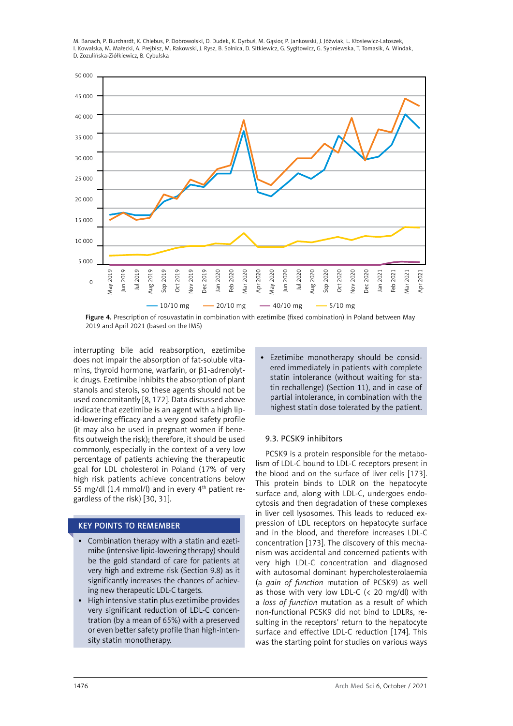<span id="page-29-0"></span>

Figure 4. Prescription of rosuvastatin in combination with ezetimibe (fixed combination) in Poland between May 2019 and April 2021 (based on the IMS)

interrupting bile acid reabsorption, ezetimibe does not impair the absorption of fat-soluble vitamins, thyroid hormone, warfarin, or β1-adrenolytic drugs. Ezetimibe inhibits the absorption of plant stanols and sterols, so these agents should not be used concomitantly [8, 172]. Data discussed above indicate that ezetimibe is an agent with a high lipid-lowering efficacy and a very good safety profile (it may also be used in pregnant women if benefits outweigh the risk); therefore, it should be used commonly, especially in the context of a very low percentage of patients achieving the therapeutic goal for LDL cholesterol in Poland (17% of very high risk patients achieve concentrations below 55 mg/dl  $(1.4 \text{ mmol/l})$  and in every  $4^{\text{th}}$  patient regardless of the risk) [30, 31].

# KEY POINTS TO REMEMBER

- • Combination therapy with a statin and ezetimibe (intensive lipid-lowering therapy) should be the gold standard of care for patients at very high and extreme risk (Section 9.8) as it significantly increases the chances of achieving new therapeutic LDL-C targets.
- High intensive statin plus ezetimibe provides very significant reduction of LDL-C concentration (by a mean of 65%) with a preserved or even better safety profile than high-intensity statin monotherapy.

Ezetimibe monotherapy should be considered immediately in patients with complete statin intolerance (without waiting for statin rechallenge) (Section 11), and in case of partial intolerance, in combination with the highest statin dose tolerated by the patient.

# 9.3. PCSK9 inhibitors

PCSK9 is a protein responsible for the metabolism of LDL-C bound to LDL-C receptors present in the blood and on the surface of liver cells [173]. This protein binds to LDLR on the hepatocyte surface and, along with LDL-C, undergoes endocytosis and then degradation of these complexes in liver cell lysosomes. This leads to reduced expression of LDL receptors on hepatocyte surface and in the blood, and therefore increases LDL-C concentration [173]. The discovery of this mechanism was accidental and concerned patients with very high LDL-C concentration and diagnosed with autosomal dominant hypercholesterolaemia (a *gain of function* mutation of PCSK9) as well as those with very low LDL-C  $( $20 \text{ mg/dl})$  with$ a *loss of function* mutation as a result of which non-functional PCSK9 did not bind to LDLRs, resulting in the receptors' return to the hepatocyte surface and effective LDL-C reduction [174]. This was the starting point for studies on various ways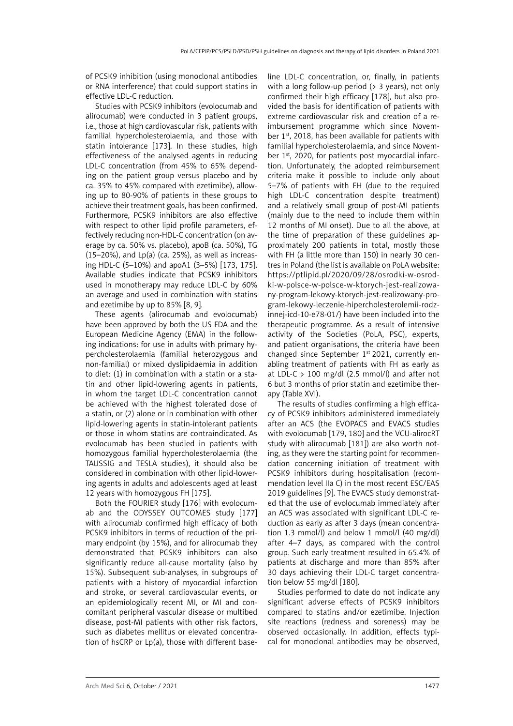of PCSK9 inhibition (using monoclonal antibodies or RNA interference) that could support statins in effective LDL-C reduction.

Studies with PCSK9 inhibitors (evolocumab and alirocumab) were conducted in 3 patient groups, i.e., those at high cardiovascular risk, patients with familial hypercholesterolaemia, and those with statin intolerance [173]. In these studies, high effectiveness of the analysed agents in reducing LDL-C concentration (from 45% to 65% depending on the patient group versus placebo and by ca. 35% to 45% compared with ezetimibe), allowing up to 80-90% of patients in these groups to achieve their treatment goals, has been confirmed. Furthermore, PCSK9 inhibitors are also effective with respect to other lipid profile parameters, effectively reducing non-HDL-C concentration (on average by ca. 50% vs. placebo), apoB (ca. 50%), TG  $(15–20%)$ , and Lp(a) (ca. 25%), as well as increasing HDL-C (5–10%) and apoA1 (3–5%) [173, 175]. Available studies indicate that PCSK9 inhibitors used in monotherapy may reduce LDL-C by 60% an average and used in combination with statins and ezetimibe by up to 85% [8, 9].

These agents (alirocumab and evolocumab) have been approved by both the US FDA and the European Medicine Agency (EMA) in the following indications: for use in adults with primary hypercholesterolaemia (familial heterozygous and non-familial) or mixed dyslipidaemia in addition to diet: (1) in combination with a statin or a statin and other lipid-lowering agents in patients, in whom the target LDL-C concentration cannot be achieved with the highest tolerated dose of a statin, or (2) alone or in combination with other lipid-lowering agents in statin-intolerant patients or those in whom statins are contraindicated. As evolocumab has been studied in patients with homozygous familial hypercholesterolaemia (the TAUSSIG and TESLA studies), it should also be considered in combination with other lipid-lowering agents in adults and adolescents aged at least 12 years with homozygous FH [175].

Both the FOURIER study [176] with evolocumab and the ODYSSEY OUTCOMES study [177] with alirocumab confirmed high efficacy of both PCSK9 inhibitors in terms of reduction of the primary endpoint (by 15%), and for alirocumab they demonstrated that PCSK9 inhibitors can also significantly reduce all-cause mortality (also by 15%). Subsequent sub-analyses, in subgroups of patients with a history of myocardial infarction and stroke, or several cardiovascular events, or an epidemiologically recent MI, or MI and concomitant peripheral vascular disease or multibed disease, post-MI patients with other risk factors, such as diabetes mellitus or elevated concentration of hsCRP or Lp(a), those with different baseline LDL-C concentration, or, finally, in patients with a long follow-up period ( $>$  3 years), not only confirmed their high efficacy [178], but also provided the basis for identification of patients with extreme cardiovascular risk and creation of a reimbursement programme which since November 1<sup>st</sup>, 2018, has been available for patients with familial hypercholesterolaemia, and since November 1<sup>st</sup>, 2020, for patients post myocardial infarction. Unfortunately, the adopted reimbursement criteria make it possible to include only about 5–7% of patients with FH (due to the required high LDL-C concentration despite treatment) and a relatively small group of post-MI patients (mainly due to the need to include them within 12 months of MI onset). Due to all the above, at the time of preparation of these guidelines approximately 200 patients in total, mostly those with FH (a little more than 150) in nearly 30 centres in Poland (the list is available on PoLA website: [https://ptlipid.pl/2020/09/28/osrodki-w-osrod](https://ptlipid.pl/2020/09/28/osrodki-w-osrodki-w-polsce-w-polsce-w-ktorych-jest-realizowany-program-lekowy-ktorych-jest-realizowany-program-lekowy-leczenie-hipercholesterolemii-rodzinnej-icd-10-e78-01/)[ki-w-polsce-w-polsce-w-ktorych-jest-realizowa](https://ptlipid.pl/2020/09/28/osrodki-w-osrodki-w-polsce-w-polsce-w-ktorych-jest-realizowany-program-lekowy-ktorych-jest-realizowany-program-lekowy-leczenie-hipercholesterolemii-rodzinnej-icd-10-e78-01/)[ny-program-lekowy-ktorych-jest-realizowany-pro](https://ptlipid.pl/2020/09/28/osrodki-w-osrodki-w-polsce-w-polsce-w-ktorych-jest-realizowany-program-lekowy-ktorych-jest-realizowany-program-lekowy-leczenie-hipercholesterolemii-rodzinnej-icd-10-e78-01/)[gram-lekowy-leczenie-hipercholesterolemii-rodz](https://ptlipid.pl/2020/09/28/osrodki-w-osrodki-w-polsce-w-polsce-w-ktorych-jest-realizowany-program-lekowy-ktorych-jest-realizowany-program-lekowy-leczenie-hipercholesterolemii-rodzinnej-icd-10-e78-01/)[innej-icd-10-e78-01/\)](https://ptlipid.pl/2020/09/28/osrodki-w-osrodki-w-polsce-w-polsce-w-ktorych-jest-realizowany-program-lekowy-ktorych-jest-realizowany-program-lekowy-leczenie-hipercholesterolemii-rodzinnej-icd-10-e78-01/) have been included into the therapeutic programme. As a result of intensive activity of the Societies (PoLA, PSC), experts, and patient organisations, the criteria have been changed since September 1<sup>st</sup> 2021, currently enabling treatment of patients with FH as early as at LDL-C  $> 100$  mg/dl (2.5 mmol/l) and after not 6 but 3 months of prior statin and ezetimibe therapy (Table XVI).

The results of studies confirming a high efficacy of PCSK9 inhibitors administered immediately after an ACS (the EVOPACS and EVACS studies with evolocumab [179, 180] and the VCU-alirocRT study with alirocumab [181]) are also worth noting, as they were the starting point for recommendation concerning initiation of treatment with PCSK9 inhibitors during hospitalisation (recommendation level IIa C) in the most recent ESC/EAS 2019 guidelines [9]. The EVACS study demonstrated that the use of evolocumab immediately after an ACS was associated with significant LDL-C reduction as early as after 3 days (mean concentration 1.3 mmol/l) and below 1 mmol/l (40 mg/dl) after 4–7 days, as compared with the control group. Such early treatment resulted in 65.4% of patients at discharge and more than 85% after 30 days achieving their LDL-C target concentration below 55 mg/dl [180].

Studies performed to date do not indicate any significant adverse effects of PCSK9 inhibitors compared to statins and/or ezetimibe. Injection site reactions (redness and soreness) may be observed occasionally. In addition, effects typical for monoclonal antibodies may be observed,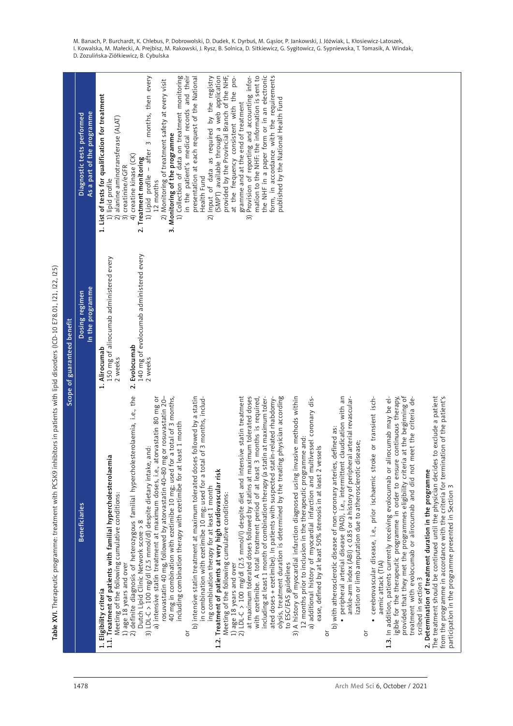Table XVI. Therapeutic programme: treatment with PCSK9 inhibitors in patients with lipid disorders (ICD-10 E78.01, I21, I22, I25) Table XVI. Therapeutic programme: treatment with PCSK9 inhibitors in patients with lipid disorders (ICD-10 E78.01, I21, I22, I25)

|                                                                                                                                                                                                                                                                                                                                                                                                                                                                                                                               | Scope of guaranteed benefit                                         |                                                                                                                                                                                                                                                                                                                                        |  |
|-------------------------------------------------------------------------------------------------------------------------------------------------------------------------------------------------------------------------------------------------------------------------------------------------------------------------------------------------------------------------------------------------------------------------------------------------------------------------------------------------------------------------------|---------------------------------------------------------------------|----------------------------------------------------------------------------------------------------------------------------------------------------------------------------------------------------------------------------------------------------------------------------------------------------------------------------------------|--|
| <b>Beneficiaries</b>                                                                                                                                                                                                                                                                                                                                                                                                                                                                                                          | In the programme<br>Dosing regimen                                  | As a part of the programme<br>Diagnostic tests performed                                                                                                                                                                                                                                                                               |  |
| 1.1. Treatment of patients with familial hypercholesterolaemia<br>Meeting of the following cumulative conditions:<br>1) age 18 years and over<br>1. Eligibility criteria                                                                                                                                                                                                                                                                                                                                                      | 150 mg of alirocumab administered every<br>1. Alirocumab<br>2 weeks | 1. List of tests for qualification for treatment<br>2) alanine aminotransferase (ALAT)<br>1) lipid profile                                                                                                                                                                                                                             |  |
| 2) definite diagnosis of heterozygous familial hypercholesterolaemia, i.e., the<br>a) intensive statin treatment at maximum doses, i.e., atorvastatin 80 mg or<br>rosuvastatin 40 mg, followed by atorvastatin 40–80 mg or rosuvastatin 20–<br>40 mg in combination with ezetimibe 10 mg; used for a total of 3 months,<br>including combination therapy with ezetimibe for at least 1 month<br>3) LDL-C > 100 mg/dl (2.5 mmol/dl) despite dietary intake, and:<br>Dutch Lipid Clinic Network score > 8                       | 140 mg of evolocumab administered every<br>2. Evolocumab<br>2 weeks | 1) Collection of data on treatment monitoring<br>1) Lipid profile - after 3 months, then every<br>2) Monitoring of treatment safety at every visit<br>3. Monitoring of the programme<br>4) creatine kinase (CK)<br>2. Treatment monitoring<br>3) creatinine/eGFR<br>12 months                                                          |  |
| followed by a statin<br>in combination with ezetimibe 10 mg; used for a total of 3 months, includ-<br>b) intensive statin treatment at maximum tolerated doses<br>1.2. Treatment of patients at very high cardiovascular risk<br>ing combination therapy for at least 1 month<br>Meeting of the following cumulative conditions:<br>ŏ                                                                                                                                                                                         |                                                                     | in the patient's medical records and their<br>(SMPT) available through a web application<br>provided by the Provincial Branch of the NHF,<br>presentation at each request of the National<br>2) Input of data as required by the registry<br>Health Fund                                                                               |  |
| 2) LDL-C > 100 mg/dl (2.5 mmol/l) despite diet and intensive statin treatment<br>at maximum tolerated doses followed by statins at maximum tolerated doses<br>with ezetimibe. A total treatment period of at least 3 months is required,<br>olysis, treatment duration is determined by the treating physician according<br>including at least 1 month of combination therapy (a statin at maximum toler-<br>ated doses + ezetimibe). In patients with suspected statin-related rhabdomy-<br>1) age 18 years and over         |                                                                     | mation to the NHF: the information is sent to<br>the NHF in a paper form or in an electronic<br>form, in accordance with the requirements<br>Provision of reporting and accounting infor-<br>at the frequency consistent with the pro-<br>published by the National Health Fund<br>gramme and at the end of treatment<br>$\widehat{3}$ |  |
| 3) A history of myocardial infarction diagnosed using invasive methods within<br>a) additional history of myocardial infarction and multivessel coronary dis-<br>12 months prior to inclusion in the therapeutic programme and:<br>ease, defined by at least 50% stenosis in at least 2 vessels<br>to ESC/EAS guidelines                                                                                                                                                                                                      |                                                                     |                                                                                                                                                                                                                                                                                                                                        |  |
| laudication with an<br>arterial revascular-<br>b) with atherosclerotic disease of non-coronary arteries, defined as:<br>ization or limb amputation due to atherosclerotic disease;<br>ankle-arm index (ABI) < 0.85 or a history of peripheral<br>peripheral arterial disease (PAD), i.e., intermittent cl<br>ŏ                                                                                                                                                                                                                |                                                                     |                                                                                                                                                                                                                                                                                                                                        |  |
| provided that they met the programmes eligibility criteria at the beginning of<br>1.3. In addition, patients currently receiving evolocumab or alirocumab may be el-<br>or transient isch-<br>igible for the therapeutic programme in order to ensure continuous therapy,<br>treatment with evolocumab or alirocumab and did not meet the criteria de-<br>cerebrovascular disease, i.e., prior ischaemic stroke<br>2. Determination of treatment duration in the programme<br>aemic attack (TIA)<br>scribed in section 3<br>ŏ |                                                                     |                                                                                                                                                                                                                                                                                                                                        |  |
| The treatment should be continued until the physician decides to exclude a patient<br>from the programme in accordance with the criteria for termination of the patient's<br>participation in the programme presented in Section 3                                                                                                                                                                                                                                                                                            |                                                                     |                                                                                                                                                                                                                                                                                                                                        |  |

M. Banach, P. Burchardt, K. Chlebus, P. Dobrowolski, D. Dudek, K. Dyrbuś, M. Gąsior, P. Jankowski, J. Jóźwiak, L. Kłosiewicz-Latoszek, I. Kowalska, M. Małecki, A. Prejbisz, M. Rakowski, J. Rysz, B. Solnica, D. Sitkiewicz, G. Sygitowicz, G. Sypniewska, T. Tomasik, A. Windak, D. Zozulińska-Ziółkiewicz, B. Cybulska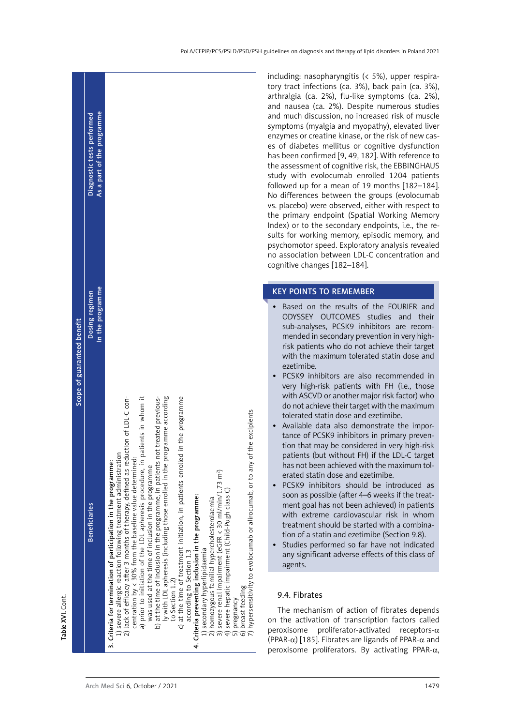<span id="page-32-0"></span>

|                             | As a part of the programme<br>Diagnostic tests performed |                                                                                                                                                                                                                                                                                                                                                                                                                                                                                                                                                                                                                                                                                                                                                                                                                                                                                                                                                                                                                                                                                                                        |
|-----------------------------|----------------------------------------------------------|------------------------------------------------------------------------------------------------------------------------------------------------------------------------------------------------------------------------------------------------------------------------------------------------------------------------------------------------------------------------------------------------------------------------------------------------------------------------------------------------------------------------------------------------------------------------------------------------------------------------------------------------------------------------------------------------------------------------------------------------------------------------------------------------------------------------------------------------------------------------------------------------------------------------------------------------------------------------------------------------------------------------------------------------------------------------------------------------------------------------|
| Scope of guaranteed benefit | In the programme<br>Dosing regimen                       |                                                                                                                                                                                                                                                                                                                                                                                                                                                                                                                                                                                                                                                                                                                                                                                                                                                                                                                                                                                                                                                                                                                        |
|                             | <b>Beneficiaries</b>                                     | a) prior to initiation of the LDL apheresis procedure, in patients in whom it<br>the programme according<br>c) at the time of treatment initiation, in patients enrolled in the programme<br>as reduction of LDL-C con-<br>b) at the time of inclusion in the programme, in patients not treated previous-<br>any of the excipients<br>1) severe allergic reaction following treatment administration<br>centration by < 30% from the baseline value determined:<br>3. Criteria for termination of participation in the programme:<br>was used at the time of inclusion in the programme<br>3) severe renal impairment (eGFR < 30 ml/min/1.73 m <sup>2</sup> )<br>ly with LDL apheresis (including those enrolled in<br>7) hypersensitivity to evolocumab or alirocumab, or to<br>2) lack of efficacy after 3 months of therapy, defined<br>4) severe hepatic impairment (Child-Pugh class C)<br>4. Criteria preventing inclusion in the programme:<br>2) homozygous familial hypercholesterolaemia<br>) secondary hyperlipidaemia<br>according to Section 1.3<br>to Section 1.2)<br>6) breast feeding<br>5) pregnancy |

including: nasopharyngitis (< 5%), upper respiratory tract infections (ca. 3%), back pain (ca. 3%), arthralgia (ca. 2%), flu-like symptoms (ca. 2%), and nausea (ca. 2%). Despite numerous studies and much discussion, no increased risk of muscle symptoms (myalgia and myopathy), elevated liver enzymes or creatine kinase, or the risk of new cases of diabetes mellitus or cognitive dysfunction has been confirmed [9, 49, 182]. With reference to the assessment of cognitive risk, the EBBINGHAUS study with evolocumab enrolled 1204 patients followed up for a mean of 19 months [182–184]. No differences between the groups (evolocumab vs. placebo) were observed, either with respect to the primary endpoint (Spatial Working Memory Index) or to the secondary endpoints, i.e., the results for working memory, episodic memory, and psychomotor speed. Exploratory analysis revealed no association between LDL-C concentration and cognitive changes [182–184].

# KEY POINTS TO REMEMBER

- • Based on the results of the FOURIER and ODYSSEY OUTCOMES studies and their sub-analyses, PCSK9 inhibitors are recommended in secondary prevention in very highrisk patients who do not achieve their target with the maximum tolerated statin dose and ezetimibe.
- • PCSK9 inhibitors are also recommended in very high-risk patients with FH (i.e., those with ASCVD or another major risk factor) who do not achieve their target with the maximum tolerated statin dose and ezetimibe.
- • Available data also demonstrate the importance of PCSK9 inhibitors in primary prevention that may be considered in very high-risk patients (but without FH) if the LDL-C target has not been achieved with the maximum tolerated statin dose and ezetimibe.
- PCSK9 inhibitors should be introduced as soon as possible (after 4–6 weeks if the treatment goal has not been achieved) in patients with extreme cardiovascular risk in whom treatment should be started with a combination of a statin and ezetimibe (Section 9.8).
- Studies performed so far have not indicated any significant adverse effects of this class of agents.

# 9.4. Fibrates

The mechanism of action of fibrates depends on the activation of transcription factors called peroxisome proliferator-activated receptors- $\alpha$ (PPAR-α) [185]. Fibrates are ligands of PPAR-α and peroxisome proliferators. By activating PPAR-α,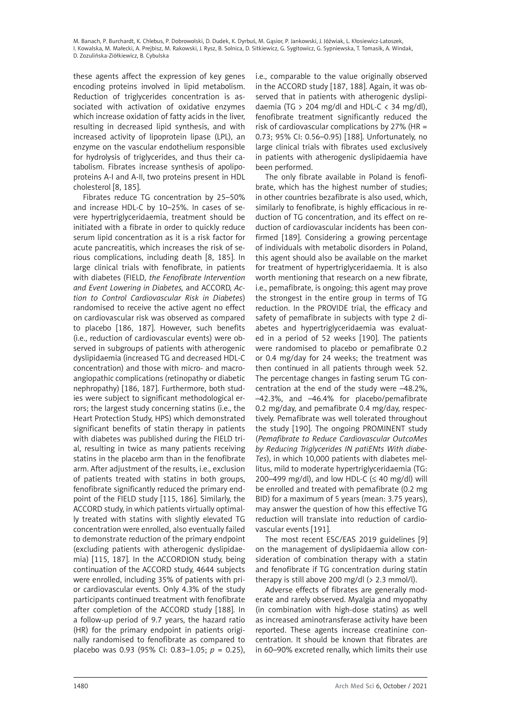these agents affect the expression of key genes encoding proteins involved in lipid metabolism. Reduction of triglycerides concentration is associated with activation of oxidative enzymes which increase oxidation of fatty acids in the liver, resulting in decreased lipid synthesis, and with increased activity of lipoprotein lipase (LPL), an enzyme on the vascular endothelium responsible for hydrolysis of triglycerides, and thus their catabolism. Fibrates increase synthesis of apolipoproteins A-I and A-II, two proteins present in HDL cholesterol [8, 185].

Fibrates reduce TG concentration by 25–50% and increase HDL-C by 10–25%. In cases of severe hypertriglyceridaemia, treatment should be initiated with a fibrate in order to quickly reduce serum lipid concentration as it is a risk factor for acute pancreatitis, which increases the risk of serious complications, including death [8, 185]. In large clinical trials with fenofibrate, in patients with diabetes (FIELD*, the Fenofibrate Intervention and Event Lowering in Diabetes,* and ACCORD, *Action to Control Cardiovascular Risk in Diabetes*) randomised to receive the active agent no effect on cardiovascular risk was observed as compared to placebo [186, 187]. However, such benefits (i.e., reduction of cardiovascular events) were observed in subgroups of patients with atherogenic dyslipidaemia (increased TG and decreased HDL-C concentration) and those with micro- and macroangiopathic complications (retinopathy or diabetic nephropathy) [186, 187]. Furthermore, both studies were subject to significant methodological errors; the largest study concerning statins (i.e., the Heart Protection Study, HPS) which demonstrated significant benefits of statin therapy in patients with diabetes was published during the FIELD trial, resulting in twice as many patients receiving statins in the placebo arm than in the fenofibrate arm. After adjustment of the results, i.e., exclusion of patients treated with statins in both groups, fenofibrate significantly reduced the primary endpoint of the FIELD study [115, 186]. Similarly, the ACCORD study, in which patients virtually optimally treated with statins with slightly elevated TG concentration were enrolled, also eventually failed to demonstrate reduction of the primary endpoint (excluding patients with atherogenic dyslipidaemia) [115, 187]. In the ACCORDION study, being continuation of the ACCORD study, 4644 subjects were enrolled, including 35% of patients with prior cardiovascular events. Only 4.3% of the study participants continued treatment with fenofibrate after completion of the ACCORD study [188]. In a follow-up period of 9.7 years, the hazard ratio (HR) for the primary endpoint in patients originally randomised to fenofibrate as compared to placebo was 0.93 (95% CI: 0.83–1.05; *p* = 0.25), i.e., comparable to the value originally observed in the ACCORD study [187, 188]. Again, it was observed that in patients with atherogenic dyslipidaemia (TG  $> 204$  mg/dl and HDL-C  $< 34$  mg/dl), fenofibrate treatment significantly reduced the risk of cardiovascular complications by 27% (HR = 0.73; 95% CI: 0.56–0.95) [188]. Unfortunately, no large clinical trials with fibrates used exclusively in patients with atherogenic dyslipidaemia have been performed.

The only fibrate available in Poland is fenofibrate, which has the highest number of studies; in other countries bezafibrate is also used, which, similarly to fenofibrate, is highly efficacious in reduction of TG concentration, and its effect on reduction of cardiovascular incidents has been confirmed [189]. Considering a growing percentage of individuals with metabolic disorders in Poland, this agent should also be available on the market for treatment of hypertriglyceridaemia. It is also worth mentioning that research on a new fibrate, i.e., pemafibrate, is ongoing; this agent may prove the strongest in the entire group in terms of TG reduction. In the PROVIDE trial, the efficacy and safety of pemafibrate in subjects with type 2 diabetes and hypertriglyceridaemia was evaluated in a period of 52 weeks [190]. The patients were randomised to placebo or pemafibrate 0.2 or 0.4 mg/day for 24 weeks; the treatment was then continued in all patients through week 52. The percentage changes in fasting serum TG concentration at the end of the study were –48.2%, –42.3%, and –46.4% for placebo/pemafibrate 0.2 mg/day, and pemafibrate 0.4 mg/day, respectively. Pemafibrate was well tolerated throughout the study [190]. The ongoing PROMINENT study (*Pemafibrate to Reduce Cardiovascular OutcoMes by Reducing Triglycerides IN patiENts With diabe-Tes*), in which 10,000 patients with diabetes mellitus, mild to moderate hypertriglyceridaemia (TG: 200–499 mg/dl), and low HDL-C ( $\leq$  40 mg/dl) will be enrolled and treated with pemafibrate (0.2 mg BID) for a maximum of 5 years (mean: 3.75 years), may answer the question of how this effective TG reduction will translate into reduction of cardiovascular events [191].

The most recent ESC/EAS 2019 guidelines [9] on the management of dyslipidaemia allow consideration of combination therapy with a statin and fenofibrate if TG concentration during statin therapy is still above 200 mg/dl (> 2.3 mmol/l).

Adverse effects of fibrates are generally moderate and rarely observed. Myalgia and myopathy (in combination with high-dose statins) as well as increased aminotransferase activity have been reported. These agents increase creatinine concentration. It should be known that fibrates are in 60–90% excreted renally, which limits their use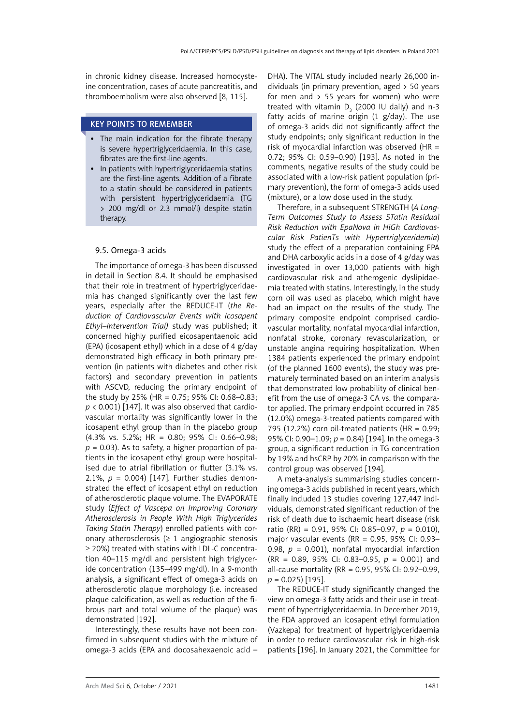<span id="page-34-0"></span>in chronic kidney disease. Increased homocysteine concentration, cases of acute pancreatitis, and thromboembolism were also observed [8, 115].

### KEY POINTS TO REMEMBER

- The main indication for the fibrate therapy is severe hypertriglyceridaemia. In this case, fibrates are the first-line agents.
- In patients with hypertriglyceridaemia statins are the first-line agents. Addition of a fibrate to a statin should be considered in patients with persistent hypertriglyceridaemia (TG > 200 mg/dl or 2.3 mmol/l) despite statin therapy.

# 9.5. Omega-3 acids

The importance of omega-3 has been discussed in detail in Section 8.4. It should be emphasised that their role in treatment of hypertriglyceridaemia has changed significantly over the last few years, especially after the REDUCE-IT (*the Reduction of Cardiovascular Events with Icosapent Ethyl–Intervention Trial)* study was published; it concerned highly purified eicosapentaenoic acid (EPA) (icosapent ethyl) which in a dose of 4 g/day demonstrated high efficacy in both primary prevention (in patients with diabetes and other risk factors) and secondary prevention in patients with ASCVD, reducing the primary endpoint of the study by 25% (HR = 0.75; 95% CI: 0.68–0.83;  $p$  < 0.001) [147]. It was also observed that cardiovascular mortality was significantly lower in the icosapent ethyl group than in the placebo group (4.3% vs. 5.2%; HR = 0.80; 95% CI: 0.66–0.98;  $p = 0.03$ ). As to safety, a higher proportion of patients in the icosapent ethyl group were hospitalised due to atrial fibrillation or flutter (3.1% vs. 2.1%,  $p = 0.004$ ) [147]. Further studies demonstrated the effect of icosapent ethyl on reduction of atherosclerotic plaque volume. The EVAPORATE study (*Effect of Vascepa on Improving Coronary Atherosclerosis in People With High Triglycerides Taking Statin Therapy*) enrolled patients with coronary atherosclerosis ( $\geq 1$  angiographic stenosis ≥ 20%) treated with statins with LDL-C concentration 40–115 mg/dl and persistent high triglyceride concentration (135–499 mg/dl). In a 9-month analysis, a significant effect of omega-3 acids on atherosclerotic plaque morphology (i.e. increased plaque calcification, as well as reduction of the fibrous part and total volume of the plaque) was demonstrated [192].

Interestingly, these results have not been confirmed in subsequent studies with the mixture of omega-3 acids (EPA and docosahexaenoic acid –

DHA). The VITAL study included nearly 26,000 individuals (in primary prevention, aged > 50 years for men and  $> 55$  years for women) who were treated with vitamin  $D_3$  (2000 IU daily) and n-3 fatty acids of marine origin  $(1 \text{ g}/\text{day})$ . The use of omega-3 acids did not significantly affect the study endpoints; only significant reduction in the risk of myocardial infarction was observed ( $HR =$ 0.72; 95% CI: 0.59–0.90) [193]. As noted in the comments, negative results of the study could be associated with a low-risk patient population (primary prevention), the form of omega-3 acids used (mixture), or a low dose used in the study.

Therefore, in a subsequent STRENGTH (*A Long-Term Outcomes Study to Assess STatin Residual Risk Reduction with EpaNova in HiGh Cardiovascular Risk PatienTs with Hypertriglyceridemia*) study the effect of a preparation containing EPA and DHA carboxylic acids in a dose of 4 g/day was investigated in over 13,000 patients with high cardiovascular risk and atherogenic dyslipidaemia treated with statins. Interestingly, in the study corn oil was used as placebo, which might have had an impact on the results of the study. The primary composite endpoint comprised cardiovascular mortality, nonfatal myocardial infarction, nonfatal stroke, coronary revascularization, or unstable angina requiring hospitalization. When 1384 patients experienced the primary endpoint (of the planned 1600 events), the study was prematurely terminated based on an interim analysis that demonstrated low probability of clinical benefit from the use of omega-3 CA vs. the comparator applied. The primary endpoint occurred in 785 (12.0%) omega-3-treated patients compared with 795 (12.2%) corn oil-treated patients (HR =  $0.99$ ; 95% CI: 0.90–1.09; *p* = 0.84) [194]. In the omega-3 group, a significant reduction in TG concentration by 19% and hsCRP by 20% in comparison with the control group was observed [194].

A meta-analysis summarising studies concerning omega-3 acids published in recent years, which finally included 13 studies covering 127,447 individuals, demonstrated significant reduction of the risk of death due to ischaemic heart disease (risk ratio (RR) = 0.91, 95% CI: 0.85–0.97, *p* = 0.010), major vascular events (RR =  $0.95$ ,  $95\%$  CI:  $0.93-$ 0.98,  $p = 0.001$ ), nonfatal myocardial infarction (RR = 0.89, 95% CI: 0.83–0.95, *p* = 0.001) and all-cause mortality (RR = 0.95, 95% CI: 0.92–0.99, *p* = 0.025) [195].

The REDUCE-IT study significantly changed the view on omega-3 fatty acids and their use in treatment of hypertriglyceridaemia. In December 2019, the FDA approved an icosapent ethyl formulation (Vazkepa) for treatment of hypertriglyceridaemia in order to reduce cardiovascular risk in high-risk patients [196]. In January 2021, the Committee for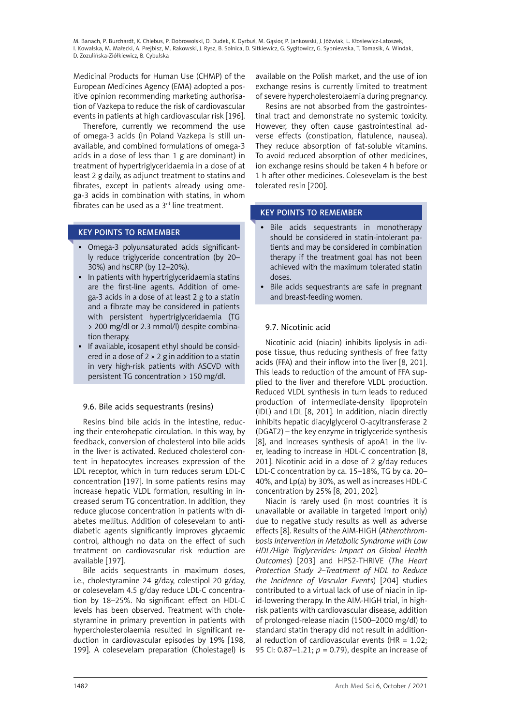<span id="page-35-0"></span>Medicinal Products for Human Use (CHMP) of the European Medicines Agency (EMA) adopted a positive opinion recommending marketing authorisation of Vazkepa to reduce the risk of cardiovascular events in patients at high cardiovascular risk [196].

Therefore, currently we recommend the use of omega-3 acids (in Poland Vazkepa is still unavailable, and combined formulations of omega-3 acids in a dose of less than 1 g are dominant) in treatment of hypertriglyceridaemia in a dose of at least 2 g daily, as adjunct treatment to statins and fibrates, except in patients already using omega-3 acids in combination with statins, in whom fibrates can be used as a  $3<sup>rd</sup>$  line treatment.

# KEY POINTS TO REMEMBER

- • Omega-3 polyunsaturated acids significantly reduce triglyceride concentration (by 20– 30%) and hsCRP (by 12–20%).
- In patients with hypertriglyceridaemia statins are the first-line agents. Addition of omega-3 acids in a dose of at least 2 g to a statin and a fibrate may be considered in patients with persistent hypertriglyceridaemia (TG > 200 mg/dl or 2.3 mmol/l) despite combination therapy.
- If available, icosapent ethyl should be considered in a dose of  $2 \times 2$  g in addition to a statin in very high-risk patients with ASCVD with persistent TG concentration > 150 mg/dl.

# 9.6. Bile acids sequestrants (resins)

Resins bind bile acids in the intestine, reducing their enterohepatic circulation. In this way, by feedback, conversion of cholesterol into bile acids in the liver is activated. Reduced cholesterol content in hepatocytes increases expression of the LDL receptor, which in turn reduces serum LDL-C concentration [197]. In some patients resins may increase hepatic VLDL formation, resulting in increased serum TG concentration. In addition, they reduce glucose concentration in patients with diabetes mellitus. Addition of colesevelam to antidiabetic agents significantly improves glycaemic control, although no data on the effect of such treatment on cardiovascular risk reduction are available [197].

Bile acids sequestrants in maximum doses, i.e., cholestyramine 24 g/day, colestipol 20 g/day, or colesevelam 4.5 g/day reduce LDL-C concentration by 18–25%. No significant effect on HDL-C levels has been observed. Treatment with cholestyramine in primary prevention in patients with hypercholesterolaemia resulted in significant reduction in cardiovascular episodes by 19% [198, 199]. A colesevelam preparation (Cholestagel) is

available on the Polish market, and the use of ion exchange resins is currently limited to treatment of severe hypercholesterolaemia during pregnancy.

Resins are not absorbed from the gastrointestinal tract and demonstrate no systemic toxicity. However, they often cause gastrointestinal adverse effects (constipation, flatulence, nausea). They reduce absorption of fat-soluble vitamins. To avoid reduced absorption of other medicines, ion exchange resins should be taken 4 h before or 1 h after other medicines. Colesevelam is the best tolerated resin [200].

# KEY POINTS TO REMEMBER

- • Bile acids sequestrants in monotherapy should be considered in statin-intolerant patients and may be considered in combination therapy if the treatment goal has not been achieved with the maximum tolerated statin doses.
- Bile acids sequestrants are safe in pregnant and breast-feeding women.

# 9.7. Nicotinic acid

Nicotinic acid (niacin) inhibits lipolysis in adipose tissue, thus reducing synthesis of free fatty acids (FFA) and their inflow into the liver [8, 201]. This leads to reduction of the amount of FFA supplied to the liver and therefore VLDL production. Reduced VLDL synthesis in turn leads to reduced production of intermediate-density lipoprotein (IDL) and LDL [8, 201]. In addition, niacin directly inhibits hepatic diacylglycerol O-acyltransferase 2 (DGAT2) – the key enzyme in triglyceride synthesis [8], and increases synthesis of apoA1 in the liver, leading to increase in HDL-C concentration [8, 201]. Nicotinic acid in a dose of 2 g/day reduces LDL-C concentration by ca. 15–18%, TG by ca. 20– 40%, and Lp(a) by 30%, as well as increases HDL-C concentration by 25% [8, 201, 202].

Niacin is rarely used (in most countries it is unavailable or available in targeted import only) due to negative study results as well as adverse effects [8]. Results of the AIM-HIGH (*Atherothrombosis Intervention in Metabolic Syndrome with Low HDL/High Triglycerides: Impact on Global Health Outcomes*) [203] and HPS2-THRIVE (*The Heart Protection Study 2–Treatment of HDL to Reduce the Incidence of Vascular Events*) [204] studies contributed to a virtual lack of use of niacin in lipid-lowering therapy. In the AIM-HIGH trial, in highrisk patients with cardiovascular disease, addition of prolonged-release niacin (1500–2000 mg/dl) to standard statin therapy did not result in additional reduction of cardiovascular events  $(HR = 1.02$ ; 95 CI: 0.87–1.21; *p* = 0.79), despite an increase of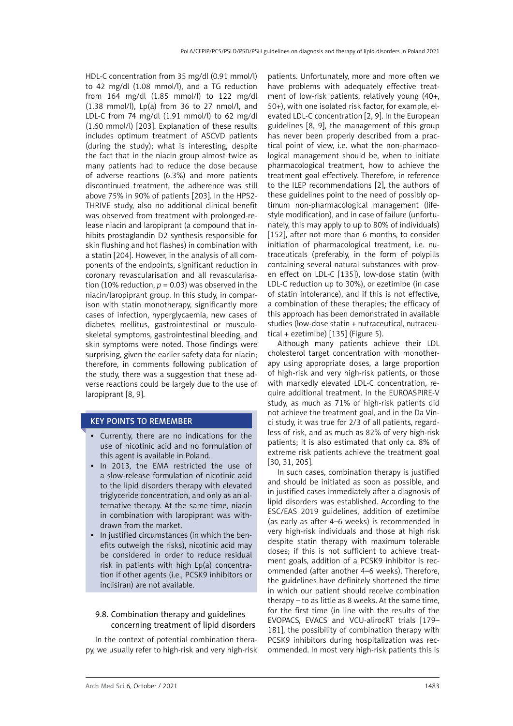HDL-C concentration from 35 mg/dl (0.91 mmol/l) to 42 mg/dl (1.08 mmol/l), and a TG reduction from 164 mg/dl (1.85 mmol/l) to 122 mg/dl  $(1.38 \text{ mmol/l})$ , Lp $(a)$  from 36 to 27 nmol/l, and LDL-C from 74 mg/dl (1.91 mmol/l) to 62 mg/dl (1.60 mmol/l) [203]. Explanation of these results includes optimum treatment of ASCVD patients (during the study); what is interesting, despite the fact that in the niacin group almost twice as many patients had to reduce the dose because of adverse reactions (6.3%) and more patients discontinued treatment, the adherence was still above 75% in 90% of patients [203]. In the HPS2- THRIVE study, also no additional clinical benefit was observed from treatment with prolonged-release niacin and laropiprant (a compound that inhibits prostaglandin D2 synthesis responsible for skin flushing and hot flashes) in combination with a statin [204]. However, in the analysis of all components of the endpoints, significant reduction in coronary revascularisation and all revascularisation (10% reduction,  $p = 0.03$ ) was observed in the niacin/laropiprant group. In this study, in comparison with statin monotherapy, significantly more cases of infection, hyperglycaemia, new cases of diabetes mellitus, gastrointestinal or musculoskeletal symptoms, gastrointestinal bleeding, and skin symptoms were noted. Those findings were surprising, given the earlier safety data for niacin; therefore, in comments following publication of the study, there was a suggestion that these adverse reactions could be largely due to the use of laropiprant [8, 9].

# KEY POINTS TO REMEMBER

- • Currently, there are no indications for the use of nicotinic acid and no formulation of this agent is available in Poland.
- In 2013, the EMA restricted the use of a slow-release formulation of nicotinic acid to the lipid disorders therapy with elevated triglyceride concentration, and only as an alternative therapy. At the same time, niacin in combination with laropiprant was withdrawn from the market.
- • In justified circumstances (in which the benefits outweigh the risks), nicotinic acid may be considered in order to reduce residual risk in patients with high Lp(a) concentration if other agents (i.e., PCSK9 inhibitors or inclisiran) are not available.

### 9.8. Combination therapy and guidelines concerning treatment of lipid disorders

In the context of potential combination therapy, we usually refer to high-risk and very high-risk

patients. Unfortunately, more and more often we have problems with adequately effective treatment of low-risk patients, relatively young (40+, 50+), with one isolated risk factor, for example, elevated LDL-C concentration [2, 9]. In the European guidelines [8, 9], the management of this group has never been properly described from a practical point of view, i.e. what the non-pharmacological management should be, when to initiate pharmacological treatment, how to achieve the treatment goal effectively. Therefore, in reference to the ILEP recommendations [2], the authors of these guidelines point to the need of possibly optimum non-pharmacological management (lifestyle modification), and in case of failure (unfortunately, this may apply to up to 80% of individuals) [152], after not more than 6 months, to consider initiation of pharmacological treatment, i.e. nutraceuticals (preferably, in the form of polypills containing several natural substances with proven effect on LDL-C [135]), low-dose statin (with LDL-C reduction up to 30%), or ezetimibe (in case of statin intolerance), and if this is not effective, a combination of these therapies; the efficacy of this approach has been demonstrated in available studies (low-dose statin + nutraceutical, nutraceutical + ezetimibe) [135] (Figure 5).

Although many patients achieve their LDL cholesterol target concentration with monotherapy using appropriate doses, a large proportion of high-risk and very high-risk patients, or those with markedly elevated LDL-C concentration, require additional treatment. In the EUROASPIRE-V study, as much as 71% of high-risk patients did not achieve the treatment goal, and in the Da Vinci study, it was true for 2/3 of all patients, regardless of risk, and as much as 82% of very high-risk patients; it is also estimated that only ca. 8% of extreme risk patients achieve the treatment goal [30, 31, 205].

In such cases, combination therapy is justified and should be initiated as soon as possible, and in justified cases immediately after a diagnosis of lipid disorders was established. According to the ESC/EAS 2019 guidelines, addition of ezetimibe (as early as after 4–6 weeks) is recommended in very high-risk individuals and those at high risk despite statin therapy with maximum tolerable doses; if this is not sufficient to achieve treatment goals, addition of a PCSK9 inhibitor is recommended (after another 4–6 weeks). Therefore, the guidelines have definitely shortened the time in which our patient should receive combination therapy – to as little as 8 weeks. At the same time, for the first time (in line with the results of the EVOPACS, EVACS and VCU-alirocRT trials [179– 181], the possibility of combination therapy with PCSK9 inhibitors during hospitalization was recommended. In most very high-risk patients this is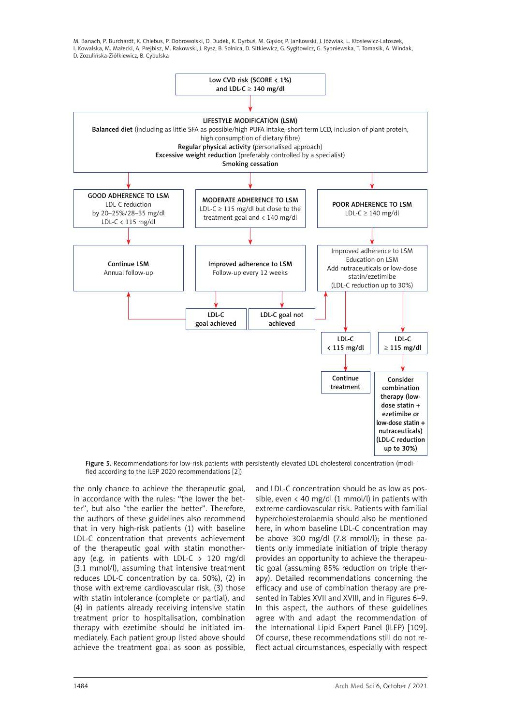

Figure 5. Recommendations for low-risk patients with persistently elevated LDL cholesterol concentration (modified according to the ILEP 2020 recommendations [2])

the only chance to achieve the therapeutic goal, in accordance with the rules: "the lower the better", but also "the earlier the better". Therefore, the authors of these guidelines also recommend that in very high-risk patients (1) with baseline LDL-C concentration that prevents achievement of the therapeutic goal with statin monotherapy (e.g. in patients with LDL-C  $>$  120 mg/dl (3.1 mmol/l), assuming that intensive treatment reduces LDL-C concentration by ca. 50%), (2) in those with extreme cardiovascular risk, (3) those with statin intolerance (complete or partial), and (4) in patients already receiving intensive statin treatment prior to hospitalisation, combination therapy with ezetimibe should be initiated immediately. Each patient group listed above should achieve the treatment goal as soon as possible,

and LDL-C concentration should be as low as possible, even  $\langle$  40 mg/dl (1 mmol/l) in patients with extreme cardiovascular risk. Patients with familial hypercholesterolaemia should also be mentioned here, in whom baseline LDL-C concentration may be above 300 mg/dl (7.8 mmol/l); in these patients only immediate initiation of triple therapy provides an opportunity to achieve the therapeutic goal (assuming 85% reduction on triple therapy). Detailed recommendations concerning the efficacy and use of combination therapy are presented in Tables XVII and XVIII, and in Figures 6–9. In this aspect, the authors of these guidelines agree with and adapt the recommendation of the International Lipid Expert Panel (ILEP) [109]. Of course, these recommendations still do not reflect actual circumstances, especially with respect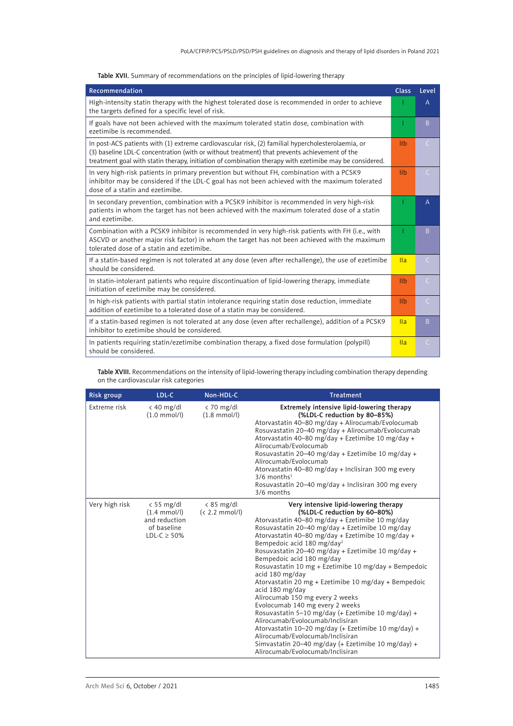|  |  | Table XVII. Summary of recommendations on the principles of lipid-lowering therapy |  |  |  |  |
|--|--|------------------------------------------------------------------------------------|--|--|--|--|
|--|--|------------------------------------------------------------------------------------|--|--|--|--|

| Recommendation                                                                                                                                                                                                                                                                                                | <b>Class</b>    | Level          |
|---------------------------------------------------------------------------------------------------------------------------------------------------------------------------------------------------------------------------------------------------------------------------------------------------------------|-----------------|----------------|
| High-intensity statin therapy with the highest tolerated dose is recommended in order to achieve<br>the targets defined for a specific level of risk.                                                                                                                                                         |                 | $\overline{A}$ |
| If goals have not been achieved with the maximum tolerated statin dose, combination with<br>ezetimibe is recommended.                                                                                                                                                                                         |                 | B.             |
| In post-ACS patients with (1) extreme cardiovascular risk, (2) familial hypercholesterolaemia, or<br>(3) baseline LDL-C concentration (with or without treatment) that prevents achievement of the<br>treatment goal with statin therapy, initiation of combination therapy with ezetimibe may be considered. | I <sub>II</sub> | $\mathsf{C}$   |
| In very high-risk patients in primary prevention but without FH, combination with a PCSK9<br>inhibitor may be considered if the LDL-C goal has not been achieved with the maximum tolerated<br>dose of a statin and ezetimibe.                                                                                | I <sub>1</sub>  | $\subset$      |
| In secondary prevention, combination with a PCSK9 inhibitor is recommended in very high-risk<br>patients in whom the target has not been achieved with the maximum tolerated dose of a statin<br>and ezetimibe.                                                                                               |                 | $\overline{A}$ |
| Combination with a PCSK9 inhibitor is recommended in very high-risk patients with FH (i.e., with<br>ASCVD or another major risk factor) in whom the target has not been achieved with the maximum<br>tolerated dose of a statin and ezetimibe.                                                                |                 | B.             |
| If a statin-based regimen is not tolerated at any dose (even after rechallenge), the use of ezetimibe<br>should be considered.                                                                                                                                                                                | IIa             | $\mathsf{C}$   |
| In statin-intolerant patients who require discontinuation of lipid-lowering therapy, immediate<br>initiation of ezetimibe may be considered.                                                                                                                                                                  | I <sub>II</sub> | $\mathsf{C}$   |
| In high-risk patients with partial statin intolerance requiring statin dose reduction, immediate<br>addition of ezetimibe to a tolerated dose of a statin may be considered.                                                                                                                                  | I <sub>1</sub>  | $\mathsf{C}$   |
| If a statin-based regimen is not tolerated at any dose (even after rechallenge), addition of a PCSK9<br>inhibitor to ezetimibe should be considered.                                                                                                                                                          | IIa             | B              |
| In patients requiring statin/ezetimibe combination therapy, a fixed dose formulation (polypill)<br>should be considered.                                                                                                                                                                                      | IIa             | $\mathsf{C}$   |

Table XVIII. Recommendations on the intensity of lipid-lowering therapy including combination therapy depending on the cardiovascular risk categories

| <b>Risk group</b> | LDL-C                                                                                      | Non-HDL-C                              | <b>Treatment</b>                                                                                                                                                                                                                                                                                                                                                                                                                                                                                                                                                                                                                                                                                                                                                                                                                                                        |
|-------------------|--------------------------------------------------------------------------------------------|----------------------------------------|-------------------------------------------------------------------------------------------------------------------------------------------------------------------------------------------------------------------------------------------------------------------------------------------------------------------------------------------------------------------------------------------------------------------------------------------------------------------------------------------------------------------------------------------------------------------------------------------------------------------------------------------------------------------------------------------------------------------------------------------------------------------------------------------------------------------------------------------------------------------------|
| Extreme risk      | $<$ 40 mg/dl<br>$(1.0 \text{ mmol/l})$                                                     | $< 70$ mg/dl<br>$(1.8 \text{ mmol/l})$ | Extremely intensive lipid-lowering therapy<br>(%LDL-C reduction by 80-85%)<br>Atorvastatin 40-80 mg/day + Alirocumab/Evolocumab<br>Rosuvastatin 20–40 mg/day + Alirocumab/Evolocumab<br>Atorvastatin 40-80 mg/day + Ezetimibe 10 mg/day +<br>Alirocumab/Evolocumab<br>Rosuvastatin 20–40 mg/day + Ezetimibe 10 mg/day +<br>Alirocumab/Evolocumab<br>Atorvastatin 40–80 mg/day + Inclisiran 300 mg every<br>$3/6$ months <sup>1</sup><br>Rosuvastatin 20–40 mg/day + Inclisiran 300 mg every<br>3/6 months                                                                                                                                                                                                                                                                                                                                                               |
| Very high risk    | $<$ 55 mg/dl<br>$(1.4 \text{ mmol/l})$<br>and reduction<br>of baseline<br>LDL-C $\geq$ 50% | $< 85$ mg/dl<br>$(< 2.2$ mmol/l)       | Very intensive lipid-lowering therapy<br>(%LDL-C reduction by 60-80%)<br>Atorvastatin 40–80 mg/day + Ezetimibe 10 mg/day<br>Rosuvastatin 20–40 mg/day + Ezetimibe 10 mg/day<br>Atorvastatin 40–80 mg/day + Ezetimibe 10 mg/day +<br>Bempedoic acid 180 mg/day <sup>2</sup><br>Rosuvastatin 20-40 mg/day + Ezetimibe 10 mg/day +<br>Bempedoic acid 180 mg/day<br>Rosuvastatin 10 mg + Ezetimibe 10 mg/day + Bempedoic<br>acid 180 mg/day<br>Atorvastatin 20 mg + Ezetimibe 10 mg/day + Bempedoic<br>acid 180 mg/day<br>Alirocumab 150 mg every 2 weeks<br>Evolocumab 140 mg every 2 weeks<br>Rosuvastatin 5–10 mg/day (+ Ezetimibe 10 mg/day) +<br>Alirocumab/Evolocumab/Inclisiran<br>Atorvastatin 10-20 mg/day (+ Ezetimibe 10 mg/day) +<br>Alirocumab/Evolocumab/Inclisiran<br>Simvastatin 20–40 mg/day (+ Ezetimibe 10 mg/day) +<br>Alirocumab/Evolocumab/Inclisiran |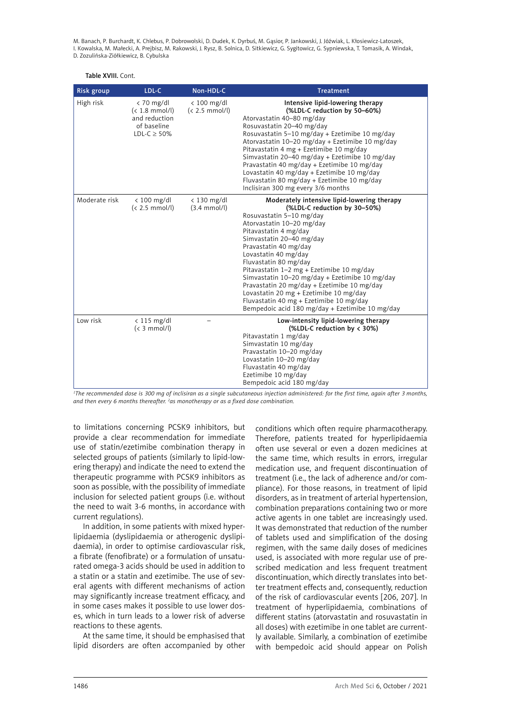#### Table XVIII. Cont.

| <b>Risk group</b> | LDL-C                                                                                | Non-HDL-C                               | <b>Treatment</b>                                                                                                                                                                                                                                                                                                                                                                                                                                                                                                                                          |
|-------------------|--------------------------------------------------------------------------------------|-----------------------------------------|-----------------------------------------------------------------------------------------------------------------------------------------------------------------------------------------------------------------------------------------------------------------------------------------------------------------------------------------------------------------------------------------------------------------------------------------------------------------------------------------------------------------------------------------------------------|
| High risk         | $< 70$ mg/dl<br>$(< 1.8$ mmol/l)<br>and reduction<br>of baseline<br>LDL-C $\geq$ 50% | $< 100$ mg/dl<br>$(< 2.5$ mmol/l)       | Intensive lipid-lowering therapy<br>(%LDL-C reduction by 50-60%)<br>Atorvastatin 40-80 mg/day<br>Rosuvastatin 20-40 mg/day<br>Rosuvastatin 5-10 mg/day + Ezetimibe 10 mg/day<br>Atorvastatin 10-20 mg/day + Ezetimibe 10 mg/day<br>Pitavastatin 4 mg + Ezetimibe 10 mg/day<br>Simvastatin 20-40 mg/day + Ezetimibe 10 mg/day<br>Pravastatin 40 mg/day + Ezetimibe 10 mg/day<br>Lovastatin 40 mg/day + Ezetimibe 10 mg/day<br>Fluvastatin 80 mg/day + Ezetimibe 10 mg/day<br>Inclisiran 300 mg every 3/6 months                                            |
| Moderate risk     | $< 100$ mg/dl<br>$(< 2.5$ mmol/l)                                                    | $<$ 130 mg/dl<br>$(3.4 \text{ mmol/l})$ | Moderately intensive lipid-lowering therapy<br>(%LDL-C reduction by 30-50%)<br>Rosuvastatin 5-10 mg/day<br>Atorvastatin 10-20 mg/day<br>Pitavastatin 4 mg/day<br>Simvastatin 20-40 mg/day<br>Pravastatin 40 mg/day<br>Lovastatin 40 mg/day<br>Fluvastatin 80 mg/day<br>Pitavastatin 1-2 mg + Ezetimibe 10 mg/day<br>Simvastatin 10-20 mg/day + Ezetimibe 10 mg/day<br>Pravastatin 20 mg/day + Ezetimibe 10 mg/day<br>Lovastatin 20 mg + Ezetimibe 10 mg/day<br>Fluvastatin 40 mg + Ezetimibe 10 mg/day<br>Bempedoic acid 180 mg/day + Ezetimibe 10 mg/day |
| Low risk          | $< 115$ mg/dl<br>$(3 \text{ mmol/l})$                                                |                                         | Low-intensity lipid-lowering therapy<br>(%LDL-C reduction by $\langle 30\% \rangle$<br>Pitavastatin 1 mg/day<br>Simvastatin 10 mg/day<br>Pravastatin 10-20 mg/day<br>Lovastatin 10-20 mg/day<br>Fluvastatin 40 mg/day<br>Ezetimibe 10 mg/day<br>Bempedoic acid 180 mg/day                                                                                                                                                                                                                                                                                 |

*1 The recommended dose is 300 mg of inclisiran as a single subcutaneous injection administered: for the first time, again after 3 months, and then every 6 months thereafter. 2 as monotherapy or as a fixed dose combination.* 

to limitations concerning PCSK9 inhibitors, but provide a clear recommendation for immediate use of statin/ezetimibe combination therapy in selected groups of patients (similarly to lipid-lowering therapy) and indicate the need to extend the therapeutic programme with PCSK9 inhibitors as soon as possible, with the possibility of immediate inclusion for selected patient groups (i.e. without the need to wait 3-6 months, in accordance with current regulations).

In addition, in some patients with mixed hyperlipidaemia (dyslipidaemia or atherogenic dyslipidaemia), in order to optimise cardiovascular risk, a fibrate (fenofibrate) or a formulation of unsaturated omega-3 acids should be used in addition to a statin or a statin and ezetimibe. The use of several agents with different mechanisms of action may significantly increase treatment efficacy, and in some cases makes it possible to use lower doses, which in turn leads to a lower risk of adverse reactions to these agents.

At the same time, it should be emphasised that lipid disorders are often accompanied by other

conditions which often require pharmacotherapy. Therefore, patients treated for hyperlipidaemia often use several or even a dozen medicines at the same time, which results in errors, irregular medication use, and frequent discontinuation of treatment (i.e., the lack of adherence and/or compliance). For those reasons, in treatment of lipid disorders, as in treatment of arterial hypertension, combination preparations containing two or more active agents in one tablet are increasingly used. It was demonstrated that reduction of the number of tablets used and simplification of the dosing regimen, with the same daily doses of medicines used, is associated with more regular use of prescribed medication and less frequent treatment discontinuation, which directly translates into better treatment effects and, consequently, reduction of the risk of cardiovascular events [206, 207]. In treatment of hyperlipidaemia, combinations of different statins (atorvastatin and rosuvastatin in all doses) with ezetimibe in one tablet are currently available. Similarly, a combination of ezetimibe with bempedoic acid should appear on Polish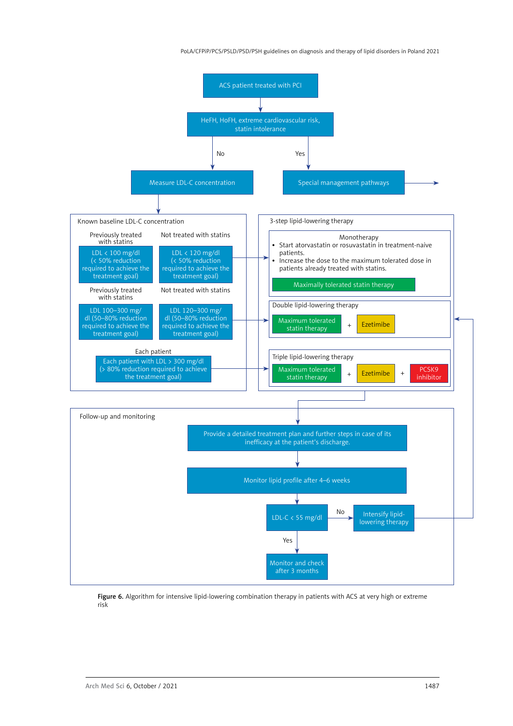PoLA/CFPiP/PCS/PSLD/PSD/PSH guidelines on diagnosis and therapy of lipid disorders in Poland 2021



Figure 6. Algorithm for intensive lipid-lowering combination therapy in patients with ACS at very high or extreme risk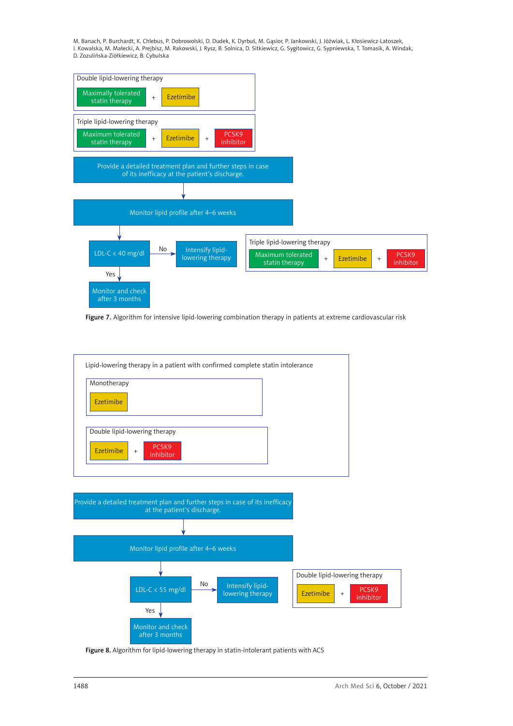

Figure 7. Algorithm for intensive lipid-lowering combination therapy in patients at extreme cardiovascular risk



Figure 8. Algorithm for lipid-lowering therapy in statin-intolerant patients with ACS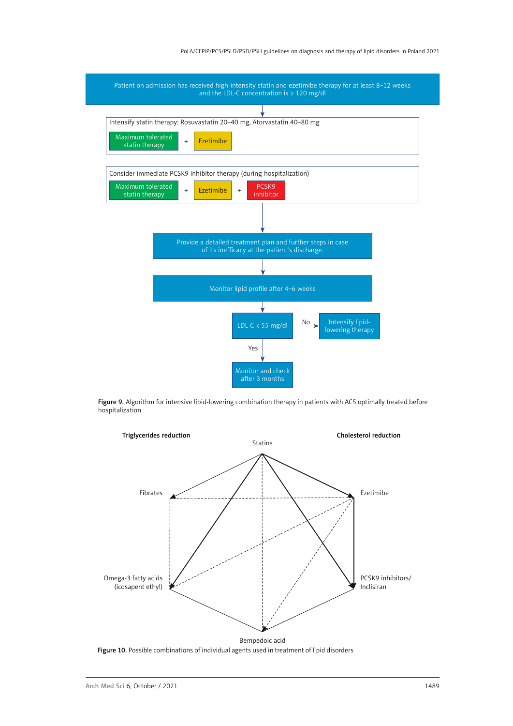#### PoLA/CFPiP/PCS/PSLD/PSD/PSH guidelines on diagnosis and therapy of lipid disorders in Poland 2021



Figure 9. Algorithm for intensive lipid-lowering combination therapy in patients with ACS optimally treated before hospitalization



Figure 10. Possible combinations of individual agents used in treatment of lipid disorders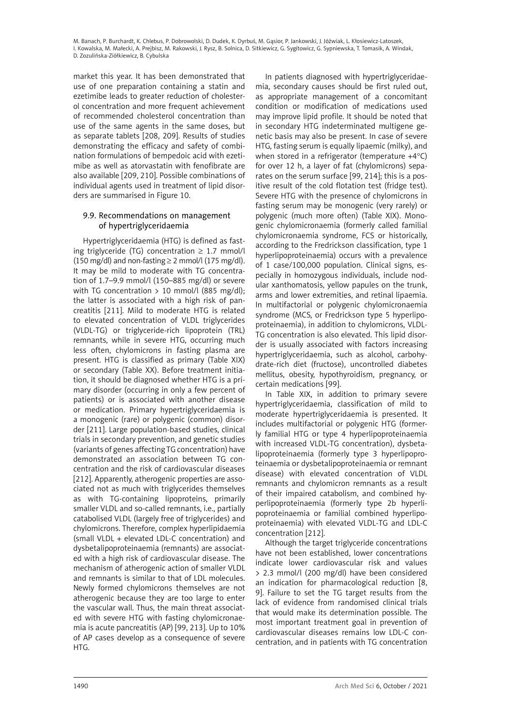market this year. It has been demonstrated that use of one preparation containing a statin and ezetimibe leads to greater reduction of cholesterol concentration and more frequent achievement of recommended cholesterol concentration than use of the same agents in the same doses, but as separate tablets [208, 209]. Results of studies demonstrating the efficacy and safety of combination formulations of bempedoic acid with ezetimibe as well as atorvastatin with fenofibrate are also available [209, 210]. Possible combinations of individual agents used in treatment of lipid disorders are summarised in Figure 10.

#### 9.9. Recommendations on management of hypertriglyceridaemia

Hypertriglyceridaemia (HTG) is defined as fasting triglyceride (TG) concentration  $\geq 1.7$  mmol/l (150 mg/dl) and non-fasting  $\geq$  2 mmol/l (175 mg/dl). It may be mild to moderate with TG concentration of 1.7–9.9 mmol/l (150–885 mg/dl) or severe with TG concentration  $> 10$  mmol/l (885 mg/dl); the latter is associated with a high risk of pancreatitis [211]. Mild to moderate HTG is related to elevated concentration of VLDL triglycerides (VLDL-TG) or triglyceride-rich lipoprotein (TRL) remnants, while in severe HTG, occurring much less often, chylomicrons in fasting plasma are present. HTG is classified as primary (Table XIX) or secondary (Table XX). Before treatment initiation, it should be diagnosed whether HTG is a primary disorder (occurring in only a few percent of patients) or is associated with another disease or medication. Primary hypertriglyceridaemia is a monogenic (rare) or polygenic (common) disorder [211]. Large population-based studies, clinical trials in secondary prevention, and genetic studies (variants of genes affecting TG concentration) have demonstrated an association between TG concentration and the risk of cardiovascular diseases [212]. Apparently, atherogenic properties are associated not as much with triglycerides themselves as with TG-containing lipoproteins, primarily smaller VLDL and so-called remnants, i.e., partially catabolised VLDL (largely free of triglycerides) and chylomicrons. Therefore, complex hyperlipidaemia (small VLDL + elevated LDL-C concentration) and dysbetalipoproteinaemia (remnants) are associated with a high risk of cardiovascular disease. The mechanism of atherogenic action of smaller VLDL and remnants is similar to that of LDL molecules. Newly formed chylomicrons themselves are not atherogenic because they are too large to enter the vascular wall. Thus, the main threat associated with severe HTG with fasting chylomicronaemia is acute pancreatitis (AP) [99, 213]. Up to 10% of AP cases develop as a consequence of severe HTG.

In patients diagnosed with hypertriglyceridaemia, secondary causes should be first ruled out, as appropriate management of a concomitant condition or modification of medications used may improve lipid profile. It should be noted that in secondary HTG indeterminated multigene genetic basis may also be present. In case of severe HTG, fasting serum is equally lipaemic (milky), and when stored in a refrigerator (temperature +4°C) for over 12 h, a layer of fat (chylomicrons) separates on the serum surface [99, 214]; this is a positive result of the cold flotation test (fridge test). Severe HTG with the presence of chylomicrons in fasting serum may be monogenic (very rarely) or polygenic (much more often) (Table XIX). Monogenic chylomicronaemia (formerly called familial chylomicronaemia syndrome, FCS or historically, according to the Fredrickson classification, type 1 hyperlipoproteinaemia) occurs with a prevalence of 1 case/100,000 population. Clinical signs, especially in homozygous individuals, include nodular xanthomatosis, yellow papules on the trunk, arms and lower extremities, and retinal lipaemia. In multifactorial or polygenic chylomicronaemia syndrome (MCS, or Fredrickson type 5 hyperlipoproteinaemia), in addition to chylomicrons, VLDL-TG concentration is also elevated. This lipid disorder is usually associated with factors increasing hypertriglyceridaemia, such as alcohol, carbohydrate-rich diet (fructose), uncontrolled diabetes mellitus, obesity, hypothyroidism, pregnancy, or certain medications [99].

In Table XIX, in addition to primary severe hypertriglyceridaemia, classification of mild to moderate hypertriglyceridaemia is presented. It includes multifactorial or polygenic HTG (formerly familial HTG or type 4 hyperlipoproteinaemia with increased VLDL-TG concentration), dysbetalipoproteinaemia (formerly type 3 hyperlipoproteinaemia or dysbetalipoproteinaemia or remnant disease) with elevated concentration of VLDL remnants and chylomicron remnants as a result of their impaired catabolism, and combined hyperlipoproteinaemia (formerly type 2b hyperlipoproteinaemia or familial combined hyperlipoproteinaemia) with elevated VLDL-TG and LDL-C concentration [212].

Although the target triglyceride concentrations have not been established, lower concentrations indicate lower cardiovascular risk and values > 2.3 mmol/l (200 mg/dl) have been considered an indication for pharmacological reduction [8, 9]. Failure to set the TG target results from the lack of evidence from randomised clinical trials that would make its determination possible. The most important treatment goal in prevention of cardiovascular diseases remains low LDL-C concentration, and in patients with TG concentration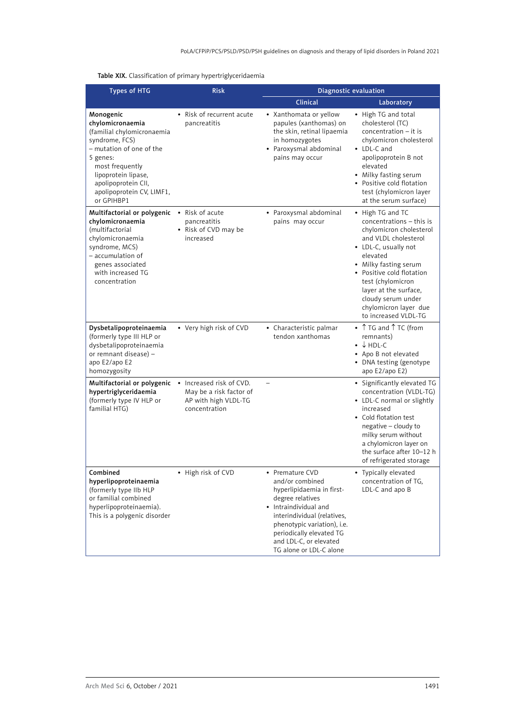# Table XIX. Classification of primary hypertriglyceridaemia

| <b>Types of HTG</b>                                                                                                                                                                                                               | <b>Risk</b>                                                                                  |                                                                                                                                                                                                                                                             | <b>Diagnostic evaluation</b>                                                                                                                                                                                                                                                                                   |
|-----------------------------------------------------------------------------------------------------------------------------------------------------------------------------------------------------------------------------------|----------------------------------------------------------------------------------------------|-------------------------------------------------------------------------------------------------------------------------------------------------------------------------------------------------------------------------------------------------------------|----------------------------------------------------------------------------------------------------------------------------------------------------------------------------------------------------------------------------------------------------------------------------------------------------------------|
|                                                                                                                                                                                                                                   |                                                                                              | Clinical                                                                                                                                                                                                                                                    | Laboratory                                                                                                                                                                                                                                                                                                     |
| Monogenic<br>chylomicronaemia<br>(familial chylomicronaemia<br>syndrome, FCS)<br>- mutation of one of the<br>5 genes:<br>most frequently<br>lipoprotein lipase,<br>apolipoprotein CII,<br>apolipoprotein CV, LIMF1,<br>or GPIHBP1 | • Risk of recurrent acute<br>pancreatitis                                                    | • Xanthomata or yellow<br>papules (xanthomas) on<br>the skin, retinal lipaemia<br>in homozygotes<br>• Paroxysmal abdominal<br>pains may occur                                                                                                               | • High TG and total<br>cholesterol (TC)<br>$concentration - it$ is<br>chylomicron cholesterol<br>• LDL-C and<br>apolipoprotein B not<br>elevated<br>• Milky fasting serum<br>• Positive cold flotation<br>test (chylomicron layer<br>at the serum surface)                                                     |
| Multifactorial or polygenic<br>chylomicronaemia<br>(multifactorial<br>chylomicronaemia<br>syndrome, MCS)<br>$-$ accumulation of<br>genes associated<br>with increased TG<br>concentration                                         | • Risk of acute<br>pancreatitis<br>• Risk of CVD may be<br>increased                         | • Paroxysmal abdominal<br>pains may occur                                                                                                                                                                                                                   | • High TG and TC<br>concentrations - this is<br>chylomicron cholesterol<br>and VLDL cholesterol<br>• LDL-C, usually not<br>elevated<br>• Milky fasting serum<br>• Positive cold flotation<br>test (chylomicron<br>layer at the surface,<br>cloudy serum under<br>chylomicron layer due<br>to increased VLDL-TG |
| Dysbetalipoproteinaemia<br>(formerly type III HLP or<br>dysbetalipoproteinaemia<br>or remnant disease) -<br>apo E2/apo E2<br>homozygosity                                                                                         | • Very high risk of CVD                                                                      | • Characteristic palmar<br>tendon xanthomas                                                                                                                                                                                                                 | • TG and T TC (from<br>remnants)<br>$\bullet$ $\downarrow$ HDL-C<br>• Apo B not elevated<br>• DNA testing (genotype<br>apo E2/apo E2)                                                                                                                                                                          |
| Multifactorial or polygenic<br>hypertriglyceridaemia<br>(formerly type IV HLP or<br>familial HTG)                                                                                                                                 | • Increased risk of CVD.<br>May be a risk factor of<br>AP with high VLDL-TG<br>concentration |                                                                                                                                                                                                                                                             | • Significantly elevated TG<br>concentration (VLDL-TG)<br>• LDL-C normal or slightly<br>increased<br>• Cold flotation test<br>negative - cloudy to<br>milky serum without<br>a chylomicron layer on<br>the surface after 10-12 h<br>of refrigerated storage                                                    |
| Combined<br>hyperlipoproteinaemia<br>(formerly type IIb HLP<br>or familial combined<br>hyperlipoproteinaemia).<br>This is a polygenic disorder                                                                                    | • High risk of CVD                                                                           | • Premature CVD<br>and/or combined<br>hyperlipidaemia in first-<br>degree relatives<br>• Intraindividual and<br>interindividual (relatives,<br>phenotypic variation), i.e.<br>periodically elevated TG<br>and LDL-C, or elevated<br>TG alone or LDL-C alone | • Typically elevated<br>concentration of TG,<br>LDL-C and apo B                                                                                                                                                                                                                                                |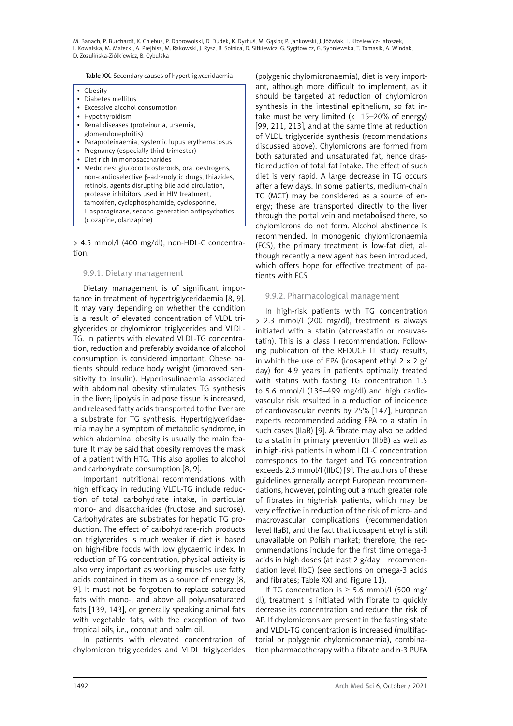Table XX. Secondary causes of hypertriglyceridaemia

- • Obesity
- • Diabetes mellitus
- • Excessive alcohol consumption
- Hypothyroidism
- • Renal diseases (proteinuria, uraemia,
- glomerulonephritis)
- Paraproteinaemia, systemic lupus erythematosus
- Pregnancy (especially third trimester)
- • Diet rich in monosaccharides
- • Medicines: glucocorticosteroids, oral oestrogens, non-cardioselective b-adrenolytic drugs, thiazides, retinols, agents disrupting bile acid circulation, protease inhibitors used in HIV treatment, tamoxifen, cyclophosphamide, cyclosporine, L-asparaginase, second-generation antipsychotics (clozapine, olanzapine)

> 4.5 mmol/l (400 mg/dl), non-HDL-C concentration.

#### 9.9.1. Dietary management

Dietary management is of significant importance in treatment of hypertriglyceridaemia [8, 9]. It may vary depending on whether the condition is a result of elevated concentration of VLDL triglycerides or chylomicron triglycerides and VLDL-TG. In patients with elevated VLDL-TG concentration, reduction and preferably avoidance of alcohol consumption is considered important. Obese patients should reduce body weight (improved sensitivity to insulin). Hyperinsulinaemia associated with abdominal obesity stimulates TG synthesis in the liver; lipolysis in adipose tissue is increased, and released fatty acids transported to the liver are a substrate for TG synthesis. Hypertriglyceridaemia may be a symptom of metabolic syndrome, in which abdominal obesity is usually the main feature. It may be said that obesity removes the mask of a patient with HTG. This also applies to alcohol and carbohydrate consumption [8, 9].

Important nutritional recommendations with high efficacy in reducing VLDL-TG include reduction of total carbohydrate intake, in particular mono- and disaccharides (fructose and sucrose). Carbohydrates are substrates for hepatic TG production. The effect of carbohydrate-rich products on triglycerides is much weaker if diet is based on high-fibre foods with low glycaemic index. In reduction of TG concentration, physical activity is also very important as working muscles use fatty acids contained in them as a source of energy [8, 9]. It must not be forgotten to replace saturated fats with mono-, and above all polyunsaturated fats [139, 143], or generally speaking animal fats with vegetable fats, with the exception of two tropical oils, i.e., coconut and palm oil.

In patients with elevated concentration of chylomicron triglycerides and VLDL triglycerides

(polygenic chylomicronaemia), diet is very important, although more difficult to implement, as it should be targeted at reduction of chylomicron synthesis in the intestinal epithelium, so fat intake must be very limited  $($  15–20% of energy) [99, 211, 213], and at the same time at reduction of VLDL triglyceride synthesis (recommendations discussed above). Chylomicrons are formed from both saturated and unsaturated fat, hence drastic reduction of total fat intake. The effect of such diet is very rapid. A large decrease in TG occurs after a few days. In some patients, medium-chain TG (MCT) may be considered as a source of energy; these are transported directly to the liver through the portal vein and metabolised there, so chylomicrons do not form. Alcohol abstinence is recommended. In monogenic chylomicronaemia (FCS), the primary treatment is low-fat diet, although recently a new agent has been introduced, which offers hope for effective treatment of patients with FCS.

### 9.9.2. Pharmacological management

In high-risk patients with TG concentration > 2.3 mmol/l (200 mg/dl), treatment is always initiated with a statin (atorvastatin or rosuvastatin). This is a class I recommendation. Following publication of the REDUCE IT study results, in which the use of EPA (icosapent ethyl  $2 \times 2$  g/ day) for 4.9 years in patients optimally treated with statins with fasting TG concentration 1.5 to 5.6 mmol/l (135–499 mg/dl) and high cardiovascular risk resulted in a reduction of incidence of cardiovascular events by 25% [147], European experts recommended adding EPA to a statin in such cases (IIaB) [9]. A fibrate may also be added to a statin in primary prevention (IIbB) as well as in high-risk patients in whom LDL-C concentration corresponds to the target and TG concentration exceeds 2.3 mmol/l (IIbC) [9]. The authors of these guidelines generally accept European recommendations, however, pointing out a much greater role of fibrates in high-risk patients, which may be very effective in reduction of the risk of micro- and macrovascular complications (recommendation level IIaB), and the fact that icosapent ethyl is still unavailable on Polish market; therefore, the recommendations include for the first time omega-3 acids in high doses (at least 2 g/day – recommendation level IIbC) (see sections on omega-3 acids and fibrates; Table XXI and Figure 11).

If TG concentration is  $\geq$  5.6 mmol/l (500 mg/ dl), treatment is initiated with fibrate to quickly decrease its concentration and reduce the risk of AP. If chylomicrons are present in the fasting state and VLDL-TG concentration is increased (multifactorial or polygenic chylomicronaemia), combination pharmacotherapy with a fibrate and n-3 PUFA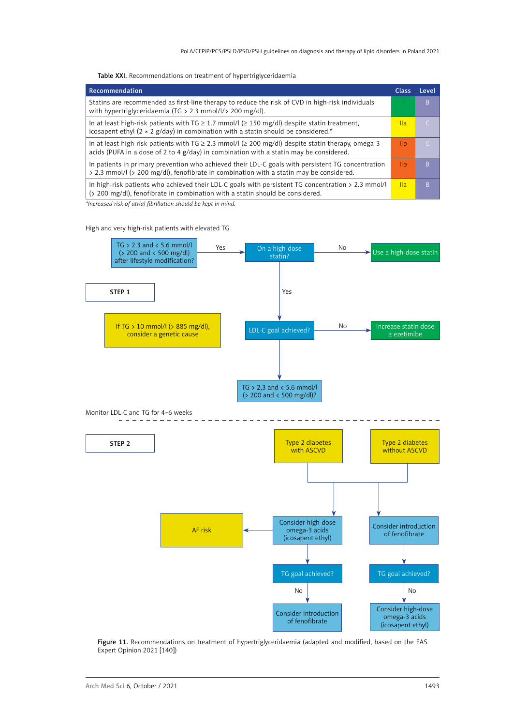Table XXI. Recommendations on treatment of hypertriglyceridaemia

| Recommendation                                                                                                                                                                                         | <b>Class</b>    | Level     |
|--------------------------------------------------------------------------------------------------------------------------------------------------------------------------------------------------------|-----------------|-----------|
| Statins are recommended as first-line therapy to reduce the risk of CVD in high-risk individuals<br>with hypertriglyceridaemia (TG > 2.3 mmol/l/> 200 mg/dl).                                          |                 | B.        |
| In at least high-risk patients with TG $\geq$ 1.7 mmol/l ( $\geq$ 150 mg/dl) despite statin treatment,<br>icosapent ethyl ( $2 \times 2$ g/day) in combination with a statin should be considered.*    | $\mathsf{IIa}$  | C         |
| In at least high-risk patients with TG $\geq$ 2.3 mmol/l ( $\geq$ 200 mg/dl) despite statin therapy, omega-3<br>acids (PUFA in a dose of 2 to 4 g/day) in combination with a statin may be considered. | 11 <sub>b</sub> | $\subset$ |
| In patients in primary prevention who achieved their LDL-C goals with persistent TG concentration<br>> 2.3 mmol/l (> 200 mg/dl), fenofibrate in combination with a statin may be considered.           | <u>IIb</u>      | B         |
| In high-risk patients who achieved their LDL-C goals with persistent TG concentration $> 2.3$ mmol/l<br>(> 200 mg/dl), fenofibrate in combination with a statin should be considered.                  | <b>Ila</b>      | B.        |

*\*Increased risk of atrial fibrillation should be kept in mind.* 

#### High and very high-risk patients with elevated TG



Figure 11. Recommendations on treatment of hypertriglyceridaemia (adapted and modified, based on the EAS Expert Opinion 2021 [140])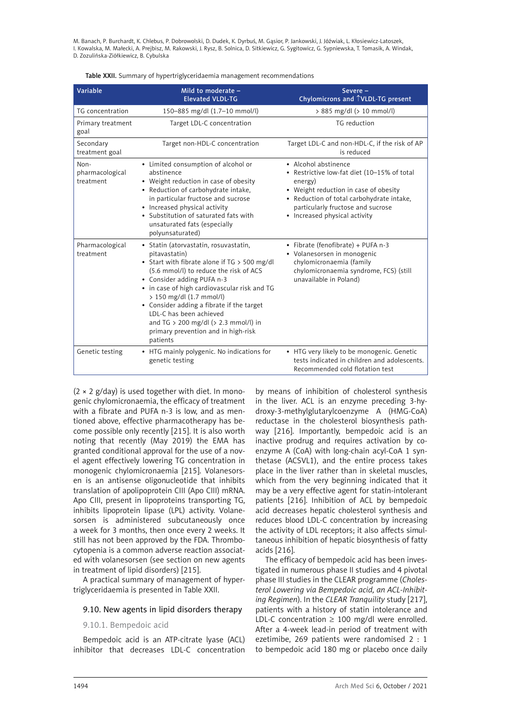Table XXII. Summary of hypertriglyceridaemia management recommendations

| Variable                             | Mild to moderate -<br><b>Elevated VLDL-TG</b>                                                                                                                                                                                                                                                                                                                                                                                      | Severe-<br>Chylomicrons and TVLDL-TG present                                                                                                                                                                                               |
|--------------------------------------|------------------------------------------------------------------------------------------------------------------------------------------------------------------------------------------------------------------------------------------------------------------------------------------------------------------------------------------------------------------------------------------------------------------------------------|--------------------------------------------------------------------------------------------------------------------------------------------------------------------------------------------------------------------------------------------|
| TG concentration                     | 150-885 mg/dl (1.7-10 mmol/l)                                                                                                                                                                                                                                                                                                                                                                                                      | > 885 mg/dl (> 10 mmol/l)                                                                                                                                                                                                                  |
| Primary treatment<br>goal            | Target LDL-C concentration                                                                                                                                                                                                                                                                                                                                                                                                         | TG reduction                                                                                                                                                                                                                               |
| Secondary<br>treatment goal          | Target non-HDL-C concentration                                                                                                                                                                                                                                                                                                                                                                                                     | Target LDL-C and non-HDL-C, if the risk of AP<br>is reduced                                                                                                                                                                                |
| Non-<br>pharmacological<br>treatment | • Limited consumption of alcohol or<br>abstinence<br>• Weight reduction in case of obesity<br>• Reduction of carbohydrate intake,<br>in particular fructose and sucrose<br>• Increased physical activity<br>• Substitution of saturated fats with<br>unsaturated fats (especially<br>polyunsaturated)                                                                                                                              | • Alcohol abstinence<br>• Restrictive low-fat diet (10-15% of total<br>energy)<br>• Weight reduction in case of obesity<br>• Reduction of total carbohydrate intake,<br>particularly fructose and sucrose<br>• Increased physical activity |
| Pharmacological<br>treatment         | • Statin (atorvastatin, rosuvastatin,<br>pitavastatin)<br>• Start with fibrate alone if TG > 500 mg/dl<br>(5.6 mmol/l) to reduce the risk of ACS<br>• Consider adding PUFA n-3<br>• in case of high cardiovascular risk and TG<br>> 150 mg/dl (1.7 mmol/l)<br>• Consider adding a fibrate if the target<br>LDL-C has been achieved<br>and TG $> 200$ mg/dl ( $> 2.3$ mmol/l) in<br>primary prevention and in high-risk<br>patients | • Fibrate (fenofibrate) + PUFA n-3<br>• Volanesorsen in monogenic<br>chylomicronaemia (family<br>chylomicronaemia syndrome, FCS) (still<br>unavailable in Poland)                                                                          |
| Genetic testing                      | • HTG mainly polygenic. No indications for<br>genetic testing                                                                                                                                                                                                                                                                                                                                                                      | • HTG very likely to be monogenic. Genetic<br>tests indicated in children and adolescents.<br>Recommended cold flotation test                                                                                                              |

 $(2 \times 2 \text{ g/day})$  is used together with diet. In monogenic chylomicronaemia, the efficacy of treatment with a fibrate and PUFA n-3 is low, and as mentioned above, effective pharmacotherapy has become possible only recently [215]. It is also worth noting that recently (May 2019) the EMA has granted conditional approval for the use of a novel agent effectively lowering TG concentration in monogenic chylomicronaemia [215]. Volanesorsen is an antisense oligonucleotide that inhibits translation of apolipoprotein CIII (Apo CIII) mRNA. Apo CIII, present in lipoproteins transporting TG, inhibits lipoprotein lipase (LPL) activity. Volanesorsen is administered subcutaneously once a week for 3 months, then once every 2 weeks. It still has not been approved by the FDA. Thrombocytopenia is a common adverse reaction associated with volanesorsen (see section on new agents in treatment of lipid disorders) [215].

A practical summary of management of hypertriglyceridaemia is presented in Table XXII.

### 9.10. New agents in lipid disorders therapy

9.10.1. Bempedoic acid

Bempedoic acid is an ATP-citrate lyase (ACL) inhibitor that decreases LDL-C concentration

by means of inhibition of cholesterol synthesis in the liver. ACL is an enzyme preceding 3-hydroxy-3-methylglutarylcoenzyme A (HMG-CoA) reductase in the cholesterol biosynthesis pathway [216]. Importantly, bempedoic acid is an inactive prodrug and requires activation by coenzyme A (CoA) with long-chain acyl-CoA 1 synthetase (ACSVL1), and the entire process takes place in the liver rather than in skeletal muscles, which from the very beginning indicated that it may be a very effective agent for statin-intolerant patients [216]. Inhibition of ACL by bempedoic acid decreases hepatic cholesterol synthesis and reduces blood LDL-C concentration by increasing the activity of LDL receptors; it also affects simultaneous inhibition of hepatic biosynthesis of fatty acids [216].

The efficacy of bempedoic acid has been investigated in numerous phase II studies and 4 pivotal phase III studies in the CLEAR programme (*Cholesterol Lowering via Bempedoic acid, an ACL-Inhibiting Regimen*). In the *CLEAR Tranquility* study [217], patients with a history of statin intolerance and LDL-C concentration  $\geq 100$  mg/dl were enrolled. After a 4-week lead-in period of treatment with ezetimibe, 269 patients were randomised 2 : 1 to bempedoic acid 180 mg or placebo once daily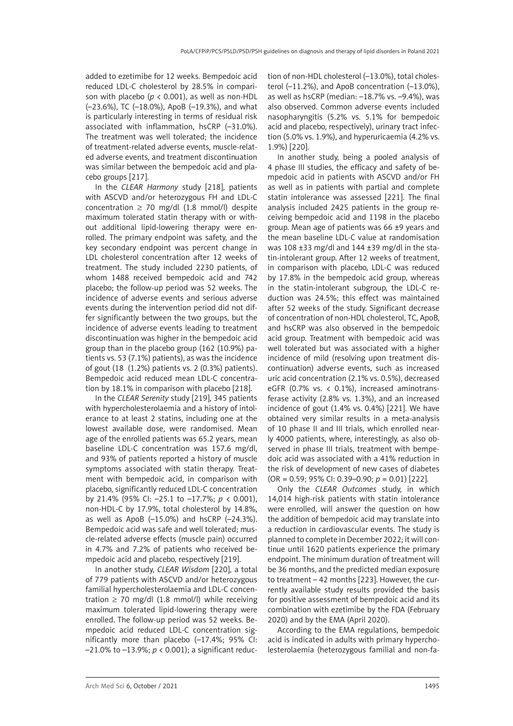added to ezetimibe for 12 weeks. Bempedoic acid reduced LDL-C cholesterol by 28.5% in comparison with placebo ( $p < 0.001$ ), as well as non-HDL (–23.6%), TC (–18.0%), ApoB (–19.3%), and what is particularly interesting in terms of residual risk associated with inflammation, hsCRP (–31.0%). The treatment was well tolerated; the incidence of treatment-related adverse events, muscle-related adverse events, and treatment discontinuation was similar between the bempedoic acid and placebo groups [217].

In the *CLEAR Harmony* study [218], patients with ASCVD and/or heterozygous FH and LDL-C concentration  $\geq$  70 mg/dl (1.8 mmol/l) despite maximum tolerated statin therapy with or without additional lipid-lowering therapy were enrolled. The primary endpoint was safety, and the key secondary endpoint was percent change in LDL cholesterol concentration after 12 weeks of treatment. The study included 2230 patients, of whom 1488 received bempedoic acid and 742 placebo; the follow-up period was 52 weeks. The incidence of adverse events and serious adverse events during the intervention period did not differ significantly between the two groups, but the incidence of adverse events leading to treatment discontinuation was higher in the bempedoic acid group than in the placebo group (162 (10.9%) patients vs. 53 (7.1%) patients), as was the incidence of gout (18 (1.2%) patients vs. 2 (0.3%) patients). Bempedoic acid reduced mean LDL-C concentration by 18.1% in comparison with placebo [218].

In the *CLEAR Serenity* study [219], 345 patients with hypercholesterolaemia and a history of intolerance to at least 2 statins, including one at the lowest available dose, were randomised. Mean age of the enrolled patients was 65.2 years, mean baseline LDL-C concentration was 157.6 mg/dl, and 93% of patients reported a history of muscle symptoms associated with statin therapy. Treatment with bempedoic acid, in comparison with placebo, significantly reduced LDL-C concentration by 21.4% (95% CI: –25.1 to –17.7%; *p* < 0.001), non-HDL-C by 17.9%, total cholesterol by 14.8%, as well as ApoB  $(-15.0%)$  and hsCRP  $(-24.3%).$ Bempedoic acid was safe and well tolerated; muscle-related adverse effects (muscle pain) occurred in 4.7% and 7.2% of patients who received bempedoic acid and placebo, respectively [219].

In another study, *CLEAR Wisdom* [220], a total of 779 patients with ASCVD and/or heterozygous familial hypercholesterolaemia and LDL-C concentration  $\geq$  70 mg/dl (1.8 mmol/l) while receiving maximum tolerated lipid-lowering therapy were enrolled. The follow-up period was 52 weeks. Bempedoic acid reduced LDL-C concentration significantly more than placebo (–17.4%; 95% CI: –21.0% to –13.9%; *p* < 0.001); a significant reduction of non-HDL cholesterol (-13.0%), total cholesterol (–11.2%), and ApoB concentration (–13.0%), as well as hsCRP (median: –18.7% vs. –9.4%), was also observed. Common adverse events included nasopharyngitis (5.2% vs. 5.1% for bempedoic acid and placebo, respectively), urinary tract infection (5.0% vs. 1.9%), and hyperuricaemia (4.2% vs. 1.9%) [220].

In another study, being a pooled analysis of 4 phase III studies, the efficacy and safety of bempedoic acid in patients with ASCVD and/or FH as well as in patients with partial and complete statin intolerance was assessed [221]. The final analysis included 2425 patients in the group receiving bempedoic acid and 1198 in the placebo group. Mean age of patients was 66 ±9 years and the mean baseline LDL-C value at randomisation was 108 ±33 mg/dl and 144 ±39 mg/dl in the statin-intolerant group. After 12 weeks of treatment, in comparison with placebo, LDL-C was reduced by 17.8% in the bempedoic acid group, whereas in the statin-intolerant subgroup, the LDL-C reduction was 24.5%; this effect was maintained after 52 weeks of the study. Significant decrease of concentration of non-HDL cholesterol, TC, ApoB, and hsCRP was also observed in the bempedoic acid group. Treatment with bempedoic acid was well tolerated but was associated with a higher incidence of mild (resolving upon treatment discontinuation) adverse events, such as increased uric acid concentration (2.1% vs. 0.5%), decreased eGFR (0.7% vs. < 0.1%), increased aminotransferase activity (2.8% vs. 1.3%), and an increased incidence of gout (1.4% vs. 0.4%) [221]. We have obtained very similar results in a meta-analysis of 10 phase II and III trials, which enrolled nearly 4000 patients, where, interestingly, as also observed in phase III trials, treatment with bempedoic acid was associated with a 41% reduction in the risk of development of new cases of diabetes (OR = 0.59; 95% CI: 0.39–0.90; *p* = 0.01) [222].

Only the *CLEAR Outcomes* study, in which 14,014 high-risk patients with statin intolerance were enrolled, will answer the question on how the addition of bempedoic acid may translate into a reduction in cardiovascular events. The study is planned to complete in December 2022; it will continue until 1620 patients experience the primary endpoint. The minimum duration of treatment will be 36 months, and the predicted median exposure to treatment – 42 months [223]. However, the currently available study results provided the basis for positive assessment of bempedoic acid and its combination with ezetimibe by the FDA (February 2020) and by the EMA (April 2020).

According to the EMA regulations, bempedoic acid is indicated in adults with primary hypercholesterolaemia (heterozygous familial and non-fa-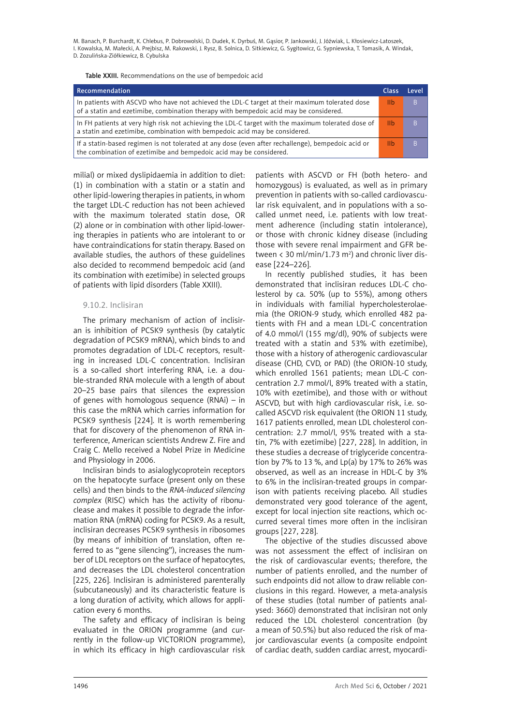Table XXIII. Recommendations on the use of bempedoic acid

| Recommendation                                                                                                                                                                         | Class | l evel |
|----------------------------------------------------------------------------------------------------------------------------------------------------------------------------------------|-------|--------|
| In patients with ASCVD who have not achieved the LDL-C target at their maximum tolerated dose<br>of a statin and ezetimibe, combination therapy with bempedoic acid may be considered. | -lib  | B      |
| In FH patients at very high risk not achieving the LDL-C target with the maximum tolerated dose of<br>a statin and ezetimibe, combination with bempedoic acid may be considered.       | -lib  | B      |
| If a statin-based regimen is not tolerated at any dose (even after rechallenge), bempedoic acid or<br>the combination of ezetimibe and bempedoic acid may be considered.               | 11h   | B      |

milial) or mixed dyslipidaemia in addition to diet: (1) in combination with a statin or a statin and other lipid-lowering therapies in patients, in whom the target LDL-C reduction has not been achieved with the maximum tolerated statin dose, OR (2) alone or in combination with other lipid-lowering therapies in patients who are intolerant to or have contraindications for statin therapy. Based on available studies, the authors of these guidelines also decided to recommend bempedoic acid (and its combination with ezetimibe) in selected groups of patients with lipid disorders (Table XXIII).

#### 9.10.2. Inclisiran

The primary mechanism of action of inclisiran is inhibition of PCSK9 synthesis (by catalytic degradation of PCSK9 mRNA), which binds to and promotes degradation of LDL-C receptors, resulting in increased LDL-C concentration. Inclisiran is a so-called short interfering RNA, i.e. a double-stranded [RNA](https://pl.wikipedia.org/wiki/Kwasy_rybonukleinowe) molecule with a length of about 20–25  [base pairs](https://pl.wikipedia.org/wiki/Para_zasad) that silences the expression of genes with homologous sequence ([RNAi](https://pl.wikipedia.org/wiki/Interferencja_RNA)) – in this case the mRNA which carries information for PCSK9 synthesis [224]. It is worth remembering that for discovery of the phenomenon of RNA interference, American scientists Andrew Z. Fire and Craig C. Mello received a Nobel Prize in Medicine and Physiology in 2006.

Inclisiran binds to asialoglycoprotein receptors on the hepatocyte surface (present only on these cells) and then binds to the *RNA-induced silencing complex* (RISC) which has the activity of ribonuclease and makes it possible to degrade the information RNA (mRNA) coding for PCSK9. As a result, inclisiran decreases PCSK9 synthesis in ribosomes (by means of inhibition of translation, often referred to as "gene silencing"), increases the number of LDL receptors on the surface of hepatocytes, and decreases the LDL cholesterol concentration [225, 226]. Inclisiran is administered parenterally (subcutaneously) and its characteristic feature is a long duration of activity, which allows for application every 6 months.

The safety and efficacy of inclisiran is being evaluated in the ORION programme (and currently in the follow-up VICTORION programme), in which its efficacy in high cardiovascular risk

patients with ASCVD or FH (both hetero- and homozygous) is evaluated, as well as in primary prevention in patients with so-called cardiovascular risk equivalent, and in populations with a socalled unmet need, i.e. patients with low treatment adherence (including statin intolerance), or those with chronic kidney disease (including those with severe renal impairment and GFR between  $\langle 30 \text{ ml/min}/1.73 \text{ m}^2 \rangle$  and chronic liver disease [224–226].

In recently published studies, it has been demonstrated that inclisiran reduces LDL-C cholesterol by ca. 50% (up to 55%), among others in individuals with familial hypercholesterolaemia (the ORION-9 study, which enrolled 482 patients with FH and a mean LDL-C concentration of 4.0 mmol/l (155 mg/dl), 90% of subjects were treated with a statin and 53% with ezetimibe), those with a history of atherogenic cardiovascular disease (CHD, CVD, or PAD) (the ORION-10 study, which enrolled 1561 patients; mean LDL-C concentration 2.7 mmol/l, 89% treated with a statin, 10% with ezetimibe), and those with or without ASCVD, but with high cardiovascular risk, i.e. socalled ASCVD risk equivalent (the ORION 11 study, 1617 patients enrolled, mean LDL cholesterol concentration: 2.7 mmol/l, 95% treated with a statin, 7% with ezetimibe) [227, 228]. In addition, in these studies a decrease of triglyceride concentration by 7% to 13 %, and  $Lp(a)$  by 17% to 26% was observed, as well as an increase in HDL-C by 3% to 6% in the inclisiran-treated groups in comparison with patients receiving placebo. All studies demonstrated very good tolerance of the agent, except for local injection site reactions, which occurred several times more often in the inclisiran groups [227, 228].

The objective of the studies discussed above was not assessment the effect of inclisiran on the risk of cardiovascular events; therefore, the number of patients enrolled, and the number of such endpoints did not allow to draw reliable conclusions in this regard. However, a meta-analysis of these studies (total number of patients analysed: 3660) demonstrated that inclisiran not only reduced the LDL cholesterol concentration (by a mean of 50.5%) but also reduced the risk of major cardiovascular events (a composite endpoint of cardiac death, sudden cardiac arrest, myocardi-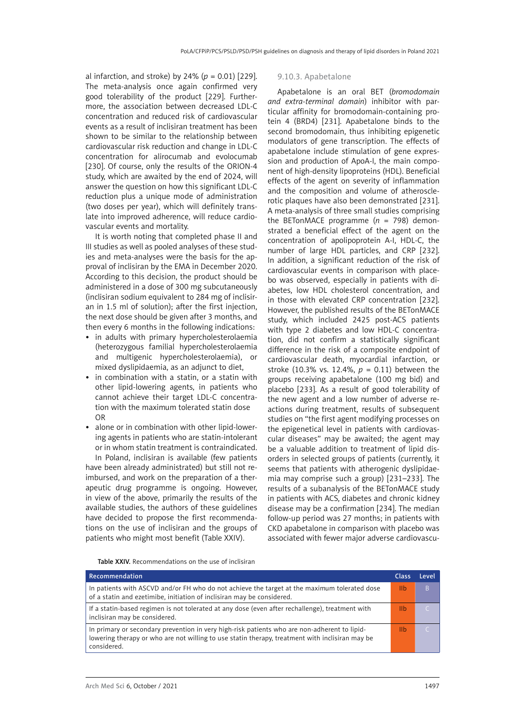al infarction, and stroke) by 24% ( $p = 0.01$ ) [229]. The meta-analysis once again confirmed very good tolerability of the product [229]. Furthermore, the association between decreased LDL-C concentration and reduced risk of cardiovascular events as a result of inclisiran treatment has been shown to be similar to the relationship between cardiovascular risk reduction and change in LDL-C concentration for alirocumab and evolocumab [230]. Of course, only the results of the ORION-4 study, which are awaited by the end of 2024, will answer the question on how this significant LDL-C reduction plus a unique mode of administration (two doses per year), which will definitely translate into improved adherence, will reduce cardiovascular events and mortality.

It is worth noting that completed phase II and III studies as well as pooled analyses of these studies and meta-analyses were the basis for the approval of inclisiran by the EMA in December 2020. According to this decision, the product should be administered in a dose of 300 mg subcutaneously (inclisiran sodium equivalent to 284 mg of inclisiran in 1.5 ml of solution); after the first injection, the next dose should be given after 3 months, and then every 6 months in the following indications:

- in adults with primary hypercholesterolaemia (heterozygous familial hypercholesterolaemia and multigenic hypercholesterolaemia), or mixed dyslipidaemia, as an adjunct to diet,
- in combination with a statin, or a statin with other lipid-lowering agents, in patients who cannot achieve their target LDL-C concentration with the maximum tolerated statin dose OR
- alone or in combination with other lipid-lowering agents in patients who are statin-intolerant or in whom statin treatment is contraindicated.

In Poland, inclisiran is available (few patients have been already administrated) but still not reimbursed, and work on the preparation of a therapeutic drug programme is ongoing. However, in view of the above, primarily the results of the available studies, the authors of these guidelines have decided to propose the first recommendations on the use of inclisiran and the groups of patients who might most benefit (Table XXIV).

#### 9.10.3. Apabetalone

Apabetalone is an oral BET (*bromodomain and extra-terminal domain*) inhibitor with particular affinity for bromodomain-containing protein 4 (BRD4) [231]. Apabetalone binds to the second bromodomain, thus inhibiting epigenetic modulators of gene transcription. The effects of apabetalone include stimulation of gene expression and production of ApoA-I, the main component of high-density lipoproteins (HDL). Beneficial effects of the agent on severity of inflammation and the composition and volume of atherosclerotic plaques have also been demonstrated [231]. A meta-analysis of three small studies comprising the BETonMACE programme  $(n = 798)$  demonstrated a beneficial effect of the agent on the concentration of apolipoprotein A-I, HDL-C, the number of large HDL particles, and CRP [232]. In addition, a significant reduction of the risk of cardiovascular events in comparison with placebo was observed, especially in patients with diabetes, low HDL cholesterol concentration, and in those with elevated CRP concentration [232]. However, the published results of the BETonMACE study, which included 2425 post-ACS patients with type 2 diabetes and low HDL-C concentration, did not confirm a statistically significant difference in the risk of a composite endpoint of cardiovascular death, myocardial infarction, or stroke (10.3% vs. 12.4%,  $p = 0.11$ ) between the groups receiving apabetalone (100 mg bid) and placebo [233]. As a result of good tolerability of the new agent and a low number of adverse reactions during treatment, results of subsequent studies on "the first agent modifying processes on the epigenetical level in patients with cardiovascular diseases" may be awaited; the agent may be a valuable addition to treatment of lipid disorders in selected groups of patients (currently, it seems that patients with atherogenic dyslipidaemia may comprise such a group) [231–233]. The results of a subanalysis of the BETonMACE study in patients with ACS, diabetes and chronic kidney disease may be a confirmation [234]. The median follow-up period was 27 months; in patients with CKD apabetalone in comparison with placebo was associated with fewer major adverse cardiovascu-

Table XXIV. Recommendations on the use of inclisiran

| Recommendation                                                                                                                                                                                                 | <b>Class</b> | l evel |
|----------------------------------------------------------------------------------------------------------------------------------------------------------------------------------------------------------------|--------------|--------|
| In patients with ASCVD and/or FH who do not achieve the target at the maximum tolerated dose<br>of a statin and ezetimibe, initiation of inclisiran may be considered.                                         | IIh          | B      |
| If a statin-based regimen is not tolerated at any dose (even after rechallenge), treatment with<br>inclisiran may be considered.                                                                               | IIb          |        |
| In primary or secondary prevention in very high-risk patients who are non-adherent to lipid-<br>lowering therapy or who are not willing to use statin therapy, treatment with inclisiran may be<br>considered. | Ilh          |        |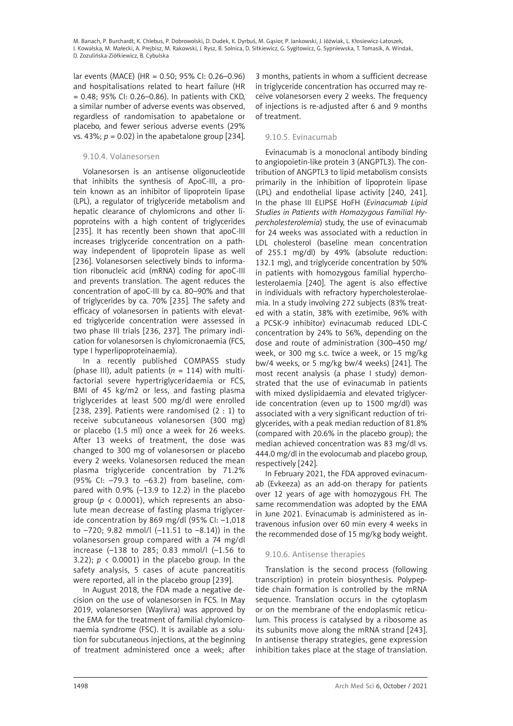lar events (MACE) (HR = 0.50; 95% CI: 0.26–0.96) and hospitalisations related to heart failure (HR = 0.48; 95% CI: 0.26–0.86). In patients with CKD, a similar number of adverse events was observed, regardless of randomisation to apabetalone or placebo, and fewer serious adverse events (29% vs. 43%;  $p = 0.02$ ) in the apabetalone group [234].

### 9.10.4. Volanesorsen

Volanesorsen is an antisense oligonucleotide that inhibits the synthesis of ApoC-III, a protein known as an inhibitor of lipoprotein lipase (LPL), a regulator of triglyceride metabolism and hepatic clearance of chylomicrons and other lipoproteins with a high content of triglycerides [235]. It has recently been shown that apoC-III increases triglyceride concentration on a pathway independent of lipoprotein lipase as well [236]. Volanesorsen selectively binds to information ribonucleic acid (mRNA) coding for apoC-III and prevents translation. The agent reduces the concentration of apoC-III by ca. 80–90% and that of triglycerides by ca. 70% [235]. The safety and efficacy of volanesorsen in patients with elevated triglyceride concentration were assessed in two phase III trials [236, 237]. The primary indication for volanesorsen is chylomicronaemia (FCS, type I hyperlipoproteinaemia).

In a recently published COMPASS study (phase III), adult patients  $(n = 114)$  with multifactorial severe hypertriglyceridaemia or FCS, BMI of 45 kg/m2 or less, and fasting plasma triglycerides at least 500 mg/dl were enrolled [238, 239]. Patients were randomised  $(2 : 1)$  to receive subcutaneous volanesorsen (300 mg) or placebo (1.5 ml) once a week for 26 weeks. After 13 weeks of treatment, the dose was changed to 300 mg of volanesorsen or placebo every 2 weeks. Volanesorsen reduced the mean plasma triglyceride concentration by 71.2% (95% CI: –79.3 to –63.2) from baseline, compared with 0.9% (–13.9 to 12.2) in the placebo group ( $p \lt 0.0001$ ), which represents an absolute mean decrease of fasting plasma triglyceride concentration by 869 mg/dl (95% CI: –1,018 to –720; 9.82 mmol/l (–11.51 to –8.14)) in the volanesorsen group compared with a 74 mg/dl increase (–138 to 285; 0.83 mmol/l (–1.56 to 3.22);  $p \lt 0.0001$  in the placebo group. In the safety analysis, 5 cases of acute pancreatitis were reported, all in the placebo group [239].

In August 2018, the FDA made a negative decision on the use of volanesorsen in FCS. In May 2019, volanesorsen (Waylivra) was approved by the EMA for the treatment of familial chylomicronaemia syndrome (FSC). It is available as a solution for subcutaneous injections, at the beginning of treatment administered once a week; after 3 months, patients in whom a sufficient decrease in triglyceride concentration has occurred may receive volanesorsen every 2 weeks. The frequency of injections is re-adjusted after 6 and 9 months of treatment.

### 9.10.5. Evinacumab

Evinacumab is a monoclonal antibody binding to angiopoietin-like protein 3 (ANGPTL3). The contribution of ANGPTL3 to lipid metabolism consists primarily in the inhibition of lipoprotein lipase (LPL) and endothelial lipase activity [240, 241]. In the phase III ELIPSE HoFH (*Evinacumab Lipid Studies in Patients with Homozygous Familial Hypercholesterolemia*) study, the use of evinacumab for 24 weeks was associated with a reduction in LDL cholesterol (baseline mean concentration of 255.1 mg/dl) by 49% (absolute reduction: 132.1 mg), and triglyceride concentration by 50% in patients with homozygous familial hypercholesterolaemia [240]. The agent is also effective in individuals with refractory hypercholesterolaemia. In a study involving 272 subjects (83% treated with a statin, 38% with ezetimibe, 96% with a PCSK-9 inhibitor) evinacumab reduced LDL-C concentration by 24% to 56%, depending on the dose and route of administration (300–450 mg/ week, or 300 mg s.c. twice a week, or 15 mg/kg bw/4 weeks, or 5 mg/kg bw/4 weeks) [241]. The most recent analysis (a phase I study) demonstrated that the use of evinacumab in patients with mixed dyslipidaemia and elevated triglyceride concentration (even up to 1500 mg/dl) was associated with a very significant reduction of triglycerides, with a peak median reduction of 81.8% (compared with 20.6% in the placebo group); the median achieved concentration was 83 mg/dl vs. 444.0 mg/dl in the evolocumab and placebo group, respectively [242].

In February 2021, the FDA approved evinacumab (Evkeeza) as an add-on therapy for patients over 12 years of age with homozygous FH. The same recommendation was adopted by the EMA in June 2021. Evinacumab is administered as intravenous infusion over 60 min every 4 weeks in the recommended dose of 15 mg/kg body weight.

# 9.10.6. Antisense therapies

Translation is the second process (following transcription) in protein biosynthesis. Polypeptide chain formation is controlled by the mRNA sequence. Translation occurs in the cytoplasm or on the membrane of the endoplasmic reticulum. This process is catalysed by a ribosome as its subunits move along the mRNA strand [243]. In antisense therapy strategies, gene expression inhibition takes place at the stage of translation.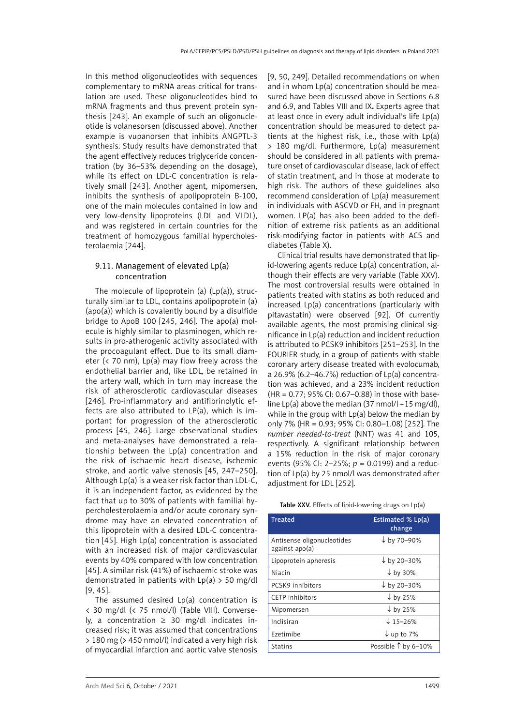In this method oligonucleotides with sequences complementary to mRNA areas critical for translation are used. These oligonucleotides bind to mRNA fragments and thus prevent protein synthesis [243]. An example of such an oligonucleotide is volanesorsen (discussed above). Another example is vupanorsen that inhibits ANGPTL-3 synthesis. Study results have demonstrated that the agent effectively reduces triglyceride concentration (by 36–53% depending on the dosage), while its effect on LDL-C concentration is relatively small [243]. Another agent, mipomersen, inhibits the synthesis of apolipoprotein B-100, one of the main molecules contained in low and very low-density lipoproteins (LDL and VLDL), and was registered in certain countries for the treatment of homozygous familial hypercholesterolaemia [244].

### 9.11. Management of elevated Lp(a) concentration

The molecule of lipoprotein (a)  $(Lp(a))$ , structurally similar to LDL, contains apolipoprotein (a) (apo(a)) which is covalently bound by a disulfide bridge to ApoB 100 [245, 246]. The apo(a) molecule is highly similar to plasminogen, which results in pro-atherogenic activity associated with the procoagulant effect. Due to its small diameter ( $\langle$  70 nm), Lp(a) may flow freely across the endothelial barrier and, like LDL, be retained in the artery wall, which in turn may increase the risk of atherosclerotic cardiovascular diseases [246]. Pro-inflammatory and antifibrinolytic effects are also attributed to LP(a), which is important for progression of the atherosclerotic process [45, 246]. Large observational studies and meta-analyses have demonstrated a relationship between the Lp(a) concentration and the risk of ischaemic heart disease, ischemic stroke, and aortic valve stenosis [45, 247–250]. Although Lp(a) is a weaker risk factor than LDL-C, it is an independent factor, as evidenced by the fact that up to 30% of patients with familial hypercholesterolaemia and/or acute coronary syndrome may have an elevated concentration of this lipoprotein with a desired LDL-C concentration [45]. High Lp(a) concentration is associated with an increased risk of major cardiovascular events by 40% compared with low concentration [45]. A similar risk (41%) of ischaemic stroke was demonstrated in patients with  $Lp(a) > 50$  mg/dl [9, 45].

The assumed desired Lp(a) concentration is < 30 mg/dl (< 75 nmol/l) (Table VIII). Conversely, a concentration  $\geq$  30 mg/dl indicates increased risk; it was assumed that concentrations > 180 mg (> 450 nmol/l) indicated a very high risk of myocardial infarction and aortic valve stenosis [9, 50, 249]. Detailed recommendations on when and in whom Lp(a) concentration should be measured have been discussed above in Sections 6.8 and 6.9, and Tables VIII and IX**.** Experts agree that at least once in every adult individual's life Lp(a) concentration should be measured to detect patients at the highest risk, i.e., those with Lp(a) > 180 mg/dl. Furthermore, Lp(a) measurement should be considered in all patients with premature onset of cardiovascular disease, lack of effect of statin treatment, and in those at moderate to high risk. The authors of these guidelines also recommend consideration of Lp(a) measurement in individuals with ASCVD or FH, and in pregnant women. LP(a) has also been added to the definition of extreme risk patients as an additional risk-modifying factor in patients with ACS and diabetes (Table X).

Clinical trial results have demonstrated that lipid-lowering agents reduce Lp(a) concentration, although their effects are very variable (Table XXV). The most controversial results were obtained in patients treated with statins as both reduced and increased Lp(a) concentrations (particularly with pitavastatin) were observed [92]. Of currently available agents, the most promising clinical significance in Lp(a) reduction and incident reduction is attributed to PCSK9 inhibitors [251–253]. In the FOURIER study, in a group of patients with stable coronary artery disease treated with evolocumab, a 26.9% (6.2–46.7%) reduction of Lp(a) concentration was achieved, and a 23% incident reduction (HR = 0.77; 95% CI: 0.67–0.88) in those with baseline Lp(a) above the median (37 nmol/l  $\sim$ 15 mg/dl), while in the group with Lp(a) below the median by only 7% (HR = 0.93; 95% CI: 0.80–1.08) [252]. The *number needed-to-treat* (NNT) was 41 and 105, respectively. A significant relationship between a 15% reduction in the risk of major coronary events (95% CI: 2–25%; *p* = 0.0199) and a reduction of Lp(a) by 25 nmol/l was demonstrated after adjustment for LDL [252].

Table XXV. Effects of lipid-lowering drugs on Lp(a)

| <b>Treated</b>                               | Estimated % Lp(a)<br>change |
|----------------------------------------------|-----------------------------|
| Antisense oligonucleotides<br>against apo(a) | $\downarrow$ by 70–90%      |
| Lipoprotein apheresis                        | $\downarrow$ by 20-30%      |
| Niacin                                       | $\downarrow$ by 30%         |
| PCSK9 inhibitors                             | $t$ by 20-30%               |
| CETP inhibitors                              | $\downarrow$ by 25%         |
| Mipomersen                                   | $\downarrow$ by 25%         |
| Inclisiran                                   | $\downarrow$ 15-26%         |
| Ezetimibe                                    | $\downarrow$ up to 7%       |
| <b>Statins</b>                               | Possible 1 by 6-10%         |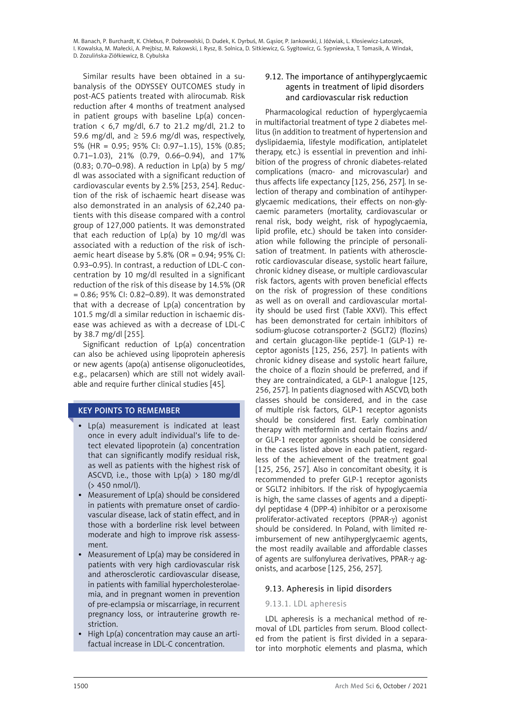Similar results have been obtained in a subanalysis of the ODYSSEY OUTCOMES study in post-ACS patients treated with alirocumab. Risk reduction after 4 months of treatment analysed in patient groups with baseline Lp(a) concentration  $\langle 6, 7 \rangle$  mg/dl, 6.7 to 21.2 mg/dl, 21.2 to 59.6 mg/dl, and  $\geq$  59.6 mg/dl was, respectively, 5% (HR = 0.95; 95% CI: 0.97–1.15), 15% (0.85; 0.71–1.03), 21% (0.79, 0.66–0.94), and 17% (0.83; 0.70–0.98). A reduction in  $Lp(a)$  by 5 mg/ dl was associated with a significant reduction of cardiovascular events by 2.5% [253, 254]. Reduction of the risk of ischaemic heart disease was also demonstrated in an analysis of 62,240 patients with this disease compared with a control group of 127,000 patients. It was demonstrated that each reduction of  $Lp(a)$  by 10 mg/dl was associated with a reduction of the risk of ischaemic heart disease by 5.8% (OR =  $0.94$ ; 95% CI: 0.93–0.95). In contrast, a reduction of LDL-C concentration by 10 mg/dl resulted in a significant reduction of the risk of this disease by 14.5% (OR = 0.86; 95% CI: 0.82–0.89). It was demonstrated that with a decrease of Lp(a) concentration by 101.5 mg/dl a similar reduction in ischaemic disease was achieved as with a decrease of LDL-C by 38.7 mg/dl [255].

Significant reduction of Lp(a) concentration can also be achieved using lipoprotein apheresis or new agents (apo(a) antisense oligonucleotides, e.g., pelacarsen) which are still not widely available and require further clinical studies [45].

# KEY POINTS TO REMEMBER

- • Lp(a) measurement is indicated at least once in every adult individual's life to detect elevated lipoprotein (a) concentration that can significantly modify residual risk, as well as patients with the highest risk of ASCVD, i.e., those with  $Lp(a) > 180$  mg/dl (> 450 nmol/l).
- Measurement of Lp(a) should be considered in patients with premature onset of cardiovascular disease, lack of statin effect, and in those with a borderline risk level between moderate and high to improve risk assessment.
- Measurement of  $Lp(a)$  may be considered in patients with very high cardiovascular risk and atherosclerotic cardiovascular disease, in patients with familial hypercholesterolaemia, and in pregnant women in prevention of pre-eclampsia or miscarriage, in recurrent pregnancy loss, or intrauterine growth restriction.
- High  $Lp(a)$  concentration may cause an artifactual increase in LDL-C concentration.

# 9.12. The importance of antihyperglycaemic agents in treatment of lipid disorders and cardiovascular risk reduction

Pharmacological reduction of hyperglycaemia in multifactorial treatment of type 2 diabetes mellitus (in addition to treatment of hypertension and dyslipidaemia, lifestyle modification, antiplatelet therapy, etc.) is essential in prevention and inhibition of the progress of chronic diabetes-related complications (macro- and microvascular) and thus affects life expectancy [125, 256, 257]. In selection of therapy and combination of antihyperglycaemic medications, their effects on non-glycaemic parameters (mortality, cardiovascular or renal risk, body weight, risk of hypoglycaemia, lipid profile, etc.) should be taken into consideration while following the principle of personalisation of treatment. In patients with atherosclerotic cardiovascular disease, systolic heart failure, chronic kidney disease, or multiple cardiovascular risk factors, agents with proven beneficial effects on the risk of progression of these conditions as well as on overall and cardiovascular mortality should be used first (Table XXVI). This effect has been demonstrated for certain inhibitors of sodium-glucose cotransporter-2 (SGLT2) (flozins) and certain glucagon-like peptide-1 (GLP-1) receptor agonists [125, 256, 257]. In patients with chronic kidney disease and systolic heart failure, the choice of a flozin should be preferred, and if they are contraindicated, a GLP-1 analogue [125, 256, 257]. In patients diagnosed with ASCVD, both classes should be considered, and in the case of multiple risk factors, GLP-1 receptor agonists should be considered first. Early combination therapy with metformin and certain flozins and/ or GLP-1 receptor agonists should be considered in the cases listed above in each patient, regardless of the achievement of the treatment goal [125, 256, 257]. Also in concomitant obesity, it is recommended to prefer GLP-1 receptor agonists or SGLT2 inhibitors. If the risk of hypoglycaemia is high, the same classes of agents and a dipeptidyl peptidase 4 (DPP-4) inhibitor or a peroxisome proliferator-activated receptors (PPAR-y) agonist should be considered. In Poland, with limited reimbursement of new antihyperglycaemic agents, the most readily available and affordable classes of agents are sulfonylurea derivatives, PPAR-g agonists, and acarbose [125, 256, 257].

# 9.13. Apheresis in lipid disorders

### 9.13.1. LDL apheresis

LDL apheresis is a mechanical method of removal of LDL particles from serum. Blood collected from the patient is first divided in a separator into morphotic elements and plasma, which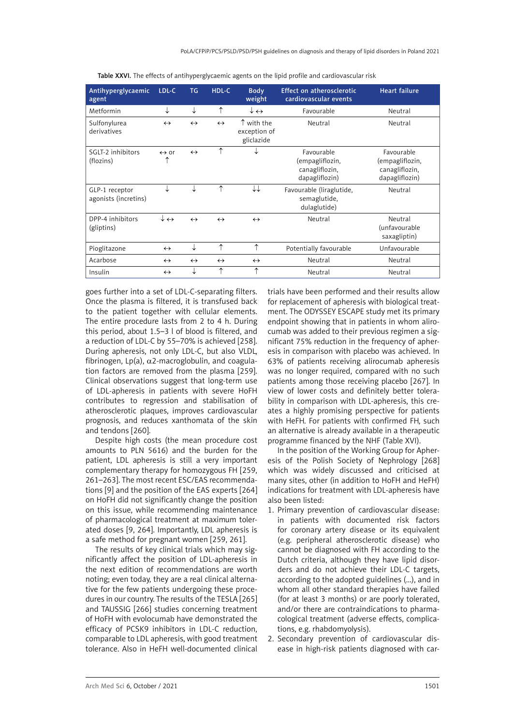| Antihyperglycaemic<br>agent            | LDL-C                          | <b>TG</b>         | HDL-C             | <b>Body</b><br>weight                    | Effect on atherosclerotic<br>cardiovascular events                | <b>Heart failure</b>                                              |
|----------------------------------------|--------------------------------|-------------------|-------------------|------------------------------------------|-------------------------------------------------------------------|-------------------------------------------------------------------|
| Metformin                              | ↓                              | ↓                 | ↑                 | $\downarrow$ $\leftrightarrow$           | Favourable                                                        | Neutral                                                           |
| Sulfonylurea<br>derivatives            | $\leftrightarrow$              | $\leftrightarrow$ | $\leftrightarrow$ | ↑ with the<br>exception of<br>gliclazide | Neutral                                                           | Neutral                                                           |
| SGLT-2 inhibitors<br>(flozins)         | $\leftrightarrow$ or<br>↑      | $\leftrightarrow$ | ↑                 |                                          | Favourable<br>(empagliflozin,<br>canagliflozin,<br>dapagliflozin) | Favourable<br>(empagliflozin,<br>canagliflozin,<br>dapagliflozin) |
| GLP-1 receptor<br>agonists (incretins) | ↓                              | ↓                 | ↑                 | ↓↓                                       | Favourable (liraglutide,<br>semaglutide,<br>dulaglutide)          | Neutral                                                           |
| DPP-4 inhibitors<br>(gliptins)         | $\downarrow$ $\leftrightarrow$ | $\leftrightarrow$ | $\leftrightarrow$ | $\leftrightarrow$                        | Neutral                                                           | Neutral<br>(unfavourable<br>saxagliptin)                          |
| Pioglitazone                           | $\leftrightarrow$              | ↓                 | ↑                 | ↑                                        | Potentially favourable                                            | Unfavourable                                                      |
| Acarbose                               | $\leftrightarrow$              | $\leftrightarrow$ | $\leftrightarrow$ | $\leftrightarrow$                        | Neutral                                                           | Neutral                                                           |
| Insulin                                | $\leftrightarrow$              | ↓                 | ↑                 | ↑                                        | Neutral                                                           | Neutral                                                           |

Table XXVI. The effects of antihyperglycaemic agents on the lipid profile and cardiovascular risk

goes further into a set of LDL-C-separating filters. Once the plasma is filtered, it is transfused back to the patient together with cellular elements. The entire procedure lasts from 2 to 4 h. During this period, about 1.5–3 l of blood is filtered, and a reduction of LDL-C by 55–70% is achieved [258]. During apheresis, not only LDL-C, but also VLDL, fibrinogen, Lp(a),  $\alpha$ 2-macroglobulin, and coagulation factors are removed from the plasma [259]. Clinical observations suggest that long-term use of LDL-apheresis in patients with severe HoFH contributes to regression and stabilisation of atherosclerotic plaques, improves cardiovascular prognosis, and reduces xanthomata of the skin and tendons [260].

Despite high costs (the mean procedure cost amounts to PLN 5616) and the burden for the patient, LDL apheresis is still a very important complementary therapy for homozygous FH [259, 261–263]. The most recent ESC/EAS recommendations [9] and the position of the EAS experts [264] on HoFH did not significantly change the position on this issue, while recommending maintenance of pharmacological treatment at maximum tolerated doses [9, 264]. Importantly, LDL apheresis is a safe method for pregnant women [259, 261].

The results of key clinical trials which may significantly affect the position of LDL-apheresis in the next edition of recommendations are worth noting; even today, they are a real clinical alternative for the few patients undergoing these procedures in our country. The results of the TESLA [265] and TAUSSIG [266] studies concerning treatment of HoFH with evolocumab have demonstrated the efficacy of PCSK9 inhibitors in LDL-C reduction, comparable to LDL apheresis, with good treatment tolerance. Also in HeFH well-documented clinical trials have been performed and their results allow for replacement of apheresis with biological treatment. The ODYSSEY ESCAPE study met its primary endpoint showing that in patients in whom alirocumab was added to their previous regimen a significant 75% reduction in the frequency of apheresis in comparison with placebo was achieved. In 63% of patients receiving alirocumab apheresis was no longer required, compared with no such patients among those receiving placebo [267]. In view of lower costs and definitely better tolerability in comparison with LDL-apheresis, this creates a highly promising perspective for patients with HeFH. For patients with confirmed FH, such an alternative is already available in a therapeutic programme financed by the NHF (Table XVI).

In the position of the Working Group for Apheresis of the Polish Society of Nephrology [268] which was widely discussed and criticised at many sites, other (in addition to HoFH and HeFH) indications for treatment with LDL-apheresis have also been listed:

- 1. Primary prevention of cardiovascular disease: in patients with documented risk factors for coronary artery disease or its equivalent (e.g. peripheral atherosclerotic disease) who cannot be diagnosed with FH according to the Dutch criteria, although they have lipid disorders and do not achieve their LDL-C targets, according to the adopted guidelines (…), and in whom all other standard therapies have failed (for at least 3 months) or are poorly tolerated, and/or there are contraindications to pharmacological treatment (adverse effects, complications, e.g. rhabdomyolysis).
- 2. Secondary prevention of cardiovascular disease in high-risk patients diagnosed with car-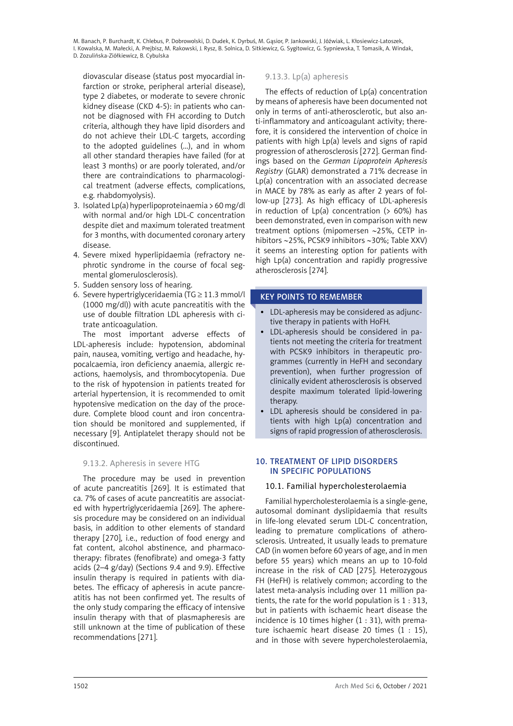diovascular disease (status post myocardial infarction or stroke, peripheral arterial disease), type 2 diabetes, or moderate to severe chronic kidney disease (CKD 4-5): in patients who cannot be diagnosed with FH according to Dutch criteria, although they have lipid disorders and do not achieve their LDL-C targets, according to the adopted guidelines (…), and in whom all other standard therapies have failed (for at least 3 months) or are poorly tolerated, and/or there are contraindications to pharmacological treatment (adverse effects, complications, e.g. rhabdomyolysis).

- 3. Isolated Lp(a) hyperlipoproteinaemia > 60 mg/dl with normal and/or high LDL-C concentration despite diet and maximum tolerated treatment for 3 months, with documented coronary artery disease.
- 4. Severe mixed hyperlipidaemia (refractory nephrotic syndrome in the course of focal segmental glomerulosclerosis).
- 5. Sudden sensory loss of hearing.
- 6. Severe hypertriglyceridaemia (TG  $\geq$  11.3 mmol/l (1000 mg/dl)) with acute pancreatitis with the use of double filtration LDL apheresis with citrate anticoagulation.

The most important adverse effects of LDL-apheresis include: hypotension, abdominal pain, nausea, vomiting, vertigo and headache, hypocalcaemia, iron deficiency anaemia, allergic reactions, haemolysis, and thrombocytopenia. Due to the risk of hypotension in patients treated for arterial hypertension, it is recommended to omit hypotensive medication on the day of the procedure. Complete blood count and iron concentration should be monitored and supplemented, if necessary [9]. Antiplatelet therapy should not be discontinued.

# 9.13.2. Apheresis in severe HTG

The procedure may be used in prevention of acute pancreatitis [269]. It is estimated that ca. 7% of cases of acute pancreatitis are associated with hypertriglyceridaemia [269]. The apheresis procedure may be considered on an individual basis, in addition to other elements of standard therapy [270], i.e., reduction of food energy and fat content, alcohol abstinence, and pharmacotherapy: fibrates (fenofibrate) and omega-3 fatty acids (2–4 g/day) (Sections 9.4 and 9.9). Effective insulin therapy is required in patients with diabetes. The efficacy of apheresis in acute pancreatitis has not been confirmed yet. The results of the only study comparing the efficacy of intensive insulin therapy with that of plasmapheresis are still unknown at the time of publication of these recommendations [271].

### 9.13.3. Lp(a) apheresis

The effects of reduction of Lp(a) concentration by means of apheresis have been documented not only in terms of anti-atherosclerotic, but also anti-inflammatory and anticoagulant activity; therefore, it is considered the intervention of choice in patients with high Lp(a) levels and signs of rapid progression of atherosclerosis [272]. German findings based on the *German Lipoprotein Apheresis Registry* (GLAR) demonstrated a 71% decrease in Lp(a) concentration with an associated decrease in MACE by 78% as early as after 2 years of follow-up [273]. As high efficacy of LDL-apheresis in reduction of  $Lp(a)$  concentration ( $> 60\%$ ) has been demonstrated, even in comparison with new treatment options (mipomersen ∼25%, CETP inhibitors ∼25%, PCSK9 inhibitors ∼30%; Table XXV) it seems an interesting option for patients with high Lp(a) concentration and rapidly progressive atherosclerosis [274].

### KEY POINTS TO REMEMBER

- LDL-apheresis may be considered as adjunctive therapy in patients with HoFH.
- LDL-apheresis should be considered in patients not meeting the criteria for treatment with PCSK9 inhibitors in therapeutic programmes (currently in HeFH and secondary prevention), when further progression of clinically evident atherosclerosis is observed despite maximum tolerated lipid-lowering therapy.
- LDL apheresis should be considered in patients with high Lp(a) concentration and signs of rapid progression of atherosclerosis.

### 10. Treatment of lipid disorders in specific populations

# 10.1. Familial hypercholesterolaemia

Familial hypercholesterolaemia is a single-gene, autosomal dominant dyslipidaemia that results in life-long elevated serum LDL-C concentration, leading to premature complications of atherosclerosis. Untreated, it usually leads to premature CAD (in women before 60 years of age, and in men before 55 years) which means an up to 10-fold increase in the risk of CAD [275]. Heterozygous FH (HeFH) is relatively common; according to the latest meta-analysis including over 11 million patients, the rate for the world population is 1 : 313, but in patients with ischaemic heart disease the incidence is 10 times higher  $(1:31)$ , with premature ischaemic heart disease 20 times  $(1 : 15)$ , and in those with severe hypercholesterolaemia,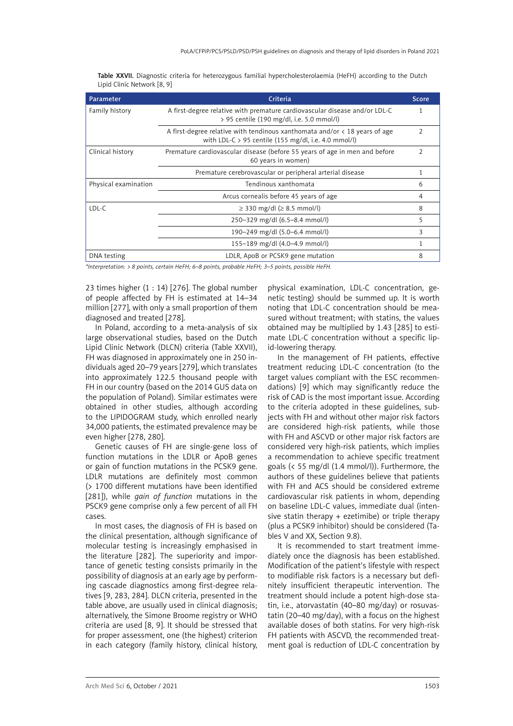| Parameter            | Criteria                                                                                                                               | <b>Score</b>   |
|----------------------|----------------------------------------------------------------------------------------------------------------------------------------|----------------|
| Family history       | A first-degree relative with premature cardiovascular disease and/or LDL-C<br>> 95 centile (190 mg/dl, i.e. 5.0 mmol/l)                |                |
|                      | A first-degree relative with tendinous xanthomata and/or $\lt 18$ years of age<br>with LDL-C > 95 centile (155 mg/dl, i.e. 4.0 mmol/l) | $\overline{2}$ |
| Clinical history     | Premature cardiovascular disease (before 55 years of age in men and before<br>60 years in women)                                       | $\overline{2}$ |
|                      | Premature cerebrovascular or peripheral arterial disease                                                                               |                |
| Physical examination | Tendinous xanthomata                                                                                                                   | 6              |
|                      | Arcus cornealis before 45 years of age                                                                                                 | 4              |
| LDL-C                | $≥$ 330 mg/dl ( $≥$ 8.5 mmol/l)                                                                                                        | 8              |
|                      | 250-329 mg/dl (6.5-8.4 mmol/l)                                                                                                         | 5              |
|                      | 190-249 mg/dl (5.0-6.4 mmol/l)                                                                                                         | 3              |
|                      | 155-189 mg/dl (4.0-4.9 mmol/l)                                                                                                         |                |
| DNA testing          | LDLR, ApoB or PCSK9 gene mutation                                                                                                      | 8              |

Table XXVII. Diagnostic criteria for heterozygous familial hypercholesterolaemia (HeFH) according to the Dutch Lipid Clinic Network [8, 9]

*\*Interpretation: > 8 points, certain HeFH; 6–8 points, probable HeFH; 3–5 points, possible HeFH.* 

23 times higher  $(1:14)$  [276]. The global number of people affected by FH is estimated at 14–34 million [277], with only a small proportion of them diagnosed and treated [278].

In Poland, according to a meta-analysis of six large observational studies, based on the Dutch Lipid Clinic Network (DLCN) criteria (Table XXVII), FH was diagnosed in approximately one in 250 individuals aged 20–79 years [279], which translates into approximately 122.5 thousand people with FH in our country (based on the 2014 GUS data on the population of Poland). Similar estimates were obtained in other studies, although according to the LIPIDOGRAM study, which enrolled nearly 34,000 patients, the estimated prevalence may be even higher [278, 280].

Genetic causes of FH are single-gene loss of function mutations in the LDLR or ApoB genes or gain of function mutations in the PCSK9 gene. LDLR mutations are definitely most common (> 1700 different mutations have been identified [281]), while *gain of function* mutations in the PSCK9 gene comprise only a few percent of all FH cases.

In most cases, the diagnosis of FH is based on the clinical presentation, although significance of molecular testing is increasingly emphasised in the literature [282]. The superiority and importance of genetic testing consists primarily in the possibility of diagnosis at an early age by performing cascade diagnostics among first-degree relatives [9, 283, 284]. DLCN criteria, presented in the table above, are usually used in clinical diagnosis; alternatively, the Simone Broome registry or WHO criteria are used [8, 9]. It should be stressed that for proper assessment, one (the highest) criterion in each category (family history, clinical history,

physical examination, LDL-C concentration, genetic testing) should be summed up. It is worth noting that LDL-C concentration should be measured without treatment; with statins, the values obtained may be multiplied by 1.43 [285] to estimate LDL-C concentration without a specific lipid-lowering therapy.

In the management of FH patients, effective treatment reducing LDL-C concentration (to the target values compliant with the ESC recommendations) [9] which may significantly reduce the risk of CAD is the most important issue. According to the criteria adopted in these guidelines, subjects with FH and without other major risk factors are considered high-risk patients, while those with FH and ASCVD or other major risk factors are considered very high-risk patients, which implies a recommendation to achieve specific treatment goals (< 55 mg/dl (1.4 mmol/l)). Furthermore, the authors of these guidelines believe that patients with FH and ACS should be considered extreme cardiovascular risk patients in whom, depending on baseline LDL-C values, immediate dual (intensive statin therapy + ezetimibe) or triple therapy (plus a PCSK9 inhibitor) should be considered (Tables V and XX, Section 9.8).

It is recommended to start treatment immediately once the diagnosis has been established. Modification of the patient's lifestyle with respect to modifiable risk factors is a necessary but definitely insufficient therapeutic intervention. The treatment should include a potent high-dose statin, i.e., atorvastatin (40–80 mg/day) or rosuvastatin (20–40 mg/day), with a focus on the highest available doses of both statins. For very high-risk FH patients with ASCVD, the recommended treatment goal is reduction of LDL-C concentration by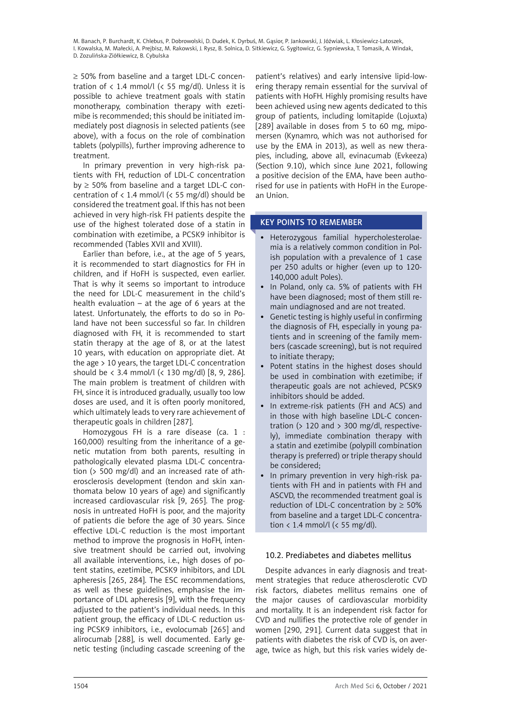≥ 50% from baseline and a target LDL-C concentration of  $\langle 1.4 \text{ mmol/l} \rangle (\langle 55 \text{ mg/dl} \rangle)$ . Unless it is possible to achieve treatment goals with statin monotherapy, combination therapy with ezetimibe is recommended; this should be initiated immediately post diagnosis in selected patients (see above), with a focus on the role of combination tablets (polypills), further improving adherence to treatment.

In primary prevention in very high-risk patients with FH, reduction of LDL-C concentration  $by \geq 50\%$  from baseline and a target LDL-C concentration of  $\langle 1.4 \text{ mmol/} \vert \langle \langle 55 \text{ mg/} \vert 0 \rangle \rangle$  should be considered the treatment goal. If this has not been achieved in very high-risk FH patients despite the use of the highest tolerated dose of a statin in combination with ezetimibe, a PCSK9 inhibitor is recommended (Tables XVII and XVIII).

Earlier than before, i.e., at the age of 5 years, it is recommended to start diagnostics for FH in children, and if HoFH is suspected, even earlier. That is why it seems so important to introduce the need for LDL-C measurement in the child's health evaluation  $-$  at the age of 6 years at the latest. Unfortunately, the efforts to do so in Poland have not been successful so far. In children diagnosed with FH, it is recommended to start statin therapy at the age of 8, or at the latest 10 years, with education on appropriate diet. At the age > 10 years, the target LDL-C concentration should be < 3.4 mmol/l (< 130 mg/dl) [8, 9, 286]. The main problem is treatment of children with FH, since it is introduced gradually, usually too low doses are used, and it is often poorly monitored, which ultimately leads to very rare achievement of therapeutic goals in children [287].

Homozygous FH is a rare disease (ca. 1 : 160,000) resulting from the inheritance of a genetic mutation from both parents, resulting in pathologically elevated plasma LDL-C concentration (> 500 mg/dl) and an increased rate of atherosclerosis development (tendon and skin xanthomata below 10 years of age) and significantly increased cardiovascular risk [9, 265]. The prognosis in untreated HoFH is poor, and the majority of patients die before the age of 30 years. Since effective LDL-C reduction is the most important method to improve the prognosis in HoFH, intensive treatment should be carried out, involving all available interventions, i.e., high doses of potent statins, ezetimibe, PCSK9 inhibitors, and LDL apheresis [265, 284]. The ESC recommendations, as well as these guidelines, emphasise the importance of LDL apheresis [9], with the frequency adjusted to the patient's individual needs. In this patient group, the efficacy of LDL-C reduction using PCSK9 inhibitors, i.e., evolocumab [265] and alirocumab [288], is well documented. Early genetic testing (including cascade screening of the

patient's relatives) and early intensive lipid-lowering therapy remain essential for the survival of patients with HoFH. Highly promising results have been achieved using new agents dedicated to this group of patients, including lomitapide (Lojuxta) [289] available in doses from 5 to 60 mg, mipomersen (Kynamro, which was not authorised for use by the EMA in 2013), as well as new therapies, including, above all, evinacumab (Evkeeza) (Section 9.10), which since June 2021, following a positive decision of the EMA, have been authorised for use in patients with HoFH in the European Union.

### KEY POINTS TO REMEMBER

- • Heterozygous familial hypercholesterolaemia is a relatively common condition in Polish population with a prevalence of 1 case per 250 adults or higher (even up to 120- 140,000 adult Poles).
- In Poland, only ca. 5% of patients with FH have been diagnosed; most of them still remain undiagnosed and are not treated.
- Genetic testing is highly useful in confirming the diagnosis of FH, especially in young patients and in screening of the family members (cascade screening), but is not required to initiate therapy;
- Potent statins in the highest doses should be used in combination with ezetimibe; if therapeutic goals are not achieved, PCSK9 inhibitors should be added.
- In extreme-risk patients (FH and ACS) and in those with high baseline LDL-C concentration ( $> 120$  and  $> 300$  mg/dl, respectively), immediate combination therapy with a statin and ezetimibe (polypill combination therapy is preferred) or triple therapy should be considered;
- • In primary prevention in very high-risk patients with FH and in patients with FH and ASCVD, the recommended treatment goal is reduction of LDL-C concentration by  $\geq 50\%$ from baseline and a target LDL-C concentration < 1.4 mmol/l (< 55 mg/dl).

# 10.2. Prediabetes and diabetes mellitus

Despite advances in early diagnosis and treatment strategies that reduce atherosclerotic CVD risk factors, diabetes mellitus remains one of the major causes of cardiovascular morbidity and mortality. It is an independent risk factor for CVD and nullifies the protective role of gender in women [290, 291]. Current data suggest that in patients with diabetes the risk of CVD is, on average, twice as high, but this risk varies widely de-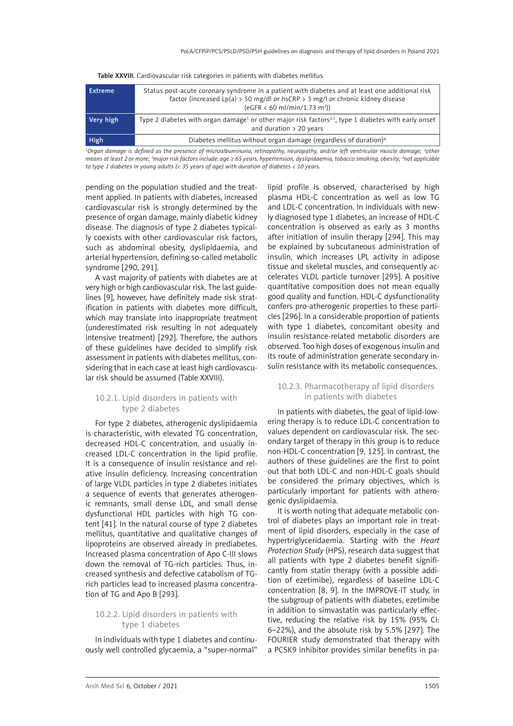| <b>Extreme</b> | Status post-acute coronary syndrome in a patient with diabetes and at least one additional risk<br>factor (increased Lp(a) > 50 mg/dl or hsCRP > 3 mg/l or chronic kidney disease<br>$(eGFR < 60 \text{ ml/min}/1.73 \text{ m}^2))$                                                                                                                                                                                          |
|----------------|------------------------------------------------------------------------------------------------------------------------------------------------------------------------------------------------------------------------------------------------------------------------------------------------------------------------------------------------------------------------------------------------------------------------------|
| Very high      | Type 2 diabetes with organ damage <sup>1</sup> or other major risk factors <sup>2,3</sup> , type 1 diabetes with early onset<br>and duration $> 20$ years                                                                                                                                                                                                                                                                    |
| <b>High</b>    | Diabetes mellitus without organ damage (regardless of duration) <sup>4</sup>                                                                                                                                                                                                                                                                                                                                                 |
|                | $\mathcal{P}(\mathbf{a} = \mathbf{a} = \mathbf{a} = \mathbf{a} = \mathbf{a} = \mathbf{a} = \mathbf{a} = \mathbf{a} = \mathbf{a} = \mathbf{a} = \mathbf{a} = \mathbf{a} = \mathbf{a} = \mathbf{a} = \mathbf{a} = \mathbf{a} = \mathbf{a} = \mathbf{a} = \mathbf{a} = \mathbf{a} = \mathbf{a} = \mathbf{a} = \mathbf{a} = \mathbf{a} = \mathbf{a} = \mathbf{a} = \mathbf{a} = \mathbf{a} = \mathbf{a} = \mathbf{a} = \mathbf{$ |

Table XXVIII. Cardiovascular risk categories in patients with diabetes mellitus

*1 Organ damage is defined as the presence of microalbuminuria, retinopathy, neuropathy, and/or left ventricular muscle damage; 2 other means at least 2 or more; 3 major risk factors include: age* ≥ *65 years, hypertension, dyslipidaemia, tobacco smoking, obesity; 4 not applicable to type 1 diabetes in young adults (< 35 years of age) with duration of diabetes < 10 years.* 

pending on the population studied and the treatment applied. In patients with diabetes, increased cardiovascular risk is strongly determined by the presence of organ damage, mainly diabetic kidney disease. The diagnosis of type 2 diabetes typically coexists with other cardiovascular risk factors, such as abdominal obesity, dyslipidaemia, and arterial hypertension, defining so-called metabolic syndrome [290, 291].

A vast majority of patients with diabetes are at very high or high cardiovascular risk. The last guidelines [9], however, have definitely made risk stratification in patients with diabetes more difficult, which may translate into inappropriate treatment (underestimated risk resulting in not adequately intensive treatment) [292]. Therefore, the authors of these guidelines have decided to simplify risk assessment in patients with diabetes mellitus, considering that in each case at least high cardiovascular risk should be assumed (Table XXVIII).

### 10.2.1. Lipid disorders in patients with type 2 diabetes

For type 2 diabetes, atherogenic dyslipidaemia is characteristic, with elevated TG concentration, decreased HDL-C concentration, and usually increased LDL-C concentration in the lipid profile. It is a consequence of insulin resistance and relative insulin deficiency. Increasing concentration of large VLDL particles in type 2 diabetes initiates a sequence of events that generates atherogenic remnants, small dense LDL, and small dense dysfunctional HDL particles with high TG content [41]. In the natural course of type 2 diabetes mellitus, quantitative and qualitative changes of lipoproteins are observed already in prediabetes. Increased plasma concentration of Apo C-III slows down the removal of TG-rich particles. Thus, increased synthesis and defective catabolism of TGrich particles lead to increased plasma concentration of TG and Apo B [293].

### 10.2.2. Lipid disorders in patients with type 1 diabetes

In individuals with type 1 diabetes and continuously well controlled glycaemia, a "super-normal"

lipid profile is observed, characterised by high plasma HDL-C concentration as well as low TG and LDL-C concentration. In individuals with newly diagnosed type 1 diabetes, an increase of HDL-C concentration is observed as early as 3 months after initiation of insulin therapy [294]. This may be explained by subcutaneous administration of insulin, which increases LPL activity in adipose tissue and skeletal muscles, and consequently accelerates VLDL particle turnover [295]. A positive quantitative composition does not mean equally good quality and function. HDL-C dysfunctionality confers pro-atherogenic properties to these particles [296]. In a considerable proportion of patients with type 1 diabetes, concomitant obesity and insulin resistance-related metabolic disorders are observed. Too high doses of exogenous insulin and its route of administration generate secondary insulin resistance with its metabolic consequences.

### 10.2.3. Pharmacotherapy of lipid disorders in patients with diabetes

In patients with diabetes, the goal of lipid-lowering therapy is to reduce LDL-C concentration to values dependent on cardiovascular risk. The secondary target of therapy in this group is to reduce non-HDL-C concentration [9, 125]. In contrast, the authors of these guidelines are the first to point out that both LDL-C and non-HDL-C goals should be considered the primary objectives, which is particularly important for patients with atherogenic dyslipidaemia.

It is worth noting that adequate metabolic control of diabetes plays an important role in treatment of lipid disorders, especially in the case of hypertriglyceridaemia. Starting with the *Heart Protection Study* (HPS), research data suggest that all patients with type 2 diabetes benefit significantly from statin therapy (with a possible addition of ezetimibe), regardless of baseline LDL-C concentration [8, 9]. In the IMPROVE-IT study, in the subgroup of patients with diabetes, ezetimibe in addition to simvastatin was particularly effective, reducing the relative risk by 15% (95% CI: 6–22%), and the absolute risk by 5.5% [297]. The FOURIER study demonstrated that therapy with a PCSK9 inhibitor provides similar benefits in pa-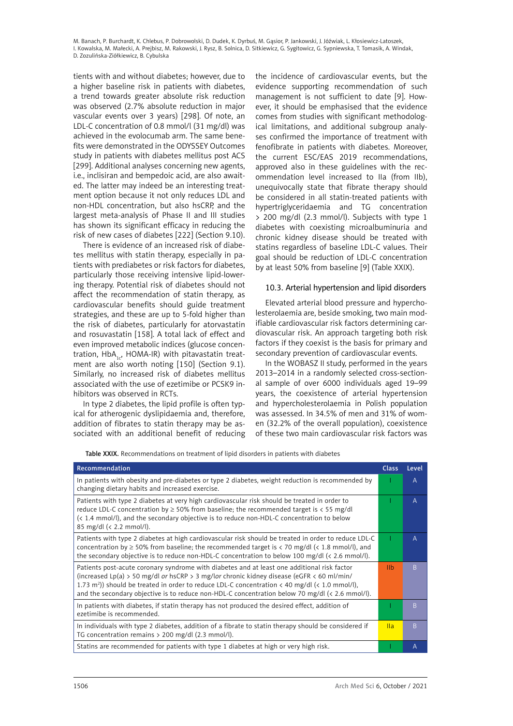tients with and without diabetes; however, due to a higher baseline risk in patients with diabetes, a trend towards greater absolute risk reduction was observed (2.7% absolute reduction in major vascular events over 3 years) [298]. Of note, an LDL-C concentration of 0.8 mmol/l (31 mg/dl) was achieved in the evolocumab arm. The same benefits were demonstrated in the ODYSSEY Outcomes study in patients with diabetes mellitus post ACS [299]. Additional analyses concerning new agents, i.e., inclisiran and bempedoic acid, are also awaited. The latter may indeed be an interesting treatment option because it not only reduces LDL and non-HDL concentration, but also hsCRP, and the largest meta-analysis of Phase II and III studies has shown its significant efficacy in reducing the risk of new cases of diabetes [222] (Section 9.10).

There is evidence of an increased risk of diabetes mellitus with statin therapy, especially in patients with prediabetes or risk factors for diabetes, particularly those receiving intensive lipid-lowering therapy. Potential risk of diabetes should not affect the recommendation of statin therapy, as cardiovascular benefits should guide treatment strategies, and these are up to 5-fold higher than the risk of diabetes, particularly for atorvastatin and rosuvastatin [158]. A total lack of effect and even improved metabolic indices (glucose concentration,  $HbA_{1d}$ , HOMA-IR) with pitavastatin treatment are also worth noting [150] (Section 9.1). Similarly, no increased risk of diabetes mellitus associated with the use of ezetimibe or PCSK9 inhibitors was observed in RCTs.

In type 2 diabetes, the lipid profile is often typical for atherogenic dyslipidaemia and, therefore, addition of fibrates to statin therapy may be associated with an additional benefit of reducing the incidence of cardiovascular events, but the evidence supporting recommendation of such management is not sufficient to date [9]. However, it should be emphasised that the evidence comes from studies with significant methodological limitations, and additional subgroup analyses confirmed the importance of treatment with fenofibrate in patients with diabetes. Moreover, the current ESC/EAS 2019 recommendations, approved also in these guidelines with the recommendation level increased to IIa (from IIb), unequivocally state that fibrate therapy should be considered in all statin-treated patients with hypertriglyceridaemia and TG concentration > 200 mg/dl (2.3 mmol/l). Subjects with type 1 diabetes with coexisting microalbuminuria and chronic kidney disease should be treated with statins regardless of baseline LDL-C values. Their goal should be reduction of LDL-C concentration by at least 50% from baseline [9] (Table XXIX).

### 10.3. Arterial hypertension and lipid disorders

Elevated arterial blood pressure and hypercholesterolaemia are, beside smoking, two main modifiable cardiovascular risk factors determining cardiovascular risk. An approach targeting both risk factors if they coexist is the basis for primary and secondary prevention of cardiovascular events.

In the WOBASZ II study, performed in the years 2013–2014 in a randomly selected cross-sectional sample of over 6000 individuals aged 19–99 years, the coexistence of arterial hypertension and hypercholesterolaemia in Polish population was assessed. In 34.5% of men and 31% of women (32.2% of the overall population), coexistence of these two main cardiovascular risk factors was

Table XXIX. Recommendations on treatment of lipid disorders in patients with diabetes

| Recommendation                                                                                                                                                                                                                                                                                                                                                                                            | <b>Class</b>    | Level          |
|-----------------------------------------------------------------------------------------------------------------------------------------------------------------------------------------------------------------------------------------------------------------------------------------------------------------------------------------------------------------------------------------------------------|-----------------|----------------|
| In patients with obesity and pre-diabetes or type 2 diabetes, weight reduction is recommended by<br>changing dietary habits and increased exercise.                                                                                                                                                                                                                                                       |                 | A              |
| Patients with type 2 diabetes at very high cardiovascular risk should be treated in order to<br>reduce LDL-C concentration by $\geq$ 50% from baseline; the recommended target is < 55 mg/dl<br>(< 1.4 mmol/l), and the secondary objective is to reduce non-HDL-C concentration to below<br>85 mg/dl (< 2.2 mmol/l).                                                                                     |                 | $\overline{A}$ |
| Patients with type 2 diabetes at high cardiovascular risk should be treated in order to reduce LDL-C<br>concentration by $\geq$ 50% from baseline; the recommended target is < 70 mg/dl (< 1.8 mmol/l), and<br>the secondary objective is to reduce non-HDL-C concentration to below 100 mg/dl ( $\langle$ 2.6 mmol/l).                                                                                   |                 | A              |
| Patients post-acute coronary syndrome with diabetes and at least one additional risk factor<br>(increased Lp(a) > 50 mg/dl or hsCRP > 3 mg/lor chronic kidney disease (eGFR < 60 ml/min/<br>1.73 m <sup>2</sup> )) should be treated in order to reduce LDL-C concentration < 40 mg/dl (< 1.0 mmol/l),<br>and the secondary objective is to reduce non-HDL-C concentration below 70 mg/dl (< 2.6 mmol/l). | I <sub>1</sub>  | B.             |
| In patients with diabetes, if statin therapy has not produced the desired effect, addition of<br>ezetimibe is recommended.                                                                                                                                                                                                                                                                                |                 | B.             |
| In individuals with type 2 diabetes, addition of a fibrate to statin therapy should be considered if<br>TG concentration remains $> 200$ mg/dl (2.3 mmol/l).                                                                                                                                                                                                                                              | $\mathsf{II}$ a | B.             |
| Statins are recommended for patients with type 1 diabetes at high or very high risk.                                                                                                                                                                                                                                                                                                                      |                 | А              |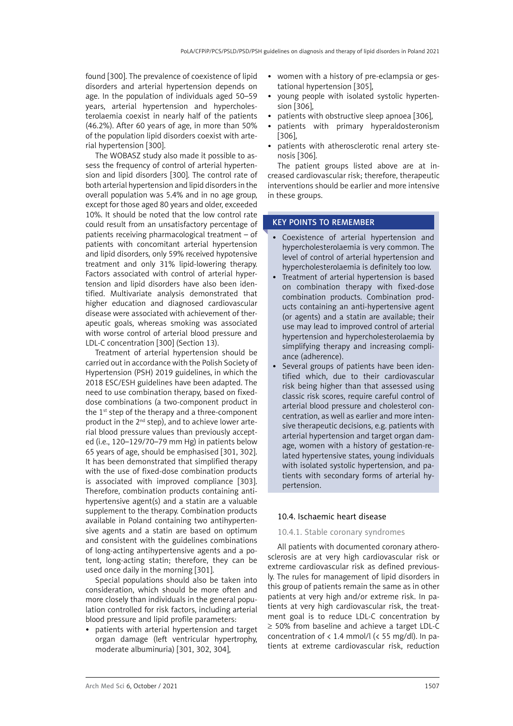found [300]. The prevalence of coexistence of lipid disorders and arterial hypertension depends on age. In the population of individuals aged 50–59 years, arterial hypertension and hypercholesterolaemia coexist in nearly half of the patients (46.2%). After 60 years of age, in more than 50% of the population lipid disorders coexist with arterial hypertension [300].

The WOBASZ study also made it possible to assess the frequency of control of arterial hypertension and lipid disorders [300]. The control rate of both arterial hypertension and lipid disorders in the overall population was 5.4% and in no age group, except for those aged 80 years and older, exceeded 10%. It should be noted that the low control rate could result from an unsatisfactory percentage of patients receiving pharmacological treatment – of patients with concomitant arterial hypertension and lipid disorders, only 59% received hypotensive treatment and only 31% lipid-lowering therapy. Factors associated with control of arterial hypertension and lipid disorders have also been identified. Multivariate analysis demonstrated that higher education and diagnosed cardiovascular disease were associated with achievement of therapeutic goals, whereas smoking was associated with worse control of arterial blood pressure and LDL-C concentration [300] (Section 13).

Treatment of arterial hypertension should be carried out in accordance with the Polish Society of Hypertension (PSH) 2019 guidelines, in which the 2018 ESC/ESH guidelines have been adapted. The need to use combination therapy, based on fixeddose combinations (a two-component product in the  $1<sup>st</sup>$  step of the therapy and a three-component product in the 2nd step), and to achieve lower arterial blood pressure values than previously accepted (i.e., 120–129/70–79 mm Hg) in patients below 65 years of age, should be emphasised [301, 302]. It has been demonstrated that simplified therapy with the use of fixed-dose combination products is associated with improved compliance [303]. Therefore, combination products containing antihypertensive agent(s) and a statin are a valuable supplement to the therapy. Combination products available in Poland containing two antihypertensive agents and a statin are based on optimum and consistent with the guidelines combinations of long-acting antihypertensive agents and a potent, long-acting statin; therefore, they can be used once daily in the morning [301].

Special populations should also be taken into consideration, which should be more often and more closely than individuals in the general population controlled for risk factors, including arterial blood pressure and lipid profile parameters:

• patients with arterial hypertension and target organ damage (left ventricular hypertrophy, moderate albuminuria) [301, 302, 304],

- women with a history of pre-eclampsia or gestational hypertension [305],
- young people with isolated systolic hypertension [306],
- patients with obstructive sleep apnoea [306],
- patients with primary hyperaldosteronism [306],
- patients with atherosclerotic renal artery stenosis [306].

The patient groups listed above are at increased cardiovascular risk; therefore, therapeutic interventions should be earlier and more intensive in these groups.

### KEY POINTS TO REMEMBER

- • Coexistence of arterial hypertension and hypercholesterolaemia is very common. The level of control of arterial hypertension and hypercholesterolaemia is definitely too low.
- Treatment of arterial hypertension is based on combination therapy with fixed-dose combination products. Combination products containing an anti-hypertensive agent (or agents) and a statin are available; their use may lead to improved control of arterial hypertension and hypercholesterolaemia by simplifying therapy and increasing compliance (adherence).
- Several groups of patients have been identified which, due to their cardiovascular risk being higher than that assessed using classic risk scores, require careful control of arterial blood pressure and cholesterol concentration, as well as earlier and more intensive therapeutic decisions, e.g. patients with arterial hypertension and target organ damage, women with a history of gestation-related hypertensive states, young individuals with isolated systolic hypertension, and patients with secondary forms of arterial hypertension.

### 10.4. Ischaemic heart disease

### 10.4.1. Stable coronary syndromes

All patients with documented coronary atherosclerosis are at very high cardiovascular risk or extreme cardiovascular risk as defined previously. The rules for management of lipid disorders in this group of patients remain the same as in other patients at very high and/or extreme risk. In patients at very high cardiovascular risk, the treatment goal is to reduce LDL-C concentration by ≥ 50% from baseline and achieve a target LDL-C concentration of  $\langle 1.4 \text{ mmol/} \vert \langle \langle 55 \text{ mg/} \mathrm{dl} \rangle \rangle$ . In patients at extreme cardiovascular risk, reduction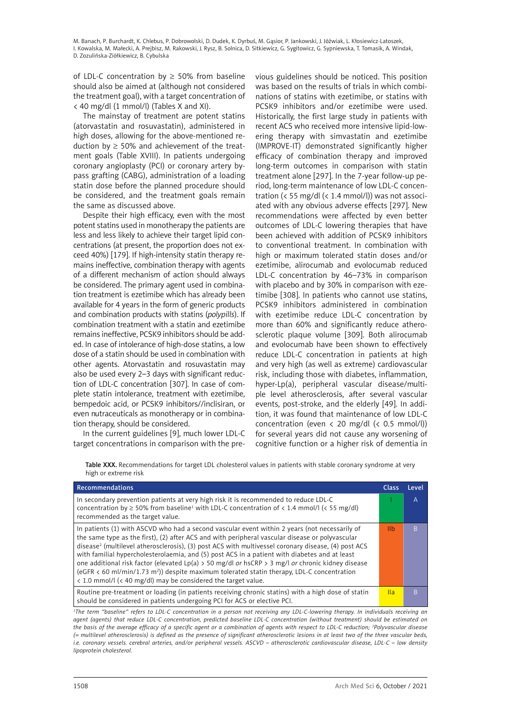of LDL-C concentration by  $\geq$  50% from baseline should also be aimed at (although not considered the treatment goal), with a target concentration of < 40 mg/dl (1 mmol/l) (Tables X and XI).

The mainstay of treatment are potent statins (atorvastatin and rosuvastatin), administered in high doses, allowing for the above-mentioned reduction by  $\geq 50\%$  and achievement of the treatment goals (Table XVIII). In patients undergoing coronary angioplasty (PCI) or coronary artery bypass grafting (CABG), administration of a loading statin dose before the planned procedure should be considered, and the treatment goals remain the same as discussed above.

Despite their high efficacy, even with the most potent statins used in monotherapy the patients are less and less likely to achieve their target lipid concentrations (at present, the proportion does not exceed 40%) [179]. If high-intensity statin therapy remains ineffective, combination therapy with agents of a different mechanism of action should always be considered. The primary agent used in combination treatment is ezetimibe which has already been available for 4 years in the form of generic products and combination products with statins (*polypills*). If combination treatment with a statin and ezetimibe remains ineffective, PCSK9 inhibitors should be added. In case of intolerance of high-dose statins, a low dose of a statin should be used in combination with other agents. Atorvastatin and rosuvastatin may also be used every 2–3 days with significant reduction of LDL-C concentration [307]. In case of complete statin intolerance, treatment with ezetimibe, bempedoic acid, or PCSK9 inhibitors//inclisiran, or even nutraceuticals as monotherapy or in combination therapy, should be considered.

In the current guidelines [9], much lower LDL-C target concentrations in comparison with the previous guidelines should be noticed. This position was based on the results of trials in which combinations of statins with ezetimibe, or statins with PCSK9 inhibitors and/or ezetimibe were used. Historically, the first large study in patients with recent ACS who received more intensive lipid-lowering therapy with simvastatin and ezetimibe (IMPROVE-IT) demonstrated significantly higher efficacy of combination therapy and improved long-term outcomes in comparison with statin treatment alone [297]. In the 7-year follow-up period, long-term maintenance of low LDL-C concentration (< 55 mg/dl (< 1.4 mmol/l)) was not associated with any obvious adverse effects [297]. New recommendations were affected by even better outcomes of LDL-C lowering therapies that have been achieved with addition of PCSK9 inhibitors to conventional treatment. In combination with high or maximum tolerated statin doses and/or ezetimibe, alirocumab and evolocumab reduced LDL-C concentration by 46–73% in comparison with placebo and by 30% in comparison with ezetimibe [308]. In patients who cannot use statins, PCSK9 inhibitors administered in combination with ezetimibe reduce LDL-C concentration by more than 60% and significantly reduce atherosclerotic plaque volume [309]. Both alirocumab and evolocumab have been shown to effectively reduce LDL-C concentration in patients at high and very high (as well as extreme) cardiovascular risk, including those with diabetes, inflammation, hyper-Lp(a), peripheral vascular disease/multiple level atherosclerosis, after several vascular events, post-stroke, and the elderly [49]. In addition, it was found that maintenance of low LDL-C concentration (even  $\langle$  20 mg/dl  $\langle$  0.5 mmol/l)) for several years did not cause any worsening of cognitive function or a higher risk of dementia in

Table XXX. Recommendations for target LDL cholesterol values in patients with stable coronary syndrome at very high or extreme risk

| Recommendations                                                                                                                                                                                                                                                                                                                                                                                                                                                                                                                                                                                                                                                                                                           | <b>Class</b>    | Level |
|---------------------------------------------------------------------------------------------------------------------------------------------------------------------------------------------------------------------------------------------------------------------------------------------------------------------------------------------------------------------------------------------------------------------------------------------------------------------------------------------------------------------------------------------------------------------------------------------------------------------------------------------------------------------------------------------------------------------------|-----------------|-------|
| In secondary prevention patients at very high risk it is recommended to reduce LDL-C<br>concentration by $\geq$ 50% from baseline <sup>1</sup> with LDL-C concentration of < 1.4 mmol/l (< 55 mg/dl)<br>recommended as the target value.                                                                                                                                                                                                                                                                                                                                                                                                                                                                                  |                 | Α     |
| In patients (1) with ASCVD who had a second vascular event within 2 years (not necessarily of<br>the same type as the first), (2) after ACS and with peripheral vascular disease or polyvascular<br>disease <sup>2</sup> (multilevel atherosclerosis), (3) post ACS with multivessel coronary disease, (4) post ACS<br>with familial hypercholesterolaemia, and (5) post ACS in a patient with diabetes and at least<br>one additional risk factor (elevated Lp(a) > 50 mg/dl or hsCRP > 3 mg/l or chronic kidney disease<br>(eGFR $\lt$ 60 ml/min/1.73 m <sup>2</sup> )) despite maximum tolerated statin therapy, LDL-C concentration<br>$\langle$ 1.0 mmol/l ( $\langle$ 40 mg/dl) may be considered the target value. | -lib            | B     |
| Routine pre-treatment or loading (in patients receiving chronic statins) with a high dose of statin<br>should be considered in patients undergoing PCI for ACS or elective PCI.                                                                                                                                                                                                                                                                                                                                                                                                                                                                                                                                           | $\mathsf{II}$ a | B     |

*1 The term "baseline" refers to LDL-C concentration in a person not receiving any LDL-C-lowering therapy. In individuals receiving an agent (agents) that reduce LDL-C concentration, predicted baseline LDL-C concentration (without treatment) should be estimated on the basis of the average efficacy of a specific agent or a combination of agents with respect to LDL-C reduction; 2 Polyvascular disease (= multilevel atherosclerosis) is defined as the presence of significant atherosclerotic lesions in at least two of the three vascular beds, i.e. coronary vessels. cerebral arteries, and/or peripheral vessels. ASCVD – atherosclerotic cardiovascular disease, LDL-C – low density lipoprotein cholesterol.*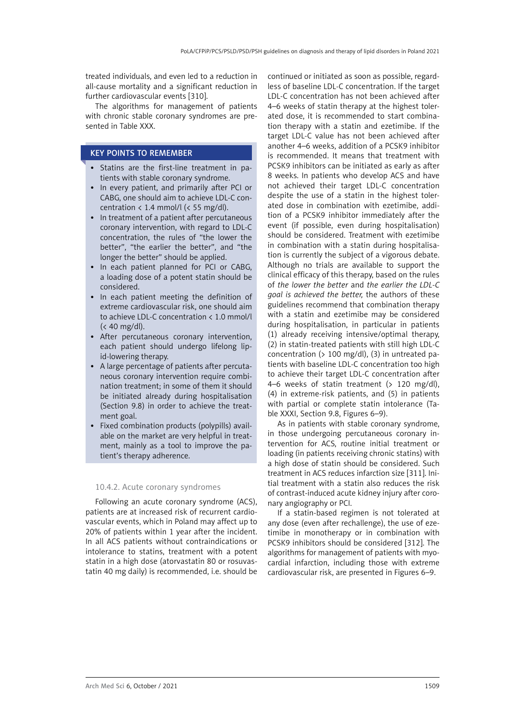treated individuals, and even led to a reduction in all-cause mortality and a significant reduction in further cardiovascular events [310].

The algorithms for management of patients with chronic stable coronary syndromes are presented in Table XXX.

### KEY POINTS TO REMEMBER

- • Statins are the first-line treatment in patients with stable coronary syndrome.
- In every patient, and primarily after PCI or CABG, one should aim to achieve LDL-C concentration  $\langle 1.4 \text{ mmol/l} \rangle \langle 55 \text{ mg/dl} \rangle$ .
- In treatment of a patient after percutaneous coronary intervention, with regard to LDL-C concentration, the rules of "the lower the better", "the earlier the better", and "the longer the better" should be applied.
- In each patient planned for PCI or CABG, a loading dose of a potent statin should be considered.
- In each patient meeting the definition of extreme cardiovascular risk, one should aim to achieve LDL-C concentration < 1.0 mmol/l (< 40 mg/dl).
- • After percutaneous coronary intervention, each patient should undergo lifelong lipid-lowering therapy.
- • A large percentage of patients after percutaneous coronary intervention require combination treatment; in some of them it should be initiated already during hospitalisation (Section 9.8) in order to achieve the treatment goal.
- Fixed combination products (polypills) available on the market are very helpful in treatment, mainly as a tool to improve the patient's therapy adherence.

#### 10.4.2. Acute coronary syndromes

Following an acute coronary syndrome (ACS), patients are at increased risk of recurrent cardiovascular events, which in Poland may affect up to 20% of patients within 1 year after the incident. In all ACS patients without contraindications or intolerance to statins, treatment with a potent statin in a high dose (atorvastatin 80 or rosuvastatin 40 mg daily) is recommended, i.e. should be continued or initiated as soon as possible, regardless of baseline LDL-C concentration. If the target LDL-C concentration has not been achieved after 4–6 weeks of statin therapy at the highest tolerated dose, it is recommended to start combination therapy with a statin and ezetimibe. If the target LDL-C value has not been achieved after another 4–6 weeks, addition of a PCSK9 inhibitor is recommended. It means that treatment with PCSK9 inhibitors can be initiated as early as after 8 weeks. In patients who develop ACS and have not achieved their target LDL-C concentration despite the use of a statin in the highest tolerated dose in combination with ezetimibe, addition of a PCSK9 inhibitor immediately after the event (if possible, even during hospitalisation) should be considered. Treatment with ezetimibe in combination with a statin during hospitalisation is currently the subject of a vigorous debate. Although no trials are available to support the clinical efficacy of this therapy, based on the rules of *the lower the better* and *the earlier the LDL-C goal is achieved the better,* the authors of these guidelines recommend that combination therapy with a statin and ezetimibe may be considered during hospitalisation, in particular in patients (1) already receiving intensive/optimal therapy, (2) in statin-treated patients with still high LDL-C concentration (> 100 mg/dl), (3) in untreated patients with baseline LDL-C concentration too high to achieve their target LDL-C concentration after 4–6 weeks of statin treatment (> 120 mg/dl), (4) in extreme-risk patients, and (5) in patients with partial or complete statin intolerance (Table XXXI, Section 9.8, Figures 6–9).

As in patients with stable coronary syndrome, in those undergoing percutaneous coronary intervention for ACS, routine initial treatment or loading (in patients receiving chronic statins) with a high dose of statin should be considered. Such treatment in ACS reduces infarction size [311]. Initial treatment with a statin also reduces the risk of contrast-induced acute kidney injury after coronary angiography or PCI.

If a statin-based regimen is not tolerated at any dose (even after rechallenge), the use of ezetimibe in monotherapy or in combination with PCSK9 inhibitors should be considered [312]. The algorithms for management of patients with myocardial infarction, including those with extreme cardiovascular risk, are presented in Figures 6–9.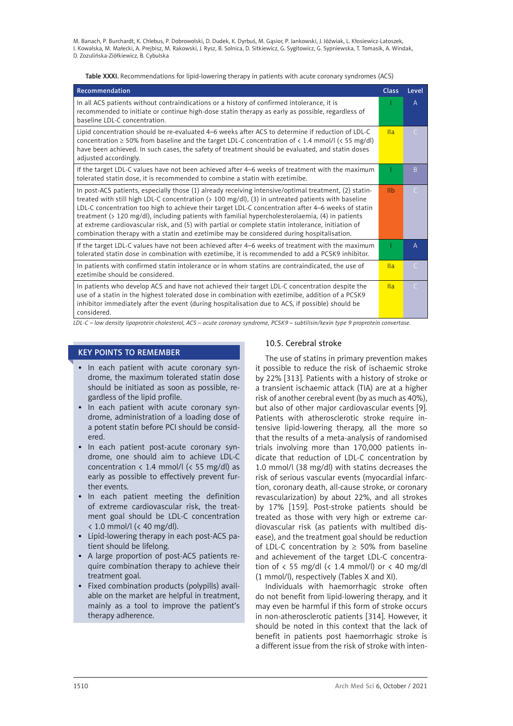Table XXXI. Recommendations for lipid-lowering therapy in patients with acute coronary syndromes (ACS)

| Recommendation                                                                                                                                                                                                                                                                                                                                                                                                                                                                                                                                                                                                           | <b>Class</b>   | Level        |
|--------------------------------------------------------------------------------------------------------------------------------------------------------------------------------------------------------------------------------------------------------------------------------------------------------------------------------------------------------------------------------------------------------------------------------------------------------------------------------------------------------------------------------------------------------------------------------------------------------------------------|----------------|--------------|
| In all ACS patients without contraindications or a history of confirmed intolerance, it is<br>recommended to initiate or continue high-dose statin therapy as early as possible, regardless of<br>baseline LDL-C concentration.                                                                                                                                                                                                                                                                                                                                                                                          |                | A            |
| Lipid concentration should be re-evaluated 4–6 weeks after ACS to determine if reduction of LDL-C<br>concentration $\geq$ 50% from baseline and the target LDL-C concentration of < 1.4 mmol/l (< 55 mg/dl)<br>have been achieved. In such cases, the safety of treatment should be evaluated, and statin doses<br>adjusted accordingly.                                                                                                                                                                                                                                                                                 | IIa            | C.           |
| If the target LDL-C values have not been achieved after 4–6 weeks of treatment with the maximum<br>tolerated statin dose, it is recommended to combine a statin with ezetimibe.                                                                                                                                                                                                                                                                                                                                                                                                                                          |                | <sub>B</sub> |
| In post-ACS patients, especially those (1) already receiving intensive/optimal treatment, (2) statin-<br>treated with still high LDL-C concentration (> 100 mg/dl), (3) in untreated patients with baseline<br>LDL-C concentration too high to achieve their target LDL-C concentration after 4–6 weeks of statin<br>treatment (> 120 mg/dl), including patients with familial hypercholesterolaemia, (4) in patients<br>at extreme cardiovascular risk, and (5) with partial or complete statin intolerance, initiation of<br>combination therapy with a statin and ezetimibe may be considered during hospitalisation. | I <sub>1</sub> | C            |
| If the target LDL-C values have not been achieved after 4-6 weeks of treatment with the maximum<br>tolerated statin dose in combination with ezetimibe, it is recommended to add a PCSK9 inhibitor.                                                                                                                                                                                                                                                                                                                                                                                                                      |                | A            |
| In patients with confirmed statin intolerance or in whom statins are contraindicated, the use of<br>ezetimibe should be considered.                                                                                                                                                                                                                                                                                                                                                                                                                                                                                      | IIa            | C            |
| In patients who develop ACS and have not achieved their target LDL-C concentration despite the<br>use of a statin in the highest tolerated dose in combination with ezetimibe, addition of a PCSK9<br>inhibitor immediately after the event (during hospitalisation due to ACS, if possible) should be<br>considered.                                                                                                                                                                                                                                                                                                    | IIa            | C            |

*LDL-C – low density lipoprotein cholesterol, ACS – acute coronary syndrome, PCSK9 – subtilisin/kexin type 9 proprotein convertase.*

#### KEY POINTS TO REMEMBER

- In each patient with acute coronary syndrome, the maximum tolerated statin dose should be initiated as soon as possible, regardless of the lipid profile.
- In each patient with acute coronary syndrome, administration of a loading dose of a potent statin before PCI should be considered.
- In each patient post-acute coronary syndrome, one should aim to achieve LDL-C concentration  $\langle 1.4 \text{ mmol/} \vert \langle \langle 55 \text{ mg/} \vert \rangle \rangle$  as early as possible to effectively prevent further events.
- In each patient meeting the definition of extreme cardiovascular risk, the treatment goal should be LDL-C concentration < 1.0 mmol/l (< 40 mg/dl).
- • Lipid-lowering therapy in each post-ACS patient should be lifelong.
- A large proportion of post-ACS patients require combination therapy to achieve their treatment goal.
- Fixed combination products (polypills) available on the market are helpful in treatment, mainly as a tool to improve the patient's therapy adherence.

### 10.5. Cerebral stroke

The use of statins in primary prevention makes it possible to reduce the risk of ischaemic stroke by 22% [313]. Patients with a history of stroke or a transient ischaemic attack (TIA) are at a higher risk of another cerebral event (by as much as 40%), but also of other major cardiovascular events [9]. Patients with atherosclerotic stroke require intensive lipid-lowering therapy, all the more so that the results of a meta-analysis of randomised trials involving more than 170,000 patients indicate that reduction of LDL-C concentration by 1.0 mmol/l (38 mg/dl) with statins decreases the risk of serious vascular events (myocardial infarction, coronary death, all-cause stroke, or coronary revascularization) by about 22%, and all strokes by 17% [159]. Post-stroke patients should be treated as those with very high or extreme cardiovascular risk (as patients with multibed disease), and the treatment goal should be reduction of LDL-C concentration by  $\geq$  50% from baseline and achievement of the target LDL-C concentration of  $\langle$  55 mg/dl ( $\langle$  1.4 mmol/l) or  $\langle$  40 mg/dl (1 mmol/l), respectively (Tables X and XI).

Individuals with haemorrhagic stroke often do not benefit from lipid-lowering therapy, and it may even be harmful if this form of stroke occurs in non-atherosclerotic patients [314]. However, it should be noted in this context that the lack of benefit in patients post haemorrhagic stroke is a different issue from the risk of stroke with inten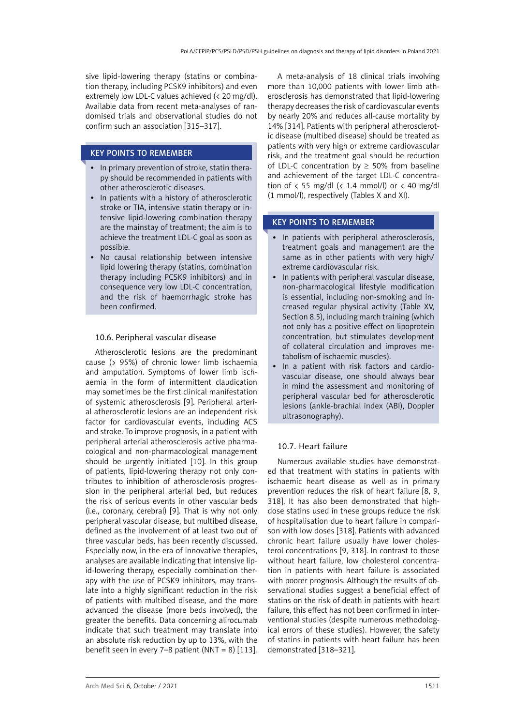sive lipid-lowering therapy (statins or combination therapy, including PCSK9 inhibitors) and even extremely low LDL-C values achieved (< 20 mg/dl). Available data from recent meta-analyses of randomised trials and observational studies do not confirm such an association [315–317].

### KEY POINTS TO REMEMBER

- In primary prevention of stroke, statin therapy should be recommended in patients with other atherosclerotic diseases.
- In patients with a history of atherosclerotic stroke or TIA, intensive statin therapy or intensive lipid-lowering combination therapy are the mainstay of treatment; the aim is to achieve the treatment LDL-C goal as soon as possible.
- No causal relationship between intensive lipid lowering therapy (statins, combination therapy including PCSK9 inhibitors) and in consequence very low LDL-C concentration, and the risk of haemorrhagic stroke has been confirmed.

#### 10.6. Peripheral vascular disease

Atherosclerotic lesions are the predominant cause (> 95%) of chronic lower limb ischaemia and amputation. Symptoms of lower limb ischaemia in the form of intermittent claudication may sometimes be the first clinical manifestation of systemic atherosclerosis [9]. Peripheral arterial atherosclerotic lesions are an independent risk factor for cardiovascular events, including ACS and stroke. To improve prognosis, in a patient with peripheral arterial atherosclerosis active pharmacological and non-pharmacological management should be urgently initiated [10]. In this group of patients, lipid-lowering therapy not only contributes to inhibition of atherosclerosis progression in the peripheral arterial bed, but reduces the risk of serious events in other vascular beds (i.e., coronary, cerebral) [9]. That is why not only peripheral vascular disease, but multibed disease, defined as the involvement of at least two out of three vascular beds, has been recently discussed. Especially now, in the era of innovative therapies, analyses are available indicating that intensive lipid-lowering therapy, especially combination therapy with the use of PCSK9 inhibitors, may translate into a highly significant reduction in the risk of patients with multibed disease, and the more advanced the disease (more beds involved), the greater the benefits. Data concerning alirocumab indicate that such treatment may translate into an absolute risk reduction by up to 13%, with the benefit seen in every 7–8 patient (NNT =  $8$ ) [113].

A meta-analysis of 18 clinical trials involving more than 10,000 patients with lower limb atherosclerosis has demonstrated that lipid-lowering therapy decreases the risk of cardiovascular events by nearly 20% and reduces all-cause mortality by 14% [314]. Patients with peripheral atherosclerotic disease (multibed disease) should be treated as patients with very high or extreme cardiovascular risk, and the treatment goal should be reduction of LDL-C concentration by  $\geq$  50% from baseline and achievement of the target LDL-C concentration of  $\langle 55 \text{ mg/d} \rangle$  ( $\langle 1.4 \text{ mmol/l} \rangle$  or  $\langle 40 \text{ mg/d} \rangle$ (1 mmol/l), respectively (Tables X and XI).

# KEY POINTS TO REMEMBER

- In patients with peripheral atherosclerosis, treatment goals and management are the same as in other patients with very high/ extreme cardiovascular risk.
- In patients with peripheral vascular disease, non-pharmacological lifestyle modification is essential, including non-smoking and increased regular physical activity (Table XV, Section 8.5), including march training (which not only has a positive effect on lipoprotein concentration, but stimulates development of collateral circulation and improves metabolism of ischaemic muscles).
- In a patient with risk factors and cardiovascular disease, one should always bear in mind the assessment and monitoring of peripheral vascular bed for atherosclerotic lesions (ankle-brachial index (ABI), Doppler ultrasonography).

# 10.7. Heart failure

Numerous available studies have demonstrated that treatment with statins in patients with ischaemic heart disease as well as in primary prevention reduces the risk of heart failure [8, 9, 318]. It has also been demonstrated that highdose statins used in these groups reduce the risk of hospitalisation due to heart failure in comparison with low doses [318]. Patients with advanced chronic heart failure usually have lower cholesterol concentrations [9, 318]. In contrast to those without heart failure, low cholesterol concentration in patients with heart failure is associated with poorer prognosis. Although the results of observational studies suggest a beneficial effect of statins on the risk of death in patients with heart failure, this effect has not been confirmed in interventional studies (despite numerous methodological errors of these studies). However, the safety of statins in patients with heart failure has been demonstrated [318–321].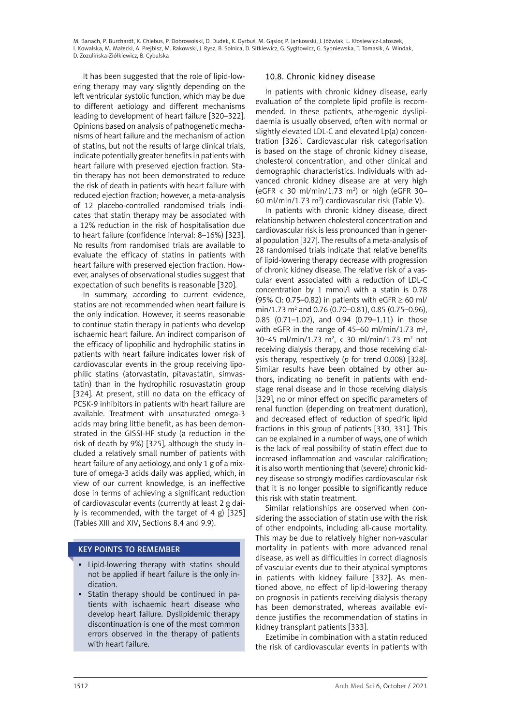It has been suggested that the role of lipid-lowering therapy may vary slightly depending on the left ventricular systolic function, which may be due to different aetiology and different mechanisms leading to development of heart failure [320–322]. Opinions based on analysis of pathogenetic mechanisms of heart failure and the mechanism of action of statins, but not the results of large clinical trials, indicate potentially greater benefits in patients with heart failure with preserved ejection fraction. Statin therapy has not been demonstrated to reduce the risk of death in patients with heart failure with reduced ejection fraction; however, a meta-analysis of 12 placebo-controlled randomised trials indicates that statin therapy may be associated with a 12% reduction in the risk of hospitalisation due to heart failure (confidence interval: 8–16%) [323]. No results from randomised trials are available to evaluate the efficacy of statins in patients with heart failure with preserved ejection fraction. However, analyses of observational studies suggest that expectation of such benefits is reasonable [320].

In summary, according to current evidence, statins are not recommended when heart failure is the only indication. However, it seems reasonable to continue statin therapy in patients who develop ischaemic heart failure. An indirect comparison of the efficacy of lipophilic and hydrophilic statins in patients with heart failure indicates lower risk of cardiovascular events in the group receiving lipophilic statins (atorvastatin, pitavastatin, simvastatin) than in the hydrophilic rosuvastatin group [324]. At present, still no data on the efficacy of PCSK-9 inhibitors in patients with heart failure are available. Treatment with unsaturated omega-3 acids may bring little benefit, as has been demonstrated in the GISSI-HF study (a reduction in the risk of death by 9%) [325], although the study included a relatively small number of patients with heart failure of any aetiology, and only 1 g of a mixture of omega-3 acids daily was applied, which, in view of our current knowledge, is an ineffective dose in terms of achieving a significant reduction of cardiovascular events (currently at least 2 g daily is recommended, with the target of 4 g)  $[325]$ (Tables XIII and XIV**,** Sections 8.4 and 9.9).

### KEY POINTS TO REMEMBER

- • Lipid-lowering therapy with statins should not be applied if heart failure is the only indication.
- Statin therapy should be continued in patients with ischaemic heart disease who develop heart failure. Dyslipidemic therapy discontinuation is one of the most common errors observed in the therapy of patients with heart failure.

#### 10.8. Chronic kidney disease

In patients with chronic kidney disease, early evaluation of the complete lipid profile is recommended. In these patients, atherogenic dyslipidaemia is usually observed, often with normal or slightly elevated LDL-C and elevated Lp(a) concentration [326]. Cardiovascular risk categorisation is based on the stage of chronic kidney disease, cholesterol concentration, and other clinical and demographic characteristics. Individuals with advanced chronic kidney disease are at very high (eGFR < 30 ml/min/1.73 m2 ) or high (eGFR 30– 60 ml/min/1.73  $m^2$ ) cardiovascular risk (Table V).

In patients with chronic kidney disease, direct relationship between cholesterol concentration and cardiovascular risk is less pronounced than in general population [327]. The results of a meta-analysis of 28 randomised trials indicate that relative benefits of lipid-lowering therapy decrease with progression of chronic kidney disease. The relative risk of a vascular event associated with a reduction of LDL-C concentration by 1 mmol/l with a statin is 0.78 (95% CI: 0.75–0.82) in patients with eGFR ≥ 60 ml/  $min/1.73$   $m^2$  and 0.76 (0.70–0.81), 0.85 (0.75–0.96), 0.85 (0.71–1.02), and 0.94 (0.79–1.11) in those with eGFR in the range of 45–60 ml/min/1.73 m<sup>2</sup>, 30–45 ml/min/1.73 m<sup>2</sup>, < 30 ml/min/1.73 m<sup>2</sup> not receiving dialysis therapy, and those receiving dialysis therapy, respectively (*p* for trend 0.008) [328]. Similar results have been obtained by other authors, indicating no benefit in patients with endstage renal disease and in those receiving dialysis [329], no or minor effect on specific parameters of renal function (depending on treatment duration), and decreased effect of reduction of specific lipid fractions in this group of patients [330, 331]. This can be explained in a number of ways, one of which is the lack of real possibility of statin effect due to increased inflammation and vascular calcification; it is also worth mentioning that (severe) chronic kidney disease so strongly modifies cardiovascular risk that it is no longer possible to significantly reduce this risk with statin treatment.

Similar relationships are observed when considering the association of statin use with the risk of other endpoints, including all-cause mortality. This may be due to relatively higher non-vascular mortality in patients with more advanced renal disease, as well as difficulties in correct diagnosis of vascular events due to their atypical symptoms in patients with kidney failure [332]. As mentioned above, no effect of lipid-lowering therapy on prognosis in patients receiving dialysis therapy has been demonstrated, whereas available evidence justifies the recommendation of statins in kidney transplant patients [333].

Ezetimibe in combination with a statin reduced the risk of cardiovascular events in patients with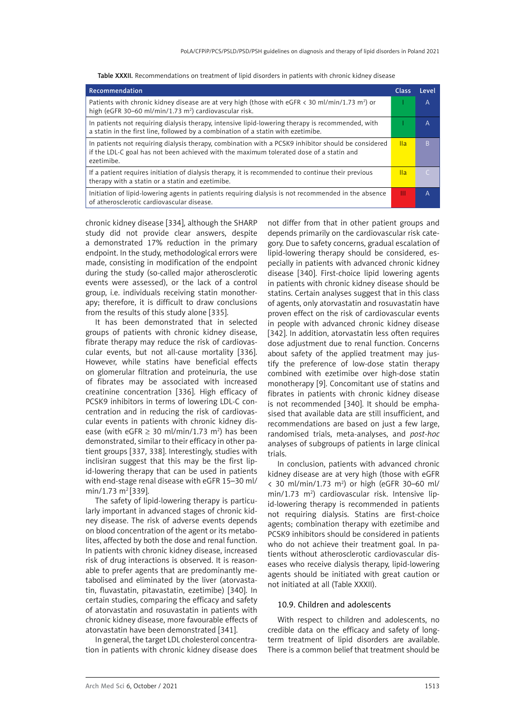| Recommendation                                                                                                                                                                                               | Class | Level |
|--------------------------------------------------------------------------------------------------------------------------------------------------------------------------------------------------------------|-------|-------|
| Patients with chronic kidney disease are at very high (those with eGFR $\lt$ 30 ml/min/1.73 m <sup>2</sup> ) or<br>high (eGFR 30–60 ml/min/1.73 m <sup>2</sup> ) cardiovascular risk.                        |       | A     |
| In patients not requiring dialysis therapy, intensive lipid-lowering therapy is recommended, with<br>a statin in the first line, followed by a combination of a statin with ezetimibe.                       |       | A     |
| In patients not requiring dialysis therapy, combination with a PCSK9 inhibitor should be considered<br>if the LDL-C goal has not been achieved with the maximum tolerated dose of a statin and<br>ezetimibe. | lla.  | B     |
| If a patient requires initiation of dialysis therapy, it is recommended to continue their previous<br>therapy with a statin or a statin and ezetimibe.                                                       | lla   |       |
| Initiation of lipid-lowering agents in patients requiring dialysis is not recommended in the absence<br>of atherosclerotic cardiovascular disease.                                                           | Ш     | A     |

Table XXXII. Recommendations on treatment of lipid disorders in patients with chronic kidney disease

chronic kidney disease [334], although the SHARP study did not provide clear answers, despite a demonstrated 17% reduction in the primary endpoint. In the study, methodological errors were made, consisting in modification of the endpoint during the study (so-called major atherosclerotic events were assessed), or the lack of a control group, i.e. individuals receiving statin monotherapy; therefore, it is difficult to draw conclusions from the results of this study alone [335].

It has been demonstrated that in selected groups of patients with chronic kidney disease, fibrate therapy may reduce the risk of cardiovascular events, but not all-cause mortality [336]. However, while statins have beneficial effects on glomerular filtration and proteinuria, the use of fibrates may be associated with increased creatinine concentration [336]. High efficacy of PCSK9 inhibitors in terms of lowering LDL-C concentration and in reducing the risk of cardiovascular events in patients with chronic kidney disease (with eGFR  $\geq$  30 ml/min/1.73 m<sup>2</sup>) has been demonstrated, similar to their efficacy in other patient groups [337, 338]. Interestingly, studies with inclisiran suggest that this may be the first lipid-lowering therapy that can be used in patients with end-stage renal disease with eGFR 15–30 ml/ min/1.73 m<sup>2</sup> [339].

The safety of lipid-lowering therapy is particularly important in advanced stages of chronic kidney disease. The risk of adverse events depends on blood concentration of the agent or its metabolites, affected by both the dose and renal function. In patients with chronic kidney disease, increased risk of drug interactions is observed. It is reasonable to prefer agents that are predominantly metabolised and eliminated by the liver (atorvastatin, fluvastatin, pitavastatin, ezetimibe) [340]. In certain studies, comparing the efficacy and safety of atorvastatin and rosuvastatin in patients with chronic kidney disease, more favourable effects of atorvastatin have been demonstrated [341].

In general, the target LDL cholesterol concentration in patients with chronic kidney disease does

not differ from that in other patient groups and depends primarily on the cardiovascular risk category. Due to safety concerns, gradual escalation of lipid-lowering therapy should be considered, especially in patients with advanced chronic kidney disease [340]. First-choice lipid lowering agents in patients with chronic kidney disease should be statins. Certain analyses suggest that in this class of agents, only atorvastatin and rosuvastatin have proven effect on the risk of cardiovascular events in people with advanced chronic kidney disease [342]. In addition, atorvastatin less often requires dose adjustment due to renal function. Concerns about safety of the applied treatment may justify the preference of low-dose statin therapy combined with ezetimibe over high-dose statin monotherapy [9]. Concomitant use of statins and fibrates in patients with chronic kidney disease is not recommended [340]. It should be emphasised that available data are still insufficient, and recommendations are based on just a few large, randomised trials, meta-analyses, and *post-hoc* analyses of subgroups of patients in large clinical trials.

In conclusion, patients with advanced chronic kidney disease are at very high (those with eGFR  $<$  30 ml/min/1.73 m<sup>2</sup>) or high (eGFR 30-60 ml/ min/1.73 m<sup>2</sup>) cardiovascular risk. Intensive lipid-lowering therapy is recommended in patients not requiring dialysis. Statins are first-choice agents; combination therapy with ezetimibe and PCSK9 inhibitors should be considered in patients who do not achieve their treatment goal. In patients without atherosclerotic cardiovascular diseases who receive dialysis therapy, lipid-lowering agents should be initiated with great caution or not initiated at all (Table XXXII).

#### 10.9. Children and adolescents

With respect to children and adolescents, no credible data on the efficacy and safety of longterm treatment of lipid disorders are available. There is a common belief that treatment should be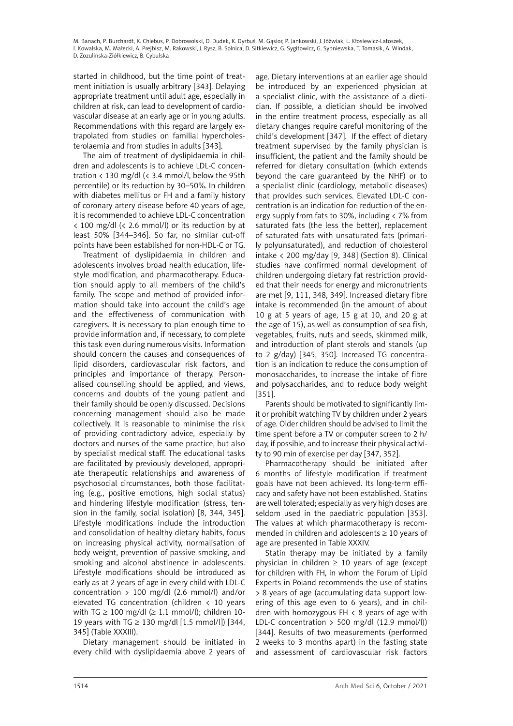started in childhood, but the time point of treatment initiation is usually arbitrary [343]. Delaying appropriate treatment until adult age, especially in children at risk, can lead to development of cardiovascular disease at an early age or in young adults. Recommendations with this regard are largely extrapolated from studies on familial hypercholesterolaemia and from studies in adults [343].

The aim of treatment of dyslipidaemia in children and adolescents is to achieve LDL-C concentration  $\langle 130 \text{ mg/d} \rangle$  ( $\langle 3.4 \text{ mmol/l} \rangle$ , below the 95th percentile) or its reduction by 30–50%. In children with diabetes mellitus or FH and a family history of coronary artery disease before 40 years of age, it is recommended to achieve LDL-C concentration < 100 mg/dl (< 2.6 mmol/l) or its reduction by at least 50% [344–346]. So far, no similar cut-off points have been established for non-HDL-C or TG.

Treatment of dyslipidaemia in children and adolescents involves broad health education, lifestyle modification, and pharmacotherapy. Education should apply to all members of the child's family. The scope and method of provided information should take into account the child's age and the effectiveness of communication with caregivers. It is necessary to plan enough time to provide information and, if necessary, to complete this task even during numerous visits. Information should concern the causes and consequences of lipid disorders, cardiovascular risk factors, and principles and importance of therapy. Personalised counselling should be applied, and views, concerns and doubts of the young patient and their family should be openly discussed. Decisions concerning management should also be made collectively. It is reasonable to minimise the risk of providing contradictory advice, especially by doctors and nurses of the same practice, but also by specialist medical staff. The educational tasks are facilitated by previously developed, appropriate therapeutic relationships and awareness of psychosocial circumstances, both those facilitating (e.g., positive emotions, high social status) and hindering lifestyle modification (stress, tension in the family, social isolation) [8, 344, 345]. Lifestyle modifications include the introduction and consolidation of healthy dietary habits, focus on increasing physical activity, normalisation of body weight, prevention of passive smoking, and smoking and alcohol abstinence in adolescents. Lifestyle modifications should be introduced as early as at 2 years of age in every child with LDL-C concentration  $> 100$  mg/dl (2.6 mmol/l) and/or elevated TG concentration (children < 10 years with TG  $\geq$  100 mg/dl ( $\geq$  1.1 mmol/l): children 10-19 years with TG  $\geq$  130 mg/dl [1.5 mmol/l]) [344, 345] (Table XXXIII).

Dietary management should be initiated in every child with dyslipidaemia above 2 years of

age. Dietary interventions at an earlier age should be introduced by an experienced physician at a specialist clinic, with the assistance of a dietician. If possible, a dietician should be involved in the entire treatment process, especially as all dietary changes require careful monitoring of the child's development [347]. If the effect of dietary treatment supervised by the family physician is insufficient, the patient and the family should be referred for dietary consultation (which extends beyond the care guaranteed by the NHF) or to a specialist clinic (cardiology, metabolic diseases) that provides such services. Elevated LDL-C concentration is an indication for: reduction of the energy supply from fats to 30%, including < 7% from saturated fats (the less the better), replacement of saturated fats with unsaturated fats (primarily polyunsaturated), and reduction of cholesterol intake < 200 mg/day [9, 348] (Section 8). Clinical studies have confirmed normal development of children undergoing dietary fat restriction provided that their needs for energy and micronutrients are met [9, 111, 348, 349]. Increased dietary fibre intake is recommended (in the amount of about 10  $g$  at 5 years of age, 15  $g$  at 10, and 20  $g$  at the age of 15), as well as consumption of sea fish, vegetables, fruits, nuts and seeds, skimmed milk, and introduction of plant sterols and stanols (up to 2 g/day) [345, 350]. Increased TG concentration is an indication to reduce the consumption of monosaccharides, to increase the intake of fibre and polysaccharides, and to reduce body weight [351].

Parents should be motivated to significantly limit or prohibit watching TV by children under 2 years of age. Older children should be advised to limit the time spent before a TV or computer screen to 2 h/ day, if possible, and to increase their physical activity to 90 min of exercise per day [347, 352].

Pharmacotherapy should be initiated after 6 months of lifestyle modification if treatment goals have not been achieved. Its long-term efficacy and safety have not been established. Statins are well tolerated; especially as very high doses are seldom used in the paediatric population [353]. The values at which pharmacotherapy is recommended in children and adolescents ≥ 10 years of age are presented in Table XXXIV.

Statin therapy may be initiated by a family physician in children  $\geq 10$  years of age (except for children with FH, in whom the Forum of Lipid Experts in Poland recommends the use of statins > 8 years of age (accumulating data support lowering of this age even to 6 years), and in children with homozygous FH  $\lt$  8 years of age with LDL-C concentration  $>$  500 mg/dl (12.9 mmol/l)) [344]. Results of two measurements (performed 2 weeks to 3 months apart) in the fasting state and assessment of cardiovascular risk factors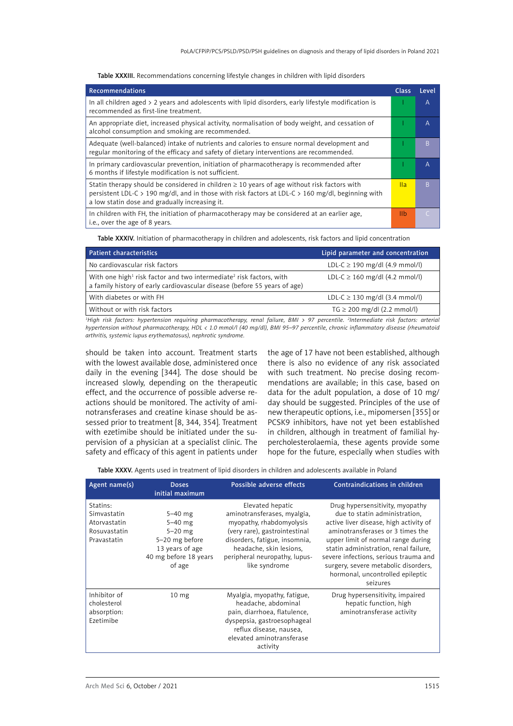Table XXXIII. Recommendations concerning lifestyle changes in children with lipid disorders

| <b>Recommendations</b>                                                                                                                                                                                                                                  | <b>Class</b>   | Level     |
|---------------------------------------------------------------------------------------------------------------------------------------------------------------------------------------------------------------------------------------------------------|----------------|-----------|
| In all children aged $> 2$ years and adolescents with lipid disorders, early lifestyle modification is<br>recommended as first-line treatment.                                                                                                          |                | A         |
| An appropriate diet, increased physical activity, normalisation of body weight, and cessation of<br>alcohol consumption and smoking are recommended.                                                                                                    |                | A         |
| Adequate (well-balanced) intake of nutrients and calories to ensure normal development and<br>regular monitoring of the efficacy and safety of dietary interventions are recommended.                                                                   |                | B         |
| In primary cardiovascular prevention, initiation of pharmacotherapy is recommended after<br>6 months if lifestyle modification is not sufficient.                                                                                                       |                | A         |
| Statin therapy should be considered in children $\geq 10$ years of age without risk factors with<br>persistent LDL-C > 190 mg/dl, and in those with risk factors at LDL-C > 160 mg/dl, beginning with<br>a low statin dose and gradually increasing it. | Ila.           | B         |
| In children with FH, the initiation of pharmacotherapy may be considered at an earlier age,<br>i.e., over the age of 8 years.                                                                                                                           | I <sub>1</sub> | $\subset$ |

Table XXXIV. Initiation of pharmacotherapy in children and adolescents, risk factors and lipid concentration

| <b>Patient characteristics</b>                                                                                                                                           | Lipid parameter and concentration               |
|--------------------------------------------------------------------------------------------------------------------------------------------------------------------------|-------------------------------------------------|
| No cardiovascular risk factors                                                                                                                                           | LDL-C $\geq$ 190 mg/dl (4.9 mmol/l)             |
| With one high <sup>1</sup> risk factor and two intermediate <sup>2</sup> risk factors, with<br>a family history of early cardiovascular disease (before 55 years of age) | LDL-C $\geq$ 160 mg/dl (4.2 mmol/l)             |
| With diabetes or with FH                                                                                                                                                 | LDL-C $\geq$ 130 mg/dl (3.4 mmol/l)             |
| Without or with risk factors                                                                                                                                             | $TG \ge 200 \text{ mg/dl} (2.2 \text{ mmol/l})$ |
|                                                                                                                                                                          |                                                 |

*1 High risk factors: hypertension requiring pharmacotherapy, renal failure, BMI > 97 percentile. 2 Intermediate risk factors: arterial hypertension without pharmacotherapy, HDL < 1.0 mmol/l (40 mg/dl), BMI 95–97 percentile, chronic inflammatory disease (rheumatoid arthritis, systemic lupus erythematosus), nephrotic syndrome.*

should be taken into account. Treatment starts with the lowest available dose, administered once daily in the evening [344]. The dose should be increased slowly, depending on the therapeutic effect, and the occurrence of possible adverse reactions should be monitored. The activity of aminotransferases and creatine kinase should be assessed prior to treatment [8, 344, 354]. Treatment with ezetimibe should be initiated under the supervision of a physician at a specialist clinic. The safety and efficacy of this agent in patients under the age of 17 have not been established, although there is also no evidence of any risk associated with such treatment. No precise dosing recommendations are available; in this case, based on data for the adult population, a dose of 10 mg/ day should be suggested. Principles of the use of new therapeutic options, i.e., mipomersen [355] or PCSK9 inhibitors, have not yet been established in children, although in treatment of familial hypercholesterolaemia, these agents provide some hope for the future, especially when studies with

Table XXXV. Agents used in treatment of lipid disorders in children and adolescents available in Poland

| Agent name(s)                                                          | <b>Doses</b><br>initial maximum                                                                               | Possible adverse effects                                                                                                                                                                                                   | Contraindications in children                                                                                                                                                                                                                                                                                                                                  |
|------------------------------------------------------------------------|---------------------------------------------------------------------------------------------------------------|----------------------------------------------------------------------------------------------------------------------------------------------------------------------------------------------------------------------------|----------------------------------------------------------------------------------------------------------------------------------------------------------------------------------------------------------------------------------------------------------------------------------------------------------------------------------------------------------------|
| Statins:<br>Simvastatin<br>Atorvastatin<br>Rosuvastatin<br>Pravastatin | $5 - 40$ mg<br>$5-40$ mg<br>$5-20$ mg<br>5-20 mg before<br>13 years of age<br>40 mg before 18 years<br>of age | Elevated hepatic<br>aminotransferases, myalgia,<br>myopathy, rhabdomyolysis<br>(very rare), gastrointestinal<br>disorders, fatigue, insomnia,<br>headache, skin lesions,<br>peripheral neuropathy, lupus-<br>like syndrome | Drug hypersensitivity, myopathy<br>due to statin administration,<br>active liver disease, high activity of<br>aminotransferases or 3 times the<br>upper limit of normal range during<br>statin administration, renal failure,<br>severe infections, serious trauma and<br>surgery, severe metabolic disorders,<br>hormonal, uncontrolled epileptic<br>seizures |
| Inhibitor of<br>cholesterol<br>absorption:<br>Ezetimibe                | 10 <sub>mg</sub>                                                                                              | Myalgia, myopathy, fatigue,<br>headache, abdominal<br>pain, diarrhoea, flatulence,<br>dyspepsia, gastroesophageal<br>reflux disease, nausea,<br>elevated aminotransferase<br>activity                                      | Drug hypersensitivity, impaired<br>hepatic function, high<br>aminotransferase activity                                                                                                                                                                                                                                                                         |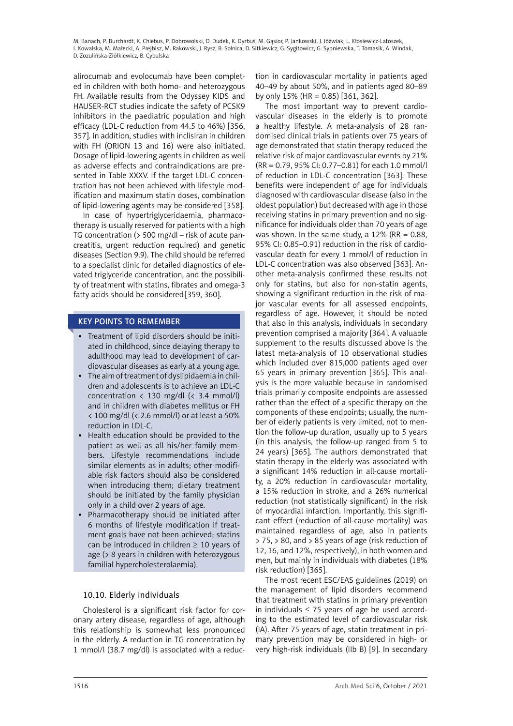alirocumab and evolocumab have been completed in children with both homo- and heterozygous FH. Available results from the Odyssey KIDS and HAUSER-RCT studies indicate the safety of PCSK9 inhibitors in the paediatric population and high efficacy (LDL-C reduction from 44.5 to 46%) [356, 357]. In addition, studies with inclisiran in children with FH (ORION 13 and 16) were also initiated. Dosage of lipid-lowering agents in children as well as adverse effects and contraindications are presented in Table XXXV. If the target LDL-C concentration has not been achieved with lifestyle modification and maximum statin doses, combination of lipid-lowering agents may be considered [358].

In case of hypertriglyceridaemia, pharmacotherapy is usually reserved for patients with a high TG concentration (> 500 mg/dl – risk of acute pancreatitis, urgent reduction required) and genetic diseases (Section 9.9). The child should be referred to a specialist clinic for detailed diagnostics of elevated triglyceride concentration, and the possibility of treatment with statins, fibrates and omega-3 fatty acids should be considered [359, 360].

### KEY POINTS TO REMEMBER

- Treatment of lipid disorders should be initiated in childhood, since delaying therapy to adulthood may lead to development of cardiovascular diseases as early at a young age.
- • The aim of treatment of dyslipidaemia in children and adolescents is to achieve an LDL-C concentration  $\langle 130 \text{ mg/dl} \rangle \langle 3.4 \text{ mmol/l} \rangle$ and in children with diabetes mellitus or FH  $<$  100 mg/dl ( $<$  2.6 mmol/l) or at least a 50% reduction in LDL-C.
- Health education should be provided to the patient as well as all his/her family members. Lifestyle recommendations include similar elements as in adults; other modifiable risk factors should also be considered when introducing them; dietary treatment should be initiated by the family physician only in a child over 2 years of age.
- Pharmacotherapy should be initiated after 6 months of lifestyle modification if treatment goals have not been achieved; statins can be introduced in children  $\geq 10$  years of age (> 8 years in children with heterozygous familial hypercholesterolaemia).

# 10.10. Elderly individuals

Cholesterol is a significant risk factor for coronary artery disease, regardless of age, although this relationship is somewhat less pronounced in the elderly. A reduction in TG concentration by 1 mmol/l (38.7 mg/dl) is associated with a reduction in cardiovascular mortality in patients aged 40–49 by about 50%, and in patients aged 80–89 by only 15% (HR = 0.85) [361, 362].

The most important way to prevent cardiovascular diseases in the elderly is to promote a healthy lifestyle. A meta-analysis of 28 randomised clinical trials in patients over 75 years of age demonstrated that statin therapy reduced the relative risk of major cardiovascular events by 21% (RR = 0.79, 95% CI: 0.77–0.81) for each 1.0 mmol/l of reduction in LDL-C concentration [363]. These benefits were independent of age for individuals diagnosed with cardiovascular disease (also in the oldest population) but decreased with age in those receiving statins in primary prevention and no significance for individuals older than 70 years of age was shown. In the same study, a  $12\%$  (RR = 0.88, 95% CI: 0.85–0.91) reduction in the risk of cardiovascular death for every 1 mmol/l of reduction in LDL-C concentration was also observed [363]. Another meta-analysis confirmed these results not only for statins, but also for non-statin agents, showing a significant reduction in the risk of major vascular events for all assessed endpoints, regardless of age. However, it should be noted that also in this analysis, individuals in secondary prevention comprised a majority [364]. A valuable supplement to the results discussed above is the latest meta-analysis of 10 observational studies which included over 815,000 patients aged over 65 years in primary prevention [365]. This analysis is the more valuable because in randomised trials primarily composite endpoints are assessed rather than the effect of a specific therapy on the components of these endpoints; usually, the number of elderly patients is very limited, not to mention the follow-up duration, usually up to 5 years (in this analysis, the follow-up ranged from 5 to 24 years) [365]. The authors demonstrated that statin therapy in the elderly was associated with a significant 14% reduction in all-cause mortality, a 20% reduction in cardiovascular mortality, a 15% reduction in stroke, and a 26% numerical reduction (not statistically significant) in the risk of myocardial infarction. Importantly, this significant effect (reduction of all-cause mortality) was maintained regardless of age, also in patients > 75, > 80, and > 85 years of age (risk reduction of 12, 16, and 12%, respectively), in both women and men, but mainly in individuals with diabetes (18% risk reduction) [365].

The most recent ESC/EAS guidelines (2019) on the management of lipid disorders recommend that treatment with statins in primary prevention in individuals  $\leq$  75 years of age be used according to the estimated level of cardiovascular risk (IA). After 75 years of age, statin treatment in primary prevention may be considered in high- or very high-risk individuals (IIb B) [9]. In secondary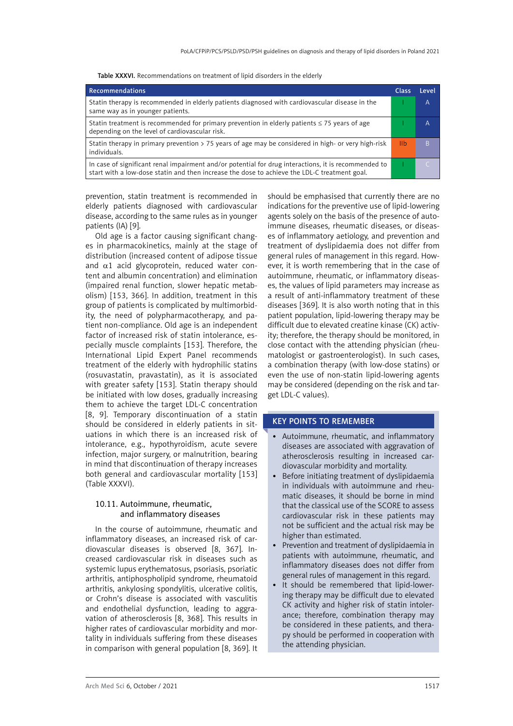| Recommendations                                                                                                                                                                                      | Class      | <b>Level</b> |
|------------------------------------------------------------------------------------------------------------------------------------------------------------------------------------------------------|------------|--------------|
| Statin therapy is recommended in elderly patients diagnosed with cardiovascular disease in the<br>same way as in younger patients.                                                                   |            | A            |
| Statin treatment is recommended for primary prevention in elderly patients $\leq$ 75 years of age<br>depending on the level of cardiovascular risk.                                                  |            | A            |
| Statin therapy in primary prevention $>$ 75 years of age may be considered in high- or very high-risk<br>individuals.                                                                                | <u>IIb</u> | B            |
| In case of significant renal impairment and/or potential for drug interactions, it is recommended to<br>start with a low-dose statin and then increase the dose to achieve the LDL-C treatment goal. |            |              |

Table XXXVI. Recommendations on treatment of lipid disorders in the elderly

prevention, statin treatment is recommended in elderly patients diagnosed with cardiovascular disease, according to the same rules as in younger patients (IA) [9].

Old age is a factor causing significant changes in pharmacokinetics, mainly at the stage of distribution (increased content of adipose tissue and α1 acid glycoprotein, reduced water content and albumin concentration) and elimination (impaired renal function, slower hepatic metabolism) [153, 366]. In addition, treatment in this group of patients is complicated by multimorbidity, the need of polypharmacotherapy, and patient non-compliance. Old age is an independent factor of increased risk of statin intolerance, especially muscle complaints [153]. Therefore, the International Lipid Expert Panel recommends treatment of the elderly with hydrophilic statins (rosuvastatin, pravastatin), as it is associated with greater safety [153]. Statin therapy should be initiated with low doses, gradually increasing them to achieve the target LDL-C concentration [8, 9]. Temporary discontinuation of a statin should be considered in elderly patients in situations in which there is an increased risk of intolerance, e.g., hypothyroidism, acute severe infection, major surgery, or malnutrition, bearing in mind that discontinuation of therapy increases both general and cardiovascular mortality [153] (Table XXXVI).

### 10.11. Autoimmune, rheumatic, and inflammatory diseases

In the course of autoimmune, rheumatic and inflammatory diseases, an increased risk of cardiovascular diseases is observed [8, 367]. Increased cardiovascular risk in diseases such as systemic lupus erythematosus, psoriasis, psoriatic arthritis, antiphospholipid syndrome, rheumatoid arthritis, ankylosing spondylitis, ulcerative colitis, or Crohn's disease is associated with vasculitis and endothelial dysfunction, leading to aggravation of atherosclerosis [8, 368]. This results in higher rates of cardiovascular morbidity and mortality in individuals suffering from these diseases in comparison with general population [8, 369]. It

should be emphasised that currently there are no indications for the preventive use of lipid-lowering agents solely on the basis of the presence of autoimmune diseases, rheumatic diseases, or diseases of inflammatory aetiology, and prevention and treatment of dyslipidaemia does not differ from general rules of management in this regard. However, it is worth remembering that in the case of autoimmune, rheumatic, or inflammatory diseases, the values of lipid parameters may increase as a result of anti-inflammatory treatment of these diseases [369]. It is also worth noting that in this patient population, lipid-lowering therapy may be difficult due to elevated creatine kinase (CK) activity; therefore, the therapy should be monitored, in close contact with the attending physician (rheumatologist or gastroenterologist). In such cases, a combination therapy (with low-dose statins) or even the use of non-statin lipid-lowering agents may be considered (depending on the risk and target LDL-C values).

# KEY POINTS TO REMEMBER

- • Autoimmune, rheumatic, and inflammatory diseases are associated with aggravation of atherosclerosis resulting in increased cardiovascular morbidity and mortality.
- Before initiating treatment of dyslipidaemia in individuals with autoimmune and rheumatic diseases, it should be borne in mind that the classical use of the SCORE to assess cardiovascular risk in these patients may not be sufficient and the actual risk may be higher than estimated.
- Prevention and treatment of dyslipidaemia in patients with autoimmune, rheumatic, and inflammatory diseases does not differ from general rules of management in this regard.
- It should be remembered that lipid-lowering therapy may be difficult due to elevated CK activity and higher risk of statin intolerance; therefore, combination therapy may be considered in these patients, and therapy should be performed in cooperation with the attending physician.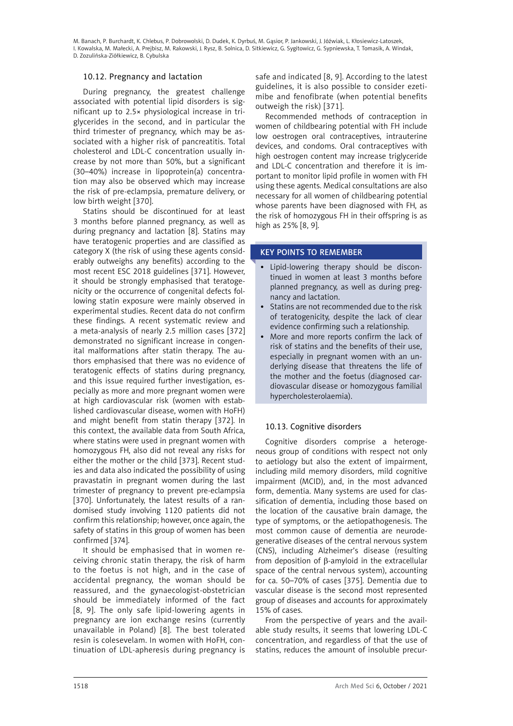### 10.12. Pregnancy and lactation

During pregnancy, the greatest challenge associated with potential lipid disorders is significant up to 2.5× physiological increase in triglycerides in the second, and in particular the third trimester of pregnancy, which may be associated with a higher risk of pancreatitis. Total cholesterol and LDL-C concentration usually increase by not more than 50%, but a significant (30–40%) increase in lipoprotein(a) concentration may also be observed which may increase the risk of pre-eclampsia, premature delivery, or low birth weight [370].

Statins should be discontinued for at least 3 months before planned pregnancy, as well as during pregnancy and lactation [8]. Statins may have teratogenic properties and are classified as category X (the risk of using these agents considerably outweighs any benefits) according to the most recent ESC 2018 guidelines [371]. However, it should be strongly emphasised that teratogenicity or the occurrence of congenital defects following statin exposure were mainly observed in experimental studies. Recent data do not confirm these findings. A recent systematic review and a meta-analysis of nearly 2.5 million cases [372] demonstrated no significant increase in congenital malformations after statin therapy. The authors emphasised that there was no evidence of teratogenic effects of statins during pregnancy, and this issue required further investigation, especially as more and more pregnant women were at high cardiovascular risk (women with established cardiovascular disease, women with HoFH) and might benefit from statin therapy [372]. In this context, the available data from South Africa, where statins were used in pregnant women with homozygous FH, also did not reveal any risks for either the mother or the child [373]. Recent studies and data also indicated the possibility of using pravastatin in pregnant women during the last trimester of pregnancy to prevent pre-eclampsia [370]. Unfortunately, the latest results of a randomised study involving 1120 patients did not confirm this relationship; however, once again, the safety of statins in this group of women has been confirmed [374].

It should be emphasised that in women receiving chronic statin therapy, the risk of harm to the foetus is not high, and in the case of accidental pregnancy, the woman should be reassured, and the gynaecologist-obstetrician should be immediately informed of the fact [8, 9]. The only safe lipid-lowering agents in pregnancy are ion exchange resins (currently unavailable in Poland) [8]. The best tolerated resin is colesevelam. In women with HoFH, continuation of LDL-apheresis during pregnancy is

safe and indicated [8, 9]. According to the latest guidelines, it is also possible to consider ezetimibe and fenofibrate (when potential benefits outweigh the risk) [371].

Recommended methods of contraception in women of childbearing potential with FH include low oestrogen oral contraceptives, intrauterine devices, and condoms. Oral contraceptives with high oestrogen content may increase triglyceride and LDL-C concentration and therefore it is important to monitor lipid profile in women with FH using these agents. Medical consultations are also necessary for all women of childbearing potential whose parents have been diagnosed with FH, as the risk of homozygous FH in their offspring is as high as 25% [8, 9].

### KEY POINTS TO REMEMBER

- Lipid-lowering therapy should be discontinued in women at least 3 months before planned pregnancy, as well as during pregnancy and lactation.
- Statins are not recommended due to the risk of teratogenicity, despite the lack of clear evidence confirming such a relationship.
- More and more reports confirm the lack of risk of statins and the benefits of their use, especially in pregnant women with an underlying disease that threatens the life of the mother and the foetus (diagnosed cardiovascular disease or homozygous familial hypercholesterolaemia).

### 10.13. Cognitive disorders

Cognitive disorders comprise a heterogeneous group of conditions with respect not only to aetiology but also the extent of impairment, including mild memory disorders, mild cognitive impairment (MCID), and, in the most advanced form, dementia. Many systems are used for classification of dementia, including those based on the location of the causative brain damage, the type of symptoms, or the aetiopathogenesis. The most common cause of dementia are neurodegenerative diseases of the central nervous system (CNS), including Alzheimer's disease (resulting from deposition of β-amyloid in the extracellular space of the central nervous system), accounting for ca. 50–70% of cases [375]. Dementia due to vascular disease is the second most represented group of diseases and accounts for approximately 15% of cases.

From the perspective of years and the available study results, it seems that lowering LDL-C concentration, and regardless of that the use of statins, reduces the amount of insoluble precur-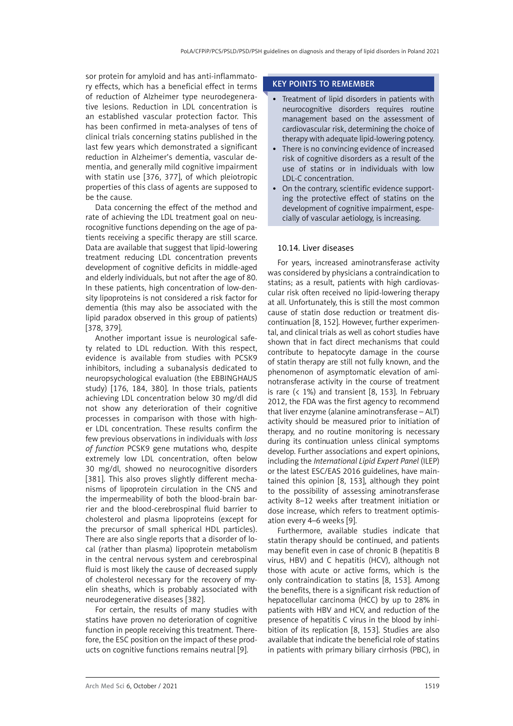sor protein for amyloid and has anti-inflammatory effects, which has a beneficial effect in terms of reduction of Alzheimer type neurodegenerative lesions. Reduction in LDL concentration is an established vascular protection factor. This has been confirmed in meta-analyses of tens of clinical trials concerning statins published in the last few years which demonstrated a significant reduction in Alzheimer's dementia, vascular dementia, and generally mild cognitive impairment with statin use [376, 377], of which pleiotropic properties of this class of agents are supposed to be the cause.

Data concerning the effect of the method and rate of achieving the LDL treatment goal on neurocognitive functions depending on the age of patients receiving a specific therapy are still scarce. Data are available that suggest that lipid-lowering treatment reducing LDL concentration prevents development of cognitive deficits in middle-aged and elderly individuals, but not after the age of 80. In these patients, high concentration of low-density lipoproteins is not considered a risk factor for dementia (this may also be associated with the lipid paradox observed in this group of patients) [378, 379].

Another important issue is neurological safety related to LDL reduction. With this respect, evidence is available from studies with PCSK9 inhibitors, including a subanalysis dedicated to neuropsychological evaluation (the EBBINGHAUS study) [176, 184, 380]. In those trials, patients achieving LDL concentration below 30 mg/dl did not show any deterioration of their cognitive processes in comparison with those with higher LDL concentration. These results confirm the few previous observations in individuals with *loss of function* PCSK9 gene mutations who, despite extremely low LDL concentration, often below 30 mg/dl, showed no neurocognitive disorders [381]. This also proves slightly different mechanisms of lipoprotein circulation in the CNS and the impermeability of both the blood-brain barrier and the blood-cerebrospinal fluid barrier to cholesterol and plasma lipoproteins (except for the precursor of small spherical HDL particles). There are also single reports that a disorder of local (rather than plasma) lipoprotein metabolism in the central nervous system and cerebrospinal fluid is most likely the cause of decreased supply of cholesterol necessary for the recovery of myelin sheaths, which is probably associated with neurodegenerative diseases [382].

For certain, the results of many studies with statins have proven no deterioration of cognitive function in people receiving this treatment. Therefore, the ESC position on the impact of these products on cognitive functions remains neutral [9].

#### KEY POINTS TO REMEMBER

- Treatment of lipid disorders in patients with neurocognitive disorders requires routine management based on the assessment of cardiovascular risk, determining the choice of therapy with adequate lipid-lowering potency.
- There is no convincing evidence of increased risk of cognitive disorders as a result of the use of statins or in individuals with low LDL-C concentration.
- On the contrary, scientific evidence supporting the protective effect of statins on the development of cognitive impairment, especially of vascular aetiology, is increasing.

### 10.14. Liver diseases

For years, increased aminotransferase activity was considered by physicians a contraindication to statins; as a result, patients with high cardiovascular risk often received no lipid-lowering therapy at all. Unfortunately, this is still the most common cause of statin dose reduction or treatment discontinuation [8, 152]. However, further experimental, and clinical trials as well as cohort studies have shown that in fact direct mechanisms that could contribute to hepatocyte damage in the course of statin therapy are still not fully known, and the phenomenon of asymptomatic elevation of aminotransferase activity in the course of treatment is rare  $($  1%) and transient  $[8, 153]$ . In February 2012, the FDA was the first agency to recommend that liver enzyme (alanine aminotransferase – ALT) activity should be measured prior to initiation of therapy, and no routine monitoring is necessary during its continuation unless clinical symptoms develop. Further associations and expert opinions, including the *International Lipid Expert Panel* (ILEP) or the latest ESC/EAS 2016 guidelines, have maintained this opinion [8, 153], although they point to the possibility of assessing aminotransferase activity 8–12 weeks after treatment initiation or dose increase, which refers to treatment optimisation every 4–6 weeks [9].

Furthermore, available studies indicate that statin therapy should be continued, and patients may benefit even in case of chronic B (hepatitis B virus, HBV) and C hepatitis (HCV), although not those with acute or active forms, which is the only contraindication to statins [8, 153]. Among the benefits, there is a significant risk reduction of hepatocellular carcinoma (HCC) by up to 28% in patients with HBV and HCV, and reduction of the presence of hepatitis C virus in the blood by inhibition of its replication [8, 153]. Studies are also available that indicate the beneficial role of statins in patients with primary biliary cirrhosis (PBC), in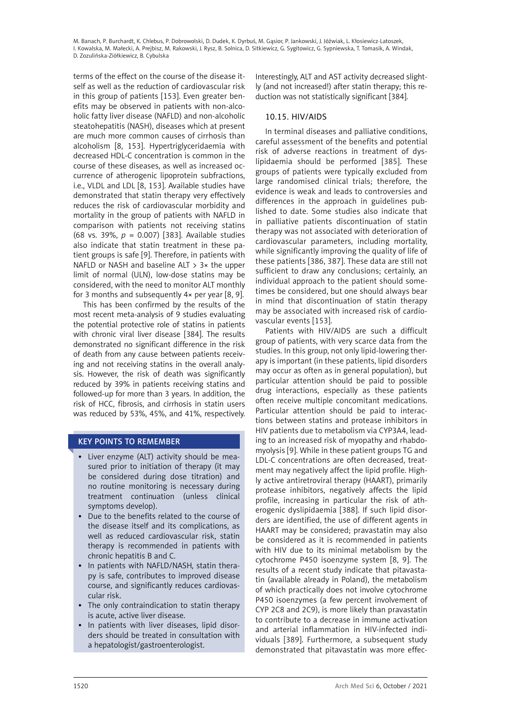terms of the effect on the course of the disease itself as well as the reduction of cardiovascular risk in this group of patients [153]. Even greater benefits may be observed in patients with non-alcoholic fatty liver disease (NAFLD) and non-alcoholic steatohepatitis (NASH), diseases which at present are much more common causes of cirrhosis than alcoholism [8, 153]. Hypertriglyceridaemia with decreased HDL-C concentration is common in the course of these diseases, as well as increased occurrence of atherogenic lipoprotein subfractions, i.e., VLDL and LDL [8, 153]. Available studies have demonstrated that statin therapy very effectively reduces the risk of cardiovascular morbidity and mortality in the group of patients with NAFLD in comparison with patients not receiving statins (68 vs. 39%, *p*  = 0.007) [383]. Available studies also indicate that statin treatment in these patient groups is safe [9]. Therefore, in patients with NAFLD or NASH and baseline ALT > 3× the upper limit of normal (ULN), low-dose statins may be considered, with the need to monitor ALT monthly for 3 months and subsequently 4× per year [8, 9].

This has been confirmed by the results of the most recent meta-analysis of 9 studies evaluating the potential protective role of statins in patients with chronic viral liver disease [384]. The results demonstrated no significant difference in the risk of death from any cause between patients receiving and not receiving statins in the overall analysis. However, the risk of death was significantly reduced by 39% in patients receiving statins and followed-up for more than 3 years. In addition, the risk of HCC, fibrosis, and cirrhosis in statin users was reduced by 53%, 45%, and 41%, respectively.

# KEY POINTS TO REMEMBER

- • Liver enzyme (ALT) activity should be measured prior to initiation of therapy (it may be considered during dose titration) and no routine monitoring is necessary during treatment continuation (unless clinical symptoms develop).
- • Due to the benefits related to the course of the disease itself and its complications, as well as reduced cardiovascular risk, statin therapy is recommended in patients with chronic hepatitis B and C.
- In patients with NAFLD/NASH, statin therapy is safe, contributes to improved disease course, and significantly reduces cardiovascular risk.
- The only contraindication to statin therapy is acute, active liver disease.
- In patients with liver diseases, lipid disorders should be treated in consultation with a hepatologist/gastroenterologist.

Interestingly, ALT and AST activity decreased slightly (and not increased!) after statin therapy; this reduction was not statistically significant [384].

# 10.15. HIV/AIDS

In terminal diseases and palliative conditions, careful assessment of the benefits and potential risk of adverse reactions in treatment of dyslipidaemia should be performed [385]. These groups of patients were typically excluded from large randomised clinical trials; therefore, the evidence is weak and leads to controversies and differences in the approach in guidelines published to date. Some studies also indicate that in palliative patients discontinuation of statin therapy was not associated with deterioration of cardiovascular parameters, including mortality, while significantly improving the quality of life of these patients [386, 387]. These data are still not sufficient to draw any conclusions; certainly, an individual approach to the patient should sometimes be considered, but one should always bear in mind that discontinuation of statin therapy may be associated with increased risk of cardiovascular events [153].

Patients with HIV/AIDS are such a difficult group of patients, with very scarce data from the studies. In this group, not only lipid-lowering therapy is important (in these patients, lipid disorders may occur as often as in general population), but particular attention should be paid to possible drug interactions, especially as these patients often receive multiple concomitant medications. Particular attention should be paid to interactions between statins and protease inhibitors in HIV patients due to metabolism via CYP3A4, leading to an increased risk of myopathy and rhabdomyolysis [9]. While in these patient groups TG and LDL-C concentrations are often decreased, treatment may negatively affect the lipid profile. Highly active antiretroviral therapy (HAART), primarily protease inhibitors, negatively affects the lipid profile, increasing in particular the risk of atherogenic dyslipidaemia [388]. If such lipid disorders are identified, the use of different agents in HAART may be considered; pravastatin may also be considered as it is recommended in patients with HIV due to its minimal metabolism by the cytochrome P450 isoenzyme system [8, 9]. The results of a recent study indicate that pitavastatin (available already in Poland), the metabolism of which practically does not involve cytochrome P450 isoenzymes (a few percent involvement of CYP 2C8 and 2C9), is more likely than pravastatin to contribute to a decrease in immune activation and arterial inflammation in HIV-infected individuals [389]. Furthermore, a subsequent study demonstrated that pitavastatin was more effec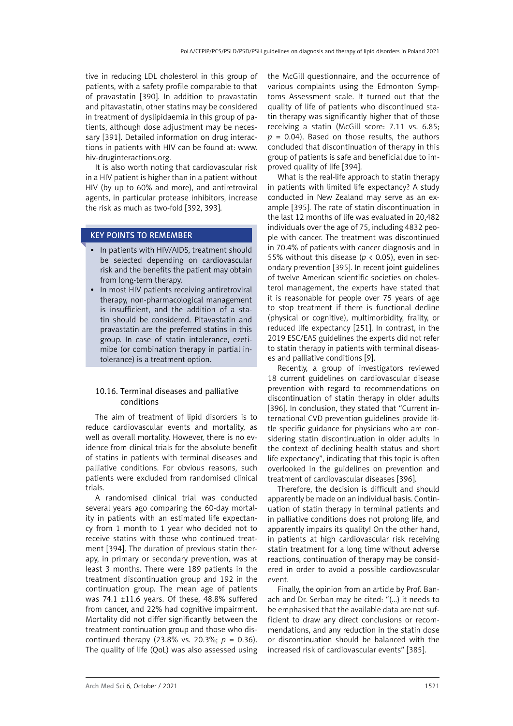tive in reducing LDL cholesterol in this group of patients, with a safety profile comparable to that of pravastatin [390]. In addition to pravastatin and pitavastatin, other statins may be considered in treatment of dyslipidaemia in this group of patients, although dose adjustment may be necessary [391]. Detailed information on drug interactions in patients with HIV can be found at: www. hiv-druginteractions.org.

It is also worth noting that cardiovascular risk in a HIV patient is higher than in a patient without HIV (by up to 60% and more), and antiretroviral agents, in particular protease inhibitors, increase the risk as much as two-fold [392, 393].

# KEY POINTS TO REMEMBER

- In patients with HIV/AIDS, treatment should be selected depending on cardiovascular risk and the benefits the patient may obtain from long-term therapy.
- In most HIV patients receiving antiretroviral therapy, non-pharmacological management is insufficient, and the addition of a statin should be considered. Pitavastatin and pravastatin are the preferred statins in this group. In case of statin intolerance, ezetimibe (or combination therapy in partial intolerance) is a treatment option.

## 10.16. Terminal diseases and palliative conditions

The aim of treatment of lipid disorders is to reduce cardiovascular events and mortality, as well as overall mortality. However, there is no evidence from clinical trials for the absolute benefit of statins in patients with terminal diseases and palliative conditions. For obvious reasons, such patients were excluded from randomised clinical trials.

A randomised clinical trial was conducted several years ago comparing the 60-day mortality in patients with an estimated life expectancy from 1 month to 1 year who decided not to receive statins with those who continued treatment [394]. The duration of previous statin therapy, in primary or secondary prevention, was at least 3 months. There were 189 patients in the treatment discontinuation group and 192 in the continuation group. The mean age of patients was 74.1 ±11.6 years. Of these, 48.8% suffered from cancer, and 22% had cognitive impairment. Mortality did not differ significantly between the treatment continuation group and those who discontinued therapy (23.8% vs. 20.3%; *p* = 0.36). The quality of life (QoL) was also assessed using the McGill questionnaire, and the occurrence of various complaints using the Edmonton Symptoms Assessment scale. It turned out that the quality of life of patients who discontinued statin therapy was significantly higher that of those receiving a statin (McGill score: 7.11 vs. 6.85;  $p = 0.04$ ). Based on those results, the authors concluded that discontinuation of therapy in this group of patients is safe and beneficial due to improved quality of life [394].

What is the real-life approach to statin therapy in patients with limited life expectancy? A study conducted in New Zealand may serve as an example [395]. The rate of statin discontinuation in the last 12 months of life was evaluated in 20,482 individuals over the age of 75, including 4832 people with cancer. The treatment was discontinued in 70.4% of patients with cancer diagnosis and in 55% without this disease ( $p$  < 0.05), even in secondary prevention [395]. In recent joint guidelines of twelve American scientific societies on cholesterol management, the experts have stated that it is reasonable for people over 75 years of age to stop treatment if there is functional decline (physical or cognitive), multimorbidity, frailty, or reduced life expectancy [251]. In contrast, in the 2019 ESC/EAS guidelines the experts did not refer to statin therapy in patients with terminal diseases and palliative conditions [9].

Recently, a group of investigators reviewed 18 current guidelines on cardiovascular disease prevention with regard to recommendations on discontinuation of statin therapy in older adults [396]. In conclusion, they stated that "Current international CVD prevention guidelines provide little specific guidance for physicians who are considering statin discontinuation in older adults in the context of declining health status and short life expectancy", indicating that this topic is often overlooked in the guidelines on prevention and treatment of cardiovascular diseases [396].

Therefore, the decision is difficult and should apparently be made on an individual basis. Continuation of statin therapy in terminal patients and in palliative conditions does not prolong life, and apparently impairs its quality! On the other hand, in patients at high cardiovascular risk receiving statin treatment for a long time without adverse reactions, continuation of therapy may be considered in order to avoid a possible cardiovascular event.

Finally, the opinion from an article by Prof. Banach and Dr. Serban may be cited: "(...) it needs to be emphasised that the available data are not sufficient to draw any direct conclusions or recommendations, and any reduction in the statin dose or discontinuation should be balanced with the increased risk of cardiovascular events" [385].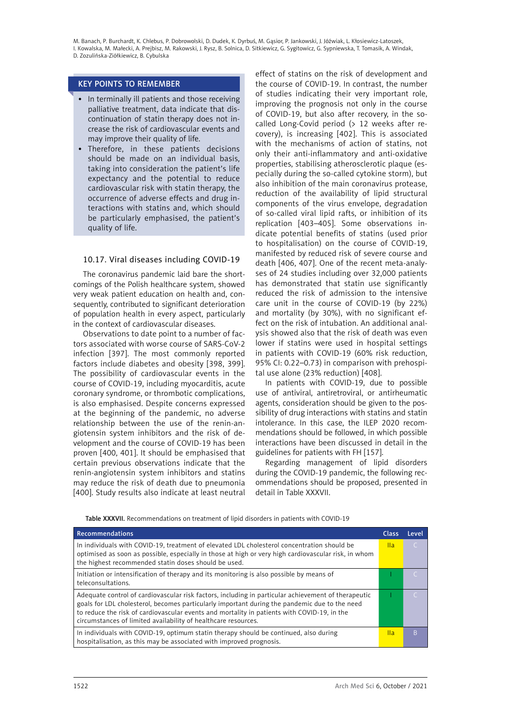## KEY POINTS TO REMEMBER

- In terminally ill patients and those receiving palliative treatment, data indicate that discontinuation of statin therapy does not increase the risk of cardiovascular events and may improve their quality of life.
- • Therefore, in these patients decisions should be made on an individual basis, taking into consideration the patient's life expectancy and the potential to reduce cardiovascular risk with statin therapy, the occurrence of adverse effects and drug interactions with statins and, which should be particularly emphasised, the patient's quality of life.

# 10.17. Viral diseases including COVID-19

The coronavirus pandemic laid bare the shortcomings of the Polish healthcare system, showed very weak patient education on health and, consequently, contributed to significant deterioration of population health in every aspect, particularly in the context of cardiovascular diseases.

Observations to date point to a number of factors associated with worse course of SARS-CoV-2 infection [397]. The most commonly reported factors include diabetes and obesity [398, 399]. The possibility of cardiovascular events in the course of COVID-19, including myocarditis, acute coronary syndrome, or thrombotic complications, is also emphasised. Despite concerns expressed at the beginning of the pandemic, no adverse relationship between the use of the renin-angiotensin system inhibitors and the risk of development and the course of COVID-19 has been proven [400, 401]. It should be emphasised that certain previous observations indicate that the renin-angiotensin system inhibitors and statins may reduce the risk of death due to pneumonia [400]. Study results also indicate at least neutral

effect of statins on the risk of development and the course of COVID-19. In contrast, the number of studies indicating their very important role, improving the prognosis not only in the course of COVID-19, but also after recovery, in the socalled Long-Covid period (> 12 weeks after recovery), is increasing [402]. This is associated with the mechanisms of action of statins, not only their anti-inflammatory and anti-oxidative properties, stabilising atherosclerotic plaque (especially during the so-called cytokine storm), but also inhibition of the main coronavirus protease, reduction of the availability of lipid structural components of the virus envelope, degradation of so-called viral lipid rafts, or inhibition of its replication [403–405]. Some observations indicate potential benefits of statins (used prior to hospitalisation) on the course of COVID-19, manifested by reduced risk of severe course and death [406, 407]. One of the recent meta-analyses of 24 studies including over 32,000 patients has demonstrated that statin use significantly reduced the risk of admission to the intensive care unit in the course of COVID-19 (by 22%) and mortality (by 30%), with no significant effect on the risk of intubation. An additional analysis showed also that the risk of death was even lower if statins were used in hospital settings in patients with COVID-19 (60% risk reduction, 95% CI: 0.22–0.73) in comparison with prehospital use alone (23% reduction) [408].

In patients with COVID-19, due to possible use of antiviral, antiretroviral, or antirheumatic agents, consideration should be given to the possibility of drug interactions with statins and statin intolerance. In this case, the ILEP 2020 recommendations should be followed, in which possible interactions have been discussed in detail in the guidelines for patients with FH [157].

Regarding management of lipid disorders during the COVID-19 pandemic, the following recommendations should be proposed, presented in detail in Table XXXVII.

Table XXXVII. Recommendations on treatment of lipid disorders in patients with COVID-19

| Recommendations                                                                                                                                                                                                                                                                                                                                                       | Class | Level |
|-----------------------------------------------------------------------------------------------------------------------------------------------------------------------------------------------------------------------------------------------------------------------------------------------------------------------------------------------------------------------|-------|-------|
| In individuals with COVID-19, treatment of elevated LDL cholesterol concentration should be<br>optimised as soon as possible, especially in those at high or very high cardiovascular risk, in whom<br>the highest recommended statin doses should be used.                                                                                                           | Ila   |       |
| Initiation or intensification of therapy and its monitoring is also possible by means of<br>teleconsultations.                                                                                                                                                                                                                                                        |       |       |
| Adequate control of cardiovascular risk factors, including in particular achievement of therapeutic<br>goals for LDL cholesterol, becomes particularly important during the pandemic due to the need<br>to reduce the risk of cardiovascular events and mortality in patients with COVID-19, in the<br>circumstances of limited availability of healthcare resources. |       |       |
| In individuals with COVID-19, optimum statin therapy should be continued, also during<br>hospitalisation, as this may be associated with improved prognosis.                                                                                                                                                                                                          | lla   | B     |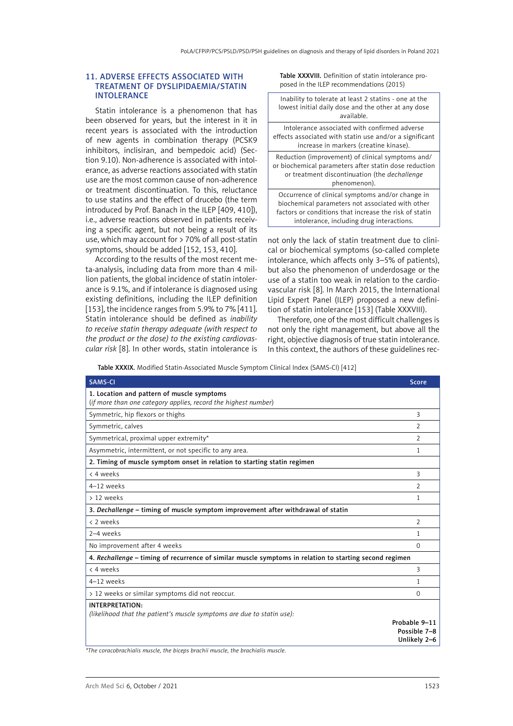#### 11. Adverse effects associated with treatment of dyslipidaemia/statin intolerance

Statin intolerance is a phenomenon that has been observed for years, but the interest in it in recent years is associated with the introduction of new agents in combination therapy (PCSK9 inhibitors, inclisiran, and bempedoic acid) (Section 9.10). Non-adherence is associated with intolerance, as adverse reactions associated with statin use are the most common cause of non-adherence or treatment discontinuation. To this, reluctance to use statins and the effect of drucebo (the term introduced by Prof. Banach in the ILEP [409, 410]), i.e., adverse reactions observed in patients receiving a specific agent, but not being a result of its use, which may account for > 70% of all post-statin symptoms, should be added [152, 153, 410].

According to the results of the most recent meta-analysis, including data from more than 4 million patients, the global incidence of statin intolerance is 9.1%, and if intolerance is diagnosed using existing definitions, including the ILEP definition [153], the incidence ranges from 5.9% to 7% [411]. Statin intolerance should be defined as *inability to receive statin therapy adequate (with respect to the product or the dose) to the existing cardiovascular risk* [8]. In other words, statin intolerance is Table XXXVIII. Definition of statin intolerance proposed in the ILEP recommendations (2015)

Inability to tolerate at least 2 statins - one at the lowest initial daily dose and the other at any dose available.

Intolerance associated with confirmed adverse effects associated with statin use and/or a significant increase in markers (creatine kinase).

Reduction (improvement) of clinical symptoms and/ or biochemical parameters after statin dose reduction or treatment discontinuation (the *dechallenge*  phenomenon).

Occurrence of clinical symptoms and/or change in biochemical parameters not associated with other factors or conditions that increase the risk of statin intolerance, including drug interactions.

not only the lack of statin treatment due to clinical or biochemical symptoms (so-called complete intolerance, which affects only 3–5% of patients), but also the phenomenon of underdosage or the use of a statin too weak in relation to the cardiovascular risk [8]. In March 2015, the International Lipid Expert Panel (ILEP) proposed a new definition of statin intolerance [153] (Table XXXVIII).

Therefore, one of the most difficult challenges is not only the right management, but above all the right, objective diagnosis of true statin intolerance. In this context, the authors of these guidelines rec-

Table XXXIX. Modified Statin-Associated Muscle Symptom Clinical Index (SAMS-CI) [412]

| <b>SAMS-CI</b>                                                                                               | <b>Score</b>                                  |  |  |
|--------------------------------------------------------------------------------------------------------------|-----------------------------------------------|--|--|
| 1. Location and pattern of muscle symptoms<br>(if more than one category applies, record the highest number) |                                               |  |  |
| Symmetric, hip flexors or thighs                                                                             | 3                                             |  |  |
| Symmetric, calves                                                                                            | $\overline{2}$                                |  |  |
| Symmetrical, proximal upper extremity*                                                                       | $\mathcal{P}$                                 |  |  |
| Asymmetric, intermittent, or not specific to any area.                                                       | 1                                             |  |  |
| 2. Timing of muscle symptom onset in relation to starting statin regimen                                     |                                               |  |  |
| < 4 weeks                                                                                                    | 3                                             |  |  |
| 4-12 weeks                                                                                                   | $\overline{2}$                                |  |  |
| > 12 weeks                                                                                                   | 1                                             |  |  |
| 3. Dechallenge - timing of muscle symptom improvement after withdrawal of statin                             |                                               |  |  |
| < 2 weeks                                                                                                    | $\overline{2}$                                |  |  |
| 2-4 weeks                                                                                                    | 1                                             |  |  |
| No improvement after 4 weeks                                                                                 | $\Omega$                                      |  |  |
| 4. Rechallenge - timing of recurrence of similar muscle symptoms in relation to starting second regimen      |                                               |  |  |
| < 4 weeks                                                                                                    | 3                                             |  |  |
| 4-12 weeks                                                                                                   | 1                                             |  |  |
| > 12 weeks or similar symptoms did not reoccur.                                                              | 0                                             |  |  |
| INTERPRETATION:<br>(likelihood that the patient's muscle symptoms are due to statin use):                    |                                               |  |  |
|                                                                                                              | Probable 9-11<br>Possible 7-8<br>Unlikely 2-6 |  |  |

*\*The coracobrachialis muscle, the biceps brachii muscle, the brachialis muscle.*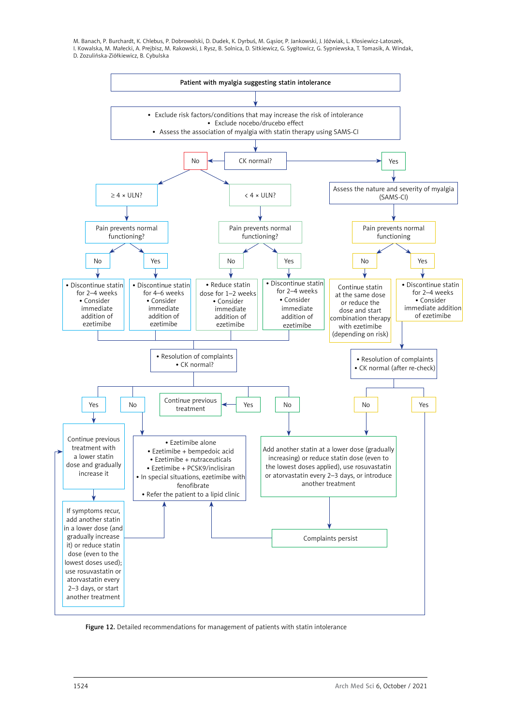

Figure 12. Detailed recommendations for management of patients with statin intolerance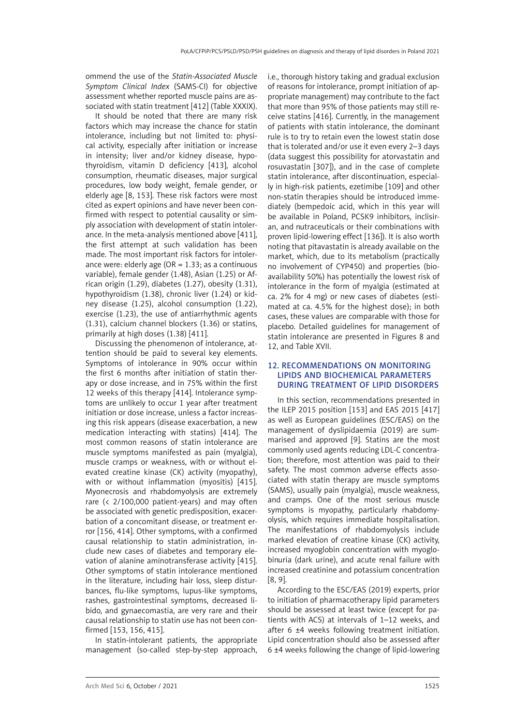ommend the use of the *Statin-Associated Muscle Symptom Clinical Index* (SAMS-CI) for objective assessment whether reported muscle pains are associated with statin treatment [412] (Table XXXIX).

It should be noted that there are many risk factors which may increase the chance for statin intolerance, including but not limited to: physical activity, especially after initiation or increase in intensity; liver and/or kidney disease, hypothyroidism, vitamin D deficiency [413], alcohol consumption, rheumatic diseases, major surgical procedures, low body weight, female gender, or elderly age [8, 153]. These risk factors were most cited as expert opinions and have never been confirmed with respect to potential causality or simply association with development of statin intolerance. In the meta-analysis mentioned above [411], the first attempt at such validation has been made. The most important risk factors for intolerance were: elderly age ( $OR = 1.33$ ; as a continuous variable), female gender (1.48), Asian (1.25) or African origin (1.29), diabetes (1.27), obesity (1.31), hypothyroidism (1.38), chronic liver (1.24) or kidney disease (1.25), alcohol consumption (1.22), exercise (1.23), the use of antiarrhythmic agents (1.31), calcium channel blockers (1.36) or statins, primarily at high doses (1.38) [411].

Discussing the phenomenon of intolerance, attention should be paid to several key elements. Symptoms of intolerance in 90% occur within the first 6 months after initiation of statin therapy or dose increase, and in 75% within the first 12 weeks of this therapy [414]. Intolerance symptoms are unlikely to occur 1 year after treatment initiation or dose increase, unless a factor increasing this risk appears (disease exacerbation, a new medication interacting with statins) [414]. The most common reasons of statin intolerance are muscle symptoms manifested as pain (myalgia), muscle cramps or weakness, with or without elevated creatine kinase (CK) activity (myopathy), with or without inflammation (myositis) [415]. Myonecrosis and rhabdomyolysis are extremely rare (< 2/100,000 patient-years) and may often be associated with genetic predisposition, exacerbation of a concomitant disease, or treatment error [156, 414]. Other symptoms, with a confirmed causal relationship to statin administration, include new cases of diabetes and temporary elevation of alanine aminotransferase activity [415]. Other symptoms of statin intolerance mentioned in the literature, including hair loss, sleep disturbances, flu-like symptoms, lupus-like symptoms, rashes, gastrointestinal symptoms, decreased libido, and gynaecomastia, are very rare and their causal relationship to statin use has not been confirmed [153, 156, 415].

In statin-intolerant patients, the appropriate management (so-called step-by-step approach, i.e., thorough history taking and gradual exclusion of reasons for intolerance, prompt initiation of appropriate management) may contribute to the fact that more than 95% of those patients may still receive statins [416]. Currently, in the management of patients with statin intolerance, the dominant rule is to try to retain even the lowest statin dose that is tolerated and/or use it even every 2–3 days (data suggest this possibility for atorvastatin and rosuvastatin [307]), and in the case of complete statin intolerance, after discontinuation, especially in high-risk patients, ezetimibe [109] and other non-statin therapies should be introduced immediately (bempedoic acid, which in this year will be available in Poland, PCSK9 inhibitors, inclisiran, and nutraceuticals or their combinations with proven lipid-lowering effect [136]). It is also worth noting that pitavastatin is already available on the market, which, due to its metabolism (practically no involvement of CYP450) and properties (bioavailability 50%) has potentially the lowest risk of intolerance in the form of myalgia (estimated at ca. 2% for 4 mg) or new cases of diabetes (estimated at ca. 4.5% for the highest dose); in both cases, these values are comparable with those for placebo. Detailed guidelines for management of statin intolerance are presented in Figures 8 and 12, and Table XVII.

### 12. Recommendations on monitoring lipids and biochemical parameters during treatment of lipid disorders

In this section, recommendations presented in the ILEP 2015 position [153] and EAS 2015 [417] as well as European guidelines (ESC/EAS) on the management of dyslipidaemia (2019) are summarised and approved [9]. Statins are the most commonly used agents reducing LDL-C concentration; therefore, most attention was paid to their safety. The most common adverse effects associated with statin therapy are muscle symptoms (SAMS), usually pain (myalgia), muscle weakness, and cramps. One of the most serious muscle symptoms is myopathy, particularly rhabdomyolysis, which requires immediate hospitalisation. The manifestations of rhabdomyolysis include marked elevation of creatine kinase (CK) activity, increased myoglobin concentration with myoglobinuria (dark urine), and acute renal failure with increased creatinine and potassium concentration [8, 9].

According to the ESC/EAS (2019) experts, prior to initiation of pharmacotherapy lipid parameters should be assessed at least twice (except for patients with ACS) at intervals of 1–12 weeks, and after 6 ±4 weeks following treatment initiation. Lipid concentration should also be assessed after 6 ±4 weeks following the change of lipid-lowering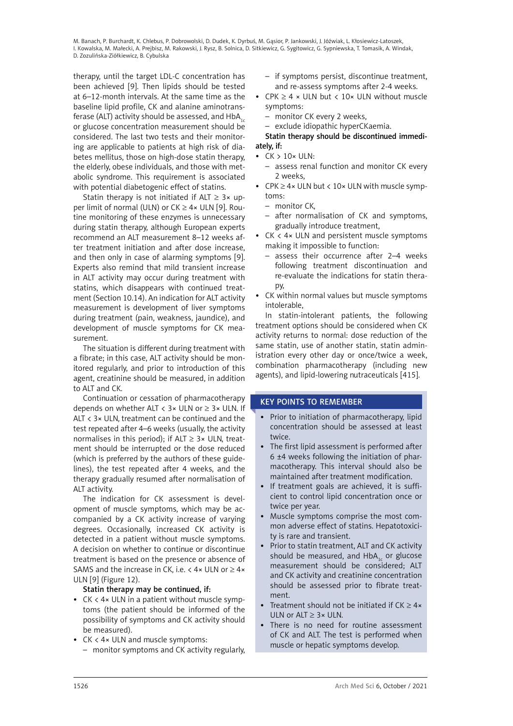therapy, until the target LDL-C concentration has been achieved [9]. Then lipids should be tested at 6–12-month intervals. At the same time as the baseline lipid profile, CK and alanine aminotransferase (ALT) activity should be assessed, and  $HbA_{1c}$ or glucose concentration measurement should be considered. The last two tests and their monitoring are applicable to patients at high risk of diabetes mellitus, those on high-dose statin therapy, the elderly, obese individuals, and those with metabolic syndrome. This requirement is associated with potential diabetogenic effect of statins.

Statin therapy is not initiated if ALT  $\geq$  3× upper limit of normal (ULN) or  $CK \ge 4 \times$  ULN [9]. Routine monitoring of these enzymes is unnecessary during statin therapy, although European experts recommend an ALT measurement 8–12 weeks after treatment initiation and after dose increase, and then only in case of alarming symptoms [9]. Experts also remind that mild transient increase in ALT activity may occur during treatment with statins, which disappears with continued treatment (Section 10.14). An indication for ALT activity measurement is development of liver symptoms during treatment (pain, weakness, jaundice), and development of muscle symptoms for CK measurement.

The situation is different during treatment with a fibrate; in this case, ALT activity should be monitored regularly, and prior to introduction of this agent, creatinine should be measured, in addition to ALT and CK.

Continuation or cessation of pharmacotherapy depends on whether ALT  $\langle$  3× ULN or  $\geq$  3× ULN. If ALT < 3× ULN, treatment can be continued and the test repeated after 4–6 weeks (usually, the activity normalises in this period); if ALT  $\geq$  3× ULN, treatment should be interrupted or the dose reduced (which is preferred by the authors of these guidelines), the test repeated after 4 weeks, and the therapy gradually resumed after normalisation of ALT activity.

The indication for CK assessment is development of muscle symptoms, which may be accompanied by a CK activity increase of varying degrees. Occasionally, increased CK activity is detected in a patient without muscle symptoms. A decision on whether to continue or discontinue treatment is based on the presence or absence of SAMS and the increase in CK, i.e.  $<$  4 $\times$  ULN or  $\geq$  4 $\times$ ULN [9] (Figure 12).

# Statin therapy may be continued, if:

- $CK < 4 \times ULN$  in a patient without muscle symptoms (the patient should be informed of the possibility of symptoms and CK activity should be measured).
- CK < 4× ULN and muscle symptoms:
	- monitor symptoms and CK activity regularly,
- if symptoms persist, discontinue treatment, and re-assess symptoms after 2-4 weeks.
- $CPK \geq 4 \times ULN$  but < 10× ULN without muscle symptoms:
	- monitor CK every 2 weeks,
	- exclude idiopathic hyperCKaemia.

## Statin therapy should be discontinued immediately, if:

- $\bullet$  CK  $> 10\times$  ULN:
	- assess renal function and monitor CK every 2 weeks,
- CPK  $\geq$  4× ULN but < 10× ULN with muscle symptoms:
	- monitor CK,
	- after normalisation of CK and symptoms, gradually introduce treatment,
- CK < 4× ULN and persistent muscle symptoms making it impossible to function:
	- assess their occurrence after 2–4 weeks following treatment discontinuation and re-evaluate the indications for statin therapy,
- • CK within normal values but muscle symptoms intolerable,

In statin-intolerant patients, the following treatment options should be considered when CK activity returns to normal: dose reduction of the same statin, use of another statin, statin administration every other day or once/twice a week, combination pharmacotherapy (including new agents), and lipid-lowering nutraceuticals [415].

# KEY POINTS TO REMEMBER

- Prior to initiation of pharmacotherapy, lipid concentration should be assessed at least twice.
- The first lipid assessment is performed after 6 ±4 weeks following the initiation of pharmacotherapy. This interval should also be maintained after treatment modification.
- If treatment goals are achieved, it is sufficient to control lipid concentration once or twice per year.
- • Muscle symptoms comprise the most common adverse effect of statins. Hepatotoxicity is rare and transient.
- Prior to statin treatment, ALT and CK activity should be measured, and  $HbA_{1c}$  or glucose measurement should be considered; ALT and CK activity and creatinine concentration should be assessed prior to fibrate treatment.
- Treatment should not be initiated if  $CK \geq 4 \times$ ULN or  $AIT \geq 3 \times ULN$ .
- There is no need for routine assessment of CK and ALT. The test is performed when muscle or hepatic symptoms develop.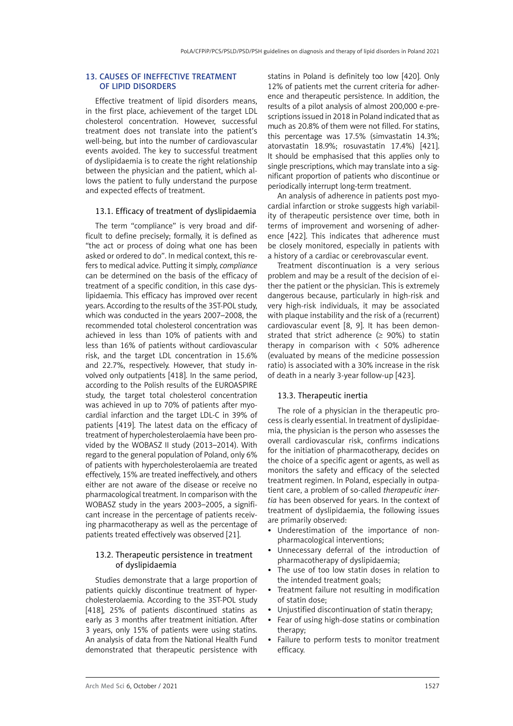### 13. Causes of ineffective treatment of lipid disorders

Effective treatment of lipid disorders means, in the first place, achievement of the target LDL cholesterol concentration. However, successful treatment does not translate into the patient's well-being, but into the number of cardiovascular events avoided. The key to successful treatment of dyslipidaemia is to create the right relationship between the physician and the patient, which allows the patient to fully understand the purpose and expected effects of treatment.

#### 13.1. Efficacy of treatment of dyslipidaemia

The term "compliance" is very broad and difficult to define precisely; formally, it is defined as "the act or process of doing what one has been asked or ordered to do". In medical context, this refers to medical advice. Putting it simply, *compliance* can be determined on the basis of the efficacy of treatment of a specific condition, in this case dyslipidaemia. This efficacy has improved over recent years. According to the results of the 3ST-POL study, which was conducted in the years 2007–2008, the recommended total cholesterol concentration was achieved in less than 10% of patients with and less than 16% of patients without cardiovascular risk, and the target LDL concentration in 15.6% and 22.7%, respectively. However, that study involved only outpatients [418]. In the same period, according to the Polish results of the EUROASPIRE study, the target total cholesterol concentration was achieved in up to 70% of patients after myocardial infarction and the target LDL-C in 39% of patients [419]. The latest data on the efficacy of treatment of hypercholesterolaemia have been provided by the WOBASZ II study (2013–2014). With regard to the general population of Poland, only 6% of patients with hypercholesterolaemia are treated effectively, 15% are treated ineffectively, and others either are not aware of the disease or receive no pharmacological treatment. In comparison with the WOBASZ study in the years 2003–2005, a significant increase in the percentage of patients receiving pharmacotherapy as well as the percentage of patients treated effectively was observed [21].

## 13.2. Therapeutic persistence in treatment of dyslipidaemia

Studies demonstrate that a large proportion of patients quickly discontinue treatment of hypercholesterolaemia. According to the 3ST-POL study [418], 25% of patients discontinued statins as early as 3 months after treatment initiation. After 3 years, only 15% of patients were using statins. An analysis of data from the National Health Fund demonstrated that therapeutic persistence with

statins in Poland is definitely too low [420]. Only 12% of patients met the current criteria for adherence and therapeutic persistence. In addition, the results of a pilot analysis of almost 200,000 e-prescriptions issued in 2018 in Poland indicated that as much as 20.8% of them were not filled. For statins, this percentage was 17.5% (simvastatin 14.3%; atorvastatin 18.9%; rosuvastatin 17.4%) [421]. It should be emphasised that this applies only to single prescriptions, which may translate into a significant proportion of patients who discontinue or periodically interrupt long-term treatment.

An analysis of adherence in patients post myocardial infarction or stroke suggests high variability of therapeutic persistence over time, both in terms of improvement and worsening of adherence [422]. This indicates that adherence must be closely monitored, especially in patients with a history of a cardiac or cerebrovascular event.

Treatment discontinuation is a very serious problem and may be a result of the decision of either the patient or the physician. This is extremely dangerous because, particularly in high-risk and very high-risk individuals, it may be associated with plaque instability and the risk of a (recurrent) cardiovascular event [8, 9]. It has been demonstrated that strict adherence ( $\geq$  90%) to statin therapy in comparison with  $\langle$  50% adherence (evaluated by means of the medicine possession ratio) is associated with a 30% increase in the risk of death in a nearly 3-year follow-up [423].

#### 13.3. Therapeutic inertia

The role of a physician in the therapeutic process is clearly essential. In treatment of dyslipidaemia, the physician is the person who assesses the overall cardiovascular risk, confirms indications for the initiation of pharmacotherapy, decides on the choice of a specific agent or agents, as well as monitors the safety and efficacy of the selected treatment regimen. In Poland, especially in outpatient care, a problem of so-called *therapeutic inertia* has been observed for years. In the context of treatment of dyslipidaemia, the following issues are primarily observed:

- Underestimation of the importance of nonpharmacological interventions;
- Unnecessary deferral of the introduction of pharmacotherapy of dyslipidaemia;
- The use of too low statin doses in relation to the intended treatment goals;
- Treatment failure not resulting in modification of statin dose;
- Unjustified discontinuation of statin therapy:
- Fear of using high-dose statins or combination therapy;
- Failure to perform tests to monitor treatment efficacy.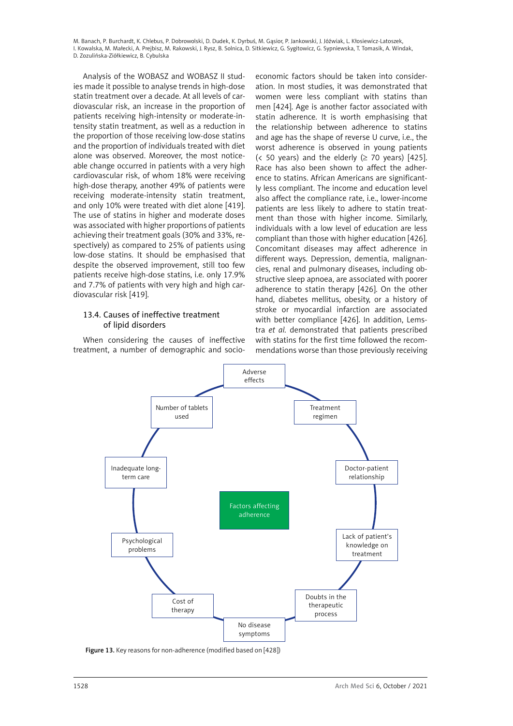Analysis of the WOBASZ and WOBASZ II studies made it possible to analyse trends in high-dose statin treatment over a decade. At all levels of cardiovascular risk, an increase in the proportion of patients receiving high-intensity or moderate-intensity statin treatment, as well as a reduction in the proportion of those receiving low-dose statins and the proportion of individuals treated with diet alone was observed. Moreover, the most noticeable change occurred in patients with a very high cardiovascular risk, of whom 18% were receiving high-dose therapy, another 49% of patients were receiving moderate-intensity statin treatment, and only 10% were treated with diet alone [419]. The use of statins in higher and moderate doses was associated with higher proportions of patients achieving their treatment goals (30% and 33%, respectively) as compared to 25% of patients using low-dose statins. It should be emphasised that despite the observed improvement, still too few patients receive high-dose statins, i.e. only 17.9% and 7.7% of patients with very high and high cardiovascular risk [419].

# 13.4. Causes of ineffective treatment of lipid disorders

When considering the causes of ineffective treatment, a number of demographic and socio-

economic factors should be taken into consideration. In most studies, it was demonstrated that women were less compliant with statins than men [424]. Age is another factor associated with statin adherence. It is worth emphasising that the relationship between adherence to statins and age has the shape of reverse U curve, i.e., the worst adherence is observed in young patients (< 50 years) and the elderly ( $\geq$  70 years) [425]. Race has also been shown to affect the adherence to statins. African Americans are significantly less compliant. The income and education level also affect the compliance rate, i.e., lower-income patients are less likely to adhere to statin treatment than those with higher income. Similarly, individuals with a low level of education are less compliant than those with higher education [426]. Concomitant diseases may affect adherence in different ways. Depression, dementia, malignancies, renal and pulmonary diseases, including obstructive sleep apnoea, are associated with poorer adherence to statin therapy [426]. On the other hand, diabetes mellitus, obesity, or a history of stroke or myocardial infarction are associated with better compliance [426]. In addition, Lemstra *et al.* demonstrated that patients prescribed with statins for the first time followed the recommendations worse than those previously receiving



Figure 13. Key reasons for non-adherence (modified based on [428])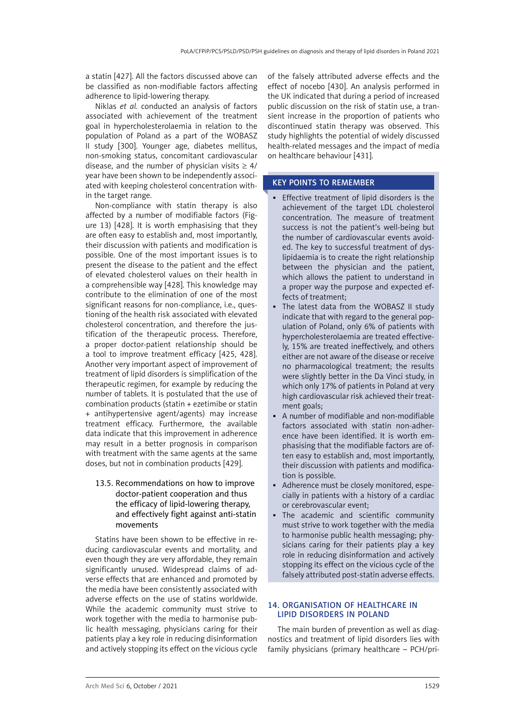a statin [427]. All the factors discussed above can be classified as non-modifiable factors affecting adherence to lipid-lowering therapy.

Niklas *et al.* conducted an analysis of factors associated with achievement of the treatment goal in hypercholesterolaemia in relation to the population of Poland as a part of the WOBASZ II study [300]. Younger age, diabetes mellitus, non-smoking status, concomitant cardiovascular disease, and the number of physician visits  $\geq 4/$ year have been shown to be independently associated with keeping cholesterol concentration within the target range.

Non-compliance with statin therapy is also affected by a number of modifiable factors (Figure 13) [428]. It is worth emphasising that they are often easy to establish and, most importantly, their discussion with patients and modification is possible. One of the most important issues is to present the disease to the patient and the effect of elevated cholesterol values on their health in a comprehensible way [428]. This knowledge may contribute to the elimination of one of the most significant reasons for non-compliance, i.e., questioning of the health risk associated with elevated cholesterol concentration, and therefore the justification of the therapeutic process. Therefore, a proper doctor-patient relationship should be a tool to improve treatment efficacy [425, 428]. Another very important aspect of improvement of treatment of lipid disorders is simplification of the therapeutic regimen, for example by reducing the number of tablets. It is postulated that the use of combination products (statin + ezetimibe or statin + antihypertensive agent/agents) may increase treatment efficacy. Furthermore, the available data indicate that this improvement in adherence may result in a better prognosis in comparison with treatment with the same agents at the same doses, but not in combination products [429].

# 13.5. Recommendations on how to improve doctor-patient cooperation and thus the efficacy of lipid-lowering therapy, and effectively fight against anti-statin movements

Statins have been shown to be effective in reducing cardiovascular events and mortality, and even though they are very affordable, they remain significantly unused. Widespread claims of adverse effects that are enhanced and promoted by the media have been consistently associated with adverse effects on the use of statins worldwide. While the academic community must strive to work together with the media to harmonise public health messaging, physicians caring for their patients play a key role in reducing disinformation and actively stopping its effect on the vicious cycle

of the falsely attributed adverse effects and the effect of nocebo [430]. An analysis performed in the UK indicated that during a period of increased public discussion on the risk of statin use, a transient increase in the proportion of patients who discontinued statin therapy was observed. This study highlights the potential of widely discussed health-related messages and the impact of media on healthcare behaviour [431].

# KEY POINTS TO REMEMBER

- Effective treatment of lipid disorders is the achievement of the target LDL cholesterol concentration. The measure of treatment success is not the patient's well-being but the number of cardiovascular events avoided. The key to successful treatment of dyslipidaemia is to create the right relationship between the physician and the patient, which allows the patient to understand in a proper way the purpose and expected effects of treatment;
- The latest data from the WOBASZ II study indicate that with regard to the general population of Poland, only 6% of patients with hypercholesterolaemia are treated effectively, 15% are treated ineffectively, and others either are not aware of the disease or receive no pharmacological treatment; the results were slightly better in the Da Vinci study, in which only 17% of patients in Poland at very high cardiovascular risk achieved their treatment goals;
- A number of modifiable and non-modifiable factors associated with statin non-adherence have been identified. It is worth emphasising that the modifiable factors are often easy to establish and, most importantly, their discussion with patients and modification is possible.
- Adherence must be closely monitored, especially in patients with a history of a cardiac or cerebrovascular event;
- The academic and scientific community must strive to work together with the media to harmonise public health messaging; physicians caring for their patients play a key role in reducing disinformation and actively stopping its effect on the vicious cycle of the falsely attributed post-statin adverse effects.

### 14. Organisation of healthcare in lipid disorders in Poland

The main burden of prevention as well as diagnostics and treatment of lipid disorders lies with family physicians (primary healthcare – PCH/pri-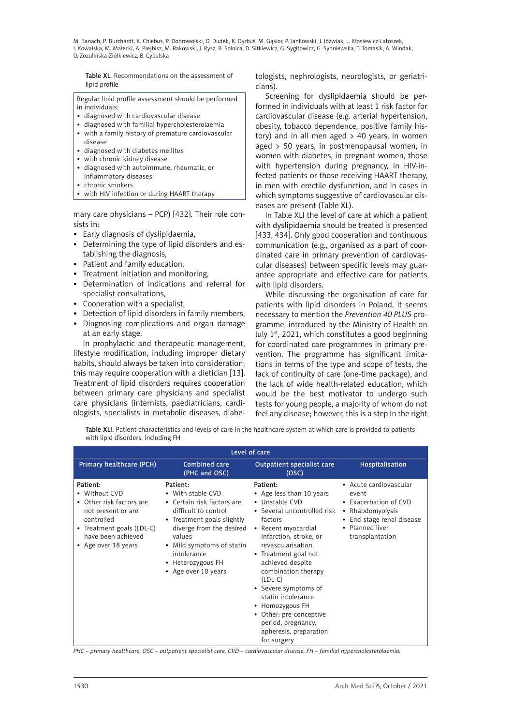Table XL. Recommendations on the assessment of lipid profile

Regular lipid profile assessment should be performed in individuals:

- • diagnosed with cardiovascular disease
- • diagnosed with familial hypercholesterolaemia
- • with a family history of premature cardiovascular disease
- • diagnosed with diabetes mellitus
- with chronic kidney disease
- diagnosed with autoimmune, rheumatic, or inflammatory diseases
- • chronic smokers
- • with HIV infection or during HAART therapy

mary care physicians – PCP) [432]. Their role consists in:

- Early diagnosis of dyslipidaemia,
- Determining the type of lipid disorders and establishing the diagnosis,
- Patient and family education,
- • Treatment initiation and monitoring,
- • Determination of indications and referral for specialist consultations,
- Cooperation with a specialist,
- Detection of lipid disorders in family members,
- • Diagnosing complications and organ damage at an early stage.

In prophylactic and therapeutic management, lifestyle modification, including improper dietary habits, should always be taken into consideration; this may require cooperation with a dietician [13]. Treatment of lipid disorders requires cooperation between primary care physicians and specialist care physicians (internists, paediatricians, cardiologists, specialists in metabolic diseases, diabetologists, nephrologists, neurologists, or geriatricians).

Screening for dyslipidaemia should be performed in individuals with at least 1 risk factor for cardiovascular disease (e.g. arterial hypertension, obesity, tobacco dependence, positive family history) and in all men aged > 40 years, in women aged > 50 years, in postmenopausal women, in women with diabetes, in pregnant women, those with hypertension during pregnancy, in HIV-infected patients or those receiving HAART therapy, in men with erectile dysfunction, and in cases in which symptoms suggestive of cardiovascular diseases are present (Table XL).

In Table XLI the level of care at which a patient with dyslipidaemia should be treated is presented [433, 434]. Only good cooperation and continuous communication (e.g., organised as a part of coordinated care in primary prevention of cardiovascular diseases) between specific levels may guarantee appropriate and effective care for patients with lipid disorders.

While discussing the organisation of care for patients with lipid disorders in Poland, it seems necessary to mention the *Prevention 40 PLUS* programme, introduced by the Ministry of Health on July 1st, 2021, which constitutes a good beginning for coordinated care programmes in primary prevention. The programme has significant limitations in terms of the type and scope of tests, the lack of continuity of care (one-time package), and the lack of wide health-related education, which would be the best motivator to undergo such tests for young people, a majority of whom do not feel any disease; however, this is a step in the right

Table XLI. Patient characteristics and levels of care in the healthcare system at which care is provided to patients with lipid disorders, including FH

| Level of care                                                                                                                                                                  |                                                                                                                                                                                                                                                 |                                                                                                                                                                                                                                                                                                                                                                                                                    |                                                                                                                                                 |
|--------------------------------------------------------------------------------------------------------------------------------------------------------------------------------|-------------------------------------------------------------------------------------------------------------------------------------------------------------------------------------------------------------------------------------------------|--------------------------------------------------------------------------------------------------------------------------------------------------------------------------------------------------------------------------------------------------------------------------------------------------------------------------------------------------------------------------------------------------------------------|-------------------------------------------------------------------------------------------------------------------------------------------------|
| Primary healthcare (PCH)                                                                                                                                                       | <b>Combined care</b><br>(PHC and OSC)                                                                                                                                                                                                           | Outpatient specialist care<br>(OSC)                                                                                                                                                                                                                                                                                                                                                                                | Hospitalisation                                                                                                                                 |
| Patient:<br>• Without CVD<br>Other risk factors are<br>$\bullet$<br>not present or are<br>controlled<br>• Treatment goals (LDL-C)<br>have been achieved<br>• Age over 18 years | Patient:<br>• With stable CVD<br>• Certain risk factors are<br>difficult to control<br>• Treatment goals slightly<br>diverge from the desired<br>values<br>• Mild symptoms of statin<br>intolerance<br>• Heterozygous FH<br>• Age over 10 years | Patient:<br>• Age less than 10 years<br>• Unstable CVD<br>• Several uncontrolled risk<br>factors<br>• Recent myocardial<br>infarction, stroke, or<br>revascularisation,<br>• Treatment goal not<br>achieved despite<br>combination therapy<br>$(LDL-C)$<br>• Severe symptoms of<br>statin intolerance<br>• Homozygous FH<br>• Other: pre-conceptive<br>period, pregnancy,<br>apheresis, preparation<br>for surgery | • Acute cardiovascular<br>event<br>• Exacerbation of CVD<br>• Rhabdomyolysis<br>• End-stage renal disease<br>• Planned liver<br>transplantation |

*PHC – primary healthcare, OSC – outpatient specialist care, CVD – cardiovascular disease, FH – familial hypercholesterolaemia.*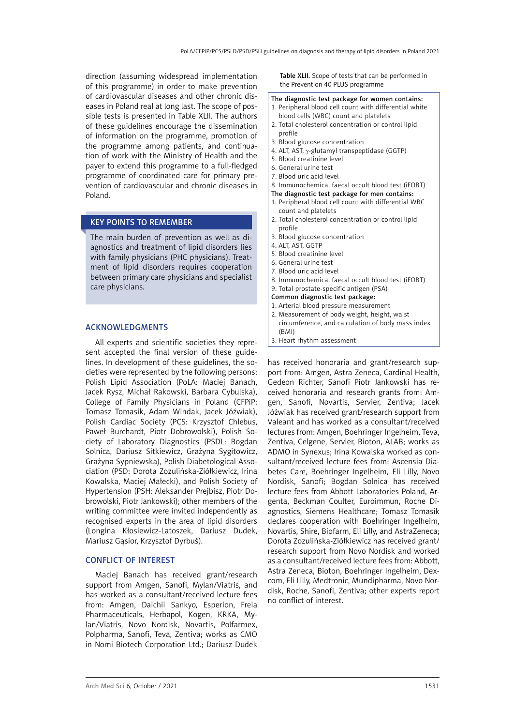direction (assuming widespread implementation of this programme) in order to make prevention of cardiovascular diseases and other chronic diseases in Poland real at long last. The scope of possible tests is presented in Table XLII. The authors of these guidelines encourage the dissemination of information on the programme, promotion of the programme among patients, and continuation of work with the Ministry of Health and the payer to extend this programme to a full-fledged programme of coordinated care for primary prevention of cardiovascular and chronic diseases in Poland.

# KEY POINTS TO REMEMBER

The main burden of prevention as well as diagnostics and treatment of lipid disorders lies with family physicians (PHC physicians). Treatment of lipid disorders requires cooperation between primary care physicians and specialist care physicians.

## Acknowledgments

All experts and scientific societies they represent accepted the final version of these guidelines. In development of these guidelines, the societies were represented by the following persons: Polish Lipid Association (PoLA: Maciej Banach, Jacek Rysz, Michał Rakowski, Barbara Cybulska), College of Family Physicians in Poland (CFPiP: Tomasz Tomasik, Adam Windak, Jacek Jóźwiak), Polish Cardiac Society (PCS: Krzysztof Chlebus, Paweł Burchardt, Piotr Dobrowolski), Polish Society of Laboratory Diagnostics (PSDL: Bogdan Solnica, Dariusz Sitkiewicz, Grażyna Sygitowicz, Grażyna Sypniewska), Polish Diabetological Association (PSD: Dorota Zozulińska-Ziółkiewicz, Irina Kowalska, Maciej Małecki), and Polish Society of Hypertension (PSH: Aleksander Prejbisz, Piotr Dobrowolski, Piotr Jankowski); other members of the writing committee were invited independently as recognised experts in the area of lipid disorders (Longina Kłosiewicz-Latoszek, Dariusz Dudek, Mariusz Gąsior, Krzysztof Dyrbuś).

#### Conflict of interest

Maciej Banach has received grant/research support from Amgen, Sanofi, Mylan/Viatris, and has worked as a consultant/received lecture fees from: Amgen, Daichii Sankyo, Esperion, Freia Pharmaceuticals, Herbapol, Kogen, KRKA, Mylan/Viatris, Novo Nordisk, Novartis, Polfarmex, Polpharma, Sanofi, Teva, Zentiva; works as CMO in Nomi Biotech Corporation Ltd.; Dariusz Dudek Table XLII. Scope of tests that can be performed in the Prevention 40 PLUS programme

#### The diagnostic test package for women contains:

- 1. Peripheral blood cell count with differential white blood cells (WBC) count and platelets
- 2. Total cholesterol concentration or control lipid profile
- 3. Blood glucose concentration
- 4. ALT, AST,  $\gamma$ -glutamyl transpeptidase (GGTP)
- 5. Blood creatinine level
- 6. General urine test
- 7. Blood uric acid level
- 8. Immunochemical faecal occult blood test (iFOBT)
- The diagnostic test package for men contains:
- 1. Peripheral blood cell count with differential WBC count and platelets
- 2. Total cholesterol concentration or control lipid profile
- 3. Blood glucose concentration
- 4. ALT, AST, GGTP
- 5. Blood creatinine level
- 6. General urine test
- 7. Blood uric acid level
- 8. Immunochemical faecal occult blood test (iFOBT)
- 9. Total prostate-specific antigen (PSA)
- Common diagnostic test package:
- 1. Arterial blood pressure measurement
- 2. Measurement of body weight, height, waist circumference, and calculation of body mass index (BMI)
- 3. Heart rhythm assessment

has received honoraria and grant/research support from: Amgen, Astra Zeneca, Cardinal Health, Gedeon Richter, Sanofi Piotr Jankowski has received honoraria and research grants from: Amgen, Sanofi, Novartis, Servier, Zentiva; Jacek Jóźwiak has received grant/research support from Valeant and has worked as a consultant/received lectures from: Amgen, Boehringer Ingelheim, Teva, Zentiva, Celgene, Servier, Bioton, ALAB; works as ADMO in Synexus; Irina Kowalska worked as consultant/received lecture fees from: Ascensia Diabetes Care, Boehringer Ingelheim, Eli Lilly, Novo Nordisk, Sanofi; Bogdan Solnica has received lecture fees from Abbott Laboratories Poland, Argenta, Beckman Coulter, Euroimmun, Roche Diagnostics, Siemens Healthcare; Tomasz Tomasik declares cooperation with Boehringer Ingelheim, Novartis, Shire, Biofarm, Eli Lilly, and AstraZeneca; Dorota Zozulińska-Ziółkiewicz has received grant/ research support from Novo Nordisk and worked as a consultant/received lecture fees from: Abbott, Astra Zeneca, Bioton, Boehringer Ingelheim, Dexcom, Eli Lilly, Medtronic, Mundipharma, Novo Nordisk, Roche, Sanofi, Zentiva; other experts report no conflict of interest.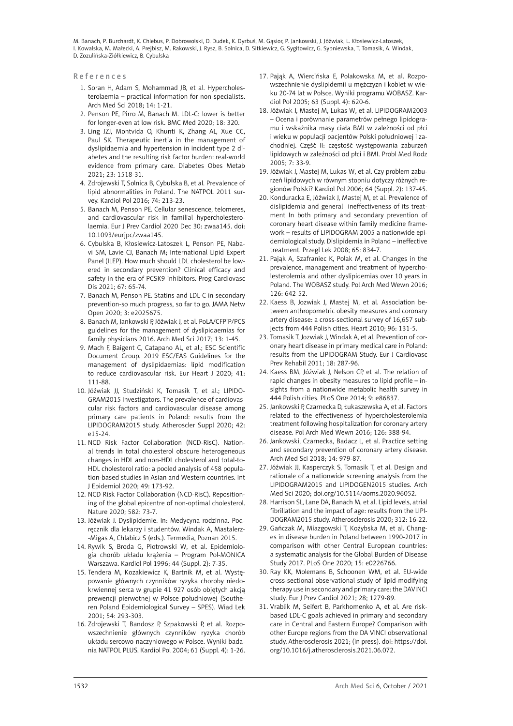References

- 1. Soran H, Adam S, Mohammad JB, et al. Hypercholesterolaemia – practical information for non-specialists. Arch Med Sci 2018; 14: 1-21.
- 2. Penson PE, Pirro M, Banach M. LDL-C: lower is better for longer-even at low risk. BMC Med 2020; 18: 320.
- 3. Ling JZJ, Montvida O, Khunti K, Zhang AL, Xue CC, Paul SK. Therapeutic inertia in the management of dyslipidaemia and hypertension in incident type 2 diabetes and the resulting risk factor burden: real-world evidence from primary care. Diabetes Obes Metab 2021; 23: 1518-31.
- 4. Zdrojewski T, Solnica B, Cybulska B, et al. Prevalence of lipid abnormalities in Poland. The NATPOL 2011 survey. Kardiol Pol 2016; 74: 213-23.
- 5. Banach M, Penson PE. Cellular senescence, telomeres, and cardiovascular risk in familial hypercholesterolaemia. Eur J Prev Cardiol 2020 Dec 30: zwaa145. doi: 10.1093/eurjpc/zwaa145.
- 6. Cybulska B, Kłosiewicz-Latoszek L, Penson PE, Nabavi SM, Lavie CJ, Banach M; International Lipid Expert Panel (ILEP). How much should LDL cholesterol be lowered in secondary prevention? Clinical efficacy and safety in the era of PCSK9 inhibitors. Prog Cardiovasc Dis 2021; 67: 65-74.
- 7. Banach M, Penson PE. Statins and LDL-C in secondary prevention-so much progress, so far to go. JAMA Netw Open 2020; 3: e2025675.
- 8. Banach M, Jankowski P, Jóźwiak J, et al. PoLA/CFPiP/PCS guidelines for the management of dyslipidaemias for family physicians 2016. Arch Med Sci 2017; 13: 1-45.
- 9. Mach F, Baigent C, Catapano AL, et al.; ESC Scientific Document Group. 2019 ESC/EAS Guidelines for the management of dyslipidaemias: lipid modification to reduce cardiovascular risk. Eur Heart J 2020; 41: 111-88.
- 10. Jóźwiak JJ, Studziński K, Tomasik T, et al.; LIPIDO-GRAM2015 Investigators. The prevalence of cardiovascular risk factors and cardiovascular disease among primary care patients in Poland: results from the LIPIDOGRAM2015 study. Atheroscler Suppl 2020; 42: e15-24.
- 11. NCD Risk Factor Collaboration (NCD-RisC). National trends in total cholesterol obscure heterogeneous changes in HDL and non-HDL cholesterol and total-to-HDL cholesterol ratio: a pooled analysis of 458 population-based studies in Asian and Western countries. Int J Epidemiol 2020; 49: 173-92.
- 12. NCD Risk Factor Collaboration (NCD-RisC). Repositioning of the global epicentre of non-optimal cholesterol. Nature 2020; 582: 73-7.
- 13. Jóźwiak J. Dyslipidemie. In: Medycyna rodzinna. Podręcznik dla lekarzy i studentów. Windak A, Mastalerz- -Migas A, Chlabicz S (eds.). Termedia, Poznan 2015.
- 14. Rywik S, Broda G, Piotrowski W, et al. Epidemiologia chorób układu krążenia – Program Pol-MONICA Warszawa. Kardiol Pol 1996; 44 (Suppl. 2): 7-35.
- 15. Tendera M, Kozakiewicz K, Bartnik M, et al. Występowanie głównych czynników ryzyka choroby niedokrwiennej serca w grupie 41 927 osób objętych akcją prewencji pierwotnej w Polsce południowej (Southeren Poland Epidemiological Survey – SPES). Wiad Lek 2001; 54: 293-303.
- 16. Zdrojewski T, Bandosz P, Szpakowski P, et al. Rozpowszechnienie głównych czynników ryzyka chorób układu sercowo-naczyniowego w Polsce. Wyniki badania NATPOL PLUS. Kardiol Pol 2004; 61 (Suppl. 4): 1-26.
- 17. Pająk A, Wiercińska E, Polakowska M, et al. Rozpowszechnienie dyslipidemii u mężczyzn i kobiet w wieku 20-74 lat w Polsce. Wyniki programu WOBASZ. Kardiol Pol 2005; 63 (Suppl. 4): 620-6.
- 18. Jóźwiak J, Mastej M, Lukas W, et al. LIPIDOGRAM2003 – Ocena i porównanie parametrów pełnego lipidogramu i wskaźnika masy ciała BMI w zależności od płci i wieku w populacji pacjentów Polski południowej i zachodniej. Część II: częstość występowania zaburzeń lipidowych w zależności od płci i BMI. Probl Med Rodz 2005; 7: 33-9.
- 19. Jóźwiak J, Mastej M, Lukas W, et al. Czy problem zaburzeń lipidowych w równym stopniu dotyczy różnych regionów Polski? Kardiol Pol 2006; 64 (Suppl. 2): 137-45.
- 20. Konduracka E, Jóźwiak J, Mastej M, et al. Prevalence of dislipidemia and general ineffectiveness of its treatment In both primary and secondary prevention of coronary heart disease within family medicine framework – results of LIPIDOGRAM 2005 a nationwide epidemiological study. Dislipidemia in Poland – ineffective treatment. Przegl Lek 2008; 65: 834-7.
- 21. Pająk A, Szafraniec K, Polak M, et al. Changes in the prevalence, management and treatment of hypercholesterolemia and other dyslipidemias over 10 years in Poland. The WOBASZ study. Pol Arch Med Wewn 2016; 126: 642-52.
- 22. Kaess B, Jozwiak J, Mastej M, et al. Association between anthropometric obesity measures and coronary artery disease: a cross-sectional survey of 16,657 subjects from 444 Polish cities. Heart 2010; 96: 131-5.
- 23. Tomasik T, Jozwiak J, Windak A, et al. Prevention of coronary heart disease in primary medical care in Poland: results from the LIPIDOGRAM Study. Eur J Cardiovasc Prev Rehabil 2011; 18: 287-96.
- 24. Kaess BM, Jóźwiak J, Nelson CP, et al. The relation of rapid changes in obesity measures to lipid profile – insights from a nationwide metabolic health survey in 444 Polish cities. PLoS One 2014; 9: e86837.
- 25. Jankowski P, Czarnecka D, Łukaszewska A, et al. Factors related to the effectiveness of hypercholesterolemia treatment following hospitalization for coronary artery disease. Pol Arch Med Wewn 2016; 126: 388-94.
- 26. Jankowski, Czarnecka, Badacz L, et al. Practice setting and secondary prevention of coronary artery disease. Arch Med Sci 2018; 14: 979-87.
- 27. Jóźwiak JJ, Kasperczyk S, Tomasik T, et al. Design and rationale of a nationwide screening analysis from the LIPIDOGRAM2015 and LIPIDOGEN2015 studies. Arch Med Sci 2020; doi.org/10.5114/aoms.2020.96052.
- 28. Harrison SL, Lane DA, Banach M, et al. Lipid levels, atrial fibrillation and the impact of age: results from the LIPI-DOGRAM2015 study. Atherosclerosis 2020; 312: 16-22.
- 29. Gańczak M, Miazgowski T, Kożybska M, et al. Changes in disease burden in Poland between 1990-2017 in comparison with other Central European countries: a systematic analysis for the Global Burden of Disease Study 2017. PLoS One 2020; 15: e0226766.
- 30. Ray KK, Molemans B, Schoonen WM, et al. EU-wide cross-sectional observational study of lipid-modifying therapy use in secondary and primary care: the DAVINCI study. Eur J Prev Cardiol 2021; 28; 1279-89.
- 31. Vrablik M, Seifert B, Parkhomenko A, et al. Are riskbased LDL-C goals achieved in primary and secondary care in Central and Eastern Europe? Comparison with other Europe regions from the DA VINCI observational study. Atherosclerosis 2021; (in press). doi: https://doi. org/10.1016/j.atherosclerosis.2021.06.072.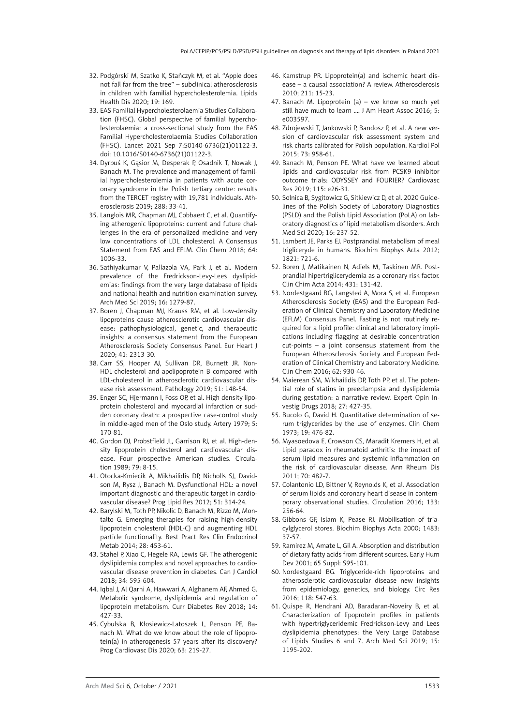- 32. Podgórski M, Szatko K, Stańczyk M, et al. "Apple does not fall far from the tree" – subclinical atherosclerosis in children with familial hypercholesterolemia. Lipids Health Dis 2020; 19: 169.
- 33. EAS Familial Hypercholesterolaemia Studies Collaboration (FHSC). Global perspective of familial hypercholesterolaemia: a cross-sectional study from the EAS Familial Hypercholesterolaemia Studies Collaboration (FHSC). Lancet 2021 Sep 7:S0140-6736(21)01122-3. doi: 10.1016/S0140-6736(21)01122-3.
- 34. Dyrbuś K, Gąsior M, Desperak P, Osadnik T, Nowak J, Banach M. The prevalence and management of familial hypercholesterolemia in patients with acute coronary syndrome in the Polish tertiary centre: results from the TERCET registry with 19,781 individuals. Atherosclerosis 2019; 288: 33-41.
- 35. Langlois MR, Chapman MJ, Cobbaert C, et al. Quantifying atherogenic lipoproteins: current and future challenges in the era of personalized medicine and very low concentrations of LDL cholesterol. A Consensus Statement from EAS and EFLM. Clin Chem 2018; 64: 1006-33.
- 36. Sathiyakumar V, Pallazola VA, Park J, et al. Modern prevalence of the Fredrickson-Levy-Lees dyslipidemias: findings from the very large database of lipids and national health and nutrition examination survey. Arch Med Sci 2019; 16: 1279-87.
- 37. Boren J, Chapman MJ, Krauss RM, et al. Low-density lipoproteins cause atherosclerotic cardiovascular disease: pathophysiological, genetic, and therapeutic insights: a consensus statement from the European Atherosclerosis Society Consensus Panel. Eur Heart J 2020; 41: 2313-30.
- 38. Carr SS, Hooper AJ, Sullivan DR, Burnett JR. Non-HDL-cholesterol and apolipoprotein B compared with LDL-cholesterol in atherosclerotic cardiovascular disease risk assessment. Pathology 2019; 51: 148-54.
- 39. Enger SC, Hjermann I, Foss OP, et al. High density lipoprotein cholesterol and myocardial infarction or sudden coronary death: a prospective case-control study in middle-aged men of the Oslo study. Artery 1979; 5: 170-81.
- 40. Gordon DJ, Probstfield JL, Garrison RJ, et al. High-density lipoprotein cholesterol and cardiovascular disease. Four prospective American studies. Circulation 1989; 79: 8-15.
- 41. Otocka-Kmiecik A, Mikhailidis DP, Nicholls SJ, Davidson M, Rysz J, Banach M. Dysfunctional HDL: a novel important diagnostic and therapeutic target in cardiovascular disease? Prog Lipid Res 2012; 51: 314-24.
- 42. Barylski M, Toth PP, Nikolic D, Banach M, Rizzo M, Montalto G. Emerging therapies for raising high-density lipoprotein cholesterol (HDL-C) and augmenting HDL particle functionality. Best Pract Res Clin Endocrinol Metab 2014; 28: 453-61.
- 43. Stahel P, Xiao C, Hegele RA, Lewis GF. The atherogenic dyslipidemia complex and novel approaches to cardiovascular disease prevention in diabetes. Can J Cardiol 2018; 34: 595-604.
- 44. Iqbal J, Al Qarni A, Hawwari A, Alghanem AF, Ahmed G. Metabolic syndrome, dyslipidemia and regulation of lipoprotein metabolism. Curr Diabetes Rev 2018; 14: 427-33.
- 45. Cybulska B, Kłosiewicz-Latoszek L, Penson PE, Banach M. What do we know about the role of lipoprotein(a) in atherogenesis 57 years after its discovery? Prog Cardiovasc Dis 2020; 63: 219-27.
- 46. Kamstrup PR. Lipoprotein(a) and ischemic heart disease – a causal association? A review. Atherosclerosis 2010; 211: 15-23.
- 47. Banach M. Lipoprotein (a) we know so much yet still have much to learn …. J Am Heart Assoc 2016; 5: e003597.
- 48. Zdrojewski T, Jankowski P, Bandosz P, et al. A new version of cardiovascular risk assessment system and risk charts calibrated for Polish population. Kardiol Pol 2015; 73: 958-61.
- 49. Banach M, Penson PE. What have we learned about lipids and cardiovascular risk from PCSK9 inhibitor outcome trials: ODYSSEY and FOURIER? Cardiovasc Res 2019; 115: e26-31.
- 50. Solnica B, Sygitowicz G, Sitkiewicz D, et al. 2020 Guidelines of the Polish Society of Laboratory Diagnostics (PSLD) and the Polish Lipid Association (PoLA) on laboratory diagnostics of lipid metabolism disorders. Arch Med Sci 2020; 16: 237-52.
- 51. Lambert JE, Parks EJ. Postprandial metabolism of meal trigliceryde in humans. Biochim Biophys Acta 2012; 1821: 721-6.
- 52. Boren J, Matikainen N, Adiels M, Taskinen MR. Postprandial hipertriglicerydemia as a coronary risk factor. Clin Chim Acta 2014; 431: 131-42.
- 53. Nordestgaard BG, Langsted A, Mora S, et al. European Atherosclerosis Society (EAS) and the European Federation of Clinical Chemistry and Laboratory Medicine (EFLM) Consensus Panel. Fasting is not routinely required for a lipid profile: clinical and laboratory implications including flagging at desirable concentration cut-points – a joint consensus statement from the European Atherosclerosis Society and European Federation of Clinical Chemistry and Laboratory Medicine. Clin Chem 2016; 62: 930-46.
- 54. Maierean SM, Mikhailidis DP, Toth PP, et al. The potential role of statins in preeclampsia and dyslipidemia during gestation: a narrative review. Expert Opin Investig Drugs 2018; 27: 427-35.
- 55. Bucolo G, David H. Quantitative determination of serum triglycerides by the use of enzymes. Clin Chem 1973; 19: 476-82.
- 56. Myasoedova E, Crowson CS, Maradit Kremers H, et al. Lipid paradox in rheumatoid arthritis: the impact of serum lipid measures and systemic inflammation on the risk of cardiovascular disease. Ann Rheum Dis 2011; 70: 482-7.
- 57. Colantonio LD, Bittner V, Reynolds K, et al. Association of serum lipids and coronary heart disease in contemporary observational studies. Circulation 2016; 133: 256-64.
- 58. Gibbons GF, Islam K, Pease RJ. Mobilisation of triacylglycerol stores. Biochim Biophys Acta 2000; 1483: 37-57.
- 59. Ramirez M, Amate L, Gil A. Absorption and distribution of dietary fatty acids from different sources. Early Hum Dev 2001; 65 Suppl: S95-101.
- 60. Nordestgaard BG. Triglyceride-rich lipoproteins and atherosclerotic cardiovascular disease new insights from epidemiology, genetics, and biology. Circ Res 2016; 118: 547-63.
- 61. Quispe R, Hendrani AD, Baradaran-Noveiry B, et al. Characterization of lipoprotein profiles in patients with hypertriglyceridemic Fredrickson-Levy and Lees dyslipidemia phenotypes: the Very Large Database of Lipids Studies 6 and 7. Arch Med Sci 2019; 15: 1195-202.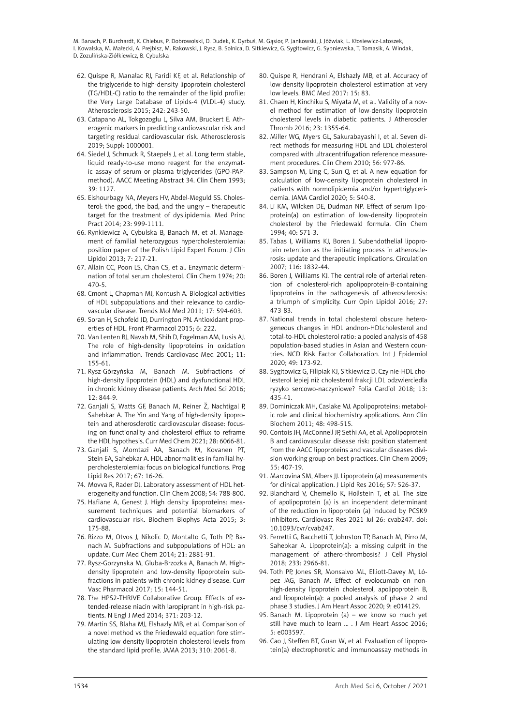- 62. Quispe R, Manalac RJ, Faridi KF, et al. Relationship of the triglyceride to high-density lipoprotein cholesterol (TG/HDL-C) ratio to the remainder of the lipid profile: the Very Large Database of Lipids-4 (VLDL-4) study. Atherosclerosis 2015; 242: 243-50.
- 63. Catapano AL, Tokgozoglu L, Silva AM, Bruckert E. Atherogenic markers in predicting cardiovascular risk and targeting residual cardiovascular risk. Atherosclerosis 2019; Suppl: 1000001.
- 64. Siedel J, Schmuck R, Staepels J, et al. Long term stable, liquid ready-to-use mono reagent for the enzymatic assay of serum or plasma triglycerides (GPO-PAPmethod). AACC Meeting Abstract 34. Clin Chem 1993; 39: 1127.
- 65. Elshourbagy NA, Meyers HV, Abdel-Meguld SS. Cholesterol: the good, the bad, and the ungry – therapeutic target for the treatment of dyslipidemia. Med Princ Pract 2014; 23: 999-1111.
- 66. Rynkiewicz A, Cybulska B, Banach M, et al. Management of familial heterozygous hypercholesterolemia: position paper of the Polish Lipid Expert Forum. J Clin Lipidol 2013; 7: 217-21.
- 67. Allain CC, Poon LS, Chan CS, et al. Enzymatic determination of total serum cholesterol. Clin Chem 1974; 20: 470-5.
- 68. Cmont L, Chapman MJ, Kontush A. Biological activities of HDL subpopulations and their relevance to cardiovascular disease. Trends Mol Med 2011; 17: 594-603.
- 69. Soran H, Schofeld JD, Durrington PN. Antioxidant properties of HDL. Front Pharmacol 2015; 6: 222.
- 70. Van Lenten BJ, Navab M, Shih D, Fogelman AM, Lusis AJ. The role of high-density lipoproteins in oxidation and inflammation. Trends Cardiovasc Med 2001; 11: 155-61.
- 71. Rysz-Górzyńska M, Banach M. Subfractions of high-density lipoprotein (HDL) and dysfunctional HDL in chronic kidney disease patients. Arch Med Sci 2016; 12: 844-9.
- 72. Ganjali S, Watts GF, Banach M, Reiner Ž, Nachtigal P, Sahebkar A. The Yin and Yang of high-density lipoprotein and atherosclerotic cardiovascular disease: focusing on functionality and cholesterol efflux to reframe the HDL hypothesis. Curr Med Chem 2021; 28: 6066-81.
- 73. Ganjali S, Momtazi AA, Banach M, Kovanen PT, Stein EA, Sahebkar A. HDL abnormalities in familial hypercholesterolemia: focus on biological functions. Prog Lipid Res 2017; 67: 16-26.
- 74. Movva R, Rader DJ. Laboratory assessment of HDL heterogeneity and function. Clin Chem 2008; 54: 788-800.
- 75. Hafiane A, Genest J. High density lipoproteins: measurement techniques and potential biomarkers of cardiovascular risk. Biochem Biophys Acta 2015; 3: 175-88.
- 76. Rizzo M, Otvos J, Nikolic D, Montalto G, Toth PP, Banach M. Subfractions and subpopulations of HDL: an update. Curr Med Chem 2014; 21: 2881-91.
- 77. Rysz-Gorzynska M, Gluba-Brzozka A, Banach M. Highdensity lipoprotein and low-density lipoprotein subfractions in patients with chronic kidney disease. Curr Vasc Pharmacol 2017; 15: 144-51.
- 78. The HPS2-THRIVE Collaborative Group. Effects of extended-release niacin with laropiprant in high-risk patients. N Engl J Med 2014; 371: 203-12.
- 79. Martin SS, Blaha MJ, Elshazly MB, et al. Comparison of a novel method vs the Friedewald equation fore stimulating low-density lipoprotein cholesterol levels from the standard lipid profile. JAMA 2013; 310: 2061-8.
- 80. Quispe R, Hendrani A, Elshazly MB, et al. Accuracy of low-density lipoprotein cholesterol estimation at very low levels. BMC Med 2017: 15: 83.
- 81. Chaen H, Kinchiku S, Miyata M, et al. Validity of a novel method for estimation of low-density lipoprotein cholesterol levels in diabetic patients. J Atheroscler Thromb 2016; 23: 1355-64.
- 82. Miller WG, Myers GL, Sakurabayashi I, et al. Seven direct methods for measuring HDL and LDL cholesterol compared with ultracentrifugation reference measurement procedures. Clin Chem 2010; 56: 977-86.
- 83. Sampson M, Ling C, Sun Q, et al. A new equation for calculation of low-density lipoprotein cholesterol in patients with normolipidemia and/or hypertriglyceridemia. JAMA Cardiol 2020; 5: 540-8.
- 84. Li KM, Wilcken DE, Dudman NP. Effect of serum lipoprotein(a) on estimation of low-density lipoprotein cholesterol by the Friedewald formula. Clin Chem 1994; 40: 571-3.
- 85. Tabas I, Williams KJ, Boren J. Subendothelial lipoprotein retention as the initiating process in atherosclerosis: update and therapeutic implications. Circulation 2007; 116: 1832-44.
- 86. Boren J, Williams KJ. The central role of arterial retention of cholesterol-rich apolipoprotein-B-containing lipoproteins in the pathogenesis of atherosclerosis: a triumph of simplicity. Curr Opin Lipidol 2016; 27: 473-83.
- 87. [National trends in total cholesterol obscure hetero](https://www.ncbi.nlm.nih.gov/pubmed/31321439)[geneous changes in HDL andnon-HDLcholesterol and](https://www.ncbi.nlm.nih.gov/pubmed/31321439) [total-to-HDL cholesterol ratio: a pooled analysis of 458](https://www.ncbi.nlm.nih.gov/pubmed/31321439) [population-based studies in Asian and Western coun](https://www.ncbi.nlm.nih.gov/pubmed/31321439)[tries.](https://www.ncbi.nlm.nih.gov/pubmed/31321439) NCD Risk Factor Collaboration. Int J Epidemiol 2020; 49: 173-92.
- 88. Sygitowicz G, Filipiak KJ, Sitkiewicz D. Czy nie-HDL cholesterol lepiej niż cholesterol frakcji LDL odzwierciedla ryzyko sercowo-naczyniowe? Folia Cardiol 2018; 13: 435-41.
- 89. Dominiczak MH, Caslake MJ. Apolipoproteins: metabolic role and clinical biochemistry applications. Ann Clin Biochem 2011; 48: 498-515.
- 90. Contois JH, McConnell JP, Sethi AA, et al. Apolipoprotein B and cardiovascular disease risk: position statement from the AACC lipoproteins and vascular diseases division working group on best practices. Clin Chem 2009; 55: 407-19.
- 91. Marcovina SM, Albers JJ. Lipoprotein (a) measurements for clinical application. J Lipid Res 2016; 57: 526-37.
- 92. Blanchard V, Chemello K, Hollstein T, et al. The size of apolipoprotein (a) is an independent determinant of the reduction in lipoprotein (a) induced by PCSK9 inhibitors. Cardiovasc Res 2021 Jul 26: cvab247. doi: 10.1093/cvr/cvab247.
- 93. Ferretti G, Bacchetti T, Johnston TP, Banach M, Pirro M, Sahebkar A. Lipoprotein(a): a missing culprit in the management of athero-thrombosis? J Cell Physiol 2018; 233: 2966-81.
- 94. Toth PP, Jones SR, Monsalvo ML, Elliott-Davey M, López JAG, Banach M. Effect of evolocumab on nonhigh-density lipoprotein cholesterol, apolipoprotein B, and lipoprotein(a): a pooled analysis of phase 2 and phase 3 studies. J Am Heart Assoc 2020; 9: e014129.
- 95. Banach M. Lipoprotein (a) we know so much yet still have much to learn … . J Am Heart Assoc 2016; 5: e003597.
- 96. Cao J, Steffen BT, Guan W, et al. Evaluation of lipoprotein(a) electrophoretic and immunoassay methods in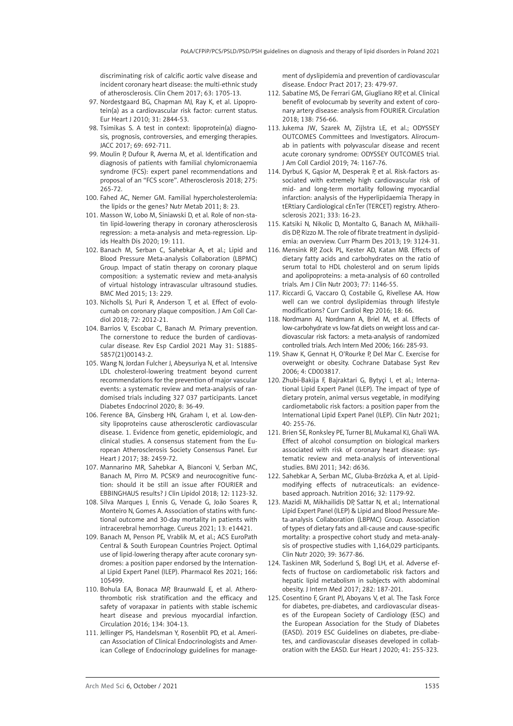discriminating risk of calcific aortic valve disease and incident coronary heart disease: the multi-ethnic study of atherosclerosis. Clin Chem 2017; 63: 1705-13.

- 97. Nordestgaard BG, Chapman MJ, Ray K, et al. Lipoprotein(a) as a cardiovascular risk factor: current status. Eur Heart J 2010; 31: 2844-53.
- 98. Tsimikas S. A test in context: lipoprotein(a) diagnosis, prognosis, controversies, and emerging therapies. JACC 2017; 69: 692-711.
- 99. Moulin P, Dufour R, Averna M, et al. Identification and diagnosis of patients with familial chylomicronaemia syndrome (FCS): expert panel recommendations and proposal of an "FCS score". Atherosclerosis 2018; 275: 265-72.
- 100. Fahed AC, Nemer GM. Familial hypercholesterolemia: the lipids or the genes? Nutr Metab 2011; 8: 23.
- 101. Masson W, Lobo M, Siniawski D, et al. Role of non-statin lipid-lowering therapy in coronary atherosclerosis regression: a meta-analysis and meta-regression. Lipids Health Dis 2020; 19: 111.
- 102. Banach M, Serban C, Sahebkar A, et al.; Lipid and Blood Pressure Meta-analysis Collaboration (LBPMC) Group. Impact of statin therapy on coronary plaque composition: a systematic review and meta-analysis of virtual histology intravascular ultrasound studies. BMC Med 2015; 13: 229.
- 103. Nicholls SJ, Puri R, Anderson T, et al. Effect of evolocumab on coronary plaque composition. J Am Coll Cardiol 2018; 72: 2012-21.
- 104. Barrios V, Escobar C, Banach M. Primary prevention. The cornerstone to reduce the burden of cardiovascular disease. Rev Esp Cardiol 2021 May 31: S1885- 5857(21)00143-2.
- 105. Wang N, Jordan Fulcher J, Abeysuriya N, et al. Intensive LDL cholesterol-lowering treatment beyond current recommendations for the prevention of major vascular events: a systematic review and meta-analysis of randomised trials including 327 037 participants. Lancet Diabetes Endocrinol 2020; 8: 36-49.
- 106. Ference BA, Ginsberg HN, Graham I, et al. Low-density lipoproteins cause atherosclerotic cardiovascular disease. 1. Evidence from genetic, epidemiologic, and clinical studies. A consensus statement from the European Atherosclerosis Society Consensus Panel. Eur Heart J 2017; 38: 2459-72.
- 107. Mannarino MR, Sahebkar A, Bianconi V, Serban MC, Banach M, Pirro M. PCSK9 and neurocognitive function: should it be still an issue after FOURIER and EBBINGHAUS results? J Clin Lipidol 2018; 12: 1123-32.
- 108. Silva Marques J, Ennis G, Venade G, João Soares R, Monteiro N, Gomes A. Association of statins with functional outcome and 30-day mortality in patients with intracerebral hemorrhage. Cureus 2021; 13: e14421.
- 109. Banach M, Penson PE, Vrablik M, et al.; ACS EuroPath Central & South European Countries Project. Optimal use of lipid-lowering therapy after acute coronary syndromes: a position paper endorsed by the International Lipid Expert Panel (ILEP). Pharmacol Res 2021; 166: 105499.
- 110. Bohula EA, Bonaca MP, Braunwald E, et al. Atherothrombotic risk stratification and the efficacy and safety of vorapaxar in patients with stable ischemic heart disease and previous myocardial infarction. Circulation 2016; 134: 304-13.
- 111. Jellinger PS, Handelsman Y, Rosenblit PD, et al. American Association of Clinical Endocrinologists and American College of Endocrinology guidelines for manage-

ment of dyslipidemia and prevention of cardiovascular disease. Endocr Pract 2017; 23: 479-97.

- 112. Sabatine MS, De Ferrari GM, Giugliano RP, et al. Clinical benefit of evolocumab by severity and extent of coronary artery disease: analysis from FOURIER. Circulation 2018; 138: 756-66.
- 113. Jukema JW, Szarek M, Zijlstra LE, et al.; ODYSSEY OUTCOMES Committees and Investigators. Alirocumab in patients with polyvascular disease and recent acute coronary syndrome: ODYSSEY OUTCOMES trial. J Am Coll Cardiol 2019; 74: 1167-76.
- 114. Dyrbuś K, Gąsior M, Desperak P, et al. Risk-factors associated with extremely high cardiovascular risk of mid- and long-term mortality following myocardial infarction: analysis of the Hyperlipidaemia Therapy in tERtiary Cardiological cEnTer (TERCET) registry. Atherosclerosis 2021; 333: 16-23.
- 115. Katsiki N, Nikolic D, Montalto G, Banach M, Mikhailidis DP, Rizzo M. The role of fibrate treatment in dyslipidemia: an overview. Curr Pharm Des 2013; 19: 3124-31.
- 116. Mensink RP, Zock PL, Kester AD, Katan MB. Effects of dietary fatty acids and carbohydrates on the ratio of serum total to HDL cholesterol and on serum lipids and apolipoproteins: a meta-analysis of 60 controlled trials. Am J Clin Nutr 2003; 77: 1146-55.
- 117. Riccardi G, Vaccaro O, Costabile G, Rivellese AA. How well can we control dyslipidemias through lifestyle modifications? Curr Cardiol Rep 2016; 18: 66.
- 118. Nordmann AJ, Nordmann A, Briel M, et al. Effects of low-carbohydrate vs low-fat diets on weight loss and cardiovascular risk factors: a meta-analysis of randomized controlled trials. Arch Intern Med 2006; 166: 285-93.
- 119. Shaw K, Gennat H, O'Rourke P, Del Mar C. Exercise for overweight or obesity. Cochrane Database Syst Rev 2006; 4: CD003817.
- 120. Zhubi-Bakija F, Bajraktari G, Bytyçi I, et al.; International Lipid Expert Panel (ILEP). The impact of type of dietary protein, animal versus vegetable, in modifying cardiometabolic risk factors: a position paper from the International Lipid Expert Panel (ILEP). Clin Nutr 2021; 40: 255-76.
- 121. Brien SE, Ronksley PE, Turner BJ, Mukamal KJ, Ghali WA. Effect of alcohol consumption on biological markers associated with risk of coronary heart disease: systematic review and meta-analysis of interventional studies. BMJ 2011; 342: d636.
- 122. Sahebkar A, Serban MC, Gluba-Brzózka A, et al. Lipidmodifying effects of nutraceuticals: an evidencebased approach. Nutrition 2016; 32: 1179-92.
- 123. Mazidi M, Mikhailidis DP, Sattar N, et al.; International Lipid Expert Panel (ILEP) & Lipid and Blood Pressure Meta-analysis Collaboration (LBPMC) Group. Association of types of dietary fats and all-cause and cause-specific mortality: a prospective cohort study and meta-analysis of prospective studies with 1,164,029 participants. Clin Nutr 2020; 39: 3677-86.
- 124. Taskinen MR, Soderlund S, Bogl LH, et al. Adverse effects of fructose on cardiometabolic risk factors and hepatic lipid metabolism in subjects with abdominal obesity. J Intern Med 2017; 282: 187-201.
- 125. Cosentino F, Grant PJ, Aboyans V, et al. The Task Force for diabetes, pre-diabetes, and cardiovascular diseases of the European Society of Cardiology (ESC) and the European Association for the Study of Diabetes (EASD). 2019 ESC Guidelines on diabetes, pre-diabetes, and cardiovascular diseases developed in collaboration with the EASD. Eur Heart J 2020; 41: 255-323.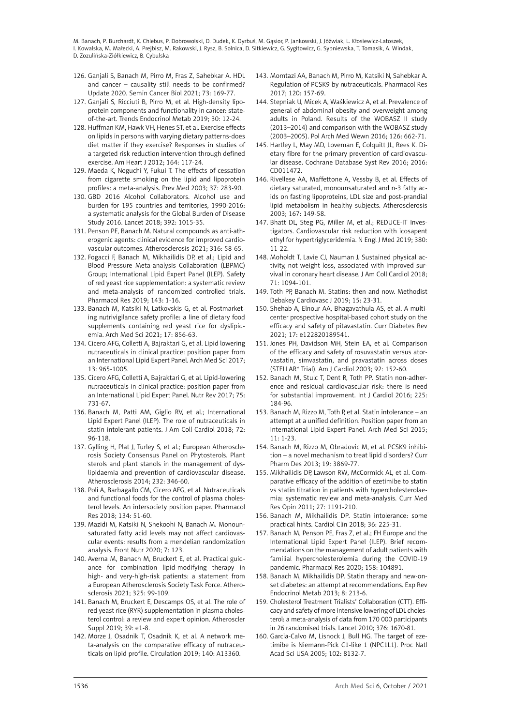- 126. Ganjali S, Banach M, Pirro M, Fras Z, Sahebkar A. HDL and cancer – causality still needs to be confirmed? Update 2020. Semin Cancer Biol 2021; 73: 169-77.
- 127. Ganjali S, Ricciuti B, Pirro M, et al. High-density lipoprotein components and functionality in cancer: stateof-the-art. Trends Endocrinol Metab 2019; 30: 12-24.
- 128. Huffman KM, Hawk VH, Henes ST, et al. Exercise effects on lipids in persons with varying dietary patterns-does diet matter if they exercise? Responses in studies of a targeted risk reduction intervention through defined exercise. Am Heart J 2012; 164: 117-24.
- 129. Maeda K, Noguchi Y, Fukui T. The effects of cessation from cigarette smoking on the lipid and lipoprotein profiles: a meta-analysis. Prev Med 2003; 37: 283-90.
- 130. GBD 2016 Alcohol Collaborators. Alcohol use and burden for 195 countries and territories, 1990-2016: a systematic analysis for the Global Burden of Disease Study 2016. Lancet 2018; 392: 1015-35.
- 131. Penson PE, Banach M. Natural compounds as anti-atherogenic agents: clinical evidence for improved cardiovascular outcomes. Atherosclerosis 2021; 316: 58-65.
- 132. Fogacci F, Banach M, Mikhailidis DP, et al.; Lipid and Blood Pressure Meta-analysis Collaboration (LBPMC) Group; International Lipid Expert Panel (ILEP). Safety of red yeast rice supplementation: a systematic review and meta-analysis of randomized controlled trials. Pharmacol Res 2019; 143: 1-16.
- 133. Banach M, Katsiki N, Latkovskis G, et al. Postmarketing nutrivigilance safety profile: a line of dietary food supplements containing red yeast rice for dyslipidemia. Arch Med Sci 2021; 17: 856-63.
- 134. Cicero AFG, Colletti A, Bajraktari G, et al. Lipid lowering nutraceuticals in clinical practice: position paper from an International Lipid Expert Panel. Arch Med Sci 2017; 13: 965-1005.
- 135. Cicero AFG, Colletti A, Bajraktari G, et al. Lipid-lowering nutraceuticals in clinical practice: position paper from an International Lipid Expert Panel. Nutr Rev 2017; 75: 731-67.
- 136. Banach M, Patti AM, Giglio RV, et al.; International Lipid Expert Panel (ILEP). The role of nutraceuticals in statin intolerant patients. J Am Coll Cardiol 2018; 72: 96-118.
- 137. Gylling H, Plat J, Turley S, et al.; European Atherosclerosis Society Consensus Panel on Phytosterols. Plant sterols and plant stanols in the management of dyslipidaemia and prevention of cardiovascular disease. Atherosclerosis 2014; 232: 346-60.
- 138. Poli A, Barbagallo CM, Cicero AFG, et al. Nutraceuticals and functional foods for the control of plasma cholesterol levels. An intersociety position paper. Pharmacol Res 2018; 134: 51-60.
- 139. Mazidi M, Katsiki N, Shekoohi N, Banach M. Monounsaturated fatty acid levels may not affect cardiovascular events: results from a mendelian randomization analysis. Front Nutr 2020; 7: 123.
- 140. Averna M, Banach M, Bruckert E, et al. Practical guidance for combination lipid-modifying therapy in high- and very-high-risk patients: a statement from a European Atherosclerosis Society Task Force. Atherosclerosis 2021; 325: 99-109.
- 141. Banach M, Bruckert E, Descamps OS, et al. The role of red yeast rice (RYR) supplementation in plasma cholesterol control: a review and expert opinion. Atheroscler Suppl 2019; 39: e1-8.
- 142. Morze J, Osadnik T, Osadnik K, et al. A network meta-analysis on the comparative efficacy of nutraceuticals on lipid profile. Circulation 2019; 140: A13360.
- 143. Momtazi AA, Banach M, Pirro M, Katsiki N, Sahebkar A. Regulation of PCSK9 by nutraceuticals. Pharmacol Res 2017; 120: 157-69.
- 144. Stepniak U, Micek A, Waśkiewicz A, et al. Prevalence of general of abdominal obesity and overweight among adults in Poland. Results of the WOBASZ II study (2013–2014) and comparison with the WOBASZ study (2003–2005). Pol Arch Med Wewn 2016; 126: 662-71.
- 145. Hartley L, May MD, Loveman E, Colquitt JL, Rees K. Dietary fibre for the primary prevention of cardiovascular disease. Cochrane Database Syst Rev 2016; 2016: CD011472.
- 146. Rivellese AA, Maffettone A, Vessby B, et al. Effects of dietary saturated, monounsaturated and n-3 fatty acids on fasting lipoproteins, LDL size and post-prandial lipid metabolism in healthy subjects. Atherosclerosis 2003; 167: 149-58.
- 147. Bhatt DL, Steg PG, Miller M, et al.; REDUCE-IT Investigators. Cardiovascular risk reduction with icosapent ethyl for hypertriglyceridemia. N Engl J Med 2019; 380: 11-22.
- 148. Moholdt T, Lavie CJ, Nauman J. Sustained physical activity, not weight loss, associated with improved survival in coronary heart disease. J Am Coll Cardiol 2018; 71: 1094-101.
- 149. Toth PP, Banach M. Statins: then and now. Methodist Debakey Cardiovasc J 2019; 15: 23-31.
- 150. Shehab A, Elnour AA, Bhagavathula AS, et al. A multicenter prospective hospital-based cohort study on the efficacy and safety of pitavastatin. Curr Diabetes Rev 2021; 17: e122820189541.
- 151. Jones PH, Davidson MH, Stein EA, et al. Comparison of the efficacy and safety of rosuvastatin versus atorvastatin, simvastatin, and pravastatin across doses (STELLAR\* Trial). Am J Cardiol 2003; 92: 152-60.
- 152. Banach M, Stulc T, Dent R, Toth PP. Statin non-adherence and residual cardiovascular risk: there is need for substantial improvement. Int J Cardiol 2016; 225: 184-96.
- 153. Banach M, Rizzo M, Toth P, et al. Statin intolerance an attempt at a unified definition. Position paper from an International Lipid Expert Panel. Arch Med Sci 2015; 11: 1-23.
- 154. Banach M, Rizzo M, Obradovic M, et al. PCSK9 inhibition – a novel mechanism to treat lipid disorders? Curr Pharm Des 2013; 19: 3869-77.
- 155. Mikhailidis DP, Lawson RW, McCormick AL, et al. Comparative efficacy of the addition of ezetimibe to statin vs statin titration in patients with hypercholesterolaemia: systematic review and meta-analysis. Curr Med Res Opin 2011; 27: 1191-210.
- 156. Banach M, Mikhailidis DP. Statin intolerance: some practical hints. Cardiol Clin 2018; 36: 225-31.
- 157. Banach M, Penson PE, Fras Z, et al.; FH Europe and the International Lipid Expert Panel (ILEP). Brief recommendations on the management of adult patients with familial hypercholesterolemia during the COVID-19 pandemic. Pharmacol Res 2020; 158: 104891.
- 158. Banach M, Mikhailidis DP. Statin therapy and new-onset diabetes: an attempt at recommendations. Exp Rev Endocrinol Metab 2013; 8: 213-6.
- 159. Cholesterol Treatment Trialists' Collaboration (CTT). Efficacy and safety of more intensive lowering of LDL cholesterol: a meta-analysis of data from 170 000 participants in 26 randomised trials. Lancet 2010; 376: 1670-81.
- 160. Garcia-Calvo M, Lisnock J, Bull HG. The target of ezetimibe is Niemann-Pick C1-like 1 (NPC1L1). Proc Natl Acad Sci USA 2005; 102: 8132-7.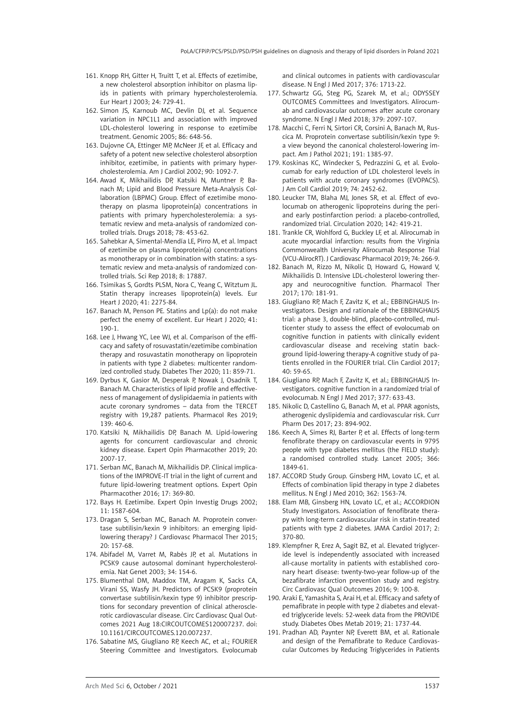- 161. Knopp RH, Gitter H, Truitt T, et al. Effects of ezetimibe, a new cholesterol absorption inhibitor on plasma lipids in patients with primary hypercholesterolemia. Eur Heart J 2003; 24: 729-41.
- 162. Simon JS, Karnoub MC, Devlin DJ, et al. Sequence variation in NPC1L1 and association with improved LDL-cholesterol lowering in response to ezetimibe treatment. Genomic 2005; 86: 648-56.
- 163. Dujovne CA, Ettinger MP, McNeer JF, et al. Efficacy and safety of a potent new selective cholesterol absorption inhibitor, ezetimibe, in patients with primary hypercholesterolemia. Am J Cardiol 2002; 90: 1092-7.
- 164. Awad K, Mikhailidis DP, Katsiki N, Muntner P, Banach M; Lipid and Blood Pressure Meta-Analysis Collaboration (LBPMC) Group. Effect of ezetimibe monotherapy on plasma lipoprotein(a) concentrations in patients with primary hypercholesterolemia: a systematic review and meta-analysis of randomized controlled trials. Drugs 2018; 78: 453-62.
- 165. Sahebkar A, Simental-Mendía LE, Pirro M, et al. Impact of ezetimibe on plasma lipoprotein(a) concentrations as monotherapy or in combination with statins: a systematic review and meta-analysis of randomized controlled trials. Sci Rep 2018; 8: 17887.
- 166. Tsimikas S, Gordts PLSM, Nora C, Yeang C, Witztum JL. Statin therapy increases lipoprotein(a) levels. Eur Heart J 2020; 41: 2275-84.
- 167. Banach M, Penson PE. Statins and Lp(a): do not make perfect the enemy of excellent. Eur Heart J 2020; 41: 190-1.
- 168. Lee J, Hwang YC, Lee WJ, et al. Comparison of the efficacy and safety of rosuvastatin/ezetimibe combination therapy and rosuvastatin monotherapy on lipoprotein in patients with type 2 diabetes: multicenter randomized controlled study. Diabetes Ther 2020; 11: 859-71.
- 169. Dyrbus K, Gasior M, Desperak P, Nowak J, Osadnik T, Banach M. Characteristics of lipid profile and effectiveness of management of dyslipidaemia in patients with acute coronary syndromes – data from the TERCET registry with 19,287 patients. Pharmacol Res 2019; 139: 460-6.
- 170. Katsiki N, Mikhailidis DP, Banach M. Lipid-lowering agents for concurrent cardiovascular and chronic kidney disease. Expert Opin Pharmacother 2019; 20: 2007-17.
- 171. Serban MC, Banach M, Mikhailidis DP. Clinical implications of the IMPROVE-IT trial in the light of current and future lipid-lowering treatment options. Expert Opin Pharmacother 2016; 17: 369-80.
- 172. Bays H. Ezetimibe. Expert Opin Investig Drugs 2002; 11: 1587-604.
- 173. Dragan S, Serban MC, Banach M. Proprotein convertase subtilisin/kexin 9 inhibitors: an emerging lipidlowering therapy? J Cardiovasc Pharmacol Ther 2015; 20: 157-68.
- 174. Abifadel M, Varret M, Rabès JP, et al. [Mutations in](https://www.ncbi.nlm.nih.gov/pubmed/12730697)  [PCSK9 cause autosomal dominant hypercholesterol](https://www.ncbi.nlm.nih.gov/pubmed/12730697)[emia.](https://www.ncbi.nlm.nih.gov/pubmed/12730697) Nat Genet 2003; 34: 154-6.
- 175. Blumenthal DM, Maddox TM, Aragam K, Sacks CA, Virani SS, Wasfy JH. Predictors of PCSK9 (proprotein convertase subtilisin/kexin type 9) inhibitor prescriptions for secondary prevention of clinical atherosclerotic cardiovascular disease. Circ Cardiovasc Qual Outcomes 2021 Aug 18:CIRCOUTCOMES120007237. doi: 10.1161/CIRCOUTCOMES.120.007237.
- 176. Sabatine MS, Giugliano RP, Keech AC, et al.; FOURIER Steering Committee and Investigators. Evolocumab

and clinical outcomes in patients with cardiovascular disease. N Engl J Med 2017; 376: 1713-22.

- 177. Schwartz GG, Steg PG, Szarek M, et al.; ODYSSEY OUTCOMES Committees and Investigators. Alirocumab and cardiovascular outcomes after acute coronary syndrome. N Engl J Med 2018; 379: 2097-107.
- 178. Macchi C, Ferri N, Sirtori CR, Corsini A, Banach M, Ruscica M. Proprotein convertase subtilisin/kexin type 9: a view beyond the canonical cholesterol-lowering impact. Am J Pathol 2021; 191: 1385-97.
- 179. Koskinas KC, Windecker S, Pedrazzini G, et al. Evolocumab for early reduction of LDL cholesterol levels in patients with acute coronary syndromes (EVOPACS). J Am Coll Cardiol 2019; 74: 2452-62.
- 180. Leucker TM, Blaha MJ, Jones SR, et al. Effect of evolocumab on atherogenic lipoproteins during the periand early postinfarction period: a placebo-controlled, randomized trial. Circulation 2020; 142: 419-21.
- 181. Trankle CR, Wohlford G, Buckley LF, et al. Alirocumab in acute myocardial infarction: results from the Virginia Commonwealth University Alirocumab Response Trial (VCU-AlirocRT). J Cardiovasc Pharmacol 2019; 74: 266-9.
- 182. Banach M, Rizzo M, Nikolic D, Howard G, Howard V, Mikhailidis D. Intensive LDL-cholesterol lowering therapy and neurocognitive function. Pharmacol Ther 2017; 170: 181-91.
- 183. Giugliano RP, Mach F, Zavitz K, et al.; EBBINGHAUS Investigators. Design and rationale of the EBBINGHAUS trial: a phase 3, double-blind, placebo-controlled, multicenter study to assess the effect of evolocumab on cognitive function in patients with clinically evident cardiovascular disease and receiving statin background lipid-lowering therapy-A cognitive study of patients enrolled in the FOURIER trial. Clin Cardiol 2017; 40: 59-65.
- 184. Giugliano RP, Mach F, Zavitz K, et al.; EBBINGHAUS Investigators. cognitive function in a randomized trial of evolocumab. N Engl J Med 2017; 377: 633-43.
- 185. Nikolic D, Castellino G, Banach M, et al. PPAR agonists, atherogenic dyslipidemia and cardiovascular risk. Curr Pharm Des 2017; 23: 894-902.
- 186. Keech A, Simes RJ, Barter P, et al. Effects of long-term fenofibrate therapy on cardiovascular events in 9795 people with type diabetes mellitus (the FIELD study): a randomised controlled study. Lancet 2005; 366: 1849-61.
- 187. ACCORD Study Group. Ginsberg HM, Lovato LC, et al. Effects of combination lipid therapy in type 2 diabetes mellitus. N Engl J Med 2010; 362: 1563-74.
- 188. Elam MB, Ginsberg HN, Lovato LC, et al.; ACCORDION Study Investigators. Association of fenofibrate therapy with long-term cardiovascular risk in statin-treated patients with type 2 diabetes. JAMA Cardiol 2017; 2: 370-80.
- 189. Klempfner R, Erez A, Sagit BZ, et al. Elevated triglyceride level is independently associated with increased all-cause mortality in patients with established coronary heart disease: twenty-two-year follow-up of the bezafibrate infarction prevention study and registry. Circ Cardiovasc Qual Outcomes 2016; 9: 100-8.
- 190. Araki E, Yamashita S, Arai H, et al. Efficacy and safety of pemafibrate in people with type 2 diabetes and elevated triglyceride levels: 52-week data from the PROVIDE study. Diabetes Obes Metab 2019; 21: 1737-44.
- 191. Pradhan AD, Paynter NP, Everett BM, et al. Rationale and design of the Pemafibrate to Reduce Cardiovascular Outcomes by Reducing Triglycerides in Patients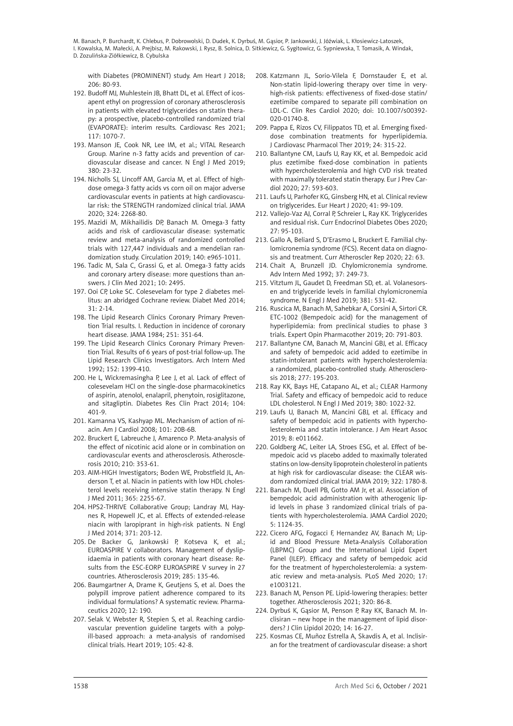with Diabetes (PROMINENT) study. Am Heart J 2018; 206: 80-93.

- 192. Budoff MJ, Muhlestein JB, Bhatt DL, et al. Effect of icosapent ethyl on progression of coronary atherosclerosis in patients with elevated triglycerides on statin therapy: a prospective, placebo-controlled randomized trial (EVAPORATE): interim results. Cardiovasc Res 2021; 117: 1070-7.
- 193. Manson JE, Cook NR, Lee IM, et al.; VITAL Research Group. Marine n-3 fatty acids and prevention of cardiovascular disease and cancer. N Engl J Med 2019; 380: 23-32.
- 194. Nicholls SJ, Lincoff AM, Garcia M, et al. Effect of highdose omega-3 fatty acids vs corn oil on major adverse cardiovascular events in patients at high cardiovascular risk: the STRENGTH randomized clinical trial. JAMA 2020; 324: 2268-80.
- 195. Mazidi M, Mikhailidis DP, Banach M. Omega-3 fatty acids and risk of cardiovascular disease: systematic review and meta-analysis of randomized controlled trials with 127,447 individuals and a mendelian randomization study. Circulation 2019; 140: e965-1011.
- 196. Tadic M, Sala C, Grassi G, et al. Omega-3 fatty acids and coronary artery disease: more questions than answers. J Clin Med 2021; 10: 2495.
- 197. Ooi CP, Loke SC. Colesevelam for type 2 diabetes mellitus: an abridged Cochrane review. Diabet Med 2014;  $31: 2-14.$
- 198. The Lipid Research Clinics Coronary Primary Prevention Trial results. I. Reduction in incidence of coronary heart disease. JAMA 1984; 251: 351-64.
- 199. The Lipid Research Clinics Coronary Primary Prevention Trial. Results of 6 years of post-trial follow-up. The Lipid Research Clinics Investigators. Arch Intern Med 1992; 152: 1399-410.
- 200. He L, Wickremasingha P, Lee J, et al. Lack of effect of colesevelam HCl on the single-dose pharmacokinetics of aspirin, atenolol, enalapril, phenytoin, rosiglitazone, and sitagliptin. Diabetes Res Clin Pract 2014; 104: 401-9.
- 201. Kamanna VS, Kashyap ML. Mechanism of action of niacin. Am J Cardiol 2008; 101: 20B-6B.
- 202. Bruckert E, Labreuche J, Amarenco P. Meta-analysis of the effect of nicotinic acid alone or in combination on cardiovascular events and atherosclerosis. Atherosclerosis 2010; 210: 353-61.
- 203. AIM-HIGH Investigators; Boden WE, Probstfield JL, Anderson T, et al. Niacin in patients with low HDL cholesterol levels receiving intensive statin therapy. N Engl J Med 2011; 365: 2255-67.
- 204. HPS2-THRIVE Collaborative Group; Landray MJ, Haynes R, Hopewell JC, et al. Effects of extended-release niacin with laropiprant in high-risk patients. N Engl J Med 2014; 371: 203-12.
- 205. De Backer G, Jankowski P, Kotseva K, et al.; EUROASPIRE V collaborators. Management of dyslipidaemia in patients with coronary heart disease: Results from the ESC-EORP EUROASPIRE V survey in 27 countries. Atherosclerosis 2019; 285: 135-46.
- 206. Baumgartner A, Drame K, Geutjens S, et al. Does the polypill improve patient adherence compared to its individual formulations? A systematic review. Pharmaceutics 2020; 12: 190.
- 207. Selak V, Webster R, Stepien S, et al. Reaching cardiovascular prevention guideline targets with a polypill-based approach: a meta-analysis of randomised clinical trials. Heart 2019; 105: 42-8.
- 208. Katzmann JL, Sorio-Vilela F, Dornstauder E, et al. Non-statin lipid-lowering therapy over time in veryhigh-risk patients: effectiveness of fixed-dose statin/ ezetimibe compared to separate pill combination on LDL-C. Clin Res Cardiol 2020; doi: 10.1007/s00392- 020-01740-8.
- 209. Pappa E, Rizos CV, Filippatos TD, et al. Emerging fixeddose combination treatments for hyperlipidemia. J Cardiovasc Pharmacol Ther 2019; 24: 315-22.
- 210. Ballantyne CM, Laufs U, Ray KK, et al. Bempedoic acid plus ezetimibe fixed-dose combination in patients with hypercholesterolemia and high CVD risk treated with maximally tolerated statin therapy. Eur J Prev Cardiol 2020; 27: 593-603.
- 211. Laufs U, Parhofer KG, Ginsberg HN, et al. Clinical review on triglycerides. Eur Heart J 2020; 41: 99-109.
- 212. Vallejo-Vaz AJ, Corral P, Schreier L, Ray KK. Triglycerides and residual risk. Curr Endocrinol Diabetes Obes 2020; 27: 95-103.
- 213. Gallo A, Beliard S, D'Erasmo L, Bruckert E. Familial chylomicronemia syndrome (FCS). Recent data on diagnosis and treatment. Curr Atheroscler Rep 2020; 22: 63.
- 214. Chait A, Brunzell JD. Chylomicronemia syndrome. Adv Intern Med 1992; 37: 249-73.
- 215. Vitztum JL, Gaudet D, Freedman SD, et. al. Volanesorsen and triglyceride levels in familial chylomicronemia syndrome. N Engl J Med 2019; 381: 531-42.
- 216. Ruscica M, Banach M, Sahebkar A, Corsini A, Sirtori CR. ETC-1002 (Bempedoic acid) for the management of hyperlipidemia: from preclinical studies to phase 3 trials. Expert Opin Pharmacother 2019; 20: 791-803.
- 217. Ballantyne CM, Banach M, Mancini GBJ, et al. Efficacy and safety of bempedoic acid added to ezetimibe in statin-intolerant patients with hypercholesterolemia: a randomized, placebo-controlled study. Atherosclerosis 2018; 277: 195-203.
- 218. Ray KK, Bays HE, Catapano AL, et al.; CLEAR Harmony Trial. Safety and efficacy of bempedoic acid to reduce LDL cholesterol. N Engl J Med 2019; 380: 1022-32.
- 219. Laufs U, Banach M, Mancini GBJ, et al. Efficacy and safety of bempedoic acid in patients with hypercholesterolemia and statin intolerance. J Am Heart Assoc 2019; 8: e011662.
- 220. Goldberg AC, Leiter LA, Stroes ESG, et al. Effect of bempedoic acid vs placebo added to maximally tolerated statins on low-density lipoprotein cholesterol in patients at high risk for cardiovascular disease: the CLEAR wisdom randomized clinical trial. JAMA 2019; 322: 1780-8.
- 221. Banach M, Duell PB, Gotto AM Jr, et al. Association of bempedoic acid administration with atherogenic lipid levels in phase 3 randomized clinical trials of patients with hypercholesterolemia. JAMA Cardiol 2020; 5: 1124-35.
- 222. Cicero AFG, Fogacci F, Hernandez AV, Banach M; Lipid and Blood Pressure Meta-Analysis Collaboration (LBPMC) Group and the International Lipid Expert Panel (ILEP). Efficacy and safety of bempedoic acid for the treatment of hypercholesterolemia: a systematic review and meta-analysis. PLoS Med 2020; 17: e1003121.
- 223. Banach M, Penson PE. Lipid-lowering therapies: better together. Atherosclerosis 2021; 320: 86-8.
- 224. Dyrbuś K, Gąsior M, Penson P, Ray KK, Banach M. Inclisiran – new hope in the management of lipid disorders? J Clin Lipidol 2020; 14: 16-27.
- 225. Kosmas CE, Muñoz Estrella A, Skavdis A, et al. Inclisiran for the treatment of cardiovascular disease: a short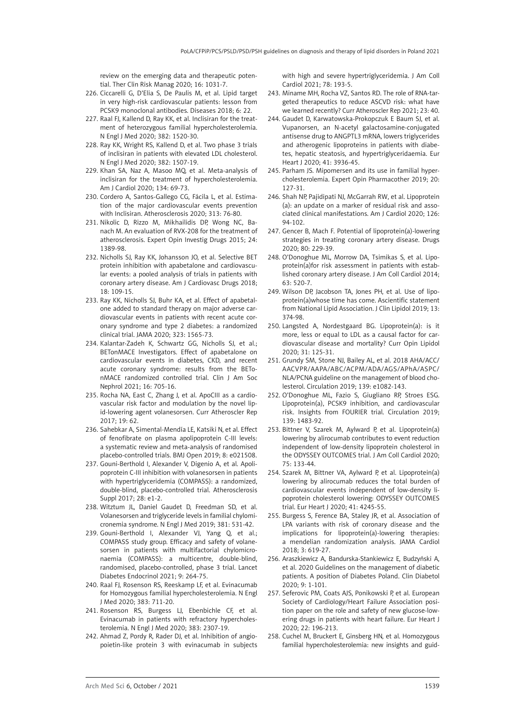review on the emerging data and therapeutic potential. Ther Clin Risk Manag 2020; 16: 1031-7.

- 226. Ciccarelli G, D'Elia S, De Paulis M, et al. Lipid target in very high-risk cardiovascular patients: lesson from PCSK9 monoclonal antibodies. Diseases 2018; 6: 22.
- 227. Raal FJ, Kallend D, Ray KK, et al. Inclisiran for the treatment of heterozygous familial hypercholesterolemia. N Engl J Med 2020; 382: 1520-30.
- 228. Ray KK, Wright RS, Kallend D, et al. Two phase 3 trials of inclisiran in patients with elevated LDL cholesterol. N Engl J Med 2020; 382: 1507-19.
- 229. Khan SA, Naz A, Masoo MQ, et al. Meta-analysis of inclisiran for the treatment of hypercholesterolemia. Am J Cardiol 2020; 134: 69-73.
- 230. Cordero A, Santos-Gallego CG, Fácila L, et al. Estimation of the major cardiovascular events prevention with Inclisiran. Atherosclerosis 2020; 313: 76-80.
- 231. Nikolic D, Rizzo M, Mikhailidis DP, Wong NC, Banach M. An evaluation of RVX-208 for the treatment of atherosclerosis. Expert Opin Investig Drugs 2015; 24: 1389-98.
- 232. Nicholls SJ, Ray KK, Johansson JO, et al. Selective BET protein inhibition with apabetalone and cardiovascular events: a pooled analysis of trials in patients with coronary artery disease. Am J Cardiovasc Drugs 2018; 18: 109-15.
- 233. Ray KK, Nicholls SJ, Buhr KA, et al. Effect of apabetalone added to standard therapy on major adverse cardiovascular events in patients with recent acute coronary syndrome and type 2 diabetes: a randomized clinical trial. JAMA 2020; 323: 1565-73.
- 234. Kalantar-Zadeh K, Schwartz GG, Nicholls SJ, et al.; BETonMACE Investigators. Effect of apabetalone on cardiovascular events in diabetes, CKD, and recent acute coronary syndrome: results from the BETonMACE randomized controlled trial. Clin J Am Soc Nephrol 2021; 16: 705-16.
- 235. Rocha NA, East C, Zhang J, et al. ApoCIII as a cardiovascular risk factor and modulation by the novel lipid-lowering agent volanesorsen. Curr Atheroscler Rep 2017; 19: 62.
- 236. Sahebkar A, Simental-Mendía LE, Katsiki N, et al. Effect of fenofibrate on plasma apolipoprotein C-III levels: a systematic review and meta-analysis of randomised placebo-controlled trials. BMJ Open 2019; 8: e021508.
- 237. Gouni-Berthold I, Alexander V, Digenio A, et al. Apolipoprotein C-III inhibition with volanesorsen in patients with hypertriglyceridemia (COMPASS): a randomized, double-blind, placebo-controlled trial. Atherosclerosis Suppl 2017; 28: e1-2.
- 238. Witztum JL, Daniel Gaudet D, Freedman SD, et al. Volanesorsen and triglyceride levels in familial chylomicronemia syndrome. N Engl J Med 2019; 381: 531-42.
- 239. Gouni-Berthold I, Alexander VJ, Yang Q, et al.; COMPASS study group. Efficacy and safety of volanesorsen in patients with multifactorial chylomicronaemia (COMPASS): a multicentre, double-blind, randomised, placebo-controlled, phase 3 trial. Lancet Diabetes Endocrinol 2021; 9: 264-75.
- 240. Raal FJ, Rosenson RS, Reeskamp LF, et al. Evinacumab for Homozygous familial hypercholesterolemia. N Engl J Med 2020; 383: 711-20.
- 241. Rosenson RS, Burgess LJ, Ebenbichle CF, et al. Evinacumab in patients with refractory hypercholesterolemia. N Engl J Med 2020; 383: 2307-19.
- 242. Ahmad Z, Pordy R, Rader DJ, et al. Inhibition of angiopoietin-like protein 3 with evinacumab in subjects

with high and severe hypertriglyceridemia. J Am Coll Cardiol 2021; 78: 193-5.

- 243. Miname MH, Rocha VZ, Santos RD. The role of RNA-targeted therapeutics to reduce ASCVD risk: what have we learned recently? Curr Atheroscler Rep 2021; 23: 40.
- 244. Gaudet D, Karwatowska-Prokopczuk E Baum SJ, et al. Vupanorsen, an N-acetyl galactosamine-conjugated antisense drug to ANGPTL3 mRNA, lowers triglycerides and atherogenic lipoproteins in patients with diabetes, hepatic steatosis, and hypertriglyceridaemia. Eur Heart J 2020; 41: 3936-45.
- 245. Parham JS. Mipomersen and its use in familial hypercholesterolemia. Expert Opin Pharmacother 2019; 20: 127-31.
- 246. Shah NP, Pajidipati NJ, McGarrah RW, et al. Lipoprotein (a): an update on a marker of residual risk and associated clinical manifestations. Am J Cardiol 2020; 126: 94-102.
- 247. Gencer B, Mach F. Potential of lipoprotein(a)-lowering strategies in treating coronary artery disease. Drugs 2020; 80: 229-39.
- 248. O'Donoghue ML, Morrow DA, Tsimikas S, et al. Lipoprotein(a)for risk assessment in patients with established coronary artery disease. J Am Coll Cardiol 2014; 63: 520-7.
- 249. Wilson DP, Jacobson TA, Jones PH, et al. Use of lipoprotein(a)whose time has come. Ascientific statement from National Lipid Association. J Clin Lipidol 2019; 13: 374-98.
- 250. Langsted A, Nordestgaard BG. Lipoprotein(a): is it more, less or equal to LDL as a causal factor for cardiovascular disease and mortality? Curr Opin Lipidol 2020; 31: 125-31.
- 251. Grundy SM, Stone NJ, Bailey AL, et al. 2018 AHA/ACC/ AACVPR/AAPA/ABC/ACPM/ADA/AGS/APhA/ASPC/ NLA/PCNA guideline on the management of blood cholesterol. Circulation 2019; 139: e1082-143.
- 252. O'Donoghue ML, Fazio S, Giugliano RP, Stroes ESG. Lipoprotein(a), PCSK9 inhibition, and cardiovascular risk. Insights from FOURIER trial. Circulation 2019; 139: 1483-92.
- 253. Bittner V, Szarek M, Aylward P, et al. Lipoprotein(a) lowering by alirocumab contributes to event reduction independent of low-density lipoprotein cholesterol in the ODYSSEY OUTCOMES trial. J Am Coll Cardiol 2020; 75: 133-44.
- 254. Szarek M, Bittner VA, Aylward P, et al. Lipoprotein(a) lowering by alirocumab reduces the total burden of cardiovascular events independent of low-density lipoprotein cholesterol lowering: ODYSSEY OUTCOMES trial. Eur Heart J 2020; 41: 4245-55.
- 255. Burgess S, Ference BA, Staley JR, et al. Association of LPA variants with risk of coronary disease and the implications for lipoprotein(a)-lowering therapies: a mendelian randomization analysis. JAMA Cardiol 2018; 3: 619-27.
- 256. Araszkiewicz A, Bandurska-Stankiewicz E, Budzyński A, et al. 2020 Guidelines on the management of diabetic patients. A position of Diabetes Poland. Clin Diabetol 2020; 9: 1-101.
- 257. Seferovic PM, Coats AJS, Ponikowski P, et al. European Society of Cardiology/Heart Failure Association position paper on the role and safety of new glucose-lowering drugs in patients with heart failure. Eur Heart J 2020; 22: 196-213.
- 258. Cuchel M, Bruckert E, Ginsberg HN, et al. Homozygous familial hypercholesterolemia: new insights and guid-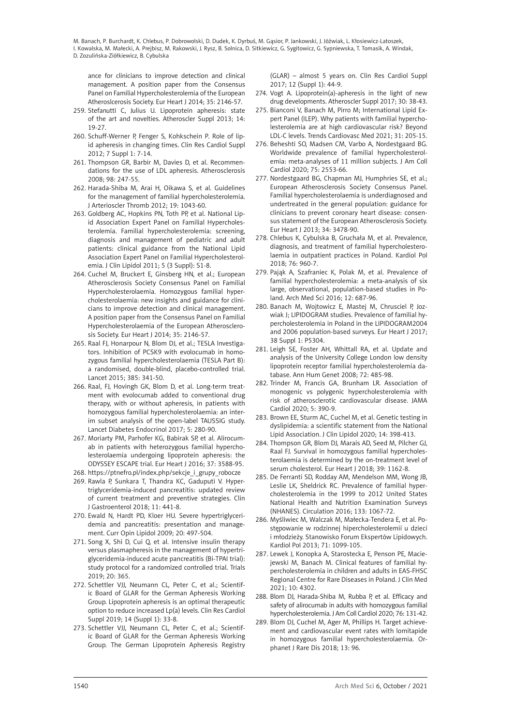ance for clinicians to improve detection and clinical management. A position paper from the Consensus Panel on Familial Hypercholesterolemia of the European Atheroslcerosis Society. Eur Heart J 2014; 35: 2146-57.

- 259. Stefanutti C, Julius U. Lipoprotein apheresis: state of the art and novelties. Atheroscler Suppl 2013; 14: 19-27.
- 260. Schuff-Werner P, Fenger S, Kohkschein P. Role of lipid apheresis in changing times. Clin Res Cardiol Suppl 2012; 7 Suppl 1: 7-14.
- 261. Thompson GR, Barbir M, Davies D, et al. Recommendations for the use of LDL apheresis. Atherosclerosis 2008; 98: 247-55.
- 262. Harada-Shiba M, Arai H, Oikawa S, et al. Guidelines for the management of familial hypercholesterolemia. J Arterioscler Thromb 2012; 19: 1043-60.
- 263. Goldberg AC, Hopkins PN, Toth PP, et al. National Lipid Association Expert Panel on Familial Hypercholesterolemia. Familial hypercholesterolemia: screening, diagnosis and management of pediatric and adult patients: clinical guidance from the National Lipid Association Expert Panel on Familial Hypercholesterolemia. J Clin Lipidol 2011; 5 (3 Suppl): S1-8.
- 264. Cuchel M, Bruckert E, Ginsberg HN, et al.; European Atherosclerosis Society Consensus Panel on Familial Hypercholesterolaemia. Homozygous familial hypercholesterolaemia: new insights and guidance for clinicians to improve detection and clinical management. A position paper from the Consensus Panel on Familial Hypercholesterolaemia of the European Atherosclerosis Society. Eur Heart J 2014; 35: 2146-57.
- 265. Raal FJ, Honarpour N, Blom DJ, et al.; TESLA Investigators. Inhibition of PCSK9 with evolocumab in homozygous familial hypercholesterolaemia (TESLA Part B): a randomised, double-blind, placebo-controlled trial. Lancet 2015; 385: 341-50.
- 266. Raal, FJ, Hovingh GK, Blom D, et al. Long-term treatment with evolocumab added to conventional drug therapy, with or without apheresis, in patients with homozygous familial hypercholesterolaemia: an interim subset analysis of the open-label TAUSSIG study. Lancet Diabetes Endocrinol 2017; 5: 280-90.
- 267. Moriarty PM, Parhofer KG, Babirak SP, et al. Alirocumab in patients with heterozygous familial hypercholesterolaemia undergoing lipoprotein apheresis: the ODYSSEY ESCAPE trial. Eur Heart J 2016; 37: 3588-95.
- 268. https://ptnefro.pl/index.php/sekcje\_i\_grupy\_robocze
- 269. Rawla P, Sunkara T, Thandra KC, Gaduputi V. Hypertriglyceridemia-induced pancreatitis: updated review of current treatment and preventive strategies. Clin J Gastroenterol 2018; 11: 441-8.
- 270. Ewald N, Hardt PD, Kloer HU. Severe hypertriglyceridemia and pancreatitis: presentation and management. Curr Opin Lipidol 2009; 20: 497-504.
- 271. Song X, Shi D, Cui Q, et al. Intensive insulin therapy versus plasmapheresis in the management of hypertriglyceridemia-induced acute pancreatitis (Bi-TPAI trial): study protocol for a randomized controlled trial. Trials 2019; 20: 365.
- 272. Schettler VJJ, Neumann CL, Peter C, et al.; Scientific Board of GLAR for the German Apheresis Working Group. Lipoprotein apheresis is an optimal therapeutic option to reduce increased Lp(a) levels. Clin Res Cardiol Suppl 2019; 14 (Suppl 1): 33-8.
- 273. Schettler VJJ, Neumann CL, Peter C, et al.; Scientific Board of GLAR for the German Apheresis Working Group. The German Lipoprotein Apheresis Registry

(GLAR) – almost 5 years on. Clin Res Cardiol Suppl 2017; 12 (Suppl 1): 44-9.

- 274. Vogt A. Lipoprotein(a)-apheresis in the light of new drug developments. Atheroscler Suppl 2017; 30: 38-43.
- 275. Bianconi V, Banach M, Pirro M; International Lipid Expert Panel (ILEP). Why patients with familial hypercholesterolemia are at high cardiovascular risk? Beyond LDL-C levels. Trends Cardiovasc Med 2021; 31: 205-15.
- 276. Beheshti SO, Madsen CM, Varbo A, Nordestgaard BG. Worldwide prevalence of familial hypercholesterolemia: meta-analyses of 11 million subjects. J Am Coll Cardiol 2020; 75: 2553-66.
- 277. Nordestgaard BG, Chapman MJ, Humphries SE, et al.; European Atherosclerosis Society Consensus Panel. Familial hypercholesterolaemia is underdiagnosed and undertreated in the general population: guidance for clinicians to prevent coronary heart disease: consensus statement of the European Atherosclerosis Society. Eur Heart J 2013; 34: 3478-90.
- 278. Chlebus K, Cybulska B, Gruchała M, et al. Prevalence, diagnosis, and treatment of familial hypercholesterolaemia in outpatient practices in Poland. Kardiol Pol 2018; 76: 960-7.
- 279. Pająk A, Szafraniec K, Polak M, et al. Prevalence of familial hypercholesterolemia: a meta-analysis of six large, observational, population-based studies in Poland. Arch Med Sci 2016; 12: 687-96.
- 280. Banach M, Wojtowicz E, Mastej M, Chrusciel P, Jozwiak J; LIPIDOGRAM studies. Prevalence of familial hypercholesterolemia in Poland in the LIPIDOGRAM2004 and 2006 population-based surveys. Eur Heart J 2017; 38 Suppl 1: P5304.
- 281. Leigh SE, Foster AH, Whittall RA, et al. Update and analysis of the University College London low density lipoprotein receptor familial hypercholesterolemia database. Ann Hum Genet 2008; 72: 485-98.
- 282. Trinder M, Francis GA, Brunham LR. Association of monogenic vs polygenic hypercholesterolemia with risk of atherosclerotic cardiovascular disease. JAMA Cardiol 2020; 5: 390-9.
- 283. Brown EE, Sturm AC, Cuchel M, et al. Genetic testing in dyslipidemia: a scientific statement from the National Lipid Association. J Clin Lipidol 2020; 14: 398-413.
- 284. Thompson GR, Blom DJ, Marais AD, Seed M, Pilcher GJ, Raal FJ. Survival in homozygous familial hypercholesterolaemia is determined by the on-treatment level of serum cholesterol. Eur Heart J 2018; 39: 1162-8.
- 285. De Ferranti SD, Rodday AM, Mendelson MM, Wong JB, Leslie LK, Sheldrick RC. Prevalence of familial hypercholesterolemia in the 1999 to 2012 United States National Health and Nutrition Examination Surveys (NHANES). Circulation 2016; 133: 1067-72.
- 286. Myśliwiec M, Walczak M, Małecka-Tendera E, et al. Postępowanie w rodzinnej hipercholesterolemii u dzieci i młodzieży. Stanowisko Forum Ekspertów Lipidowych. Kardiol Pol 2013; 71: 1099-105.
- 287. Lewek J, Konopka A, Starostecka E, Penson PE, Maciejewski M, Banach M. Clinical features of familial hypercholesterolemia in children and adults in EAS-FHSC Regional Centre for Rare Diseases in Poland. J Clin Med 2021; 10: 4302.
- 288. Blom DJ, Harada-Shiba M, Rubba P, et al. Efficacy and safety of alirocumab in adults with homozygous familial hypercholesterolemia. J Am Coll Cardiol 2020; 76: 131-42.
- 289. Blom DJ, Cuchel M, Ager M, Phillips H. Target achievement and cardiovascular event rates with lomitapide in homozygous familial hypercholesterolaemia. Orphanet J Rare Dis 2018; 13: 96.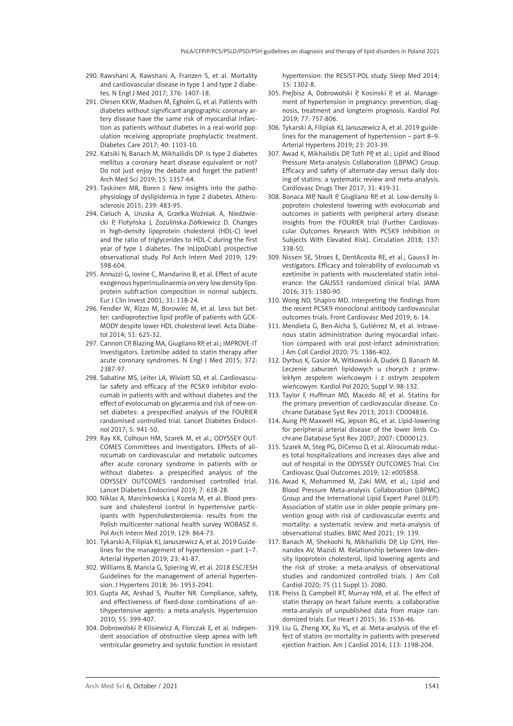- 290. Rawshani A, Rawshani A, Franzen S, et al. Mortality and cardiovascular disease in type 1 and type 2 diabetes. N Engl J Med 2017; 376: 1407-18.
- 291. Olesen KKW, Madsen M, Egholm G, et al. Patients with diabetes without significant angiographic coronary artery disease have the same risk of myocardial infarction as patients without diabetes in a real-world population receiving appropriate prophylactic treatment. Diabetes Care 2017; 40: 1103-10.
- 292. Katsiki N, Banach M, Mikhailidis DP. Is type 2 diabetes mellitus a coronary heart disease equivalent or not? Do not just enjoy the debate and forget the patient! Arch Med Sci 2019; 15: 1357-64.
- 293. Taskinen MR, Boren J. New insights into the pathophysiology of dyslipidemia in type 2 diabetes. Atherosclerosis 2015; 239: 483-95.
- 294. Cieluch A, Uruska A, Grzelka-Woźniak A, Niedźwiecki P, Flotyńska J, Zozulińska-Ziółkiewicz D. Changes in high-density lipoprotein cholesterol (HDL-C) level and the ratio of triglycerides to HDL-C during the first year of type 1 diabetes. The InLipoDiab1 prospective observational study. Pol Arch Intern Med 2019; 129: 598-604.
- 295. Annuzzi G, Iovine C, Mandarino B, et al. Effect of acute exogenous hyperinsulinaemia on very low density lipoprotein subfraction composition in normal subjects. Eur J Clin Invest 2001; 31: 118-24.
- 296. Fendler W, Rizzo M, Borowiec M, et al. Less but better: cardioprotective lipid profile of patients with GCK-MODY despite lower HDL cholesterol level. Acta Diabetol 2014; 51: 625-32.
- 297. Cannon CP, Blazing MA, Giugliano RP, et al.; IMPROVE-IT Investigators. Ezetimibe added to statin therapy after acute coronary syndromes. N Engl J Med 2015; 372: 2387-97.
- 298. Sabatine MS, Leiter LA, Wiviott SD, et al. Cardiovascular safety and efficacy of the PCSK9 inhibitor evolocumab in patients with and without diabetes and the effect of evolocumab on glycaemia and risk of new-onset diabetes: a prespecified analysis of the FOURIER randomised controlled trial. Lancet Diabetes Endocrinol 2017; 5: 941-50.
- 299. Ray KK, Colhoun HM, Szarek M, et al.; ODYSSEY OUT-COMES Committees and Investigators. Effects of alirocumab on cardiovascular and metabolic outcomes after acute coronary syndrome in patients with or without diabetes: a prespecified analysis of the ODYSSEY OUTCOMES randomised controlled trial. Lancet Diabetes Endocrinol 2019; 7: 618-28.
- 300. Niklas A, Marcinkowska J, Kozela M, et al. Blood pressure and cholesterol control in hypertensive participants with hypercholesterolemia: results from the Polish multicenter national health survey WOBASZ II. Pol Arch Intern Med 2019; 129: 864-73.
- 301. Tykarski A, Filipiak KJ, Januszewicz A, et al. 2019 Guidelines for the management of hypertension – part 1–7. Arterial Hyperten 2019; 23: 41-87.
- 302. Williams B, Mancia G, Spiering W, et al. 2018 ESC/ESH Guidelines for the management of arterial hypertension. J Hypertens 2018; 36: 1953-2041.
- 303. Gupta AK, Arshad S, Poulter NR. Compliance, safety, and effectiveness of fixed-dose combinations of antihypertensive agents: a meta-analysis. Hypertension 2010; 55: 399-407.
- 304. Dobrowolski P, Klisiewicz A, Florczak E, et al. Independent association of obstructive sleep apnea with left ventricular geometry and systolic function in resistant

hypertension: the RESIST-POL study. Sleep Med 2014; 15: 1302-8.

- 305. Prejbisz A, Dobrowolski P, Kosinski P, et al. Management of hypertension in pregnancy: prevention, diagnosis, treatment and longterm prognosis. Kardiol Pol 2019; 77: 757-806.
- 306. Tykarski A, Filipiak KJ, Januszewicz A, et al. 2019 guidelines for the management of hypertension – part 8–9. Arterial Hypertens 2019; 23: 203-39.
- 307. Awad K, Mikhailidis DP, Toth PP, et al.; Lipid and Blood Pressure Meta-analysis Collaboration (LBPMC) Group. Efficacy and safety of alternate-day versus daily dosing of statins: a systematic review and meta-analysis. Cardiovasc Drugs Ther 2017; 31: 419-31.
- 308. Bonaca MP, Nault P, Giugliano RP, et al. Low-density lipoprotein cholesterol lowering with evolocumab and outcomes in patients with peripheral artery disease: insights from the FOURIER trial (Further Cardiovascular Outcomes Research With PCSK9 Inhibition in Subjects With Elevated Risk). Circulation 2018; 137: 338-50.
- 309. Nissen SE, Stroes E, DentAcosta RE, et al.; Gauss3 Investigators. Efficacy and tolerability of evolocumab vs ezetimibe in patients with musclerelated statin intolerance: the GAUSS3 randomized clinical trial. JAMA 2016; 315: 1580-90.
- 310. Wong ND, Shapiro MD. Interpreting the findings from the recent PCSK9 monoclonal antibody cardiovascular outcomes trials. Front Cardiovasc Med 2019; 6: 14.
- 311. Mendieta G, Ben-Aicha S, Gutiérrez M, et al. Intravenous statin administration during myocardial infarction compared with oral post-infarct administration. J Am Coll Cardiol 2020; 75: 1386-402.
- 312. Dyrbus K, Gasior M, Witkowski A, Dudek D, Banach M. Leczenie zaburzeń lipidowych u chorych z przewlekłym zespołem wieńcowym i z ostrym zespołem wieńcowym. Kardiol Pol 2020; Suppl V: 98-132.
- 313. Taylor F, Huffman MD, Macedo AF, et al. Statins for the primary prevention of cardiovascular disease. Cochrane Database Syst Rev 2013; 2013: CD004816.
- 314. Aung PP, Maxwell HG, Jepson RG, et al. Lipid-lowering for peripheral arterial disease of the lower limb. Cochrane Database Syst Rev 2007; 2007: CD000123.
- 315. Szarek M, Steg PG, DiCenso D, et al. Alirocumab reduces total hospitalizations and increases days alive and out of hospital in the ODYSSEY OUTCOMES Trial. Circ Cardiovasc Qual Outcomes 2019; 12: e005858.
- 316. Awad K, Mohammed M, Zaki MM, et al.; Lipid and Blood Pressure Meta-analysis Collaboration (LBPMC) Group and the International Lipid Expert Panel (ILEP). Association of statin use in older people primary prevention group with risk of cardiovascular events and mortality: a systematic review and meta-analysis of observational studies. BMC Med 2021; 19: 139.
- 317. Banach M, Shekoohi N, Mikhailidis DP, Lip GYH, Hernandex AV, Mazidi M. Relationship between low-density lipoprotein cholesterol, lipid lowering agents and the risk of stroke: a meta-analysis of observational studies and randomized controlled trials. J Am Coll Cardiol 2020; 75 (11 Suppl 1): 2080.
- 318. Preiss D, Campbell RT, Murray HM, et al. The effect of statin therapy on heart failure events: a collaborative meta-analysis of unpublished data from major randomized trials. Eur Heart J 2015; 36: 1536-46.
- 319. Liu G, Zheng XX, Xu YL, et al. Meta-analysis of the effect of statins on mortality in patients with preserved ejection fraction. Am J Cardiol 2014; 113: 1198-204.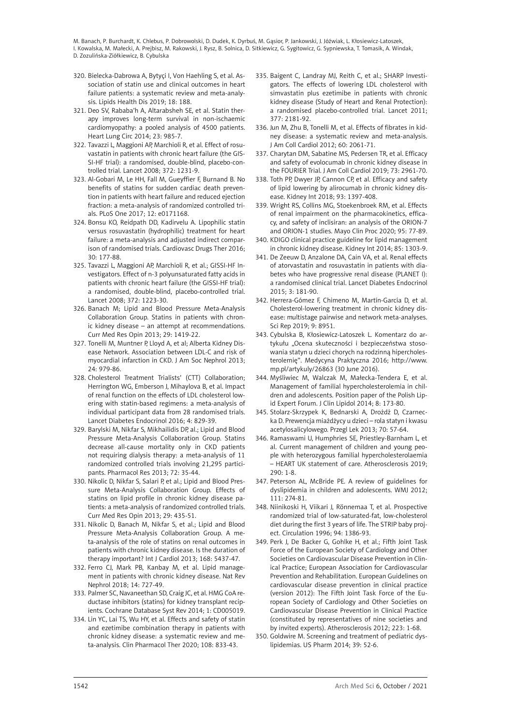- 320. Bielecka-Dabrowa A, Bytyçi I, Von Haehling S, et al. Association of statin use and clinical outcomes in heart failure patients: a systematic review and meta-analysis. Lipids Health Dis 2019; 18: 188.
- 321. Deo SV, Rababa'h A, Altarabsheh SE, et al. Statin therapy improves long-term survival in non-ischaemic cardiomyopathy: a pooled analysis of 4500 patients. Heart Lung Circ 2014; 23: 985-7.
- 322. Tavazzi L, Maggioni AP, Marchioli R, et al. Effect of rosuvastatin in patients with chronic heart failure (the GIS-SI-HF trial): a randomised, double-blind, placebo-controlled trial. Lancet 2008; 372: 1231-9.
- 323. Al-Gobari M, Le HH, Fall M, Gueyffier F, Burnand B. No benefits of statins for sudden cardiac death prevention in patients with heart failure and reduced ejection fraction: a meta-analysis of randomized controlled trials. PLoS One 2017; 12: e0171168.
- 324. Bonsu KO, Reidpath DD, Kadirvelu A. Lipophilic statin versus rosuvastatin (hydrophilic) treatment for heart failure: a meta-analysis and adjusted indirect comparison of randomised trials. Cardiovasc Drugs Ther 2016; 30: 177-88.
- 325. Tavazzi L, Maggioni AP, Marchioli R, et al.; GISSI-HF Investigators. Effect of n-3 polyunsaturated fatty acids in patients with chronic heart failure (the GISSI-HF trial): a randomised, double-blind, placebo-controlled trial. Lancet 2008; 372: 1223-30.
- 326. Banach M; Lipid and Blood Pressure Meta-Analysis Collaboration Group. Statins in patients with chronic kidney disease – an attempt at recommendations. Curr Med Res Opin 2013; 29: 1419-22.
- 327. Tonelli M, Muntner P, Lloyd A, et al; Alberta Kidney Disease Network. Association between LDL-C and risk of myocardial infarction in CKD. J Am Soc Nephrol 2013; 24: 979-86.
- 328. Cholesterol Treatment Trialists' (CTT) Collaboration; Herrington WG, Emberson J, Mihaylova B, et al. Impact of renal function on the effects of LDL cholesterol lowering with statin-based regimens: a meta-analysis of individual participant data from 28 randomised trials. Lancet Diabetes Endocrinol 2016; 4: 829-39.
- 329. Barylski M, Nikfar S, Mikhailidis DP, al.; Lipid and Blood Pressure Meta-Analysis Collaboration Group. Statins decrease all-cause mortality only in CKD patients not requiring dialysis therapy: a meta-analysis of 11 randomized controlled trials involving 21,295 participants. Pharmacol Res 2013; 72: 35-44.
- 330. Nikolic D, Nikfar S, Salari P, et al.; Lipid and Blood Pressure Meta-Analysis Collaboration Group. Effects of statins on lipid profile in chronic kidney disease patients: a meta-analysis of randomized controlled trials. Curr Med Res Opin 2013; 29: 435-51.
- 331. Nikolic D, Banach M, Nikfar S, et al.; Lipid and Blood Pressure Meta-Analysis Collaboration Group. A meta-analysis of the role of statins on renal outcomes in patients with chronic kidney disease. Is the duration of therapy important? Int J Cardiol 2013; 168: 5437-47.
- 332. Ferro CJ, Mark PB, Kanbay M, et al. Lipid management in patients with chronic kidney disease. Nat Rev Nephrol 2018; 14: 727-49.
- 333. Palmer SC, Navaneethan SD, Craig JC, et al. HMG CoA reductase inhibitors (statins) for kidney transplant recipients. Cochrane Database Syst Rev 2014; 1: CD005019.
- 334. Lin YC, Lai TS, Wu HY, et al. Effects and safety of statin and ezetimibe combination therapy in patients with chronic kidney disease: a systematic review and meta-analysis. Clin Pharmacol Ther 2020; 108: 833-43.
- 335. Baigent C, Landray MJ, Reith C, et al.; SHARP Investigators. The effects of lowering LDL cholesterol with simvastatin plus ezetimibe in patients with chronic kidney disease (Study of Heart and Renal Protection): a randomised placebo-controlled trial. Lancet 2011; 377: 2181-92.
- 336. Jun M, Zhu B, Tonelli M, et al. Effects of fibrates in kidney disease: a systematic review and meta-analysis. J Am Coll Cardiol 2012; 60: 2061-71.
- 337. Charytan DM, Sabatine MS, Pedersen TR, et al. Efficacy and safety of evolocumab in chronic kidney disease in the FOURIER Trial. J Am Coll Cardiol 2019; 73: 2961-70.
- 338. Toth PP, Dwyer JP, Cannon CP, et al. Efficacy and safety of lipid lowering by alirocumab in chronic kidney disease. Kidney Int 2018; 93: 1397-408.
- 339. Wright RS, Collins MG, Stoekenbroek RM, et al. Effects of renal impairment on the pharmacokinetics, efficacy, and safety of inclisiran: an analysis of the ORION-7 and ORION-1 studies. Mayo Clin Proc 2020; 95: 77-89.
- 340. KDIGO clinical practice guideline for lipid management in chronic kidney disease. Kidney Int 2014; 85: 1303-9.
- 341. De Zeeuw D, Anzalone DA, Cain VA, et al. Renal effects of atorvastatin and rosuvastatin in patients with diabetes who have progressive renal disease (PLANET I): a randomised clinical trial. Lancet Diabetes Endocrinol 2015; 3: 181-90.
- 342. Herrera-Gómez F, Chimeno M, Martín-García D, et al. Cholesterol-lowering treatment in chronic kidney disease: multistage pairwise and network meta-analyses. Sci Rep 2019; 9: 8951.
- 343. Cybulska B, Kłosiewicz-Latoszek L. Komentarz do artykułu "Ocena skuteczności i bezpieczeństwa stosowania statyn u dzieci chorych na rodzinną hipercholesterolemię". Medycyna Praktyczna 2016; http://www. mp.pl/artykuly/26863 (30 June 2016).
- 344. Myśliwiec M, Walczak M, Małecka-Tendera E, et al. Management of familial hypercholesterolemia in children and adolescents. Position paper of the Polish Lipid Expert Forum. J Clin Lipidol 2014; 8: 173-80.
- 345. Stolarz-Skrzypek K, Bednarski A, Drożdż D, Czarnecka D. Prewencja miażdżycy u dzieci – rola statyn i kwasu acetylosalicylowego. Przegl Lek 2013; 70: 57-64.
- 346. Ramaswami U, Humphries SE, Priestley-Barnham L, et al. Current management of children and young people with heterozygous familial hypercholesterolaemia – HEART UK statement of care. Atherosclerosis 2019;  $290: 1 - 8$
- 347. Peterson AL, McBride PE. A review of guidelines for dyslipidemia in children and adolescents. WMJ 2012; 111: 274-81.
- 348. Niinikoski H, Viikari J, Rönnemaa T, et al. Prospective randomized trial of low-saturated-fat, low-cholesterol diet during the first 3 years of life. The STRIP baby project. Circulation 1996; 94: 1386-93.
- 349. Perk J, De Backer G, Gohlke H, et al.; Fifth Joint Task Force of the European Society of Cardiology and Other Societies on Cardiovascular Disease Prevention in Clinical Practice; European Association for Cardiovascular Prevention and Rehabilitation. European Guidelines on cardiovascular disease prevention in clinical practice (version 2012): The Fifth Joint Task Force of the European Society of Cardiology and Other Societies on Cardiovascular Disease Prevention in Clinical Practice (constituted by representatives of nine societies and by invited experts). Atherosclerosis 2012; 223: 1-68.
- 350. Goldwire M. Screening and treatment of pediatric dyslipidemias. US Pharm 2014; 39: 52-6.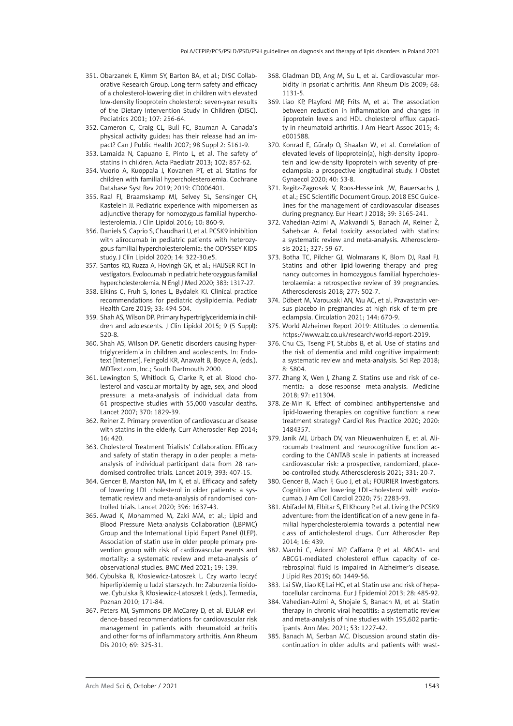- 351. Obarzanek E, Kimm SY, Barton BA, et al.; DISC Collaborative Research Group. Long-term safety and efficacy of a cholesterol-lowering diet in children with elevated low-density lipoprotein cholesterol: seven-year results of the Dietary Intervention Study in Children (DISC). Pediatrics 2001; 107: 256-64.
- 352. Cameron C, Craig CL, Bull FC, Bauman A. Canada's physical activity guides: has their release had an impact? Can J Public Health 2007; 98 Suppl 2: S161-9.
- 353. Lamaida N, Capuano E, Pinto L, et al. The safety of statins in children. Acta Paediatr 2013; 102: 857-62.
- 354. Vuorio A, Kuoppala J, Kovanen PT, et al. Statins for children with familial hypercholesterolemia. Cochrane Database Syst Rev 2019; 2019: CD006401.
- 355. Raal FJ, Braamskamp MJ, Selvey SL, Sensinger CH, Kastelein JJ. Pediatric experience with mipomersen as adjunctive therapy for homozygous familial hypercholesterolemia. J Clin Lipidol 2016; 10: 860-9.
- 356. Daniels S, Caprio S, Chaudhari U, et al. PCSK9 inhibition with alirocumab in pediatric patients with heterozygous familial hypercholesterolemia: the ODYSSEY KIDS study. J Clin Lipidol 2020; 14: 322-30.e5.
- 357. Santos RD, Ruzza A, Hovingh GK, et al.; HAUSER-RCT Investigators. Evolocumab in pediatric heterozygous familial hypercholesterolemia. N Engl J Med 2020; 383: 1317-27.
- 358. Elkins C, Fruh S, Jones L, Bydalek KJ. Clinical practice recommendations for pediatric dyslipidemia. Pediatr Health Care 2019; 33: 494-504.
- 359. Shah AS, Wilson DP. Primary hypertriglyceridemia in children and adolescents. J Clin Lipidol 2015; 9 (5 Suppl): S20-8.
- 360. Shah AS, Wilson DP. Genetic disorders causing hypertriglyceridemia in children and adolescents. In: Endotext [Internet]. Feingold KR, Anawalt B, Boyce A, (eds.). MDText.com, Inc.; South Dartmouth 2000.
- 361. Lewington S, Whitlock G, Clarke R, et al. Blood cholesterol and vascular mortality by age, sex, and blood pressure: a meta-analysis of individual data from 61 prospective studies with 55,000 vascular deaths. Lancet 2007; 370: 1829-39.
- 362. Reiner Z. Primary prevention of cardiovascular disease with statins in the elderly. Curr Atheroscler Rep 2014;  $16:420.$
- 363. Cholesterol Treatment Trialists' Collaboration. Efficacy and safety of statin therapy in older people: a metaanalysis of individual participant data from 28 randomised controlled trials. Lancet 2019; 393: 407-15.
- 364. Gencer B, Marston NA, Im K, et al. Efficacy and safety of lowering LDL cholesterol in older patients: a systematic review and meta-analysis of randomised controlled trials. Lancet 2020; 396: 1637-43.
- 365. Awad K, Mohammed M, Zaki MM, et al.; Lipid and Blood Pressure Meta-analysis Collaboration (LBPMC) Group and the International Lipid Expert Panel (ILEP). Association of statin use in older people primary prevention group with risk of cardiovascular events and mortality: a systematic review and meta-analysis of observational studies. BMC Med 2021; 19: 139.
- 366. Cybulska B, Kłosiewicz-Latoszek L. Czy warto leczyć hiperlipidemię u ludzi starszych. In: Zaburzenia lipidowe. Cybulska B, Kłosiewicz-Latoszek L (eds.). Termedia, Poznan 2010; 171-84.
- 367. Peters MJ, Symmons DP, McCarey D, et al. EULAR evidence-based recommendations for cardiovascular risk management in patients with rheumatoid arthritis and other forms of inflammatory arthritis. Ann Rheum Dis 2010; 69: 325-31.
- 368. Gladman DD, Ang M, Su L, et al. Cardiovascular morbidity in psoriatic arthritis. Ann Rheum Dis 2009; 68: 1131-5.
- 369. Liao KP, Playford MP, Frits M, et al. The association between reduction in inflammation and changes in lipoprotein levels and HDL cholesterol efflux capacity in rheumatoid arthritis. J Am Heart Assoc 2015; 4: e001588.
- 370. Konrad E, Güralp O, Shaalan W, et al. Correlation of elevated levels of lipoprotein(a), high-density lipoprotein and low-density lipoprotein with severity of preeclampsia: a prospective longitudinal study. J Obstet Gynaecol 2020; 40: 53-8.
- 371. Regitz-Zagrosek V, Roos-Hesselink JW, Bauersachs J, et al.; ESC Scientific Document Group. 2018 ESC Guidelines for the management of cardiovascular diseases during pregnancy. Eur Heart J 2018; 39: 3165-241.
- 372. Vahedian-Azimi A, Makvandi S, Banach M, Reiner Ž, Sahebkar A. Fetal toxicity associated with statins: a systematic review and meta-analysis. Atherosclerosis 2021; 327: 59-67.
- 373. Botha TC, Pilcher GJ, Wolmarans K, Blom DJ, Raal FJ. Statins and other lipid-lowering therapy and pregnancy outcomes in homozygous familial hypercholesterolaemia: a retrospective review of 39 pregnancies. Atherosclerosis 2018; 277: 502-7.
- 374. Döbert M, Varouxaki AN, Mu AC, et al. Pravastatin versus placebo in pregnancies at high risk of term preeclampsia. Circulation 2021; 144: 670-9.
- 375. World Alzheimer Report 2019: Attitudes to dementia. https://www.alz.co.uk/research/world-report-2019.
- 376. Chu CS, Tseng PT, Stubbs B, et al. Use of statins and the risk of dementia and mild cognitive impairment: a systematic review and meta-analysis. Sci Rep 2018; 8: 5804.
- 377. Zhang X, Wen J, Zhang Z. Statins use and risk of dementia: a dose-response meta-analysis. Medicine 2018; 97: e11304.
- 378. Ze-Min K. Effect of combined antihypertensive and lipid-lowering therapies on cognitive function: a new treatment strategy? Cardiol Res Practice 2020; 2020: 1484357.
- 379. Janik MJ, Urbach DV, van Nieuwenhuizen E, et al. Alirocumab treatment and neurocognitive function according to the CANTAB scale in patients at increased cardiovascular risk: a prospective, randomized, placebo-controlled study. Atherosclerosis 2021; 331: 20-7.
- 380. Gencer B, Mach F, Guo J, et al.; FOURIER Investigators. Cognition after lowering LDL-cholesterol with evolocumab. J Am Coll Cardiol 2020; 75: 2283-93.
- 381. Abifadel M, Elbitar S, El Khoury P, et al. Living the PCSK9 adventure: from the identification of a new gene in familial hypercholesterolemia towards a potential new class of anticholesterol drugs. Curr Atheroscler Rep 2014; 16: 439.
- 382. Marchi C, Adorni MP, Caffarra P, et al. ABCA1- and ABCG1-mediated cholesterol efflux capacity of cerebrospinal fluid is impaired in Alzheimer's disease. J Lipid Res 2019; 60: 1449-56.
- 383. Lai SW, Liao KF, Lai HC, et al. Statin use and risk of hepatocellular carcinoma. Eur J Epidemiol 2013; 28: 485-92.
- 384. Vahedian-Azimi A, Shojaie S, Banach M, et al. Statin therapy in chronic viral hepatitis: a systematic review and meta-analysis of nine studies with 195,602 participants. Ann Med 2021; 53: 1227-42.
- 385. Banach M, Serban MC. Discussion around statin discontinuation in older adults and patients with wast-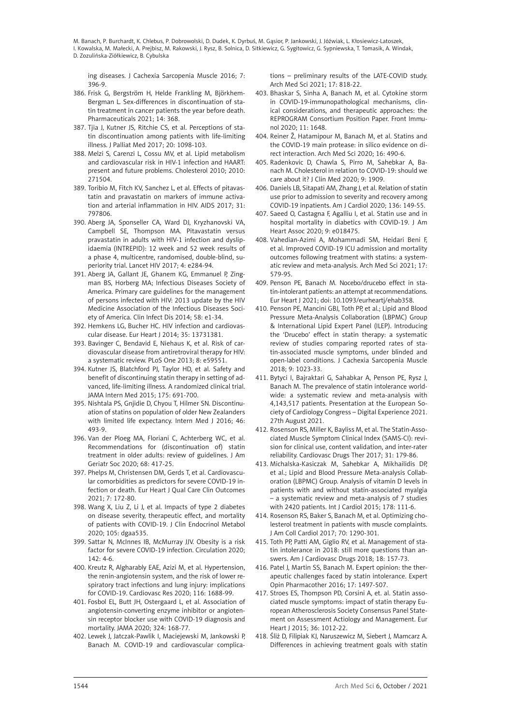ing diseases. J Cachexia Sarcopenia Muscle 2016; 7: 396-9.

- 386. Frisk G, Bergström H, Helde Frankling M, Björkhem-Bergman L. Sex-differences in discontinuation of statin treatment in cancer patients the year before death. Pharmaceuticals 2021; 14: 368.
- 387. Tjia J, Kutner JS, Ritchie CS, et al. Perceptions of statin discontinuation among patients with life-limiting illness. J Palliat Med 2017; 20: 1098-103.
- 388. Melzi S, Carenzi L, Cossu MV, et al. Lipid metabolism and cardiovascular risk in HIV-1 infection and HAART: present and future problems. Cholesterol 2010; 2010: 271504.
- 389. Toribio M, Fitch KV, Sanchez L, et al. Effects of pitavastatin and pravastatin on markers of immune activation and arterial inflammation in HIV. AIDS 2017; 31: 797806.
- 390. Aberg JA, Sponseller CA, Ward DJ, Kryzhanovski VA, Campbell SE, Thompson MA. Pitavastatin versus pravastatin in adults with HIV-1 infection and dyslipidaemia (INTREPID): 12 week and 52 week results of a phase 4, multicentre, randomised, double-blind, superiority trial. Lancet HIV 2017; 4: e284-94.
- 391. Aberg JA, Gallant JE, Ghanem KG, Emmanuel P, Zingman BS, Horberg MA; Infectious Diseases Society of America. Primary care guidelines for the management of persons infected with HIV: 2013 update by the HIV Medicine Association of the Infectious Diseases Society of America. Clin Infect Dis 2014; 58: e1-34.
- 392. Hemkens LG, Bucher HC. HIV infection and cardiovascular disease. Eur Heart J 2014; 35: 13731381.
- 393. Bavinger C, Bendavid E, Niehaus K, et al. Risk of cardiovascular disease from antiretroviral therapy for HIV: a systematic review. PLoS One 2013; 8: e59551.
- 394. Kutner JS, Blatchford PJ, Taylor HD, et al. Safety and benefit of discontinuing statin therapy in setting of advanced, life-limiting illness. A randomized clinical trial. JAMA Intern Med 2015; 175: 691-700.
- 395. Nishtala PS, Gnjidie D, Chyou T, Hilmer SN. Discontinuation of statins on population of older New Zealanders with limited life expectancy. Intern Med J 2016; 46: 493-9.
- 396. Van der Ploeg MA, Floriani C, Achterberg WC, et al. Recommendations for (discontinuation of) statin treatment in older adults: review of guidelines. J Am Geriatr Soc 2020; 68: 417-25.
- 397. Phelps M, Christensen DM, Gerds T, et al. Cardiovascular comorbidities as predictors for severe COVID-19 infection or death. Eur Heart J Qual Care Clin Outcomes 2021; 7: 172-80.
- 398. Wang X, Liu Z, Li J, et al. Impacts of type 2 diabetes on disease severity, therapeutic effect, and mortality of patients with COVID-19. J Clin Endocrinol Metabol 2020; 105: dgaa535.
- 399. Sattar N, McInnes IB, McMurray JJV. Obesity is a risk factor for severe COVID-19 infection. Circulation 2020; 142: 4-6.
- 400. Kreutz R, Algharably EAE, Azizi M, et al. Hypertension, the renin-angiotensin system, and the risk of lower respiratory tract infections and lung injury: implications for COVID-19. Cardiovasc Res 2020; 116: 1688-99.
- 401. Fosbol EL, Butt JH, Ostergaard L, et al. Association of angiotensin-converting enzyme inhibitor or angiotensin receptor blocker use with COVID-19 diagnosis and mortality. JAMA 2020; 324: 168-77.
- 402. Lewek J, Jatczak-Pawlik I, Maciejewski M, Jankowski P, Banach M. COVID-19 and cardiovascular complica-

tions – preliminary results of the LATE-COVID study. Arch Med Sci 2021; 17: 818-22.

- 403. Bhaskar S, Sinha A, Banach M, et al. Cytokine storm in COVID-19-immunopathological mechanisms, clinical considerations, and therapeutic approaches: the REPROGRAM Consortium Position Paper. Front Immunol 2020; 11: 1648.
- 404. Reiner Ž, Hatamipour M, Banach M, et al. Statins and the COVID-19 main protease: in silico evidence on direct interaction. Arch Med Sci 2020; 16: 490-6.
- 405. Radenkovic D, Chawla S, Pirro M, Sahebkar A, Banach M. Cholesterol in relation to COVID-19: should we care about it? J Clin Med 2020; 9: 1909.
- 406. Daniels LB, Sitapati AM, Zhang J, et al. Relation of statin use prior to admission to severity and recovery among COVID-19 inpatients. Am J Cardiol 2020; 136: 149-55.
- 407. Saeed O, Castagna F, Agalliu I, et al. Statin use and in hospital mortality in diabetics with COVID-19. J Am Heart Assoc 2020; 9: e018475.
- 408. Vahedian-Azimi A, Mohammadi SM, Heidari Beni F, et al. Improved COVID-19 ICU admission and mortality outcomes following treatment with statins: a systematic review and meta-analysis. Arch Med Sci 2021; 17: 579-95.
- 409. Penson PE, Banach M. Nocebo/drucebo effect in statin-intolerant patients: an attempt at recommendations. Eur Heart J 2021; doi: 10.1093/eurheartj/ehab358.
- 410. Penson PE, Mancini GBJ, Toth PP, et al.; Lipid and Blood Pressure Meta-Analysis Collaboration (LBPMC) Group & International Lipid Expert Panel (ILEP). Introducing the 'Drucebo' effect in statin therapy: a systematic review of studies comparing reported rates of statin-associated muscle symptoms, under blinded and open-label conditions. J Cachexia Sarcopenia Muscle 2018; 9: 1023-33.
- 411. Bytyci I, Bajraktari G, Sahabkar A, Penson PE, Rysz J, Banach M. The prevalence of statin intolerance worldwide: a systematic review and meta-analysis with 4,143,517 patients. Presentation at the European Society of Cardiology Congress – Digital Experience 2021. 27th August 2021.
- 412. Rosenson RS, Miller K, Bayliss M, et al. The Statin-Associated Muscle Symptom Clinical Index (SAMS-CI): revision for clinical use, content validation, and inter-rater reliability. Cardiovasc Drugs Ther 2017; 31: 179-86.
- 413. Michalska-Kasiczak M, Sahebkar A, Mikhailidis DP, et al.; Lipid and Blood Pressure Meta-analysis Collaboration (LBPMC) Group. Analysis of vitamin D levels in patients with and without statin-associated myalgia – a systematic review and meta-analysis of 7 studies with 2420 patients. Int J Cardiol 2015; 178: 111-6.
- 414. Rosenson RS, Baker S, Banach M, et al. Optimizing cholesterol treatment in patients with muscle complaints. J Am Coll Cardiol 2017; 70: 1290-301.
- 415. Toth PP, Patti AM, Giglio RV, et al. Management of statin intolerance in 2018: still more questions than answers. Am J Cardiovasc Drugs 2018; 18: 157-73.
- 416. Patel J, Martin SS, Banach M. Expert opinion: the therapeutic challenges faced by statin intolerance. Expert Opin Pharmacother 2016; 17: 1497-507.
- 417. Stroes ES, Thompson PD, Corsini A, et. al. Statin associated muscle symptoms: impact of statin therapy European Atherosclerosis Society Consensus Panel Statement on Assessment Actiology and Management. Eur Heart J 2015; 36: 1012-22.
- 418. Śliż D, Filipiak KJ, Naruszewicz M, Siebert J, Mamcarz A. Differences in achieving treatment goals with statin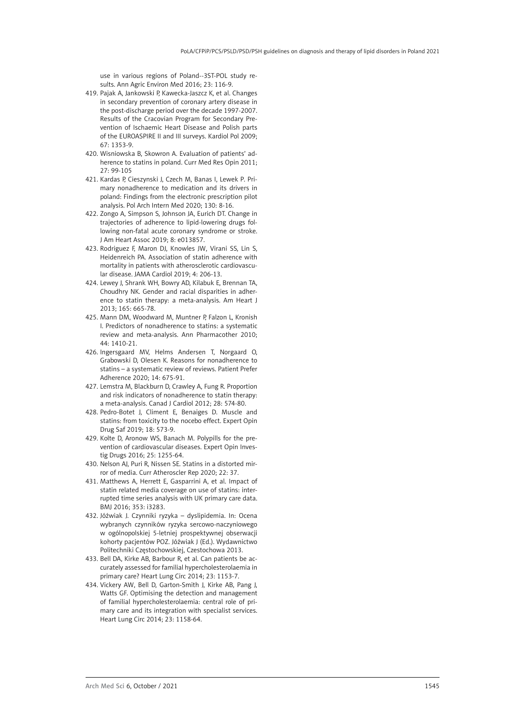use in various regions of Poland--3ST-POL study re sults. Ann Agric Environ Med 2016; 23: 116-9.

- 419. Pajak A, Jankowski P, Kawecka-Jaszcz K, et al. Changes in secondary prevention of coronary artery disease in the post-discharge period over the decade 1997-2007. Results of the Cracovian Program for Secondary Pre vention of Ischaemic Heart Disease and Polish parts of the EUROASPIRE II and III surveys. Kardiol Pol 2009; 67: 1353-9.
- 420. Wisniowska B, Skowron A. Evaluation of patients' ad herence to statins in poland. Curr Med Res Opin 2011; 27: 99-105
- 421. Kardas P, Cieszynski J, Czech M, Banas I, Lewek P. Pri mary nonadherence to medication and its drivers in poland: Findings from the electronic prescription pilot analysis. Pol Arch Intern Med 2020; 130: 8-16.
- 422. Zongo A, Simpson S, Johnson JA, Eurich DT. Change in trajectories of adherence to lipid-lowering drugs fol lowing non-fatal acute coronary syndrome or stroke. J Am Heart Assoc 2019; 8: e013857.
- 423. Rodriguez F, Maron DJ, Knowles JW, Virani SS, Lin S, Heidenreich PA. Association of statin adherence with mortality in patients with atherosclerotic cardiovascu lar disease. JAMA Cardiol 2019; 4: 206-13.
- 424. Lewey J, Shrank WH, Bowry AD, Kilabuk E, Brennan TA, Choudhry NK. Gender and racial disparities in adher ence to statin therapy: a meta-analysis. Am Heart J 2013; 165: 665-78.
- 425. Mann DM, Woodward M, Muntner P, Falzon L, Kronish I. Predictors of nonadherence to statins: a systematic review and meta-analysis. Ann Pharmacother 2010; 44: 1410-21.
- 426. Ingersgaard MV, Helms Andersen T, Norgaard O, Grabowski D, Olesen K. Reasons for nonadherence to statins – a systematic review of reviews. Patient Prefer Adherence 2020; 14: 675-91.
- 427. Lemstra M, Blackburn D, Crawley A, Fung R. Proportion and risk indicators of nonadherence to statin therapy: a meta-analysis. Canad J Cardiol 2012; 28: 574-80.
- 428. Pedro-Botet J, Climent E, Benaiges D. Muscle and statins: from toxicity to the nocebo effect. Expert Opin Drug Saf 2019; 18: 573-9.
- 429. Kolte D, Aronow WS, Banach M. Polypills for the pre vention of cardiovascular diseases. Expert Opin Inves tig Drugs 2016; 25: 1255-64.
- 430. Nelson AJ, Puri R, Nissen SE. Statins in a distorted mir ror of media. Curr Atheroscler Rep 2020; 22: 37.
- 431. Matthews A, Herrett E, Gasparrini A, et al. Impact of statin related media coverage on use of statins: inter rupted time series analysis with UK primary care data. BMJ 2016; 353: i3283.
- 432. Jóźwiak J. Czynniki ryzyka dyslipidemia. In: Ocena wybranych czynników ryzyka sercowo-naczyniowego w ogólnopolskiej 5-letniej prospektywnej obserwacji kohorty pacjentów POZ. Jóźwiak J (Ed.). Wydawnictwo Politechniki Częstochowskiej, Czestochowa 2013.
- 433. Bell DA, Kirke AB, Barbour R, et al. Can patients be ac curately assessed for familial hypercholesterolaemia in primary care? Heart Lung Circ 2014; 23: 1153-7.
- 434. Vickery AW, Bell D, Garton-Smith J, Kirke AB, Pang J, Watts GF. Optimising the detection and management of familial hypercholesterolaemia: central role of pri mary care and its integration with specialist services. Heart Lung Circ 2014; 23: 1158-64.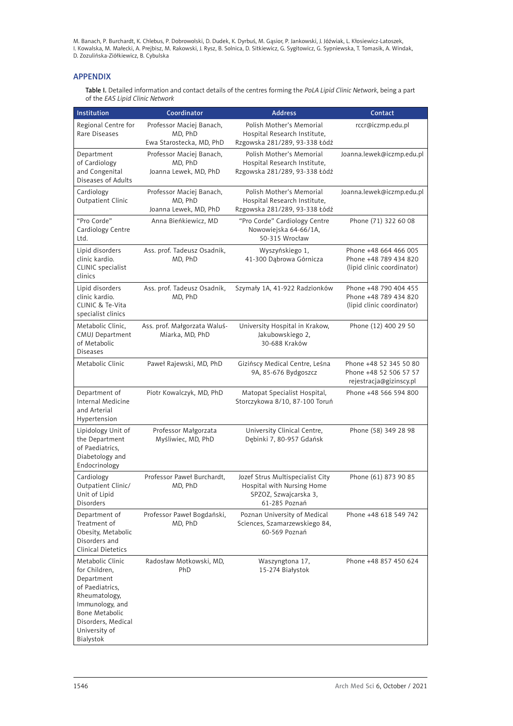### **APPENDIX**

Table I. Detailed information and contact details of the centres forming the *PoLA Lipid Clinic Network*, being a part of the *EAS Lipid Clinic Network*

| Institution                                                                                                                                                                  | Coordinator                                                     | <b>Address</b>                                                                                           | Contact                                                                      |
|------------------------------------------------------------------------------------------------------------------------------------------------------------------------------|-----------------------------------------------------------------|----------------------------------------------------------------------------------------------------------|------------------------------------------------------------------------------|
| Regional Centre for<br>Rare Diseases                                                                                                                                         | Professor Maciej Banach,<br>MD, PhD<br>Ewa Starostecka, MD, PhD | Polish Mother's Memorial<br>Hospital Research Institute,<br>Rzgowska 281/289, 93-338 Łódź                | rccr@iczmp.edu.pl                                                            |
| Department<br>of Cardiology<br>and Congenital<br>Diseases of Adults                                                                                                          | Professor Maciej Banach,<br>MD, PhD<br>Joanna Lewek, MD, PhD    | Polish Mother's Memorial<br>Hospital Research Institute,<br>Rzgowska 281/289, 93-338 Łódź                | Joanna.lewek@iczmp.edu.pl                                                    |
| Cardiology<br>Outpatient Clinic                                                                                                                                              | Professor Maciej Banach,<br>MD, PhD<br>Joanna Lewek, MD, PhD    | Polish Mother's Memorial<br>Hospital Research Institute,<br>Rzgowska 281/289, 93-338 Łódź                | Joanna.lewek@iczmp.edu.pl                                                    |
| "Pro Corde"<br>Cardiology Centre<br>Ltd.                                                                                                                                     | Anna Bieńkiewicz, MD                                            | "Pro Corde" Cardiology Centre<br>Nowowiejska 64-66/1A,<br>50-315 Wrocław                                 | Phone (71) 322 60 08                                                         |
| Lipid disorders<br>clinic kardio.<br>CLINIC specialist<br>clinics                                                                                                            | Ass. prof. Tadeusz Osadnik,<br>MD, PhD                          | Wyszyńskiego 1,<br>41-300 Dąbrowa Górnicza                                                               | Phone +48 664 466 005<br>Phone +48 789 434 820<br>(lipid clinic coordinator) |
| Lipid disorders<br>clinic kardio.<br>CLINIC & Te-Vita<br>specialist clinics                                                                                                  | Ass. prof. Tadeusz Osadnik,<br>MD, PhD                          | Szymały 1A, 41-922 Radzionków                                                                            | Phone +48 790 404 455<br>Phone +48 789 434 820<br>(lipid clinic coordinator) |
| Metabolic Clinic.<br>CMUJ Department<br>of Metabolic<br><b>Diseases</b>                                                                                                      | Ass. prof. Małgorzata Waluś-<br>Miarka, MD, PhD                 | University Hospital in Krakow,<br>Jakubowskiego 2,<br>30-688 Kraków                                      | Phone (12) 400 29 50                                                         |
| Metabolic Clinic                                                                                                                                                             | Paweł Rajewski, MD, PhD                                         | Gizińscy Medical Centre, Leśna<br>9A, 85-676 Bydgoszcz                                                   | Phone +48 52 345 50 80<br>Phone +48 52 506 57 57<br>rejestracja@gizinscy.pl  |
| Department of<br>Internal Medicine<br>and Arterial<br>Hypertension                                                                                                           | Piotr Kowalczyk, MD, PhD                                        | Matopat Specialist Hospital,<br>Storczykowa 8/10, 87-100 Toruń                                           | Phone +48 566 594 800                                                        |
| Lipidology Unit of<br>the Department<br>of Paediatrics.<br>Diabetology and<br>Endocrinology                                                                                  | Professor Małgorzata<br>Myśliwiec, MD, PhD                      | University Clinical Centre,<br>Dębinki 7, 80-957 Gdańsk                                                  | Phone (58) 349 28 98                                                         |
| Cardiology<br>Outpatient Clinic/<br>Unit of Lipid<br>Disorders                                                                                                               | Professor Paweł Burchardt,<br>MD, PhD                           | Jozef Strus Multispecialist City<br>Hospital with Nursing Home<br>SPZOZ, Szwajcarska 3,<br>61-285 Poznań | Phone (61) 873 90 85                                                         |
| Department of<br>Treatment of<br>Obesity, Metabolic<br>Disorders and<br>Clinical Dietetics                                                                                   | Professor Paweł Bogdański,<br>MD, PhD                           | Poznan University of Medical<br>Sciences, Szamarzewskiego 84,<br>60-569 Poznań                           | Phone +48 618 549 742                                                        |
| Metabolic Clinic<br>for Children,<br>Department<br>of Paediatrics,<br>Rheumatology,<br>Immunology, and<br>Bone Metabolic<br>Disorders, Medical<br>University of<br>Bialystok | Radosław Motkowski, MD,<br>PhD                                  | Waszyngtona 17,<br>15-274 Białystok                                                                      | Phone +48 857 450 624                                                        |